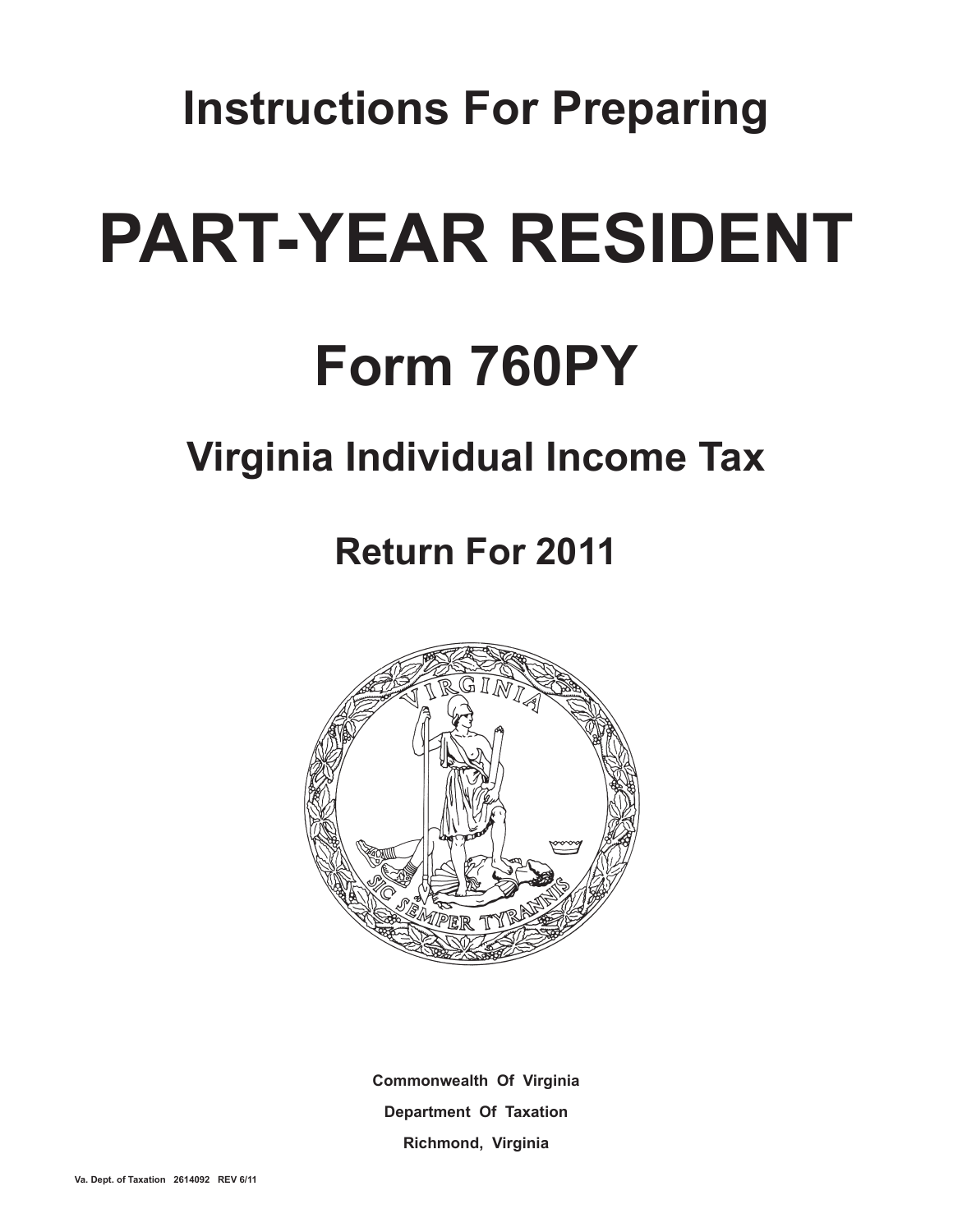**Instructions For Preparing**

# **Part-year Resident**

# **Form 760PY**

## **Virginia Individual Income Tax**

## **Return For 2011**



**Commonwealth Of Virginia Department Of Taxation Richmond, Virginia**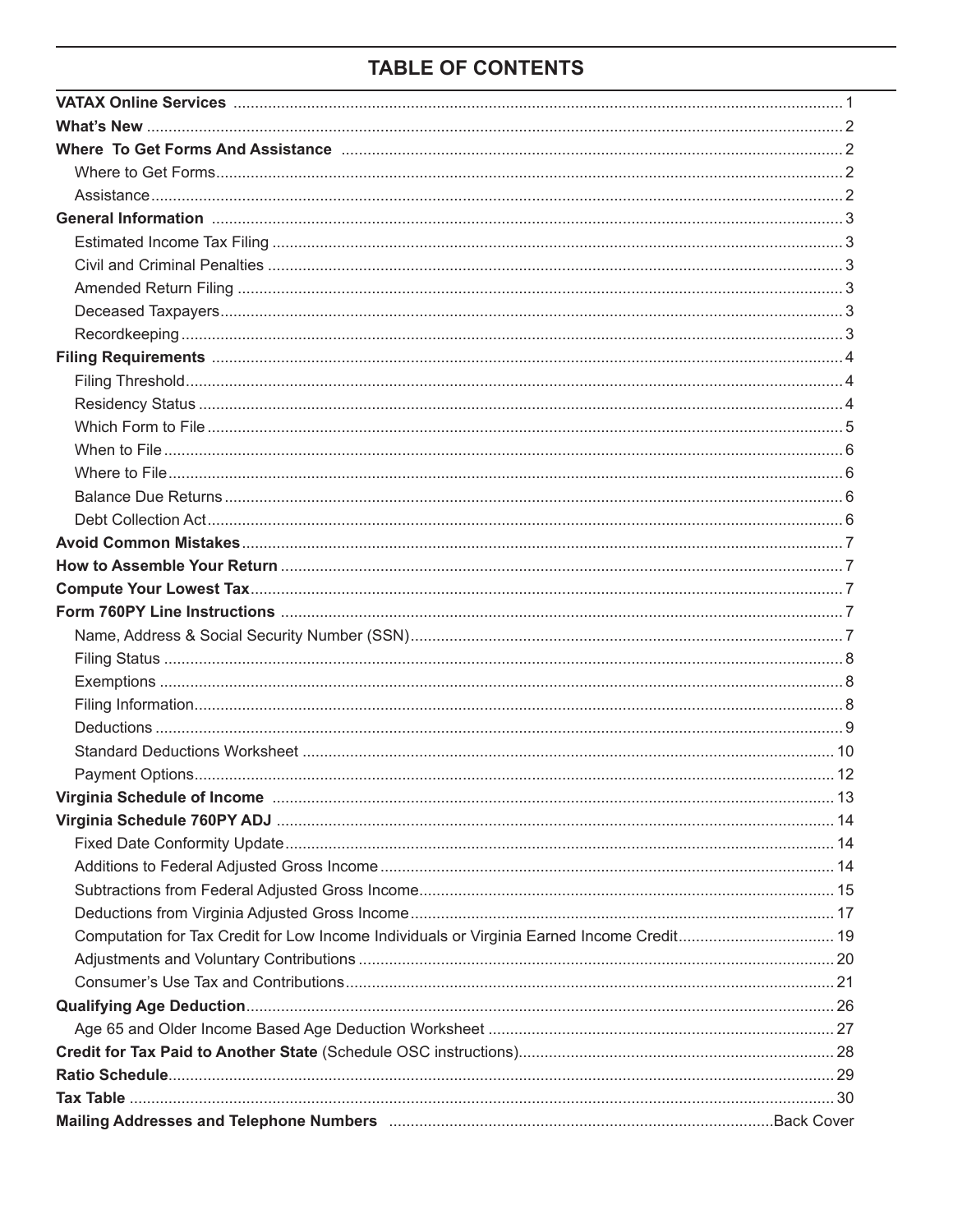## **TABLE OF CONTENTS**

| Computation for Tax Credit for Low Income Individuals or Virginia Earned Income Credit 19 |  |
|-------------------------------------------------------------------------------------------|--|
|                                                                                           |  |
|                                                                                           |  |
|                                                                                           |  |
|                                                                                           |  |
|                                                                                           |  |
|                                                                                           |  |
|                                                                                           |  |
|                                                                                           |  |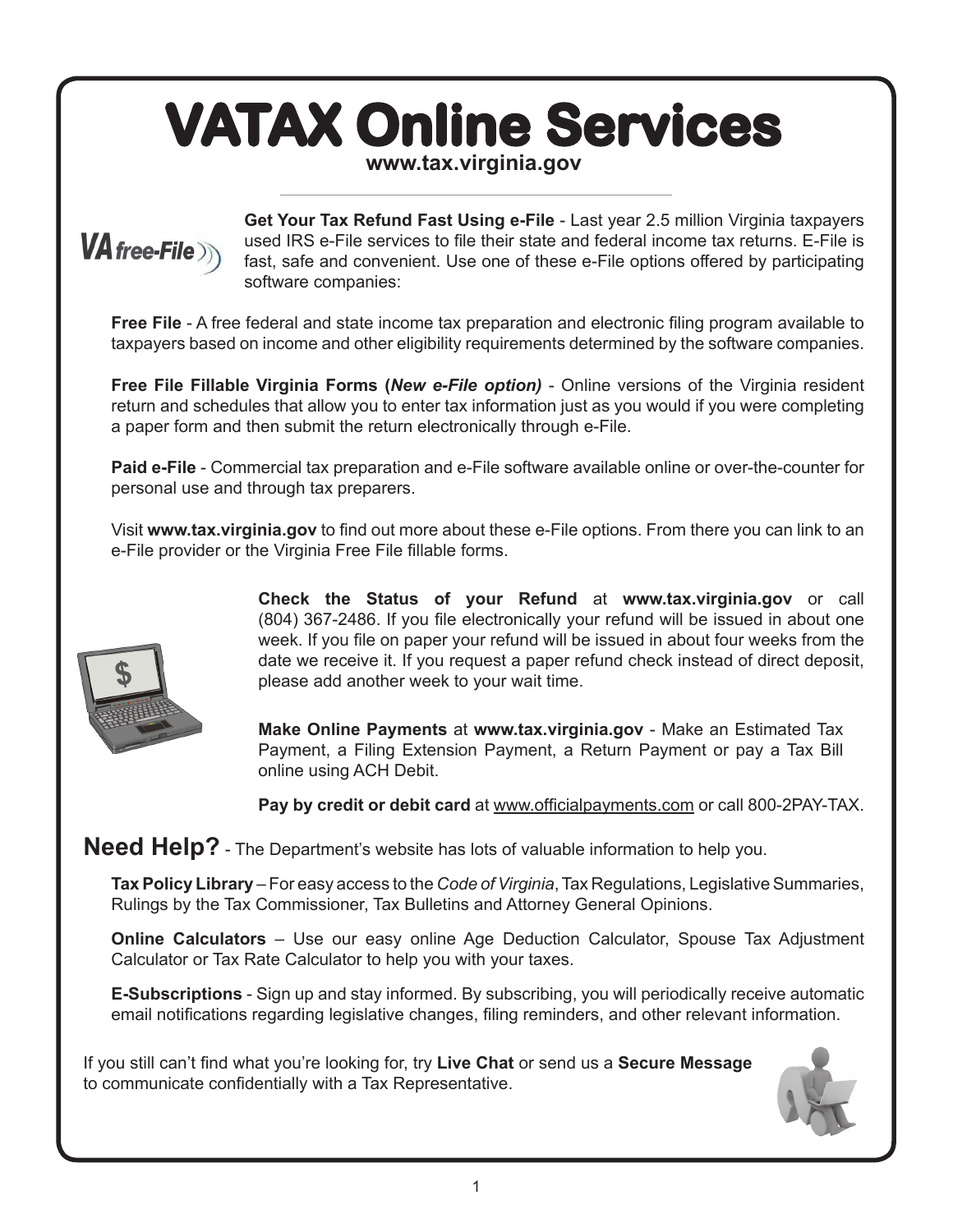## **VATAX Online Services www.tax.virginia.gov**



**Get Your Tax Refund Fast Using e-File** - Last year 2.5 million Virginia taxpayers used IRS e-File services to file their state and federal income tax returns. E-File is fast, safe and convenient. Use one of these e-File options offered by participating software companies:

**Free File** - A free federal and state income tax preparation and electronic filing program available to taxpayers based on income and other eligibility requirements determined by the software companies.

**Free File Fillable Virginia Forms (***New e-File option)* - Online versions of the Virginia resident return and schedules that allow you to enter tax information just as you would if you were completing a paper form and then submit the return electronically through e-File.

**Paid e-File** - Commercial tax preparation and e-File software available online or over-the-counter for personal use and through tax preparers.

Visit **www.tax.virginia.gov** to find out more about these e-File options. From there you can link to an e-File provider or the Virginia Free File fillable forms.



**Check the Status of your Refund** at **www.tax.virginia.gov** or call (804) 367-2486. If you file electronically your refund will be issued in about one week. If you file on paper your refund will be issued in about four weeks from the date we receive it. If you request a paper refund check instead of direct deposit, please add another week to your wait time.

**Make Online Payments** at **www.tax.virginia.gov** - Make an Estimated Tax Payment, a Filing Extension Payment, a Return Payment or pay a Tax Bill online using ACH Debit.

**Pay by credit or debit card** at www.officialpayments.com or call 800-2PAY-TAX.

**Need Help?** - The Department's website has lots of valuable information to help you.

**Tax Policy Library** – For easy access to the *Code of Virginia*, Tax Regulations, Legislative Summaries, Rulings by the Tax Commissioner, Tax Bulletins and Attorney General Opinions.

**Online Calculators** – Use our easy online Age Deduction Calculator, Spouse Tax Adjustment Calculator or Tax Rate Calculator to help you with your taxes.

**E-Subscriptions** - Sign up and stay informed. By subscribing, you will periodically receive automatic email notifications regarding legislative changes, filing reminders, and other relevant information.

If you still can't find what you're looking for, try **Live Chat** or send us a **Secure Message** to communicate confidentially with a Tax Representative.

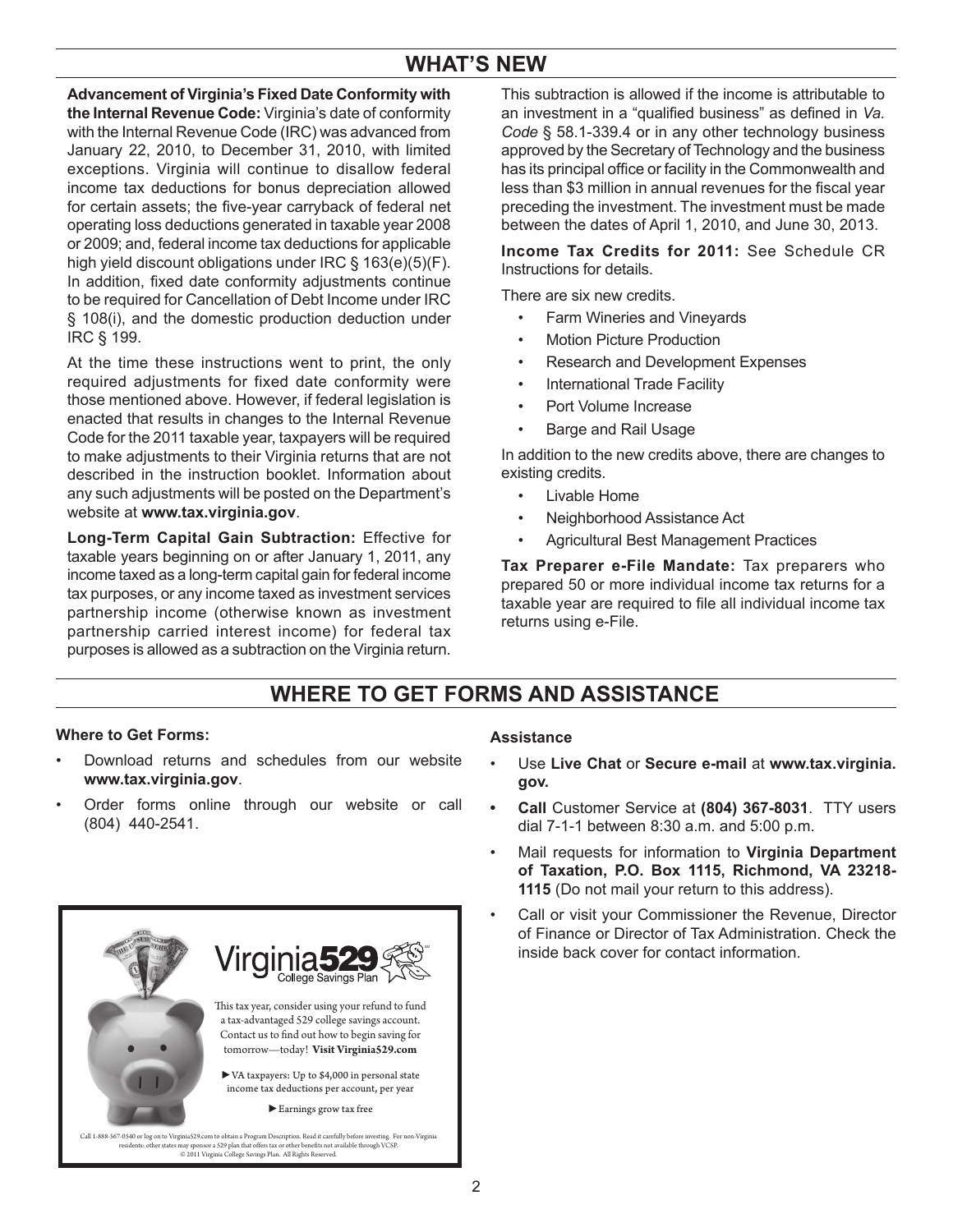## **WHAT'S NEW**

**Advancement of Virginia's Fixed Date Conformity with the Internal Revenue Code:** Virginia's date of conformity with the Internal Revenue Code (IRC) was advanced from January 22, 2010, to December 31, 2010, with limited exceptions. Virginia will continue to disallow federal income tax deductions for bonus depreciation allowed for certain assets; the five-year carryback of federal net operating loss deductions generated in taxable year 2008 or 2009; and, federal income tax deductions for applicable high yield discount obligations under IRC § 163(e)(5)(F). In addition, fixed date conformity adjustments continue to be required for Cancellation of Debt Income under IRC § 108(i), and the domestic production deduction under IRC § 199.

At the time these instructions went to print, the only required adjustments for fixed date conformity were those mentioned above. However, if federal legislation is enacted that results in changes to the Internal Revenue Code for the 2011 taxable year, taxpayers will be required to make adjustments to their Virginia returns that are not described in the instruction booklet. Information about any such adjustments will be posted on the Department's website at **www.tax.virginia.gov**.

**Long-Term Capital Gain Subtraction:** Effective for taxable years beginning on or after January 1, 2011, any income taxed as a long-term capital gain for federal income tax purposes, or any income taxed as investment services partnership income (otherwise known as investment partnership carried interest income) for federal tax purposes is allowed as a subtraction on the Virginia return.

This subtraction is allowed if the income is attributable to an investment in a "qualified business" as defined in *Va. Code* § 58.1-339.4 or in any other technology business approved by the Secretary of Technology and the business has its principal office or facility in the Commonwealth and less than \$3 million in annual revenues for the fiscal year preceding the investment. The investment must be made between the dates of April 1, 2010, and June 30, 2013.

**Income Tax Credits for 2011:** See Schedule CR Instructions for details.

There are six new credits.

- Farm Wineries and Vineyards
- **Motion Picture Production**
- Research and Development Expenses
- International Trade Facility
- Port Volume Increase
- Barge and Rail Usage

In addition to the new credits above, there are changes to existing credits.

- Livable Home
- Neighborhood Assistance Act
- Agricultural Best Management Practices

**Tax Preparer e-File Mandate:** Tax preparers who prepared 50 or more individual income tax returns for a taxable year are required to file all individual income tax returns using e-File.

## **WHERE TO GET FORMS ANd ASSISTANCE**

#### **Where to Get Forms:**

- Download returns and schedules from our website **www.tax.virginia.gov**.
- Order forms online through our website or call (804) 440-2541.



#### **Assistance**

- Use **Live Chat** or **Secure e-mail** at **www.tax.virginia. gov.**
- **Call** Customer Service at **(804) 367-8031**. TTY users dial 7-1-1 between 8:30 a.m. and 5:00 p.m.
- Mail requests for information to Virginia Department **of Taxation, P.O. Box 1115, Richmond, VA 23218- 1115** (Do not mail your return to this address).
- Call or visit your Commissioner the Revenue, Director of Finance or Director of Tax Administration. Check the inside back cover for contact information.

Call 1-888-567-0540 or log on to VirginiaS29.com to obtain a Program Description. Read it carefully before investing. For non-Virginia<br>residents: other states may sponsor a 529 plan that offers tax or other benefits not av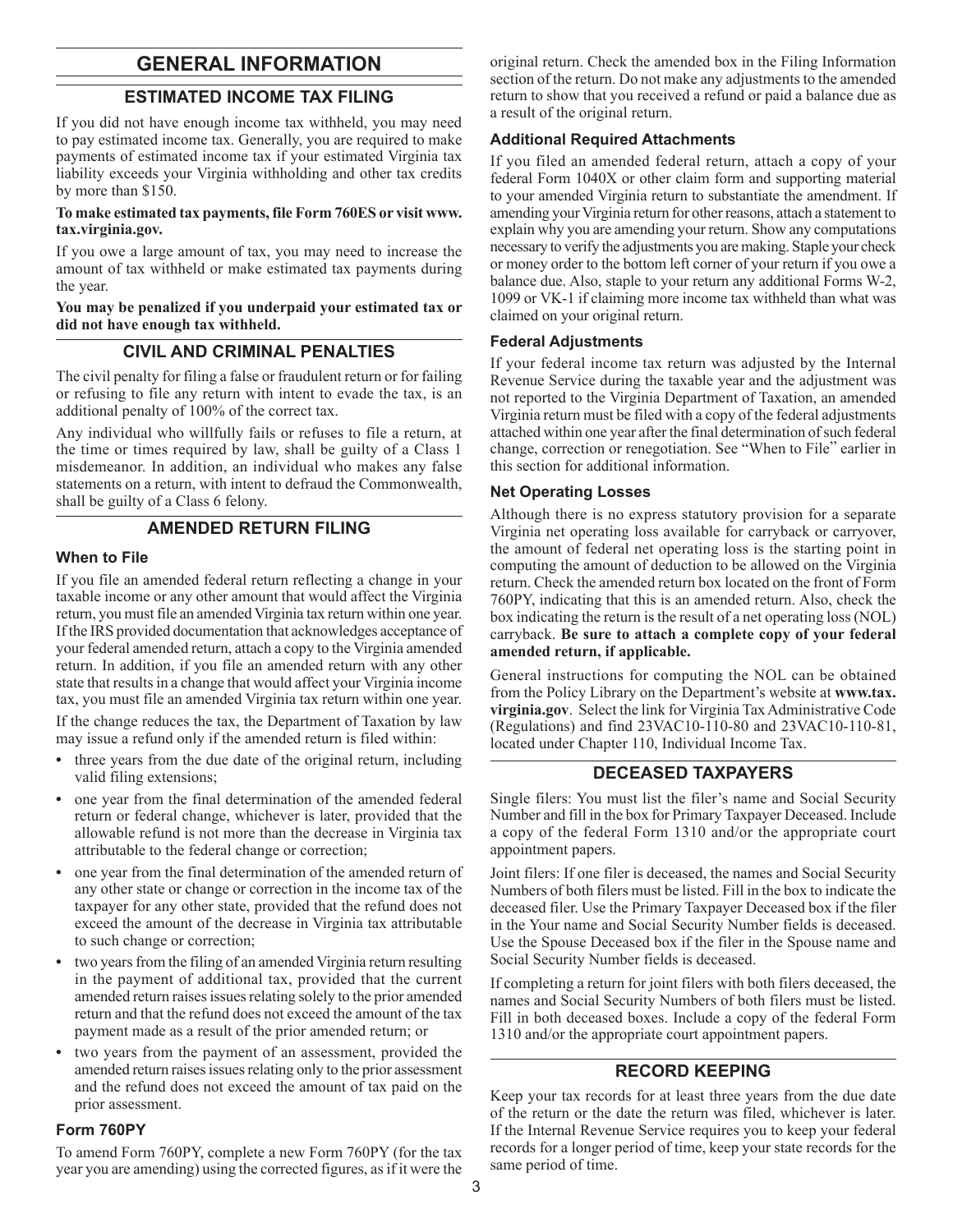## **GENERAL INFORMATION**

#### **Estimated Income Tax Filing**

If you did not have enough income tax withheld, you may need to pay estimated income tax. Generally, you are required to make payments of estimated income tax if your estimated Virginia tax liability exceeds your Virginia withholding and other tax credits by more than \$150.

#### **To make estimated tax payments, file Form 760ES or visit www. tax.virginia.gov.**

If you owe a large amount of tax, you may need to increase the amount of tax withheld or make estimated tax payments during the year.

**You may be penalized if you underpaid your estimated tax or did not have enough tax withheld.**

#### **Civil And Criminal Penalties**

The civil penalty for filing a false or fraudulent return or for failing or refusing to file any return with intent to evade the tax, is an additional penalty of 100% of the correct tax.

Any individual who willfully fails or refuses to file a return, at the time or times required by law, shall be guilty of a Class 1 misdemeanor. In addition, an individual who makes any false statements on a return, with intent to defraud the Commonwealth, shall be guilty of a Class 6 felony.

#### **Amended Return Filing**

#### **When to File**

If you file an amended federal return reflecting a change in your taxable income or any other amount that would affect the Virginia return, you must file an amended Virginia tax return within one year. If the IRS provided documentation that acknowledges acceptance of your federal amended return, attach a copy to the Virginia amended return. In addition, if you file an amended return with any other state that results in a change that would affect your Virginia income tax, you must file an amended Virginia tax return within one year.

If the change reduces the tax, the Department of Taxation by law may issue a refund only if the amended return is filed within:

- **•** three years from the due date of the original return, including valid filing extensions;
- **•** one year from the final determination of the amended federal return or federal change, whichever is later, provided that the allowable refund is not more than the decrease in Virginia tax attributable to the federal change or correction;
- **•** one year from the final determination of the amended return of any other state or change or correction in the income tax of the taxpayer for any other state, provided that the refund does not exceed the amount of the decrease in Virginia tax attributable to such change or correction;
- **•** two years from the filing of an amended Virginia return resulting in the payment of additional tax, provided that the current amended return raises issues relating solely to the prior amended return and that the refund does not exceed the amount of the tax payment made as a result of the prior amended return; or
- **•** two years from the payment of an assessment, provided the amended return raises issues relating only to the prior assessment and the refund does not exceed the amount of tax paid on the prior assessment.

#### **Form 760PY**

To amend Form 760PY, complete a new Form 760PY (for the tax year you are amending) using the corrected figures, as if it were the original return. Check the amended box in the Filing Information section of the return. Do not make any adjustments to the amended return to show that you received a refund or paid a balance due as a result of the original return.

#### **Additional Required Attachments**

If you filed an amended federal return, attach a copy of your federal Form 1040X or other claim form and supporting material to your amended Virginia return to substantiate the amendment. If amending your Virginia return for other reasons, attach a statement to explain why you are amending your return. Show any computations necessary to verify the adjustments you are making. Staple your check or money order to the bottom left corner of your return if you owe a balance due. Also, staple to your return any additional Forms W-2, 1099 or VK-1 if claiming more income tax withheld than what was claimed on your original return.

#### **Federal Adjustments**

If your federal income tax return was adjusted by the Internal Revenue Service during the taxable year and the adjustment was not reported to the Virginia Department of Taxation, an amended Virginia return must be filed with a copy of the federal adjustments attached within one year after the final determination of such federal change, correction or renegotiation. See "When to File" earlier in this section for additional information.

#### **Net Operating Losses**

Although there is no express statutory provision for a separate Virginia net operating loss available for carryback or carryover, the amount of federal net operating loss is the starting point in computing the amount of deduction to be allowed on the Virginia return. Check the amended return box located on the front of Form 760PY, indicating that this is an amended return. Also, check the box indicating the return is the result of a net operating loss (NOL) carryback. **Be sure to attach a complete copy of your federal amended return, if applicable.**

General instructions for computing the NOL can be obtained from the Policy Library on the Department's website at **www.tax. virginia.gov**. Select the link for Virginia Tax Administrative Code (Regulations) and find 23VAC10-110-80 and 23VAC10-110-81, located under Chapter 110, Individual Income Tax.

#### **Deceased Taxpayers**

Single filers: You must list the filer's name and Social Security Number and fill in the box for Primary Taxpayer Deceased. Include a copy of the federal Form 1310 and/or the appropriate court appointment papers.

Joint filers: If one filer is deceased, the names and Social Security Numbers of both filers must be listed. Fill in the box to indicate the deceased filer. Use the Primary Taxpayer Deceased box if the filer in the Your name and Social Security Number fields is deceased. Use the Spouse Deceased box if the filer in the Spouse name and Social Security Number fields is deceased.

If completing a return for joint filers with both filers deceased, the names and Social Security Numbers of both filers must be listed. Fill in both deceased boxes. Include a copy of the federal Form 1310 and/or the appropriate court appointment papers.

#### **Record Keeping**

Keep your tax records for at least three years from the due date of the return or the date the return was filed, whichever is later. If the Internal Revenue Service requires you to keep your federal records for a longer period of time, keep your state records for the same period of time.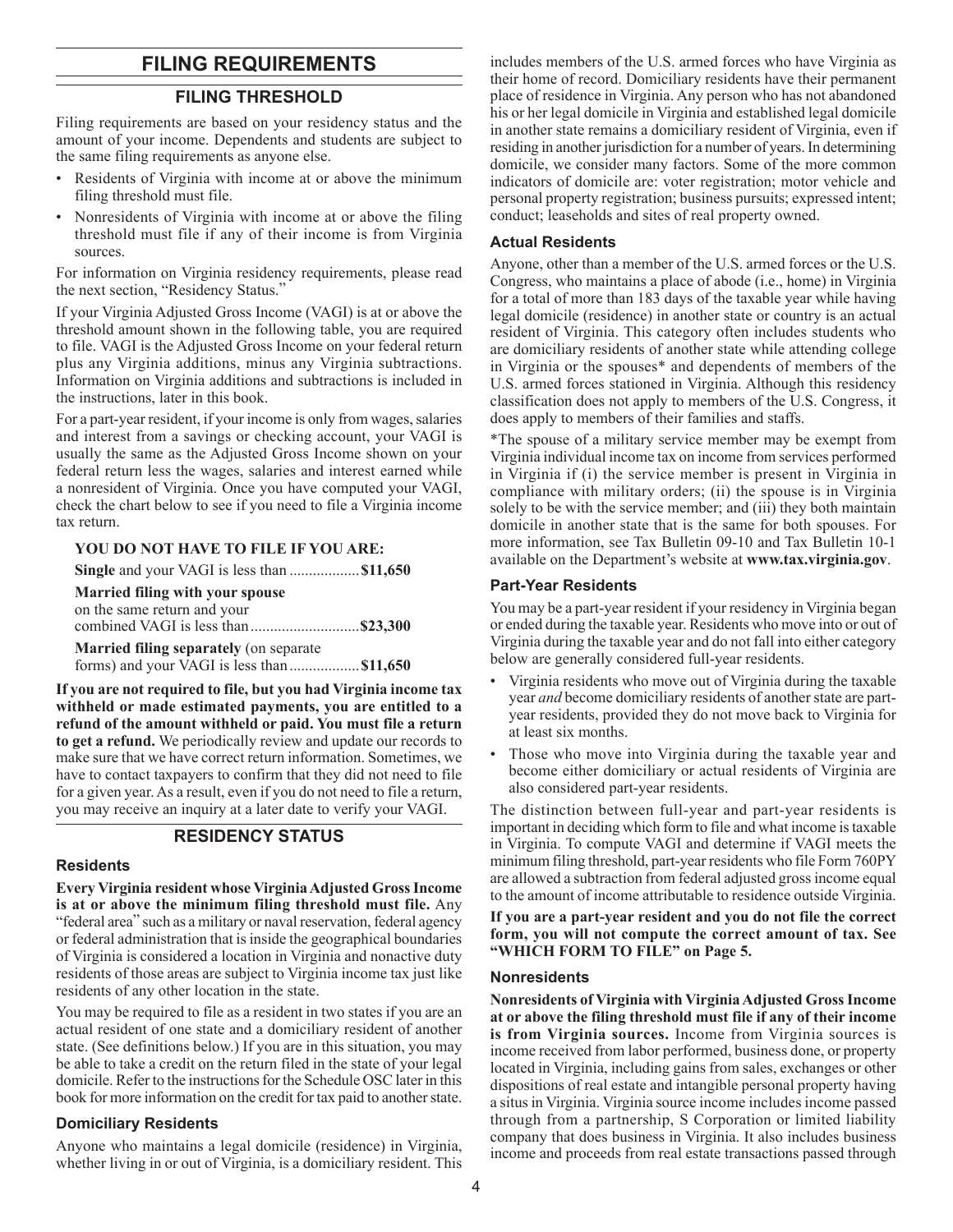## **FILING REQUIREMENTS**

#### **FILING THRESHOLD**

Filing requirements are based on your residency status and the amount of your income. Dependents and students are subject to the same filing requirements as anyone else.

- Residents of Virginia with income at or above the minimum filing threshold must file.
- Nonresidents of Virginia with income at or above the filing threshold must file if any of their income is from Virginia sources.

For information on Virginia residency requirements, please read the next section, "Residency Status."

If your Virginia Adjusted Gross Income (VAGI) is at or above the threshold amount shown in the following table, you are required to file. VAGI is the Adjusted Gross Income on your federal return plus any Virginia additions, minus any Virginia subtractions. Information on Virginia additions and subtractions is included in the instructions, later in this book.

For a part-year resident, if your income is only from wages, salaries and interest from a savings or checking account, your VAGI is usually the same as the Adjusted Gross Income shown on your federal return less the wages, salaries and interest earned while a nonresident of Virginia. Once you have computed your VAGI, check the chart below to see if you need to file a Virginia income tax return.

#### **YOU DO NOT HAVE TO FILE IF YOU ARE:**

| <b>Married filing with your spouse</b>      |  |
|---------------------------------------------|--|
| on the same return and your                 |  |
|                                             |  |
| Married filing separately (on separate      |  |
| forms) and your VAGI is less than  \$11,650 |  |

**If you are not required to file, but you had Virginia income tax withheld or made estimated payments, you are entitled to a refund of the amount withheld or paid. You must file a return to get a refund.** We periodically review and update our records to make sure that we have correct return information. Sometimes, we have to contact taxpayers to confirm that they did not need to file for a given year. As a result, even if you do not need to file a return, you may receive an inquiry at a later date to verify your VAGI.

#### **RESIDENCY STATUS**

#### **Residents**

**Every Virginia resident whose Virginia Adjusted Gross Income is at or above the minimum filing threshold must file.** Any "federal area" such as a military or naval reservation, federal agency or federal administration that is inside the geographical boundaries of Virginia is considered a location in Virginia and nonactive duty residents of those areas are subject to Virginia income tax just like residents of any other location in the state.

You may be required to file as a resident in two states if you are an actual resident of one state and a domiciliary resident of another state. (See definitions below.) If you are in this situation, you may be able to take a credit on the return filed in the state of your legal domicile. Refer to the instructions for the Schedule OSC later in this book for more information on the credit for tax paid to another state.

#### **Domiciliary Residents**

Anyone who maintains a legal domicile (residence) in Virginia, whether living in or out of Virginia, is a domiciliary resident. This includes members of the U.S. armed forces who have Virginia as their home of record. Domiciliary residents have their permanent place of residence in Virginia. Any person who has not abandoned his or her legal domicile in Virginia and established legal domicile in another state remains a domiciliary resident of Virginia, even if residing in another jurisdiction for a number of years. In determining domicile, we consider many factors. Some of the more common indicators of domicile are: voter registration; motor vehicle and personal property registration; business pursuits; expressed intent; conduct; leaseholds and sites of real property owned.

#### **Actual Residents**

Anyone, other than a member of the U.S. armed forces or the U.S. Congress, who maintains a place of abode (i.e., home) in Virginia for a total of more than 183 days of the taxable year while having legal domicile (residence) in another state or country is an actual resident of Virginia. This category often includes students who are domiciliary residents of another state while attending college in Virginia or the spouses\* and dependents of members of the U.S. armed forces stationed in Virginia. Although this residency classification does not apply to members of the U.S. Congress, it does apply to members of their families and staffs.

\*The spouse of a military service member may be exempt from Virginia individual income tax on income from services performed in Virginia if (i) the service member is present in Virginia in compliance with military orders; (ii) the spouse is in Virginia solely to be with the service member; and (iii) they both maintain domicile in another state that is the same for both spouses. For more information, see Tax Bulletin 09-10 and Tax Bulletin 10-1 available on the Department's website at **www.tax.virginia.gov**.

#### **Part-Year Residents**

You may be a part-year resident if your residency in Virginia began or ended during the taxable year. Residents who move into or out of Virginia during the taxable year and do not fall into either category below are generally considered full-year residents.

- Virginia residents who move out of Virginia during the taxable year *and* become domiciliary residents of another state are partyear residents, provided they do not move back to Virginia for at least six months.
- Those who move into Virginia during the taxable year and become either domiciliary or actual residents of Virginia are also considered part-year residents.

The distinction between full-year and part-year residents is important in deciding which form to file and what income is taxable in Virginia. To compute VAGI and determine if VAGI meets the minimum filing threshold, part-year residents who file Form 760PY are allowed a subtraction from federal adjusted gross income equal to the amount of income attributable to residence outside Virginia.

**If you are a part-year resident and you do not file the correct form, you will not compute the correct amount of tax. See "WHICH FORM TO FILE" on Page 5.** 

#### **Nonresidents**

**Nonresidents of Virginia with Virginia Adjusted Gross Income at or above the filing threshold must file if any of their income is from Virginia sources.** Income from Virginia sources is income received from labor performed, business done, or property located in Virginia, including gains from sales, exchanges or other dispositions of real estate and intangible personal property having a situs in Virginia. Virginia source income includes income passed through from a partnership, S Corporation or limited liability company that does business in Virginia. It also includes business income and proceeds from real estate transactions passed through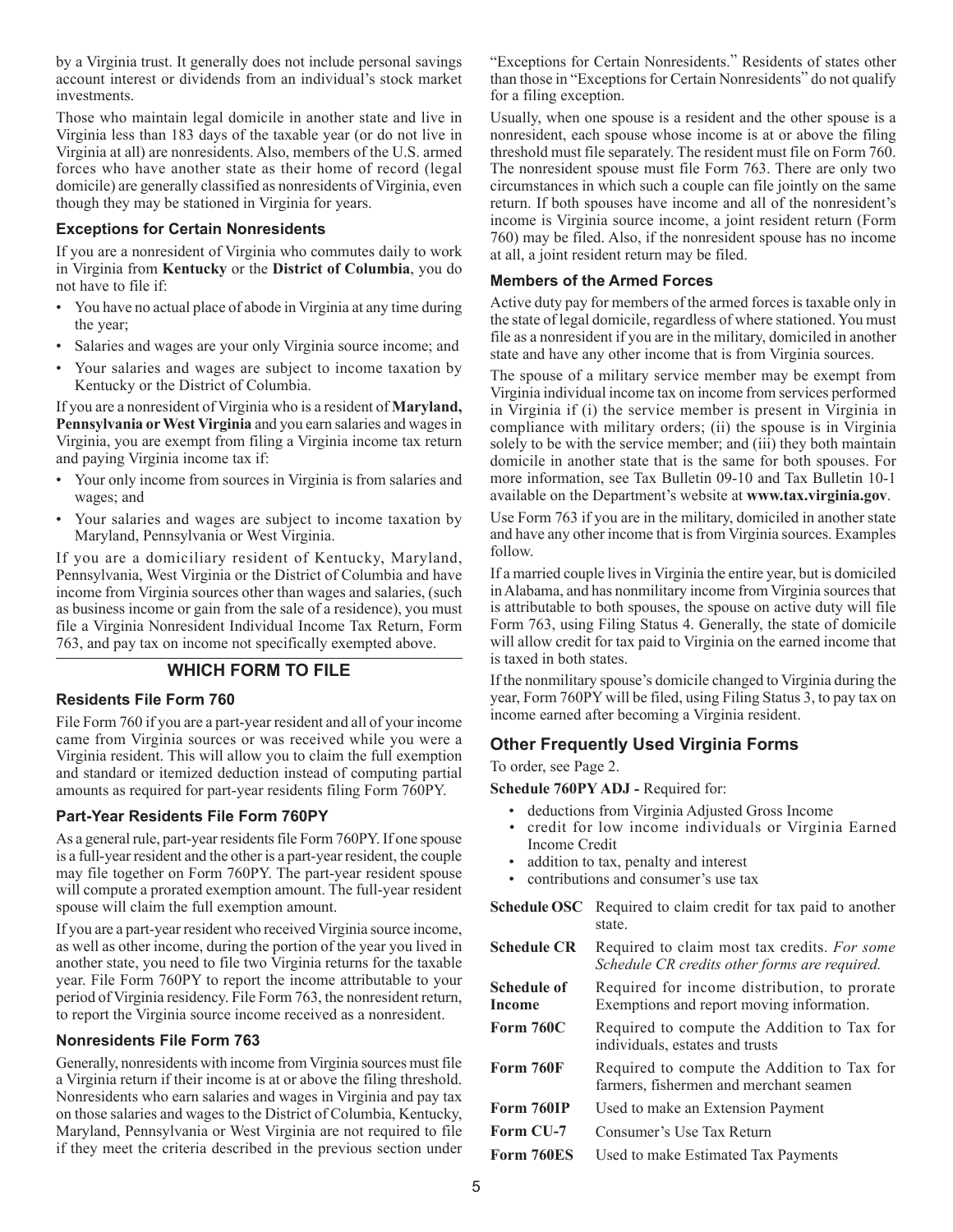by a Virginia trust. It generally does not include personal savings account interest or dividends from an individual's stock market investments.

Those who maintain legal domicile in another state and live in Virginia less than 183 days of the taxable year (or do not live in Virginia at all) are nonresidents. Also, members of the U.S. armed forces who have another state as their home of record (legal domicile) are generally classified as nonresidents of Virginia, even though they may be stationed in Virginia for years.

#### **Exceptions for Certain Nonresidents**

If you are a nonresident of Virginia who commutes daily to work in Virginia from **Kentucky** or the **District of Columbia**, you do not have to file if:

- You have no actual place of abode in Virginia at any time during the year;
- Salaries and wages are your only Virginia source income; and
- Your salaries and wages are subject to income taxation by Kentucky or the District of Columbia.

If you are a nonresident of Virginia who is a resident of **Maryland, Pennsylvania or West Virginia** and you earn salaries and wages in Virginia, you are exempt from filing a Virginia income tax return and paying Virginia income tax if:

- Your only income from sources in Virginia is from salaries and wages; and
- Your salaries and wages are subject to income taxation by Maryland, Pennsylvania or West Virginia.

If you are a domiciliary resident of Kentucky, Maryland, Pennsylvania, West Virginia or the District of Columbia and have income from Virginia sources other than wages and salaries, (such as business income or gain from the sale of a residence), you must file a Virginia Nonresident Individual Income Tax Return, Form 763, and pay tax on income not specifically exempted above.

## **WHICH FORM TO FILE**

#### **Residents File Form 760**

File Form 760 if you are a part-year resident and all of your income came from Virginia sources or was received while you were a Virginia resident. This will allow you to claim the full exemption and standard or itemized deduction instead of computing partial amounts as required for part-year residents filing Form 760PY.

#### **Part-Year Residents File Form 760PY**

As a general rule, part-year residents file Form 760PY. If one spouse is a full-year resident and the other is a part-year resident, the couple may file together on Form 760PY. The part-year resident spouse will compute a prorated exemption amount. The full-year resident spouse will claim the full exemption amount.

If you are a part-year resident who received Virginia source income, as well as other income, during the portion of the year you lived in another state, you need to file two Virginia returns for the taxable year. File Form 760PY to report the income attributable to your period of Virginia residency. File Form 763, the nonresident return, to report the Virginia source income received as a nonresident.

#### **Nonresidents File Form 763**

Generally, nonresidents with income from Virginia sources must file a Virginia return if their income is at or above the filing threshold. Nonresidents who earn salaries and wages in Virginia and pay tax on those salaries and wages to the District of Columbia, Kentucky, Maryland, Pennsylvania or West Virginia are not required to file if they meet the criteria described in the previous section under

"Exceptions for Certain Nonresidents." Residents of states other than those in "Exceptions for Certain Nonresidents" do not qualify for a filing exception.

Usually, when one spouse is a resident and the other spouse is a nonresident, each spouse whose income is at or above the filing threshold must file separately. The resident must file on Form 760. The nonresident spouse must file Form 763. There are only two circumstances in which such a couple can file jointly on the same return. If both spouses have income and all of the nonresident's income is Virginia source income, a joint resident return (Form 760) may be filed. Also, if the nonresident spouse has no income at all, a joint resident return may be filed.

#### **Members of the Armed Forces**

Active duty pay for members of the armed forces is taxable only in the state of legal domicile, regardless of where stationed. You must file as a nonresident if you are in the military, domiciled in another state and have any other income that is from Virginia sources.

The spouse of a military service member may be exempt from Virginia individual income tax on income from services performed in Virginia if (i) the service member is present in Virginia in compliance with military orders; (ii) the spouse is in Virginia solely to be with the service member; and (iii) they both maintain domicile in another state that is the same for both spouses. For more information, see Tax Bulletin 09-10 and Tax Bulletin 10-1 available on the Department's website at **www.tax.virginia.gov**.

Use Form 763 if you are in the military, domiciled in another state and have any other income that is from Virginia sources. Examples follow.

If a married couple lives in Virginia the entire year, but is domiciled in Alabama, and has nonmilitary income from Virginia sources that is attributable to both spouses, the spouse on active duty will file Form 763, using Filing Status 4. Generally, the state of domicile will allow credit for tax paid to Virginia on the earned income that is taxed in both states.

If the nonmilitary spouse's domicile changed to Virginia during the year, Form 760PY will be filed, using Filing Status 3, to pay tax on income earned after becoming a Virginia resident.

#### **Other Frequently Used Virginia Forms**

To order, see Page 2.

**Schedule 760PY ADJ** *-* Required for:

- deductions from Virginia Adjusted Gross Income
- credit for low income individuals or Virginia Earned Income Credit
- addition to tax, penalty and interest
- contributions and consumer's use tax
- **Schedule OSC** Required to claim credit for tax paid to another state.
- **Schedule CR** Required to claim most tax credits. *For some Schedule CR credits other forms are required.*
- **Schedule of Income**  Required for income distribution, to prorate Exemptions and report moving information.
- Form 760C Required to compute the Addition to Tax for individuals, estates and trusts
- Form 760F Required to compute the Addition to Tax for farmers, fishermen and merchant seamen
- **Form 760IP** Used to make an Extension Payment
- Form CU-7 Consumer's Use Tax Return
- **Form 760ES** Used to make Estimated Tax Payments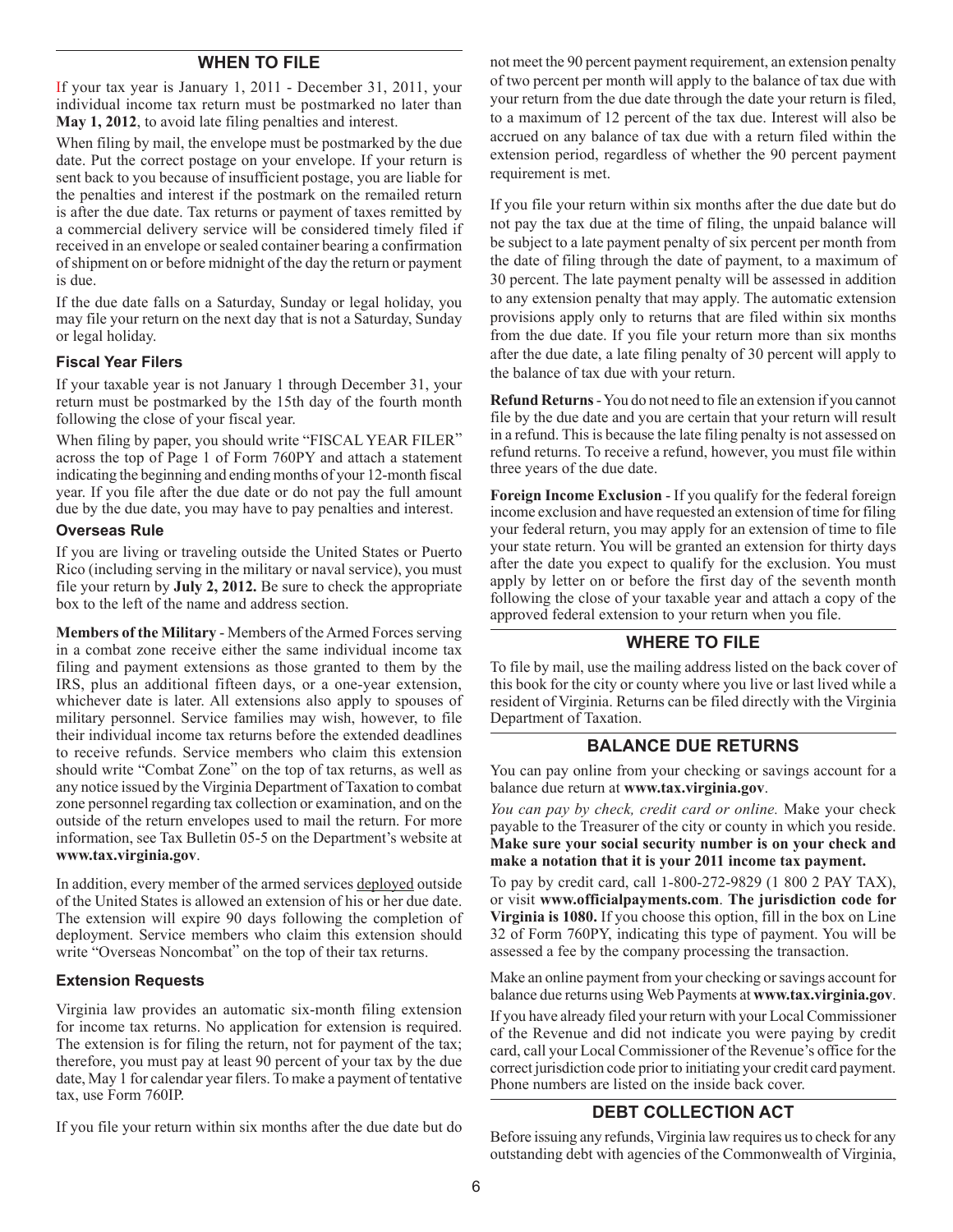#### **WHEN TO FILE**

If your tax year is January 1, 2011 - December 31, 2011, your individual income tax return must be postmarked no later than **May 1, 2012**, to avoid late filing penalties and interest.

When filing by mail, the envelope must be postmarked by the due date. Put the correct postage on your envelope. If your return is sent back to you because of insufficient postage, you are liable for the penalties and interest if the postmark on the remailed return is after the due date. Tax returns or payment of taxes remitted by a commercial delivery service will be considered timely filed if received in an envelope or sealed container bearing a confirmation of shipment on or before midnight of the day the return or payment is due.

If the due date falls on a Saturday, Sunday or legal holiday, you may file your return on the next day that is not a Saturday, Sunday or legal holiday.

#### **Fiscal Year Filers**

If your taxable year is not January 1 through December 31, your return must be postmarked by the 15th day of the fourth month following the close of your fiscal year.

When filing by paper, you should write "FISCAL YEAR FILER" across the top of Page 1 of Form 760PY and attach a statement indicating the beginning and ending months of your 12-month fiscal year. If you file after the due date or do not pay the full amount due by the due date, you may have to pay penalties and interest.

#### **Overseas Rule**

If you are living or traveling outside the United States or Puerto Rico (including serving in the military or naval service), you must file your return by **July 2, 2012.** Be sure to check the appropriate box to the left of the name and address section.

**Members of the Military** - Members of the Armed Forces serving in a combat zone receive either the same individual income tax filing and payment extensions as those granted to them by the IRS, plus an additional fifteen days, or a one-year extension, whichever date is later. All extensions also apply to spouses of military personnel. Service families may wish, however, to file their individual income tax returns before the extended deadlines to receive refunds. Service members who claim this extension should write "Combat Zone" on the top of tax returns, as well as any notice issued by the Virginia Department of Taxation to combat zone personnel regarding tax collection or examination, and on the outside of the return envelopes used to mail the return. For more information, see Tax Bulletin 05-5 on the Department's website at **www.tax.virginia.gov**.

In addition, every member of the armed services deployed outside of the United States is allowed an extension of his or her due date. The extension will expire 90 days following the completion of deployment. Service members who claim this extension should write "Overseas Noncombat" on the top of their tax returns.

#### **Extension Requests**

Virginia law provides an automatic six-month filing extension for income tax returns. No application for extension is required. The extension is for filing the return, not for payment of the tax; therefore, you must pay at least 90 percent of your tax by the due date, May 1 for calendar year filers. To make a payment of tentative tax, use Form 760IP.

If you file your return within six months after the due date but do

not meet the 90 percent payment requirement, an extension penalty of two percent per month will apply to the balance of tax due with your return from the due date through the date your return is filed, to a maximum of 12 percent of the tax due. Interest will also be accrued on any balance of tax due with a return filed within the extension period, regardless of whether the 90 percent payment requirement is met.

If you file your return within six months after the due date but do not pay the tax due at the time of filing, the unpaid balance will be subject to a late payment penalty of six percent per month from the date of filing through the date of payment, to a maximum of 30 percent. The late payment penalty will be assessed in addition to any extension penalty that may apply. The automatic extension provisions apply only to returns that are filed within six months from the due date. If you file your return more than six months after the due date, a late filing penalty of 30 percent will apply to the balance of tax due with your return.

**Refund Returns** - You do not need to file an extension if you cannot file by the due date and you are certain that your return will result in a refund. This is because the late filing penalty is not assessed on refund returns. To receive a refund, however, you must file within three years of the due date.

**Foreign Income Exclusion** - If you qualify for the federal foreign income exclusion and have requested an extension of time for filing your federal return, you may apply for an extension of time to file your state return. You will be granted an extension for thirty days after the date you expect to qualify for the exclusion. You must apply by letter on or before the first day of the seventh month following the close of your taxable year and attach a copy of the approved federal extension to your return when you file.

#### **WHERE TO FILE**

To file by mail, use the mailing address listed on the back cover of this book for the city or county where you live or last lived while a resident of Virginia. Returns can be filed directly with the Virginia Department of Taxation.

#### **BALANCE DUE RETURNS**

You can pay online from your checking or savings account for a balance due return at **www.tax.virginia.gov**.

*You can pay by check, credit card or online.* Make your check payable to the Treasurer of the city or county in which you reside. **Make sure your social security number is on your check and make a notation that it is your 2011 income tax payment.** 

To pay by credit card, call 1-800-272-9829 (1 800 2 PAY TAX), or visit **www.officialpayments.com**. **The jurisdiction code for Virginia is 1080.** If you choose this option, fill in the box on Line 32 of Form 760PY, indicating this type of payment. You will be assessed a fee by the company processing the transaction.

Make an online payment from your checking or savings account for balance due returns using Web Payments at **www.tax.virginia.gov**.

If you have already filed your return with your Local Commissioner of the Revenue and did not indicate you were paying by credit card, call your Local Commissioner of the Revenue's office for the correct jurisdiction code prior to initiating your credit card payment. Phone numbers are listed on the inside back cover.

#### **DEBT COLLECTION ACT**

Before issuing any refunds, Virginia law requires us to check for any outstanding debt with agencies of the Commonwealth of Virginia,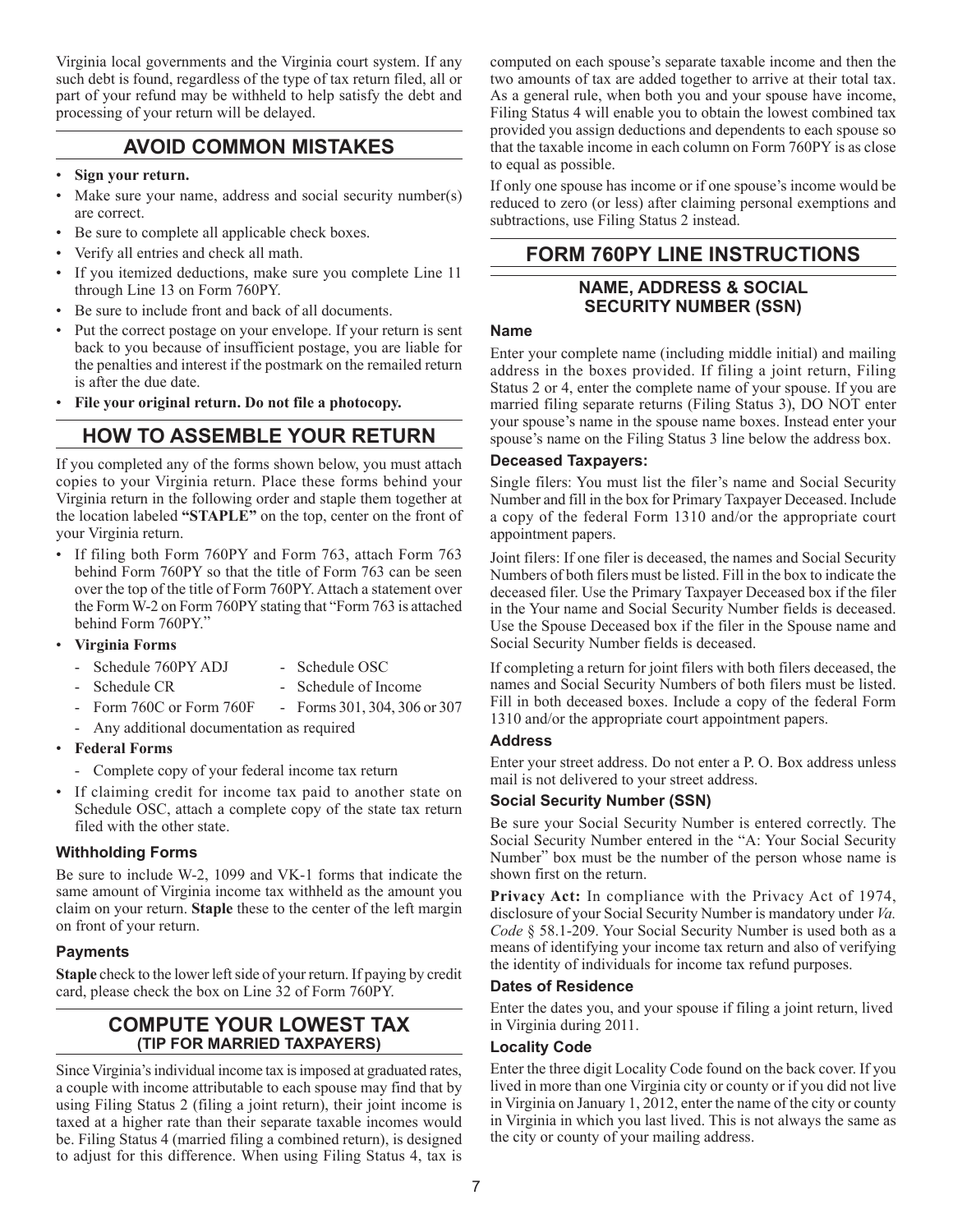Virginia local governments and the Virginia court system. If any such debt is found, regardless of the type of tax return filed, all or part of your refund may be withheld to help satisfy the debt and processing of your return will be delayed.

## **AVOID COMMON MISTAKES**

- **Sign your return.**
- Make sure your name, address and social security number(s) are correct.
- Be sure to complete all applicable check boxes.
- Verify all entries and check all math.
- If you itemized deductions, make sure you complete Line 11 through Line 13 on Form 760PY.
- Be sure to include front and back of all documents.
- Put the correct postage on your envelope. If your return is sent back to you because of insufficient postage, you are liable for the penalties and interest if the postmark on the remailed return is after the due date.
- **File your original return. Do not file a photocopy.**

## **HOW TO ASSEMBLE YOUR RETURN**

If you completed any of the forms shown below, you must attach copies to your Virginia return. Place these forms behind your Virginia return in the following order and staple them together at the location labeled **"STAPLE"** on the top, center on the front of your Virginia return.

- If filing both Form 760PY and Form 763, attach Form 763 behind Form 760PY so that the title of Form 763 can be seen over the top of the title of Form 760PY. Attach a statement over the Form W-2 on Form 760PY stating that "Form 763 is attached behind Form 760PY."
- **Virginia Forms**
	- Schedule 760PY ADJ Schedule OSC
		-
		- Schedule CR Schedule of Income
	- - Form 760C or Form 760F Forms 301, 304, 306 or 307
	- Any additional documentation as required
- **Federal Forms**
	- Complete copy of your federal income tax return
- If claiming credit for income tax paid to another state on Schedule OSC, attach a complete copy of the state tax return filed with the other state.

#### **Withholding Forms**

Be sure to include W-2, 1099 and VK-1 forms that indicate the same amount of Virginia income tax withheld as the amount you claim on your return. **Staple** these to the center of the left margin on front of your return.

#### **Payments**

**Staple** check to the lower left side of your return. If paying by credit card, please check the box on Line 32 of Form 760PY.

## **COMPUTE YOUR LOWEST TAX (Tip for Married Taxpayers)**

Since Virginia's individual income tax is imposed at graduated rates, a couple with income attributable to each spouse may find that by using Filing Status 2 (filing a joint return), their joint income is taxed at a higher rate than their separate taxable incomes would be. Filing Status 4 (married filing a combined return), is designed to adjust for this difference. When using Filing Status 4, tax is

computed on each spouse's separate taxable income and then the two amounts of tax are added together to arrive at their total tax. As a general rule, when both you and your spouse have income, Filing Status 4 will enable you to obtain the lowest combined tax provided you assign deductions and dependents to each spouse so that the taxable income in each column on Form 760PY is as close to equal as possible.

If only one spouse has income or if one spouse's income would be reduced to zero (or less) after claiming personal exemptions and subtractions, use Filing Status 2 instead.

## **FORM 760PY LINE INSTRUCTIONS**

## **Name, Address & Social Security Number (SSN)**

#### **Name**

Enter your complete name (including middle initial) and mailing address in the boxes provided. If filing a joint return, Filing Status 2 or 4, enter the complete name of your spouse. If you are married filing separate returns (Filing Status 3), DO NOT enter your spouse's name in the spouse name boxes. Instead enter your spouse's name on the Filing Status 3 line below the address box.

#### **Deceased Taxpayers:**

Single filers: You must list the filer's name and Social Security Number and fill in the box for Primary Taxpayer Deceased. Include a copy of the federal Form 1310 and/or the appropriate court appointment papers.

Joint filers: If one filer is deceased, the names and Social Security Numbers of both filers must be listed. Fill in the box to indicate the deceased filer. Use the Primary Taxpayer Deceased box if the filer in the Your name and Social Security Number fields is deceased. Use the Spouse Deceased box if the filer in the Spouse name and Social Security Number fields is deceased.

If completing a return for joint filers with both filers deceased, the names and Social Security Numbers of both filers must be listed. Fill in both deceased boxes. Include a copy of the federal Form 1310 and/or the appropriate court appointment papers.

#### **Address**

Enter your street address. Do not enter a P. O. Box address unless mail is not delivered to your street address.

#### **Social Security Number (SSN)**

Be sure your Social Security Number is entered correctly. The Social Security Number entered in the "A: Your Social Security Number" box must be the number of the person whose name is shown first on the return.

**Privacy Act:** In compliance with the Privacy Act of 1974, disclosure of your Social Security Number is mandatory under *Va. Code* § 58.1-209. Your Social Security Number is used both as a means of identifying your income tax return and also of verifying the identity of individuals for income tax refund purposes.

#### **Dates of Residence**

Enter the dates you, and your spouse if filing a joint return, lived in Virginia during 2011.

#### **Locality Code**

Enter the three digit Locality Code found on the back cover. If you lived in more than one Virginia city or county or if you did not live in Virginia on January 1, 2012, enter the name of the city or county in Virginia in which you last lived. This is not always the same as the city or county of your mailing address.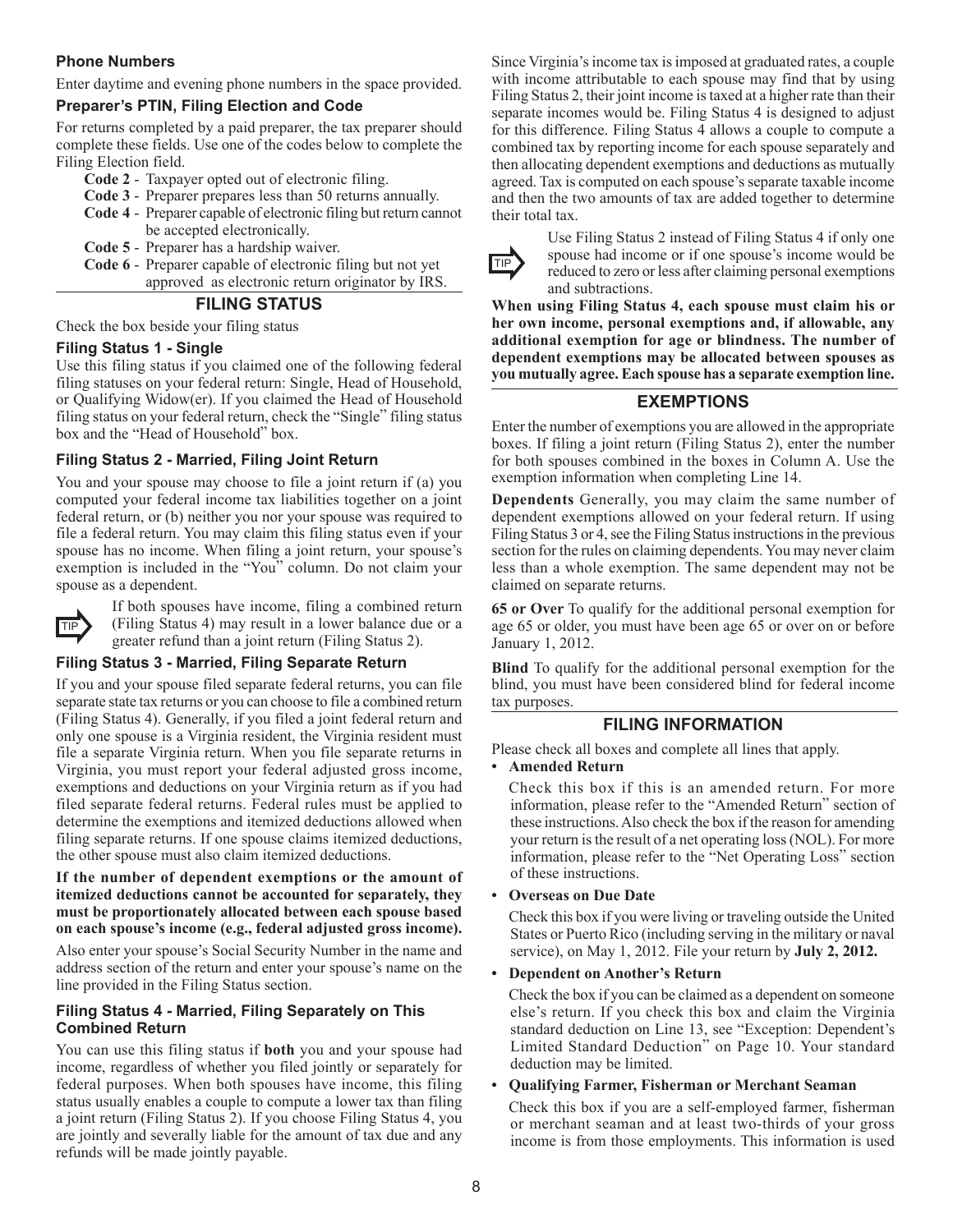#### **Phone Numbers**

Enter daytime and evening phone numbers in the space provided.

#### **Preparer's PTIN, Filing Election and Code**

For returns completed by a paid preparer, the tax preparer should complete these fields. Use one of the codes below to complete the Filing Election field.

- **Code 2** Taxpayer opted out of electronic filing.
- **Code 3** Preparer prepares less than 50 returns annually.
- **Code 4** Preparer capable of electronic filing but return cannot be accepted electronically.
- **Code 5** Preparer has a hardship waiver.
- **Code 6** Preparer capable of electronic filing but not yet approved as electronic return originator by IRS.

#### **Filing Status**

Check the box beside your filing status

#### **Filing Status 1 - Single**

Use this filing status if you claimed one of the following federal filing statuses on your federal return: Single, Head of Household, or Qualifying Widow(er). If you claimed the Head of Household filing status on your federal return, check the "Single" filing status box and the "Head of Household" box.

#### **Filing Status 2 - Married, Filing Joint Return**

You and your spouse may choose to file a joint return if (a) you computed your federal income tax liabilities together on a joint federal return, or (b) neither you nor your spouse was required to file a federal return. You may claim this filing status even if your spouse has no income. When filing a joint return, your spouse's exemption is included in the "You" column. Do not claim your spouse as a dependent.



If both spouses have income, filing a combined return TIP (Filing Status 4) may result in a lower balance due or a greater refund than a joint return (Filing Status 2).

#### **Filing Status 3 - Married, Filing Separate Return**

If you and your spouse filed separate federal returns, you can file separate state tax returns or you can choose to file a combined return (Filing Status 4). Generally, if you filed a joint federal return and only one spouse is a Virginia resident, the Virginia resident must file a separate Virginia return. When you file separate returns in Virginia, you must report your federal adjusted gross income, exemptions and deductions on your Virginia return as if you had filed separate federal returns. Federal rules must be applied to determine the exemptions and itemized deductions allowed when filing separate returns. If one spouse claims itemized deductions, the other spouse must also claim itemized deductions.

#### **If the number of dependent exemptions or the amount of itemized deductions cannot be accounted for separately, they must be proportionately allocated between each spouse based on each spouse's income (e.g., federal adjusted gross income).**

Also enter your spouse's Social Security Number in the name and address section of the return and enter your spouse's name on the line provided in the Filing Status section.

#### **Filing Status 4 - Married, Filing Separately on This Combined Return**

You can use this filing status if **both** you and your spouse had income, regardless of whether you filed jointly or separately for federal purposes. When both spouses have income, this filing status usually enables a couple to compute a lower tax than filing a joint return (Filing Status 2). If you choose Filing Status 4, you are jointly and severally liable for the amount of tax due and any refunds will be made jointly payable.

Since Virginia's income tax is imposed at graduated rates, a couple with income attributable to each spouse may find that by using Filing Status 2, their joint income is taxed at a higher rate than their separate incomes would be. Filing Status 4 is designed to adjust for this difference. Filing Status 4 allows a couple to compute a combined tax by reporting income for each spouse separately and then allocating dependent exemptions and deductions as mutually agreed. Tax is computed on each spouse's separate taxable income and then the two amounts of tax are added together to determine their total tax.



Use Filing Status 2 instead of Filing Status 4 if only one spouse had income or if one spouse's income would be reduced to zero or less after claiming personal exemptions and subtractions.

**When using Filing Status 4, each spouse must claim his or her own income, personal exemptions and, if allowable, any additional exemption for age or blindness. The number of dependent exemptions may be allocated between spouses as you mutually agree. Each spouse has a separate exemption line.**

#### **Exemptions**

Enter the number of exemptions you are allowed in the appropriate boxes. If filing a joint return (Filing Status 2), enter the number for both spouses combined in the boxes in Column A. Use the exemption information when completing Line 14.

**Dependents** Generally, you may claim the same number of dependent exemptions allowed on your federal return. If using Filing Status 3 or 4, see the Filing Status instructions in the previous section for the rules on claiming dependents. You may never claim less than a whole exemption. The same dependent may not be claimed on separate returns.

**65 or Over** To qualify for the additional personal exemption for age 65 or older, you must have been age 65 or over on or before January 1, 2012.

**Blind** To qualify for the additional personal exemption for the blind, you must have been considered blind for federal income tax purposes.

#### **Filing information**

Please check all boxes and complete all lines that apply.

• **Amended Return**

Check this box if this is an amended return. For more information, please refer to the "Amended Return" section of these instructions. Also check the box if the reason for amending your return is the result of a net operating loss (NOL). For more information, please refer to the "Net Operating Loss" section of these instructions.

• **Overseas on Due Date**

Check this box if you were living or traveling outside the United States or Puerto Rico (including serving in the military or naval service), on May 1, 2012. File your return by **July 2, 2012.**

• **Dependent on Another's Return** 

Check the box if you can be claimed as a dependent on someone else's return. If you check this box and claim the Virginia standard deduction on Line 13, see "Exception: Dependent's Limited Standard Deduction" on Page 10. Your standard deduction may be limited.

#### • **Qualifying Farmer, Fisherman or Merchant Seaman**

Check this box if you are a self-employed farmer, fisherman or merchant seaman and at least two-thirds of your gross income is from those employments. This information is used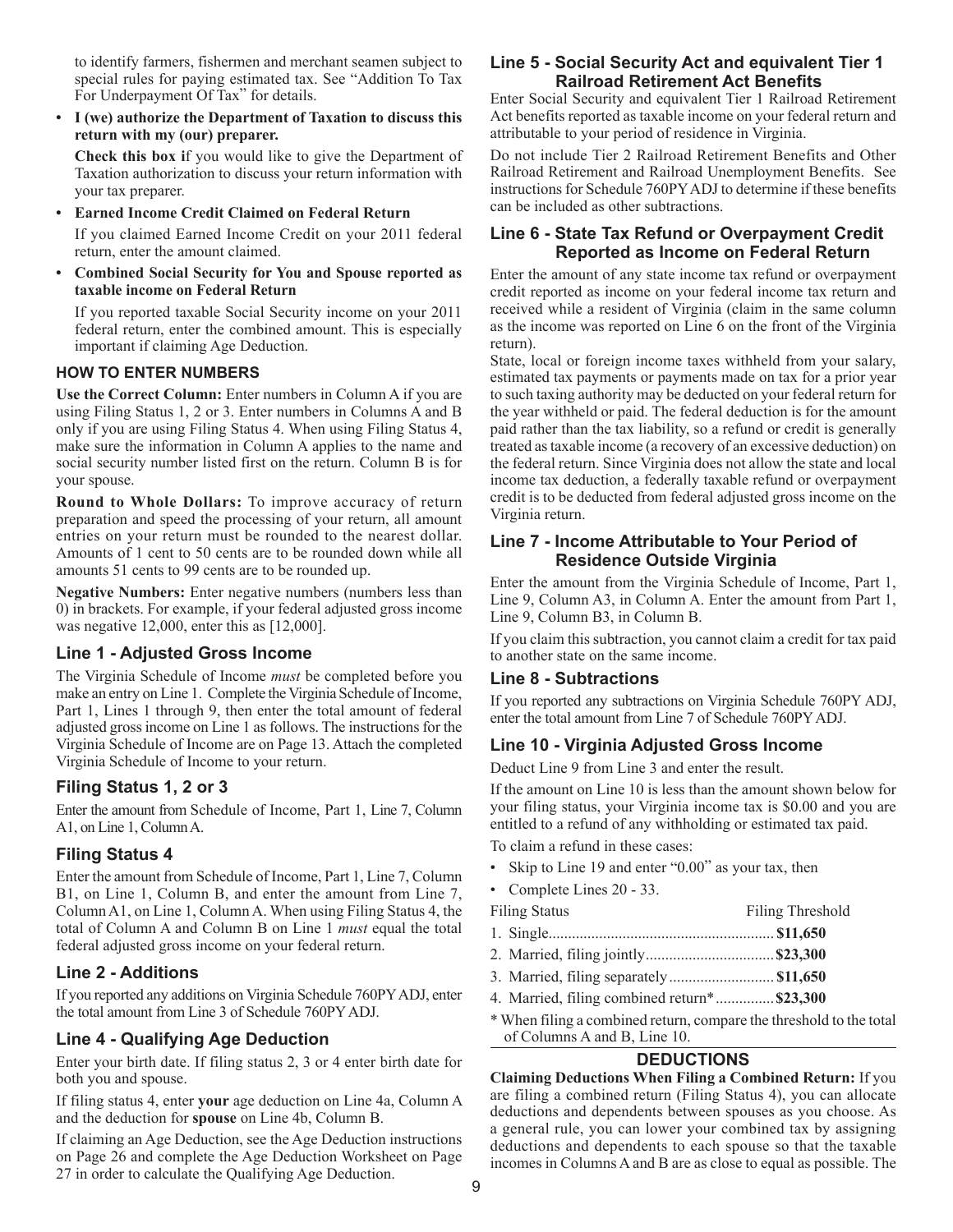to identify farmers, fishermen and merchant seamen subject to special rules for paying estimated tax. See "Addition To Tax For Underpayment Of Tax" for details.

• **I (we) authorize the Department of Taxation to discuss this return with my (our) preparer.** 

**Check this box i**f you would like to give the Department of Taxation authorization to discuss your return information with your tax preparer.

• **Earned Income Credit Claimed on Federal Return**

If you claimed Earned Income Credit on your 2011 federal return, enter the amount claimed.

• **Combined Social Security for You and Spouse reported as taxable income on Federal Return**

If you reported taxable Social Security income on your 2011 federal return, enter the combined amount. This is especially important if claiming Age Deduction.

#### **HOW TO ENTER NUMBERS**

**Use the Correct Column:** Enter numbers in Column A if you are using Filing Status 1, 2 or 3. Enter numbers in Columns A and B only if you are using Filing Status 4. When using Filing Status 4, make sure the information in Column A applies to the name and social security number listed first on the return. Column B is for your spouse.

**Round to Whole Dollars:** To improve accuracy of return preparation and speed the processing of your return, all amount entries on your return must be rounded to the nearest dollar. Amounts of 1 cent to 50 cents are to be rounded down while all amounts 51 cents to 99 cents are to be rounded up.

**Negative Numbers:** Enter negative numbers (numbers less than 0) in brackets. For example, if your federal adjusted gross income was negative 12,000, enter this as [12,000].

#### **Line 1 - Adjusted Gross Income**

The Virginia Schedule of Income *must* be completed before you make an entry on Line 1. Complete the Virginia Schedule of Income, Part 1, Lines 1 through 9, then enter the total amount of federal adjusted gross income on Line 1 as follows. The instructions for the Virginia Schedule of Income are on Page 13. Attach the completed Virginia Schedule of Income to your return.

#### **Filing Status 1, 2 or 3**

Enter the amount from Schedule of Income, Part 1, Line 7, Column A1, on Line 1, Column A.

#### **Filing Status 4**

Enter the amount from Schedule of Income, Part 1, Line 7, Column B1, on Line 1, Column B, and enter the amount from Line 7, Column A1, on Line 1, Column A. When using Filing Status 4, the total of Column A and Column B on Line 1 *must* equal the total federal adjusted gross income on your federal return.

#### **Line 2 - Additions**

If you reported any additions on Virginia Schedule 760PY ADJ, enter the total amount from Line 3 of Schedule 760PY ADJ.

#### **Line 4 - Qualifying Age Deduction**

Enter your birth date. If filing status 2, 3 or 4 enter birth date for both you and spouse.

If filing status 4, enter **your** age deduction on Line 4a, Column A and the deduction for **spouse** on Line 4b, Column B.

If claiming an Age Deduction, see the Age Deduction instructions on Page 26 and complete the Age Deduction Worksheet on Page 27 in order to calculate the Qualifying Age Deduction.

#### **Line 5 - Social Security Act and equivalent Tier 1 Railroad Retirement Act Benefits**

Enter Social Security and equivalent Tier 1 Railroad Retirement Act benefits reported as taxable income on your federal return and attributable to your period of residence in Virginia.

Do not include Tier 2 Railroad Retirement Benefits and Other Railroad Retirement and Railroad Unemployment Benefits. See instructions for Schedule 760PY ADJ to determine if these benefits can be included as other subtractions.

#### **Line 6 - State Tax Refund or Overpayment Credit Reported as Income on Federal Return**

Enter the amount of any state income tax refund or overpayment credit reported as income on your federal income tax return and received while a resident of Virginia (claim in the same column as the income was reported on Line 6 on the front of the Virginia return).

State, local or foreign income taxes withheld from your salary, estimated tax payments or payments made on tax for a prior year to such taxing authority may be deducted on your federal return for the year withheld or paid. The federal deduction is for the amount paid rather than the tax liability, so a refund or credit is generally treated as taxable income (a recovery of an excessive deduction) on the federal return. Since Virginia does not allow the state and local income tax deduction, a federally taxable refund or overpayment credit is to be deducted from federal adjusted gross income on the Virginia return.

#### **Line 7 - Income Attributable to Your Period of Residence Outside Virginia**

Enter the amount from the Virginia Schedule of Income, Part 1, Line 9, Column A3, in Column A. Enter the amount from Part 1, Line 9, Column B3, in Column B.

If you claim this subtraction, you cannot claim a credit for tax paid to another state on the same income.

#### **Line 8 - Subtractions**

If you reported any subtractions on Virginia Schedule 760PY ADJ, enter the total amount from Line 7 of Schedule 760PY ADJ.

#### **Line 10 - Virginia Adjusted Gross Income**

Deduct Line 9 from Line 3 and enter the result.

If the amount on Line 10 is less than the amount shown below for your filing status, your Virginia income tax is \$0.00 and you are entitled to a refund of any withholding or estimated tax paid. To claim a refund in these cases:

Filing Threshold

- Skip to Line 19 and enter "0.00" as your tax, then
- Complete Lines 20 33.

|  | iling Status |
|--|--------------|
|--|--------------|

- 1. Single.......................................................... **\$11,650**
- 2. Married, filing jointly.................................**\$23,300**
- 3. Married, filing separately........................... **\$11,650**
- 4. Married, filing combined return\*...............**\$23,300**
- \* When filing a combined return, compare the threshold to the total of Columns A and B, Line 10.

## **Deductions**

**Claiming Deductions When Filing a Combined Return:** If you are filing a combined return (Filing Status 4), you can allocate deductions and dependents between spouses as you choose. As a general rule, you can lower your combined tax by assigning deductions and dependents to each spouse so that the taxable incomes in Columns A and B are as close to equal as possible. The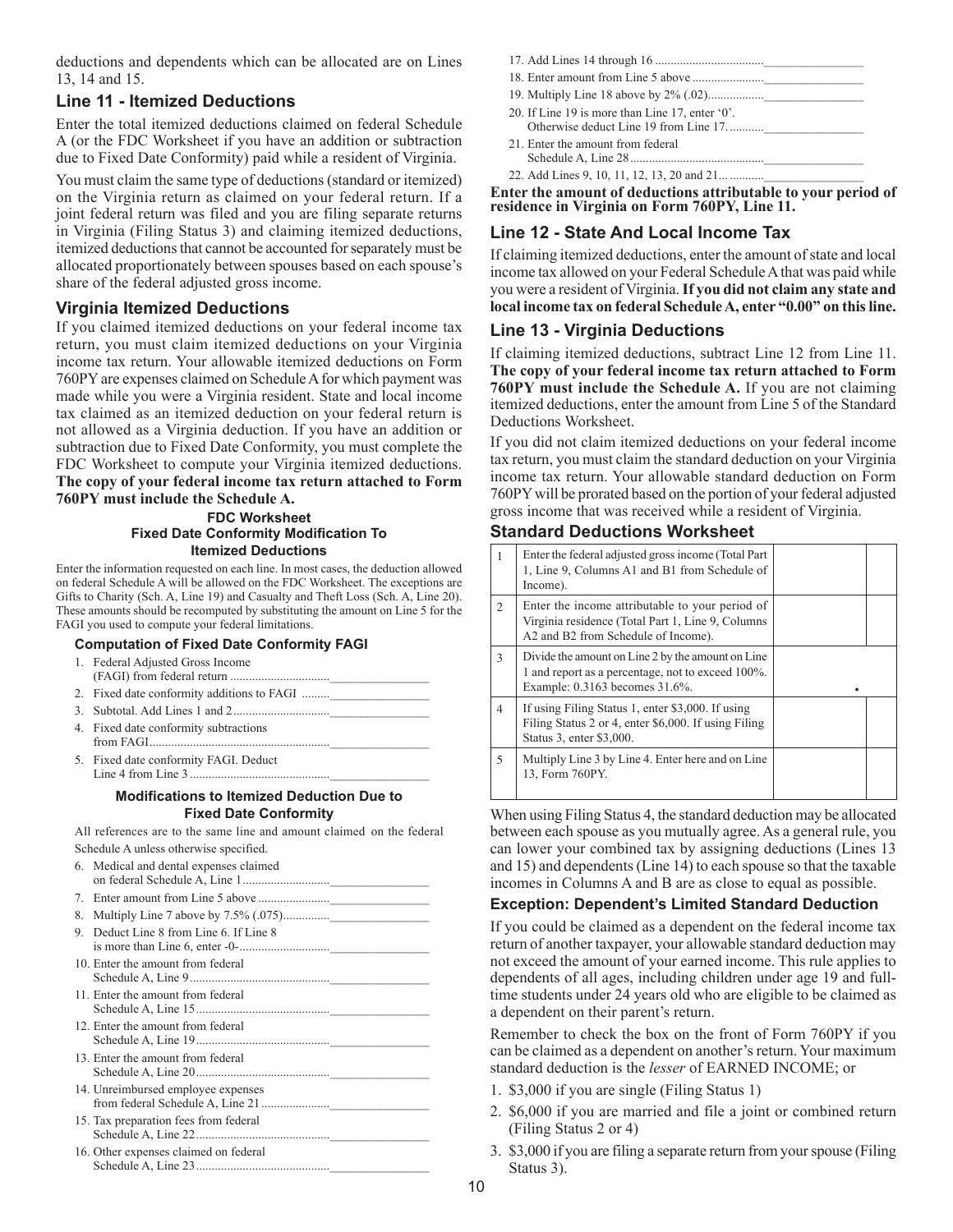deductions and dependents which can be allocated are on Lines 13, 14 and 15.

## **Line 11 - Itemized Deductions**

Enter the total itemized deductions claimed on federal Schedule A (or the FDC Worksheet if you have an addition or subtraction due to Fixed Date Conformity) paid while a resident of Virginia.

You must claim the same type of deductions (standard or itemized) on the Virginia return as claimed on your federal return. If a joint federal return was filed and you are filing separate returns in Virginia (Filing Status 3) and claiming itemized deductions, itemized deductions that cannot be accounted for separately must be allocated proportionately between spouses based on each spouse's share of the federal adjusted gross income.

#### **Virginia Itemized Deductions**

If you claimed itemized deductions on your federal income tax return, you must claim itemized deductions on your Virginia income tax return. Your allowable itemized deductions on Form 760PY are expenses claimed on Schedule A for which payment was made while you were a Virginia resident. State and local income tax claimed as an itemized deduction on your federal return is not allowed as a Virginia deduction. If you have an addition or subtraction due to Fixed Date Conformity, you must complete the FDC Worksheet to compute your Virginia itemized deductions. **The copy of your federal income tax return attached to Form 760PY must include the Schedule A.**

#### **Fdc Worksheet Fixed Date Conformity Modification to Itemized Deductions**

Enter the information requested on each line. In most cases, the deduction allowed on federal Schedule A will be allowed on the FDC Worksheet. The exceptions are Gifts to Charity (Sch. A, Line 19) and Casualty and Theft Loss (Sch. A, Line 20). These amounts should be recomputed by substituting the amount on Line 5 for the FAGI you used to compute your federal limitations.

#### **Computation of Fixed Date Conformity FAGI**

- 1. Federal Adjusted Gross Income (FAGI) from federal return ................................\_\_\_\_\_\_\_\_\_\_\_\_\_\_\_\_
- 2. Fixed date conformity additions to FAGI .........
- 3. Subtotal. Add Lines 1 and 2...............................\_\_\_\_\_\_\_\_\_\_\_\_\_\_\_\_
- 4. Fixed date conformity subtractions from FAGI.
- 5. Fixed date conformity FAGI. Deduct Line 4 from Line 3 .............................................\_\_\_\_\_\_\_\_\_\_\_\_\_\_\_\_

#### **Modifications to Itemized Deduction Due to Fixed Date Conformity**

All references are to the same line and amount claimed on the federal Schedule A unless otherwise specified.

|    | 6. Medical and dental expenses claimed |
|----|----------------------------------------|
| 7. |                                        |
| 8. |                                        |
| 9. | Deduct Line 8 from Line 6. If Line 8   |
|    | 10. Enter the amount from federal      |
|    | 11. Enter the amount from federal      |
|    | 12. Enter the amount from federal      |
|    | 13. Enter the amount from federal      |
|    | 14. Unreimbursed employee expenses     |
|    | 15. Tax preparation fees from federal  |
|    | 16. Other expenses claimed on federal  |

| 20. If Line 19 is more than Line 17, enter '0'. |
|-------------------------------------------------|
| Otherwise deduct Line 19 from Line 17.          |
| 21. Enter the amount from federal               |

Schedule A, Line 28...........................................\_\_\_\_\_\_\_\_\_\_\_\_\_\_\_\_ 22. Add Lines 9, 10, 11, 12, 13, 20 and 21... ..........

**Enter the amount of deductions attributable to your period of residence in Virginia on Form 760PY, Line 11.**

## **Line 12 - State And Local Income Tax**

If claiming itemized deductions, enter the amount of state and local income tax allowed on your Federal Schedule A that was paid while you were a resident of Virginia. **If you did not claim any state and local income tax on federal Schedule A, enter "0.00" on this line.**

#### **Line 13 - Virginia Deductions**

If claiming itemized deductions, subtract Line 12 from Line 11. **The copy of your federal income tax return attached to Form 760PY must include the Schedule A.** If you are not claiming itemized deductions, enter the amount from Line 5 of the Standard Deductions Worksheet.

If you did not claim itemized deductions on your federal income tax return, you must claim the standard deduction on your Virginia income tax return. Your allowable standard deduction on Form 760PY will be prorated based on the portion of your federal adjusted gross income that was received while a resident of Virginia.

#### **Standard Deductions Worksheet**

|               | Enter the federal adjusted gross income (Total Part)<br>1, Line 9, Columns A1 and B1 from Schedule of<br>Income).                           |  |
|---------------|---------------------------------------------------------------------------------------------------------------------------------------------|--|
| $\mathcal{D}$ | Enter the income attributable to your period of<br>Virginia residence (Total Part 1, Line 9, Columns<br>A2 and B2 from Schedule of Income). |  |
| 3             | Divide the amount on Line 2 by the amount on Line<br>1 and report as a percentage, not to exceed 100%.<br>Example: 0.3163 becomes 31.6%.    |  |
| 4             | If using Filing Status 1, enter \$3,000. If using<br>Filing Status 2 or 4, enter \$6,000. If using Filing<br>Status 3, enter \$3,000.       |  |
| 5             | Multiply Line 3 by Line 4. Enter here and on Line<br>13, Form 760PY.                                                                        |  |

When using Filing Status 4, the standard deduction may be allocated between each spouse as you mutually agree. As a general rule, you can lower your combined tax by assigning deductions (Lines 13 and 15) and dependents (Line 14) to each spouse so that the taxable incomes in Columns A and B are as close to equal as possible.

#### **Exception: Dependent's Limited Standard Deduction**

If you could be claimed as a dependent on the federal income tax return of another taxpayer, your allowable standard deduction may not exceed the amount of your earned income. This rule applies to dependents of all ages, including children under age 19 and fulltime students under 24 years old who are eligible to be claimed as a dependent on their parent's return.

Remember to check the box on the front of Form 760PY if you can be claimed as a dependent on another's return. Your maximum standard deduction is the *lesser* of EARNED INCOME; or

- 1. \$3,000 if you are single (Filing Status 1)
- 2. \$6,000 if you are married and file a joint or combined return (Filing Status 2 or 4)
- 3. \$3,000 if you are filing a separate return from your spouse (Filing Status 3).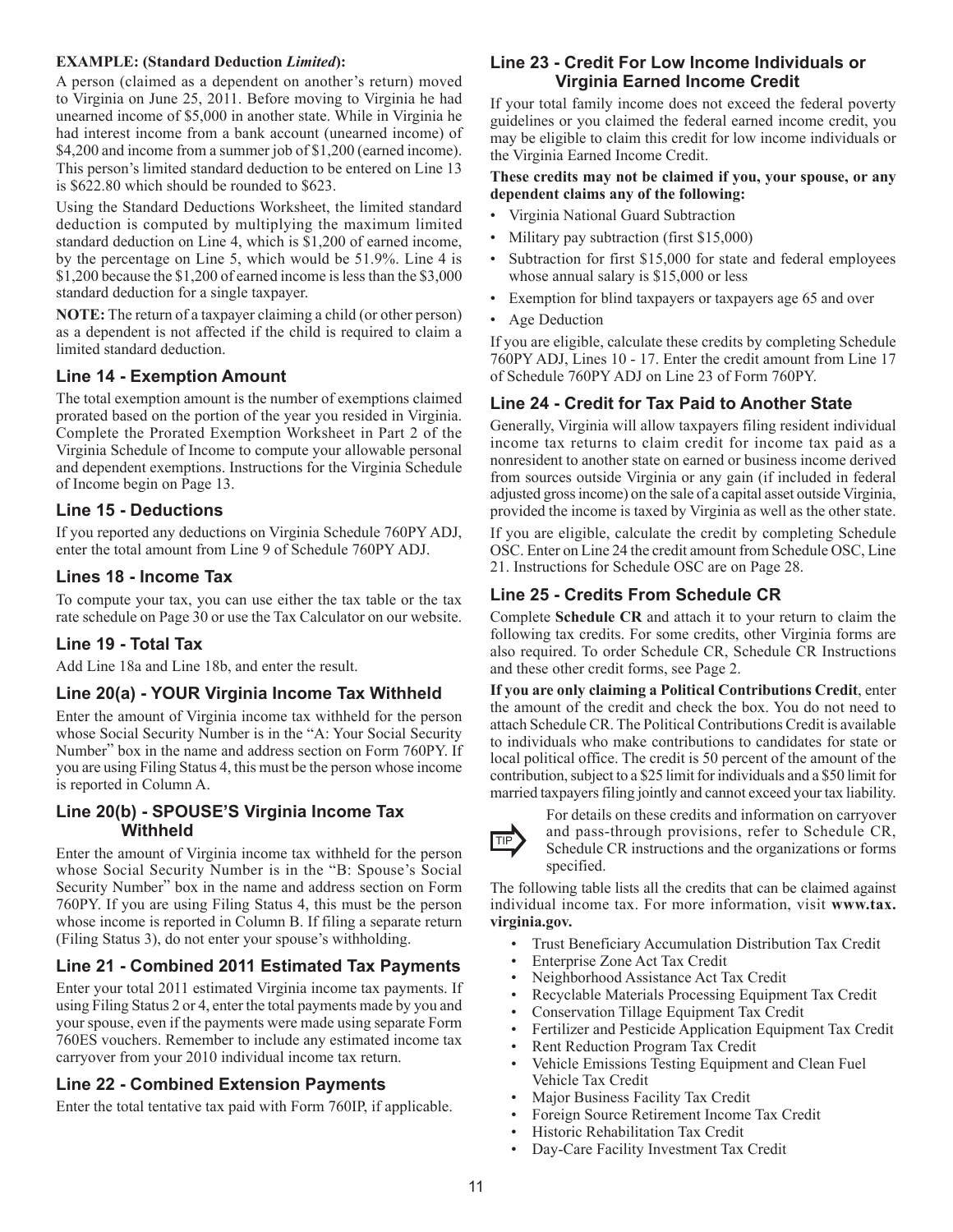#### **EXAMPLE: (Standard Deduction** *Limited***):**

A person (claimed as a dependent on another's return) moved to Virginia on June 25, 2011. Before moving to Virginia he had unearned income of \$5,000 in another state. While in Virginia he had interest income from a bank account (unearned income) of \$4,200 and income from a summer job of \$1,200 (earned income). This person's limited standard deduction to be entered on Line 13 is \$622.80 which should be rounded to \$623.

Using the Standard Deductions Worksheet, the limited standard deduction is computed by multiplying the maximum limited standard deduction on Line 4, which is \$1,200 of earned income, by the percentage on Line 5, which would be 51.9%. Line 4 is \$1,200 because the \$1,200 of earned income is less than the \$3,000 standard deduction for a single taxpayer.

**NOTE:** The return of a taxpayer claiming a child (or other person) as a dependent is not affected if the child is required to claim a limited standard deduction.

## **Line 14 - Exemption Amount**

The total exemption amount is the number of exemptions claimed prorated based on the portion of the year you resided in Virginia. Complete the Prorated Exemption Worksheet in Part 2 of the Virginia Schedule of Income to compute your allowable personal and dependent exemptions. Instructions for the Virginia Schedule of Income begin on Page 13.

#### **Line 15 - Deductions**

If you reported any deductions on Virginia Schedule 760PY ADJ, enter the total amount from Line 9 of Schedule 760PY ADJ.

## **Lines 18 - Income Tax**

To compute your tax, you can use either the tax table or the tax rate schedule on Page 30 or use the Tax Calculator on our website.

#### **Line 19 - Total Tax**

Add Line 18a and Line 18b, and enter the result.

#### **Line 20(a) - YOUR Virginia Income Tax Withheld**

Enter the amount of Virginia income tax withheld for the person whose Social Security Number is in the "A: Your Social Security Number" box in the name and address section on Form 760PY. If you are using Filing Status 4, this must be the person whose income is reported in Column A.

#### **Line 20(b) - SPOUSE'S Virginia Income Tax Withheld**

Enter the amount of Virginia income tax withheld for the person whose Social Security Number is in the "B: Spouse's Social Security Number" box in the name and address section on Form 760PY. If you are using Filing Status 4, this must be the person whose income is reported in Column B. If filing a separate return (Filing Status 3), do not enter your spouse's withholding.

## **Line 21 - Combined 2011 Estimated Tax Payments**

Enter your total 2011 estimated Virginia income tax payments. If using Filing Status 2 or 4, enter the total payments made by you and your spouse, even if the payments were made using separate Form 760ES vouchers. Remember to include any estimated income tax carryover from your 2010 individual income tax return.

#### **Line 22 - Combined Extension Payments**

Enter the total tentative tax paid with Form 760IP, if applicable.

#### **Line 23 - Credit For Low Income Individuals or Virginia Earned Income Credit**

If your total family income does not exceed the federal poverty guidelines or you claimed the federal earned income credit, you may be eligible to claim this credit for low income individuals or the Virginia Earned Income Credit.

#### **These credits may not be claimed if you, your spouse, or any dependent claims any of the following:**

- Virginia National Guard Subtraction
- Military pay subtraction (first \$15,000)
- Subtraction for first \$15,000 for state and federal employees whose annual salary is \$15,000 or less
- Exemption for blind taxpayers or taxpayers age 65 and over
- Age Deduction

If you are eligible, calculate these credits by completing Schedule 760PY ADJ, Lines 10 - 17. Enter the credit amount from Line 17 of Schedule 760PY ADJ on Line 23 of Form 760PY.

## **Line 24 - Credit for Tax Paid to Another State**

Generally, Virginia will allow taxpayers filing resident individual income tax returns to claim credit for income tax paid as a nonresident to another state on earned or business income derived from sources outside Virginia or any gain (if included in federal adjusted gross income) on the sale of a capital asset outside Virginia, provided the income is taxed by Virginia as well as the other state.

If you are eligible, calculate the credit by completing Schedule OSC. Enter on Line 24 the credit amount from Schedule OSC, Line 21. Instructions for Schedule OSC are on Page 28.

## **Line 25 - Credits From Schedule CR**

Complete **Schedule CR** and attach it to your return to claim the following tax credits. For some credits, other Virginia forms are also required. To order Schedule CR, Schedule CR Instructions and these other credit forms, see Page 2.

**If you are only claiming a Political Contributions Credit**, enter the amount of the credit and check the box. You do not need to attach Schedule CR. The Political Contributions Credit is available to individuals who make contributions to candidates for state or local political office. The credit is 50 percent of the amount of the contribution, subject to a \$25 limit for individuals and a \$50 limit for married taxpayers filing jointly and cannot exceed your tax liability.



For details on these credits and information on carryover

and pass-through provisions, refer to Schedule CR,  $TIP$  and pass-unough provisions, ferer to schedule  $CR$ , Schedule  $CR$  instructions and the organizations or forms specified.

The following table lists all the credits that can be claimed against individual income tax. For more information, visit **www.tax. virginia.gov.**

- Trust Beneficiary Accumulation Distribution Tax Credit
- Enterprise Zone Act Tax Credit
- Neighborhood Assistance Act Tax Credit
- Recyclable Materials Processing Equipment Tax Credit
- Conservation Tillage Equipment Tax Credit
- Fertilizer and Pesticide Application Equipment Tax Credit
- Rent Reduction Program Tax Credit
- Vehicle Emissions Testing Equipment and Clean Fuel Vehicle Tax Credit
- Major Business Facility Tax Credit
- Foreign Source Retirement Income Tax Credit
- Historic Rehabilitation Tax Credit
- Day-Care Facility Investment Tax Credit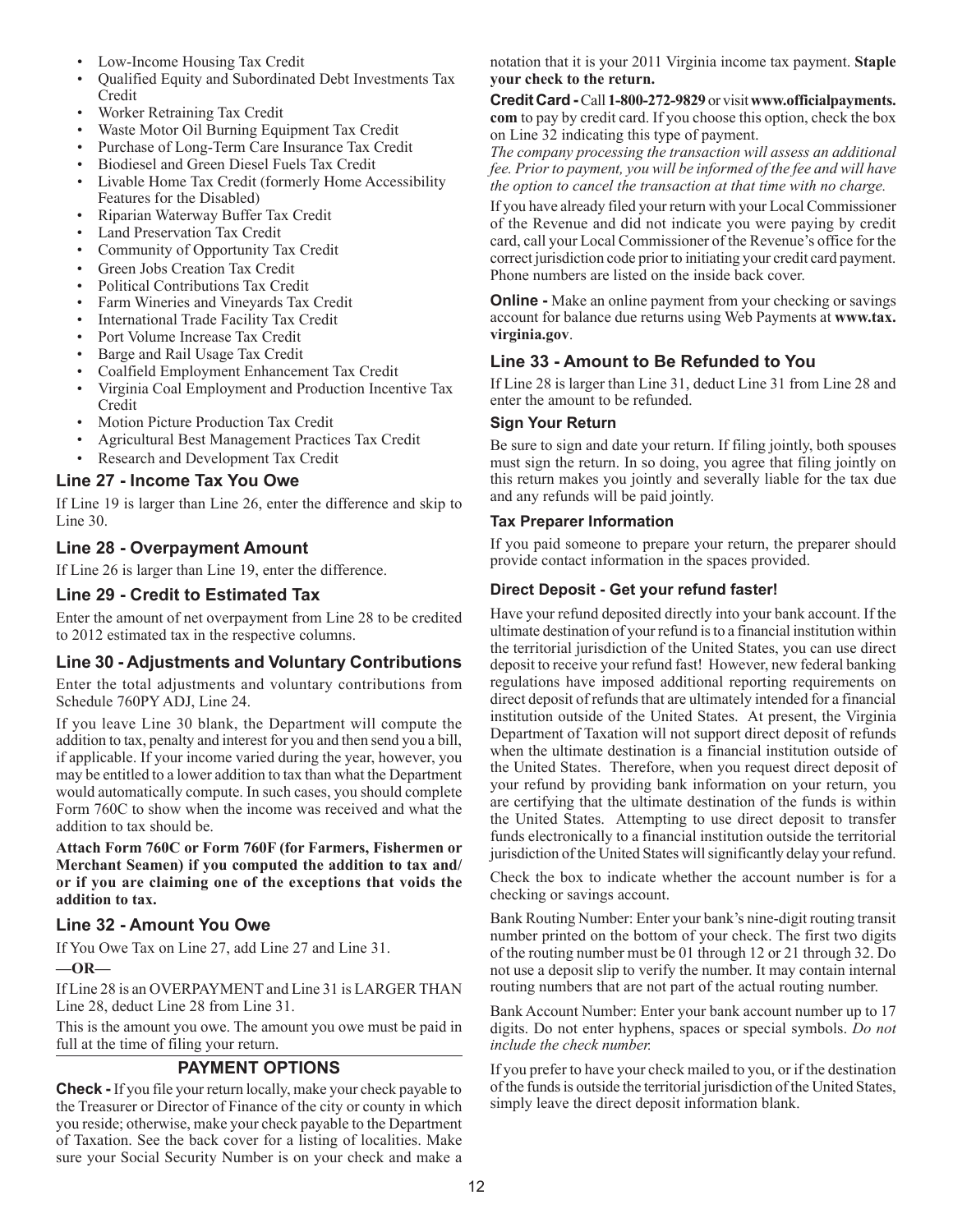- Low-Income Housing Tax Credit
- Qualified Equity and Subordinated Debt Investments Tax Credit
- Worker Retraining Tax Credit
- Waste Motor Oil Burning Equipment Tax Credit
- Purchase of Long-Term Care Insurance Tax Credit
- Biodiesel and Green Diesel Fuels Tax Credit
- Livable Home Tax Credit (formerly Home Accessibility Features for the Disabled)
- Riparian Waterway Buffer Tax Credit
- Land Preservation Tax Credit
- Community of Opportunity Tax Credit
- Green Jobs Creation Tax Credit
- Political Contributions Tax Credit
- Farm Wineries and Vineyards Tax Credit
- International Trade Facility Tax Credit
- Port Volume Increase Tax Credit
- Barge and Rail Usage Tax Credit
- Coalfield Employment Enhancement Tax Credit
- Virginia Coal Employment and Production Incentive Tax Credit
- Motion Picture Production Tax Credit
- Agricultural Best Management Practices Tax Credit
- Research and Development Tax Credit

#### **Line 27 - Income Tax You Owe**

If Line 19 is larger than Line 26, enter the difference and skip to Line 30.

## **Line 28 - Overpayment Amount**

If Line 26 is larger than Line 19, enter the difference.

## **Line 29 - Credit to Estimated Tax**

Enter the amount of net overpayment from Line 28 to be credited to 2012 estimated tax in the respective columns.

## **Line 30 - Adjustments and Voluntary Contributions**

Enter the total adjustments and voluntary contributions from Schedule 760PY ADJ, Line 24.

If you leave Line 30 blank, the Department will compute the addition to tax, penalty and interest for you and then send you a bill, if applicable. If your income varied during the year, however, you may be entitled to a lower addition to tax than what the Department would automatically compute. In such cases, you should complete Form 760C to show when the income was received and what the addition to tax should be.

**Attach Form 760C or Form 760F (for Farmers, Fishermen or Merchant Seamen) if you computed the addition to tax and/ or if you are claiming one of the exceptions that voids the addition to tax.**

#### **Line 32 - Amount You Owe**

If You Owe Tax on Line 27, add Line 27 and Line 31.

**—OR—**

If Line 28 is an OVERPAYMENT and Line 31 is LARGER THAN Line 28, deduct Line 28 from Line 31.

This is the amount you owe. The amount you owe must be paid in full at the time of filing your return.

## **Payment Options**

**Check -** If you file your return locally, make your check payable to the Treasurer or Director of Finance of the city or county in which you reside; otherwise, make your check payable to the Department of Taxation. See the back cover for a listing of localities. Make sure your Social Security Number is on your check and make a

notation that it is your 2011 Virginia income tax payment. **Staple your check to the return.**

**Credit Card -** Call **1-800-272-9829** or visit **www.officialpayments. com** to pay by credit card. If you choose this option, check the box on Line 32 indicating this type of payment.

*The company processing the transaction will assess an additional fee. Prior to payment, you will be informed of the fee and will have the option to cancel the transaction at that time with no charge.*

If you have already filed your return with your Local Commissioner of the Revenue and did not indicate you were paying by credit card, call your Local Commissioner of the Revenue's office for the correct jurisdiction code prior to initiating your credit card payment. Phone numbers are listed on the inside back cover.

**Online -** Make an online payment from your checking or savings account for balance due returns using Web Payments at **www.tax. virginia.gov**.

## **Line 33 - Amount to Be Refunded to You**

If Line 28 is larger than Line 31, deduct Line 31 from Line 28 and enter the amount to be refunded.

#### **Sign Your Return**

Be sure to sign and date your return. If filing jointly, both spouses must sign the return. In so doing, you agree that filing jointly on this return makes you jointly and severally liable for the tax due and any refunds will be paid jointly.

#### **Tax Preparer Information**

If you paid someone to prepare your return, the preparer should provide contact information in the spaces provided.

#### **Direct Deposit - Get your refund faster!**

Have your refund deposited directly into your bank account. If the ultimate destination of your refund is to a financial institution within the territorial jurisdiction of the United States, you can use direct deposit to receive your refund fast! However, new federal banking regulations have imposed additional reporting requirements on direct deposit of refunds that are ultimately intended for a financial institution outside of the United States. At present, the Virginia Department of Taxation will not support direct deposit of refunds when the ultimate destination is a financial institution outside of the United States. Therefore, when you request direct deposit of your refund by providing bank information on your return, you are certifying that the ultimate destination of the funds is within the United States. Attempting to use direct deposit to transfer funds electronically to a financial institution outside the territorial jurisdiction of the United States will significantly delay your refund.

Check the box to indicate whether the account number is for a checking or savings account.

Bank Routing Number: Enter your bank's nine-digit routing transit number printed on the bottom of your check. The first two digits of the routing number must be 01 through 12 or 21 through 32. Do not use a deposit slip to verify the number. It may contain internal routing numbers that are not part of the actual routing number.

Bank Account Number: Enter your bank account number up to 17 digits. Do not enter hyphens, spaces or special symbols. *Do not include the check number.*

If you prefer to have your check mailed to you, or if the destination of the funds is outside the territorial jurisdiction of the United States, simply leave the direct deposit information blank.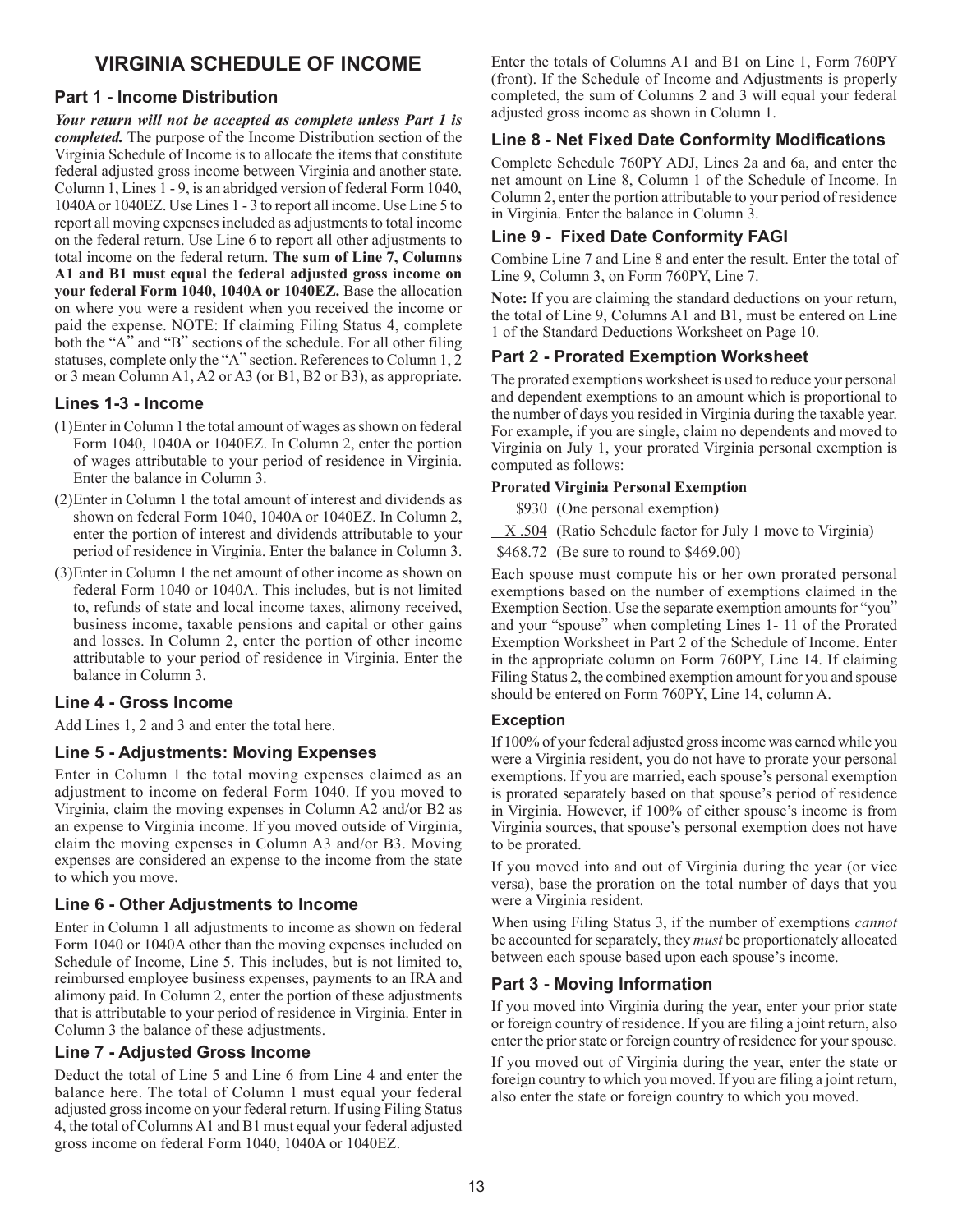## **Virginia Schedule Of Income**

## **Part 1 - Income Distribution**

*Your return will not be accepted as complete unless Part 1 is completed.* The purpose of the Income Distribution section of the Virginia Schedule of Income is to allocate the items that constitute federal adjusted gross income between Virginia and another state. Column 1, Lines 1 - 9, is an abridged version of federal Form 1040, 1040A or 1040EZ. Use Lines 1 - 3 to report all income. Use Line 5 to report all moving expenses included as adjustments to total income on the federal return. Use Line 6 to report all other adjustments to total income on the federal return. **The sum of Line 7, Columns A1 and B1 must equal the federal adjusted gross income on your federal Form 1040, 1040A or 1040EZ.** Base the allocation on where you were a resident when you received the income or paid the expense. NOTE: If claiming Filing Status 4, complete both the "A" and "B" sections of the schedule. For all other filing statuses, complete only the "A" section. References to Column 1, 2 or 3 mean Column A1, A2 or A3 (or B1, B2 or B3), as appropriate.

## **Lines 1-3 - Income**

- (1)Enter in Column 1 the total amount of wages as shown on federal Form 1040, 1040A or 1040EZ. In Column 2, enter the portion of wages attributable to your period of residence in Virginia. Enter the balance in Column 3.
- (2)Enter in Column 1 the total amount of interest and dividends as shown on federal Form 1040, 1040A or 1040EZ. In Column 2, enter the portion of interest and dividends attributable to your period of residence in Virginia. Enter the balance in Column 3.
- (3)Enter in Column 1 the net amount of other income as shown on federal Form 1040 or 1040A. This includes, but is not limited to, refunds of state and local income taxes, alimony received, business income, taxable pensions and capital or other gains and losses. In Column 2, enter the portion of other income attributable to your period of residence in Virginia. Enter the balance in Column 3.

#### **Line 4 - Gross Income**

Add Lines 1, 2 and 3 and enter the total here.

#### **Line 5 - Adjustments: Moving Expenses**

Enter in Column 1 the total moving expenses claimed as an adjustment to income on federal Form 1040. If you moved to Virginia, claim the moving expenses in Column A2 and/or B2 as an expense to Virginia income. If you moved outside of Virginia, claim the moving expenses in Column A3 and/or B3. Moving expenses are considered an expense to the income from the state to which you move.

#### **Line 6 - Other Adjustments to Income**

Enter in Column 1 all adjustments to income as shown on federal Form 1040 or 1040A other than the moving expenses included on Schedule of Income, Line 5. This includes, but is not limited to, reimbursed employee business expenses, payments to an IRA and alimony paid. In Column 2, enter the portion of these adjustments that is attributable to your period of residence in Virginia. Enter in Column 3 the balance of these adjustments.

#### **Line 7 - Adjusted Gross Income**

Deduct the total of Line 5 and Line 6 from Line 4 and enter the balance here. The total of Column 1 must equal your federal adjusted gross income on your federal return. If using Filing Status 4, the total of Columns A1 and B1 must equal your federal adjusted gross income on federal Form 1040, 1040A or 1040EZ.

Enter the totals of Columns A1 and B1 on Line 1, Form 760PY (front). If the Schedule of Income and Adjustments is properly completed, the sum of Columns 2 and 3 will equal your federal adjusted gross income as shown in Column 1.

## **Line 8 - Net Fixed Date Conformity Modifications**

Complete Schedule 760PY ADJ, Lines 2a and 6a, and enter the net amount on Line 8, Column 1 of the Schedule of Income. In Column 2, enter the portion attributable to your period of residence in Virginia. Enter the balance in Column 3.

## **Line 9 - Fixed Date Conformity FAGI**

Combine Line 7 and Line 8 and enter the result. Enter the total of Line 9, Column 3, on Form 760PY, Line 7.

**Note:** If you are claiming the standard deductions on your return, the total of Line 9, Columns A1 and B1, must be entered on Line 1 of the Standard Deductions Worksheet on Page 10.

## **Part 2 - Prorated Exemption Worksheet**

The prorated exemptions worksheet is used to reduce your personal and dependent exemptions to an amount which is proportional to the number of days you resided in Virginia during the taxable year. For example, if you are single, claim no dependents and moved to Virginia on July 1, your prorated Virginia personal exemption is computed as follows:

#### **Prorated Virginia Personal Exemption**

\$930 (One personal exemption)

X .504 (Ratio Schedule factor for July 1 move to Virginia)

\$468.72 (Be sure to round to \$469.00)

Each spouse must compute his or her own prorated personal exemptions based on the number of exemptions claimed in the Exemption Section. Use the separate exemption amounts for "you" and your "spouse" when completing Lines 1- 11 of the Prorated Exemption Worksheet in Part 2 of the Schedule of Income. Enter in the appropriate column on Form 760PY, Line 14. If claiming Filing Status 2, the combined exemption amount for you and spouse should be entered on Form 760PY, Line 14, column A.

#### **Exception**

If 100% of your federal adjusted gross income was earned while you were a Virginia resident, you do not have to prorate your personal exemptions. If you are married, each spouse's personal exemption is prorated separately based on that spouse's period of residence in Virginia. However, if 100% of either spouse's income is from Virginia sources, that spouse's personal exemption does not have to be prorated.

If you moved into and out of Virginia during the year (or vice versa), base the proration on the total number of days that you were a Virginia resident.

When using Filing Status 3, if the number of exemptions *cannot* be accounted for separately, they *must* be proportionately allocated between each spouse based upon each spouse's income.

## **Part 3 - Moving Information**

If you moved into Virginia during the year, enter your prior state or foreign country of residence. If you are filing a joint return, also enter the prior state or foreign country of residence for your spouse.

If you moved out of Virginia during the year, enter the state or foreign country to which you moved. If you are filing a joint return, also enter the state or foreign country to which you moved.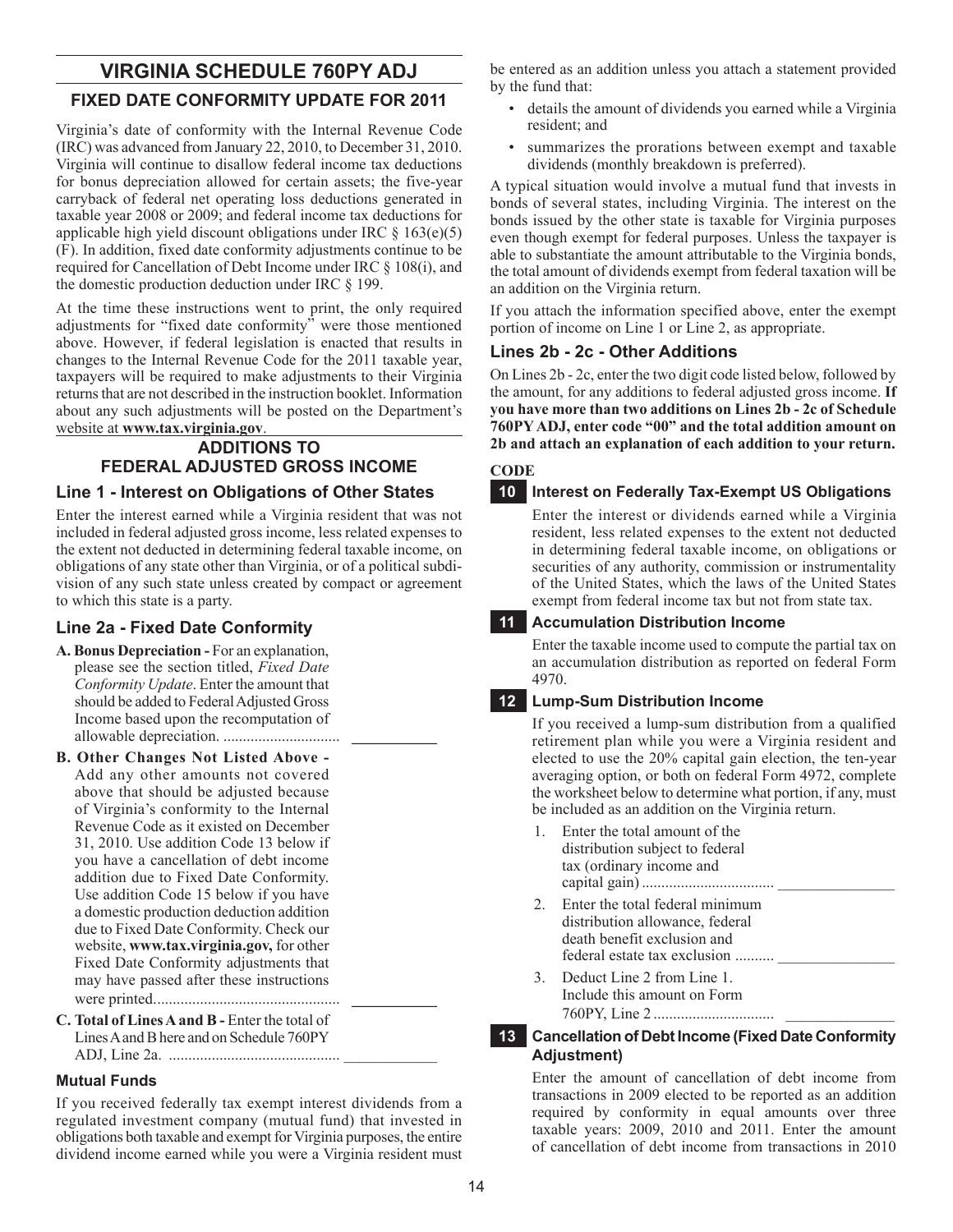## **VIRGINIA SCHEDULE 760PY ADJ**

## **FIXED DATE CONFORMITY UPDATE FOR 2011**

Virginia's date of conformity with the Internal Revenue Code (IRC) was advanced from January 22, 2010, to December 31, 2010. Virginia will continue to disallow federal income tax deductions for bonus depreciation allowed for certain assets; the five-year carryback of federal net operating loss deductions generated in taxable year 2008 or 2009; and federal income tax deductions for applicable high yield discount obligations under IRC  $\S$  163(e)(5) (F). In addition, fixed date conformity adjustments continue to be required for Cancellation of Debt Income under IRC § 108(i), and the domestic production deduction under IRC § 199.

At the time these instructions went to print, the only required adjustments for "fixed date conformity" were those mentioned above. However, if federal legislation is enacted that results in changes to the Internal Revenue Code for the 2011 taxable year, taxpayers will be required to make adjustments to their Virginia returns that are not described in the instruction booklet. Information about any such adjustments will be posted on the Department's website at **www.tax.virginia.gov**.

## **Additions To Federal Adjusted Gross Income Line 1 - Interest on Obligations of Other States**

Enter the interest earned while a Virginia resident that was not included in federal adjusted gross income, less related expenses to the extent not deducted in determining federal taxable income, on obligations of any state other than Virginia, or of a political subdivision of any such state unless created by compact or agreement to which this state is a party.

## **Line 2a - Fixed Date Conformity**

- **A. Bonus Depreciation** For an explanation, please see the section titled, *Fixed Date Conformity Update*. Enter the amount that should be added to Federal Adjusted Gross Income based upon the recomputation of allowable depreciation. .............................. **\_\_\_\_\_\_\_\_\_\_\_**
- **B. Other Changes Not Listed Above**  Add any other amounts not covered above that should be adjusted because of Virginia's conformity to the Internal Revenue Code as it existed on December 31, 2010. Use addition Code 13 below if you have a cancellation of debt income addition due to Fixed Date Conformity. Use addition Code 15 below if you have a domestic production deduction addition due to Fixed Date Conformity. Check our website, **www.tax.virginia.gov,** for other Fixed Date Conformity adjustments that may have passed after these instructions were printed................................................ **\_\_\_\_\_\_\_\_\_\_\_**
- **C. Total of Lines A and B** Enter the total of Lines A and B here and on Schedule 760PY ADJ, Line 2a. ............................................ \_\_\_\_\_\_\_\_\_\_\_\_

#### **Mutual Funds**

If you received federally tax exempt interest dividends from a regulated investment company (mutual fund) that invested in obligations both taxable and exempt for Virginia purposes, the entire dividend income earned while you were a Virginia resident must

be entered as an addition unless you attach a statement provided by the fund that:

- details the amount of dividends you earned while a Virginia resident; and
- summarizes the prorations between exempt and taxable dividends (monthly breakdown is preferred).

A typical situation would involve a mutual fund that invests in bonds of several states, including Virginia. The interest on the bonds issued by the other state is taxable for Virginia purposes even though exempt for federal purposes. Unless the taxpayer is able to substantiate the amount attributable to the Virginia bonds, the total amount of dividends exempt from federal taxation will be an addition on the Virginia return.

If you attach the information specified above, enter the exempt portion of income on Line 1 or Line 2, as appropriate.

## **Lines 2b - 2c - Other Additions**

On Lines 2b - 2c, enter the two digit code listed below, followed by the amount, for any additions to federal adjusted gross income. **If you have more than two additions on Lines 2b - 2c of Schedule 760PY ADJ, enter code "00" and the total addition amount on 2b and attach an explanation of each addition to your return.**

**CODE**

## **10 Interest on Federally Tax-Exempt US Obligations**

Enter the interest or dividends earned while a Virginia resident, less related expenses to the extent not deducted in determining federal taxable income, on obligations or securities of any authority, commission or instrumentality of the United States, which the laws of the United States exempt from federal income tax but not from state tax.

## **11 Accumulation Distribution Income**

Enter the taxable income used to compute the partial tax on an accumulation distribution as reported on federal Form 4970.

## **12 Lump-Sum Distribution Income**

If you received a lump-sum distribution from a qualified retirement plan while you were a Virginia resident and elected to use the 20% capital gain election, the ten-year averaging option, or both on federal Form 4972, complete the worksheet below to determine what portion, if any, must be included as an addition on the Virginia return.

- 1. Enter the total amount of the distribution subject to federal tax (ordinary income and capital gain).................................. \_\_\_\_\_\_\_\_\_\_\_\_\_\_\_ 2. Enter the total federal minimum distribution allowance, federal death benefit exclusion and federal estate tax exclusion ......... 3. Deduct Line 2 from Line 1.
	- Include this amount on Form 760PY, Line 2 ............................... \_\_\_\_\_\_\_\_\_\_\_\_\_\_

#### **13 Cancellation of Debt Income (Fixed Date Conformity Adjustment)**

Enter the amount of cancellation of debt income from transactions in 2009 elected to be reported as an addition required by conformity in equal amounts over three taxable years: 2009, 2010 and 2011. Enter the amount of cancellation of debt income from transactions in 2010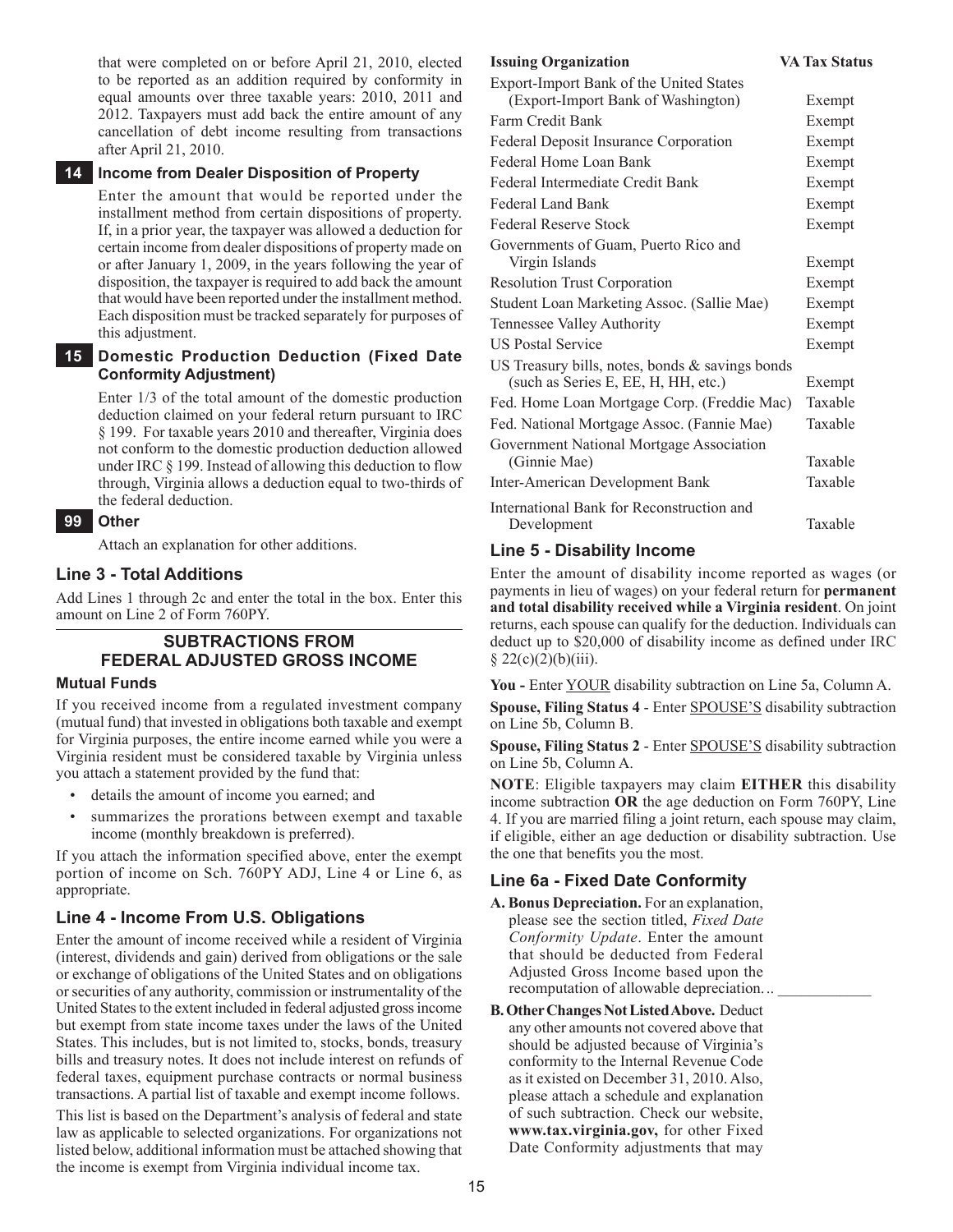that were completed on or before April 21, 2010, elected to be reported as an addition required by conformity in equal amounts over three taxable years: 2010, 2011 and 2012. Taxpayers must add back the entire amount of any cancellation of debt income resulting from transactions after April 21, 2010.

#### **14 Income from Dealer Disposition of Property**

Enter the amount that would be reported under the installment method from certain dispositions of property. If, in a prior year, the taxpayer was allowed a deduction for certain income from dealer dispositions of property made on or after January 1, 2009, in the years following the year of disposition, the taxpayer is required to add back the amount that would have been reported under the installment method. Each disposition must be tracked separately for purposes of this adjustment.

#### **15 Domestic Production Deduction (Fixed Date Conformity Adjustment)**

Enter 1/3 of the total amount of the domestic production deduction claimed on your federal return pursuant to IRC § 199. For taxable years 2010 and thereafter, Virginia does not conform to the domestic production deduction allowed under IRC § 199. Instead of allowing this deduction to flow through, Virginia allows a deduction equal to two-thirds of the federal deduction.

#### **99 Other**

Attach an explanation for other additions.

#### **Line 3 - Total Additions**

Add Lines 1 through 2c and enter the total in the box. Enter this amount on Line 2 of Form 760PY.

## **Subtractions from Federal Adjusted Gross Income**

#### **Mutual Funds**

If you received income from a regulated investment company (mutual fund) that invested in obligations both taxable and exempt for Virginia purposes, the entire income earned while you were a Virginia resident must be considered taxable by Virginia unless you attach a statement provided by the fund that:

- details the amount of income you earned; and
- summarizes the prorations between exempt and taxable income (monthly breakdown is preferred).

If you attach the information specified above, enter the exempt portion of income on Sch. 760PY ADJ, Line 4 or Line 6, as appropriate.

#### **Line 4 - Income From U.S. Obligations**

Enter the amount of income received while a resident of Virginia (interest, dividends and gain) derived from obligations or the sale or exchange of obligations of the United States and on obligations or securities of any authority, commission or instrumentality of the United States to the extent included in federal adjusted gross income but exempt from state income taxes under the laws of the United States. This includes, but is not limited to, stocks, bonds, treasury bills and treasury notes. It does not include interest on refunds of federal taxes, equipment purchase contracts or normal business transactions. A partial list of taxable and exempt income follows.

This list is based on the Department's analysis of federal and state law as applicable to selected organizations. For organizations not listed below, additional information must be attached showing that the income is exempt from Virginia individual income tax.

#### **Issuing Organization VA Tax Status**

| Export-Import Bank of the United States           |         |
|---------------------------------------------------|---------|
| (Export-Import Bank of Washington)                | Exempt  |
| Farm Credit Bank                                  | Exempt  |
| <b>Federal Deposit Insurance Corporation</b>      | Exempt  |
| Federal Home Loan Bank                            | Exempt  |
| Federal Intermediate Credit Bank                  | Exempt  |
| Federal Land Bank                                 | Exempt  |
| Federal Reserve Stock                             | Exempt  |
| Governments of Guam, Puerto Rico and              |         |
| Virgin Islands                                    | Exempt  |
| <b>Resolution Trust Corporation</b>               | Exempt  |
| Student Loan Marketing Assoc. (Sallie Mae)        | Exempt  |
| Tennessee Valley Authority                        | Exempt  |
| <b>US Postal Service</b>                          | Exempt  |
| US Treasury bills, notes, bonds $&$ savings bonds |         |
| (such as Series E, EE, H, HH, etc.)               | Exempt  |
| Fed. Home Loan Mortgage Corp. (Freddie Mac)       | Taxable |
| Fed. National Mortgage Assoc. (Fannie Mae)        | Taxable |
| Government National Mortgage Association          |         |
| (Ginnie Mae)                                      | Taxable |
| Inter-American Development Bank                   | Taxable |
| International Bank for Reconstruction and         |         |
| Development                                       | Taxable |

#### **Line 5 - Disability Income**

Enter the amount of disability income reported as wages (or payments in lieu of wages) on your federal return for **permanent and total disability received while a Virginia resident**. On joint returns, each spouse can qualify for the deduction. Individuals can deduct up to \$20,000 of disability income as defined under IRC  $§ 22(c)(2)(b)(iii).$ 

You - Enter YOUR disability subtraction on Line 5a, Column A. **Spouse, Filing Status 4** - Enter SPOUSE'S disability subtraction on Line 5b, Column B.

**Spouse, Filing Status 2** - Enter SPOUSE'S disability subtraction on Line 5b, Column A.

**NOTE**: Eligible taxpayers may claim **EITHER** this disability income subtraction **OR** the age deduction on Form 760PY, Line 4. If you are married filing a joint return, each spouse may claim, if eligible, either an age deduction or disability subtraction. Use the one that benefits you the most.

#### **Line 6a - Fixed Date Conformity**

- **A. Bonus Depreciation.** For an explanation, please see the section titled, *Fixed Date Conformity Update*. Enter the amount that should be deducted from Federal Adjusted Gross Income based upon the recomputation of allowable depreciation...
- **B. Other Changes Not Listed Above.** Deduct any other amounts not covered above that should be adjusted because of Virginia's conformity to the Internal Revenue Code as it existed on December 31, 2010. Also, please attach a schedule and explanation of such subtraction. Check our website, **www.tax.virginia.gov,** for other Fixed Date Conformity adjustments that may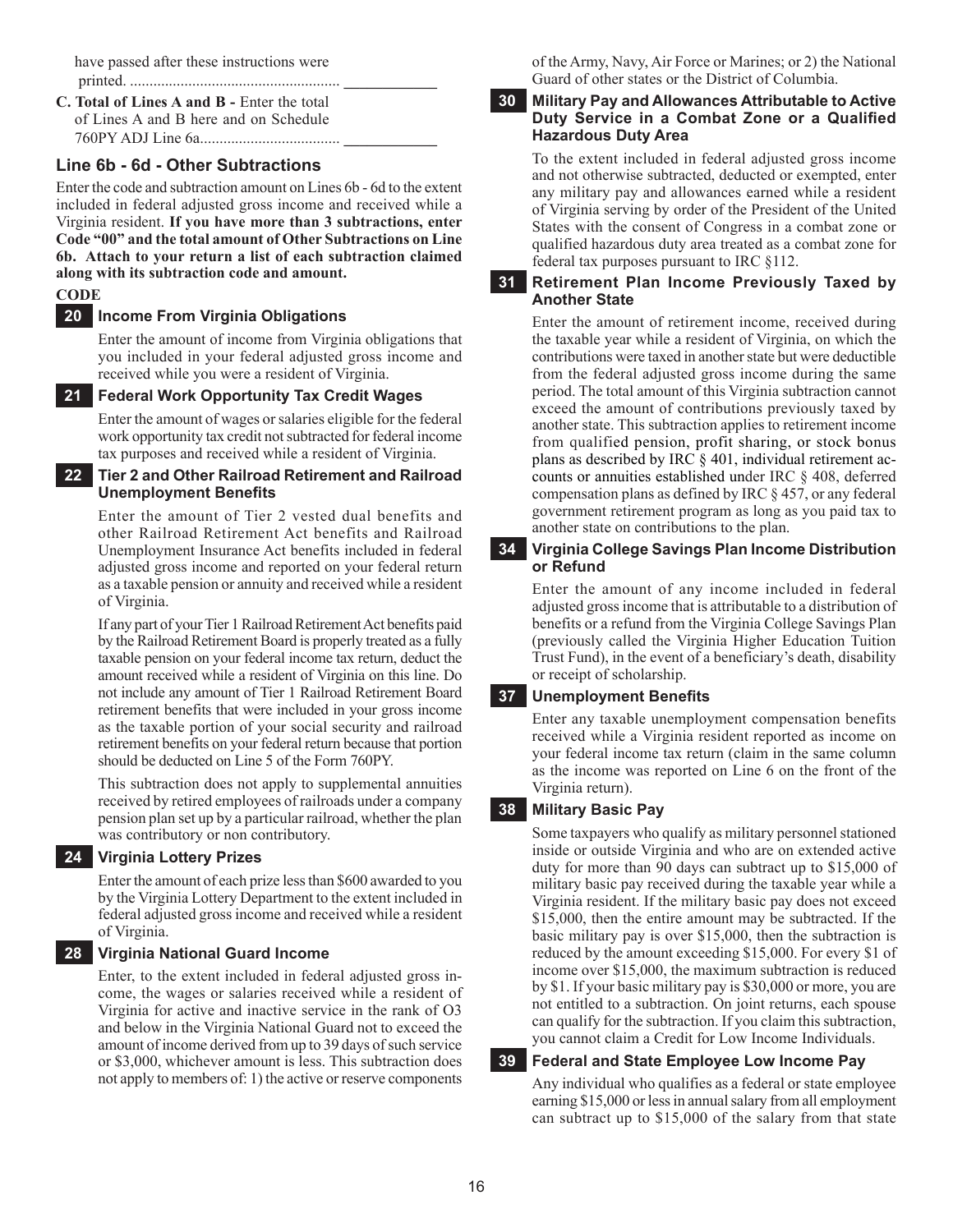have passed after these instructions were printed. ...................................................... **\_\_\_\_\_\_\_\_\_\_\_\_**

**C. Total of Lines A and B -** Enter the total of Lines A and B here and on Schedule 760PY ADJ Line 6a.................................... **\_\_\_\_\_\_\_\_\_\_\_\_**

## **Line 6b - 6d - Other Subtractions**

Enter the code and subtraction amount on Lines 6b - 6d to the extent included in federal adjusted gross income and received while a Virginia resident. **If you have more than 3 subtractions, enter Code "00" and the total amount of Other Subtractions on Line 6b. Attach to your return a list of each subtraction claimed along with its subtraction code and amount.** 

## **CODE**

#### **20 Income From Virginia Obligations**

Enter the amount of income from Virginia obligations that you included in your federal adjusted gross income and received while you were a resident of Virginia.

**21 Federal Work Opportunity Tax Credit Wages** 

Enter the amount of wages or salaries eligible for the federal work opportunity tax credit not subtracted for federal income tax purposes and received while a resident of Virginia.

#### **22 Tier 2 and Other Railroad Retirement and Railroad Unemployment Benefits**

Enter the amount of Tier 2 vested dual benefits and other Railroad Retirement Act benefits and Railroad Unemployment Insurance Act benefits included in federal adjusted gross income and reported on your federal return as a taxable pension or annuity and received while a resident of Virginia.

If any part of your Tier 1 Railroad Retirement Act benefits paid by the Railroad Retirement Board is properly treated as a fully taxable pension on your federal income tax return, deduct the amount received while a resident of Virginia on this line. Do not include any amount of Tier 1 Railroad Retirement Board retirement benefits that were included in your gross income as the taxable portion of your social security and railroad retirement benefits on your federal return because that portion should be deducted on Line 5 of the Form 760PY.

This subtraction does not apply to supplemental annuities received by retired employees of railroads under a company pension plan set up by a particular railroad, whether the plan was contributory or non contributory.

#### **24 Virginia Lottery prizes**

Enter the amount of each prize less than \$600 awarded to you by the Virginia Lottery Department to the extent included in federal adjusted gross income and received while a resident of Virginia.

#### **28 Virginia National Guard income**

Enter, to the extent included in federal adjusted gross income, the wages or salaries received while a resident of Virginia for active and inactive service in the rank of O3 and below in the Virginia National Guard not to exceed the amount of income derived from up to 39 days of such service or \$3,000, whichever amount is less. This subtraction does not apply to members of: 1) the active or reserve components

of the Army, Navy, Air Force or Marines; or 2) the National Guard of other states or the District of Columbia.

#### **30 Military Pay and Allowances Attributable to Active Duty Service in a Combat Zone or a Qualified Hazardous Duty Area**

To the extent included in federal adjusted gross income and not otherwise subtracted, deducted or exempted, enter any military pay and allowances earned while a resident of Virginia serving by order of the President of the United States with the consent of Congress in a combat zone or qualified hazardous duty area treated as a combat zone for federal tax purposes pursuant to IRC §112.

#### **31 Retirement plan income previously taxed by another state**

Enter the amount of retirement income, received during the taxable year while a resident of Virginia, on which the contributions were taxed in another state but were deductible from the federal adjusted gross income during the same period. The total amount of this Virginia subtraction cannot exceed the amount of contributions previously taxed by another state. This subtraction applies to retirement income from qualified pension, profit sharing, or stock bonus plans as described by IRC § 401, individual retirement accounts or annuities established under IRC § 408, deferred compensation plans as defined by IRC § 457, or any federal government retirement program as long as you paid tax to another state on contributions to the plan.

#### **34 Virginia College Savings Plan Income Distribution or Refund**

Enter the amount of any income included in federal adjusted gross income that is attributable to a distribution of benefits or a refund from the Virginia College Savings Plan (previously called the Virginia Higher Education Tuition Trust Fund), in the event of a beneficiary's death, disability or receipt of scholarship.

#### **37 Unemployment Benefits**

Enter any taxable unemployment compensation benefits received while a Virginia resident reported as income on your federal income tax return (claim in the same column as the income was reported on Line 6 on the front of the Virginia return).

#### **38 Military Basic Pay**

Some taxpayers who qualify as military personnel stationed inside or outside Virginia and who are on extended active duty for more than 90 days can subtract up to \$15,000 of military basic pay received during the taxable year while a Virginia resident. If the military basic pay does not exceed \$15,000, then the entire amount may be subtracted. If the basic military pay is over \$15,000, then the subtraction is reduced by the amount exceeding \$15,000. For every \$1 of income over \$15,000, the maximum subtraction is reduced by \$1. If your basic military pay is \$30,000 or more, you are not entitled to a subtraction. On joint returns, each spouse can qualify for the subtraction. If you claim this subtraction, you cannot claim a Credit for Low Income Individuals.

#### **39 Federal and State Employee Low Income Pay**

Any individual who qualifies as a federal or state employee earning \$15,000 or less in annual salary from all employment can subtract up to \$15,000 of the salary from that state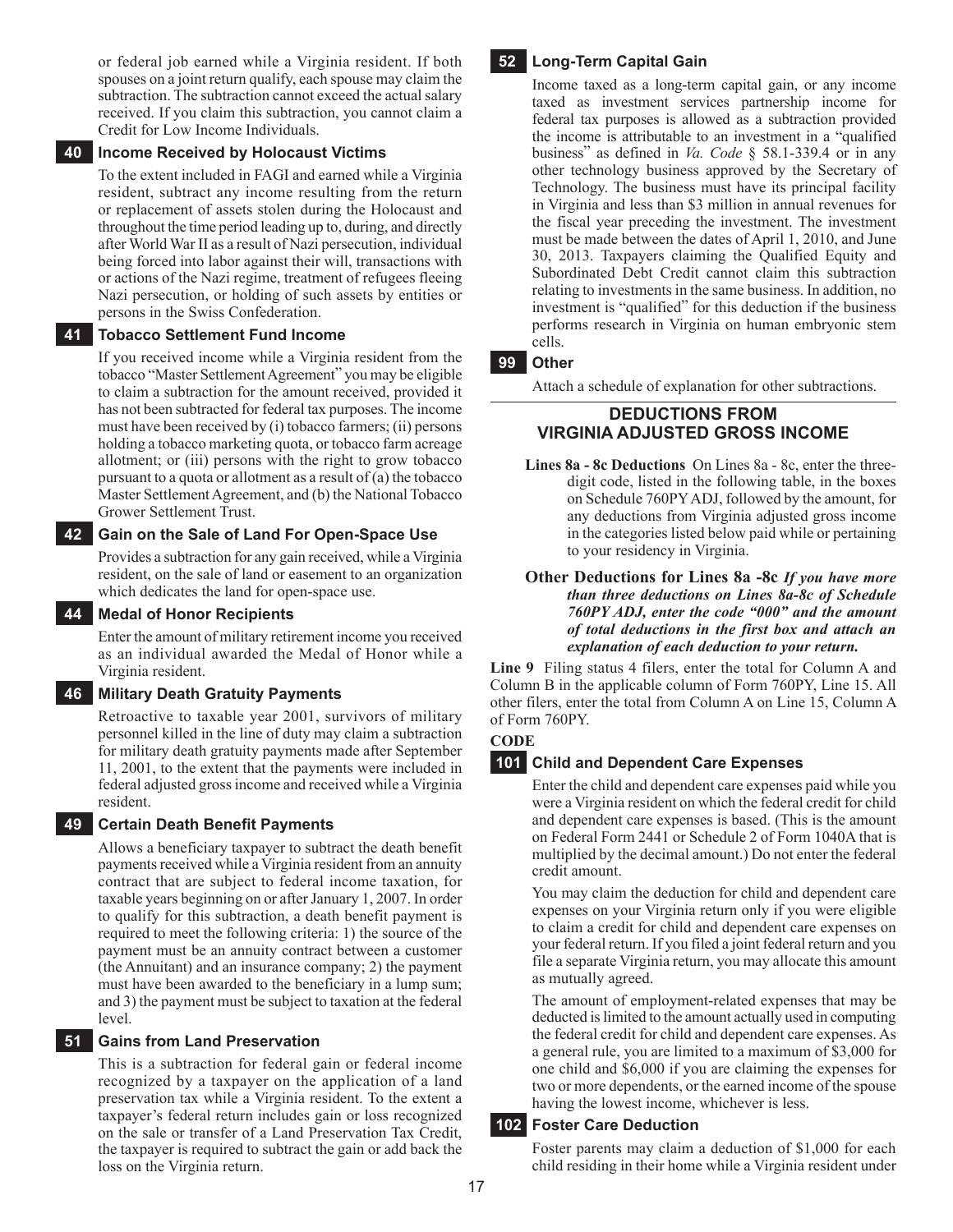or federal job earned while a Virginia resident. If both spouses on a joint return qualify, each spouse may claim the subtraction. The subtraction cannot exceed the actual salary received. If you claim this subtraction, you cannot claim a Credit for Low Income Individuals.

#### **40 Income Received by Holocaust Victims**

To the extent included in FAGI and earned while a Virginia resident, subtract any income resulting from the return or replacement of assets stolen during the Holocaust and throughout the time period leading up to, during, and directly after World War II as a result of Nazi persecution, individual being forced into labor against their will, transactions with or actions of the Nazi regime, treatment of refugees fleeing Nazi persecution, or holding of such assets by entities or persons in the Swiss Confederation.

#### **41 Tobacco Settlement Fund Income**

If you received income while a Virginia resident from the tobacco "Master Settlement Agreement" you may be eligible to claim a subtraction for the amount received, provided it has not been subtracted for federal tax purposes. The income must have been received by (i) tobacco farmers; (ii) persons holding a tobacco marketing quota, or tobacco farm acreage allotment; or (iii) persons with the right to grow tobacco pursuant to a quota or allotment as a result of (a) the tobacco Master Settlement Agreement, and (b) the National Tobacco Grower Settlement Trust.

#### **42 Gain on the Sale of Land For Open-Space Use**

Provides a subtraction for any gain received, while a Virginia resident, on the sale of land or easement to an organization which dedicates the land for open-space use.

#### **44 Medal of Honor Recipients**

Enter the amount of military retirement income you received as an individual awarded the Medal of Honor while a Virginia resident.

#### **46 Military Death Gratuity Payments**

Retroactive to taxable year 2001, survivors of military personnel killed in the line of duty may claim a subtraction for military death gratuity payments made after September 11, 2001, to the extent that the payments were included in federal adjusted gross income and received while a Virginia resident.

#### **49 Certain Death Benefit Payments**

Allows a beneficiary taxpayer to subtract the death benefit payments received while a Virginia resident from an annuity contract that are subject to federal income taxation, for taxable years beginning on or after January 1, 2007. In order to qualify for this subtraction, a death benefit payment is required to meet the following criteria: 1) the source of the payment must be an annuity contract between a customer (the Annuitant) and an insurance company; 2) the payment must have been awarded to the beneficiary in a lump sum; and 3) the payment must be subject to taxation at the federal level.

#### **51 Gains from Land Preservation**

This is a subtraction for federal gain or federal income recognized by a taxpayer on the application of a land preservation tax while a Virginia resident. To the extent a taxpayer's federal return includes gain or loss recognized on the sale or transfer of a Land Preservation Tax Credit, the taxpayer is required to subtract the gain or add back the loss on the Virginia return.

#### **52 Long-Term Capital Gain**

Income taxed as a long-term capital gain, or any income taxed as investment services partnership income for federal tax purposes is allowed as a subtraction provided the income is attributable to an investment in a "qualified business" as defined in *Va. Code* § 58.1-339.4 or in any other technology business approved by the Secretary of Technology. The business must have its principal facility in Virginia and less than \$3 million in annual revenues for the fiscal year preceding the investment. The investment must be made between the dates of April 1, 2010, and June 30, 2013. Taxpayers claiming the Qualified Equity and Subordinated Debt Credit cannot claim this subtraction relating to investments in the same business. In addition, no investment is "qualified" for this deduction if the business performs research in Virginia on human embryonic stem cells.

#### **99 Other**

Attach a schedule of explanation for other subtractions.

#### **Deductions From Virginia Adjusted Gross Income**

- **Lines 8a 8c Deductions** On Lines 8a 8c, enter the threedigit code, listed in the following table, in the boxes on Schedule 760PY ADJ, followed by the amount, for any deductions from Virginia adjusted gross income in the categories listed below paid while or pertaining to your residency in Virginia.
- **Other Deductions for Lines 8a -8c** *If you have more than three deductions on Lines 8a-8c of Schedule 760PY ADJ, enter the code "000" and the amount of total deductions in the first box and attach an explanation of each deduction to your return.*

**Line 9** Filing status 4 filers, enter the total for Column A and Column B in the applicable column of Form 760PY, Line 15. All other filers, enter the total from Column A on Line 15, Column A of Form 760PY.

## **CODE**

#### **101 Child and Dependent Care Expenses**

Enter the child and dependent care expenses paid while you were a Virginia resident on which the federal credit for child and dependent care expenses is based. (This is the amount on Federal Form 2441 or Schedule 2 of Form 1040A that is multiplied by the decimal amount.) Do not enter the federal credit amount.

You may claim the deduction for child and dependent care expenses on your Virginia return only if you were eligible to claim a credit for child and dependent care expenses on your federal return. If you filed a joint federal return and you file a separate Virginia return, you may allocate this amount as mutually agreed.

The amount of employment-related expenses that may be deducted is limited to the amount actually used in computing the federal credit for child and dependent care expenses. As a general rule, you are limited to a maximum of \$3,000 for one child and \$6,000 if you are claiming the expenses for two or more dependents, or the earned income of the spouse having the lowest income, whichever is less.

#### **102 Foster Care Deduction**

Foster parents may claim a deduction of \$1,000 for each child residing in their home while a Virginia resident under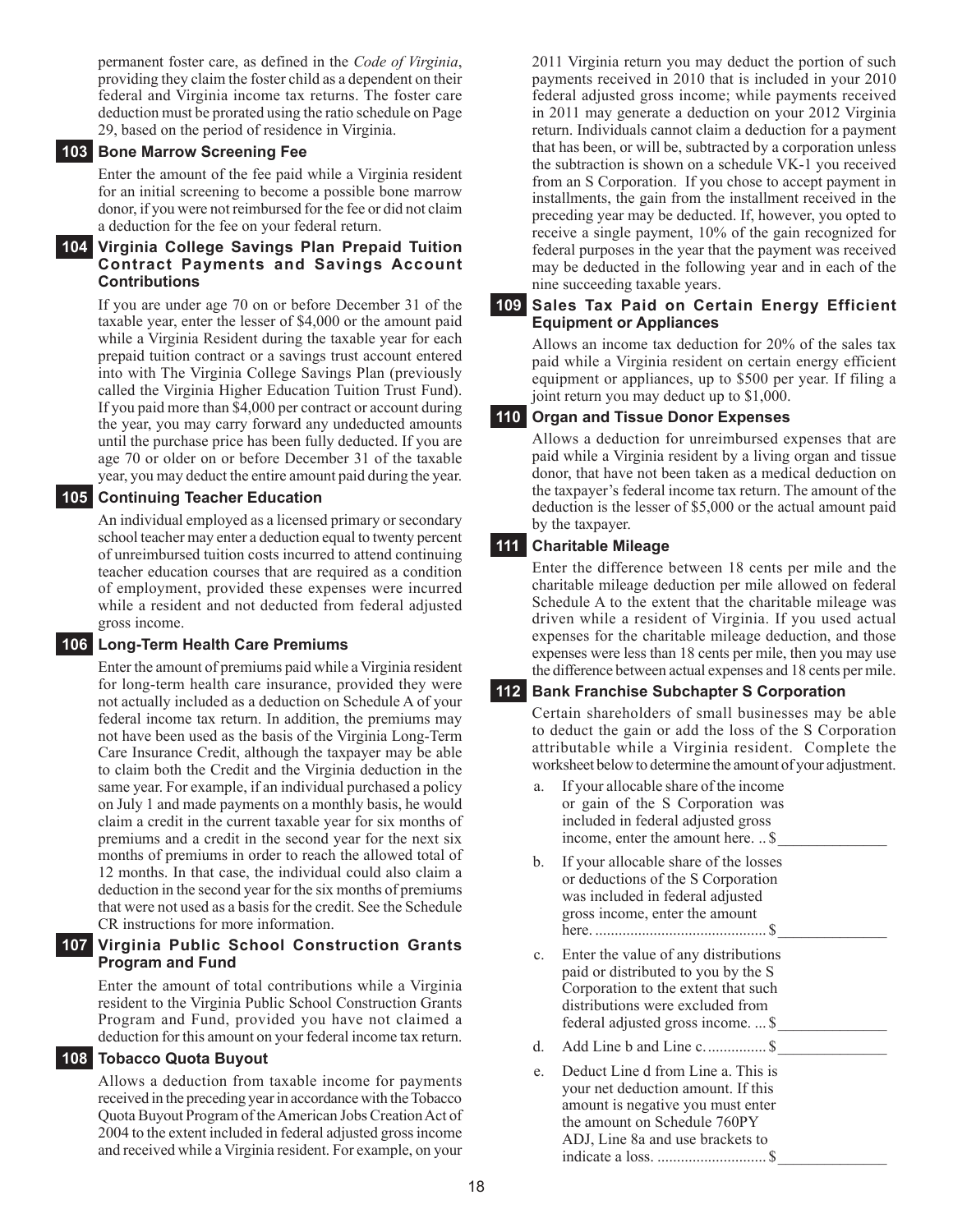permanent foster care, as defined in the *Code of Virginia*, providing they claim the foster child as a dependent on their federal and Virginia income tax returns. The foster care deduction must be prorated using the ratio schedule on Page 29, based on the period of residence in Virginia.

#### **103 Bone Marrow Screening Fee**

Enter the amount of the fee paid while a Virginia resident for an initial screening to become a possible bone marrow donor, if you were not reimbursed for the fee or did not claim a deduction for the fee on your federal return.

#### **104 Virginia College Savings Plan Prepaid Tuition Contract Payments and Savings Account Contributions**

If you are under age 70 on or before December 31 of the taxable year, enter the lesser of \$4,000 or the amount paid while a Virginia Resident during the taxable year for each prepaid tuition contract or a savings trust account entered into with The Virginia College Savings Plan (previously called the Virginia Higher Education Tuition Trust Fund). If you paid more than \$4,000 per contract or account during the year, you may carry forward any undeducted amounts until the purchase price has been fully deducted. If you are age 70 or older on or before December 31 of the taxable year, you may deduct the entire amount paid during the year.

#### **105 Continuing Teacher Education**

An individual employed as a licensed primary or secondary school teacher may enter a deduction equal to twenty percent of unreimbursed tuition costs incurred to attend continuing teacher education courses that are required as a condition of employment, provided these expenses were incurred while a resident and not deducted from federal adjusted gross income.

#### **106 Long-Term Health Care Premiums**

Enter the amount of premiums paid while a Virginia resident for long-term health care insurance, provided they were not actually included as a deduction on Schedule A of your federal income tax return. In addition, the premiums may not have been used as the basis of the Virginia Long-Term Care Insurance Credit, although the taxpayer may be able to claim both the Credit and the Virginia deduction in the same year. For example, if an individual purchased a policy on July 1 and made payments on a monthly basis, he would claim a credit in the current taxable year for six months of premiums and a credit in the second year for the next six months of premiums in order to reach the allowed total of 12 months. In that case, the individual could also claim a deduction in the second year for the six months of premiums that were not used as a basis for the credit. See the Schedule CR instructions for more information.

#### **107 Virginia Public School Construction Grants Program and Fund**

Enter the amount of total contributions while a Virginia resident to the Virginia Public School Construction Grants Program and Fund, provided you have not claimed a deduction for this amount on your federal income tax return.

#### **108 Tobacco Quota Buyout**

Allows a deduction from taxable income for payments received in the preceding year in accordance with the Tobacco Quota Buyout Program of the American Jobs Creation Act of 2004 to the extent included in federal adjusted gross income and received while a Virginia resident. For example, on your

2011 Virginia return you may deduct the portion of such payments received in 2010 that is included in your 2010 federal adjusted gross income; while payments received in 2011 may generate a deduction on your 2012 Virginia return. Individuals cannot claim a deduction for a payment that has been, or will be, subtracted by a corporation unless the subtraction is shown on a schedule VK-1 you received from an S Corporation. If you chose to accept payment in installments, the gain from the installment received in the preceding year may be deducted. If, however, you opted to receive a single payment, 10% of the gain recognized for federal purposes in the year that the payment was received may be deducted in the following year and in each of the nine succeeding taxable years.

#### **109 Sales Tax Paid on Certain Energy Efficient Equipment or Appliances**

Allows an income tax deduction for 20% of the sales tax paid while a Virginia resident on certain energy efficient equipment or appliances, up to \$500 per year. If filing a joint return you may deduct up to \$1,000.

#### **110 Organ and Tissue Donor Expenses**

Allows a deduction for unreimbursed expenses that are paid while a Virginia resident by a living organ and tissue donor, that have not been taken as a medical deduction on the taxpayer's federal income tax return. The amount of the deduction is the lesser of \$5,000 or the actual amount paid by the taxpayer.

#### **111 Charitable Mileage**

Enter the difference between 18 cents per mile and the charitable mileage deduction per mile allowed on federal Schedule A to the extent that the charitable mileage was driven while a resident of Virginia. If you used actual expenses for the charitable mileage deduction, and those expenses were less than 18 cents per mile, then you may use the difference between actual expenses and 18 cents per mile.

#### **112 Bank Franchise Subchapter S Corporation**

Certain shareholders of small businesses may be able to deduct the gain or add the loss of the S Corporation attributable while a Virginia resident. Complete the worksheet below to determine the amount of your adjustment.

- a. If your allocable share of the income or gain of the S Corporation was included in federal adjusted gross income, enter the amount here. .. \$ b. If your allocable share of the losses or deductions of the S Corporation was included in federal adjusted gross income, enter the amount here. ............................................ \$\_\_\_\_\_\_\_\_\_\_\_\_\_\_
- c. Enter the value of any distributions paid or distributed to you by the S Corporation to the extent that such distributions were excluded from federal adjusted gross income. ... \$\_\_\_\_\_\_\_\_\_\_\_\_\_\_
- d. Add Line b and Line c................ \$\_\_\_\_\_\_\_\_\_\_\_\_\_\_
- Deduct Line d from Line a. This is your net deduction amount. If this amount is negative you must enter the amount on Schedule 760PY ADJ, Line 8a and use brackets to indicate a loss. ............................ \$\_\_\_\_\_\_\_\_\_\_\_\_\_\_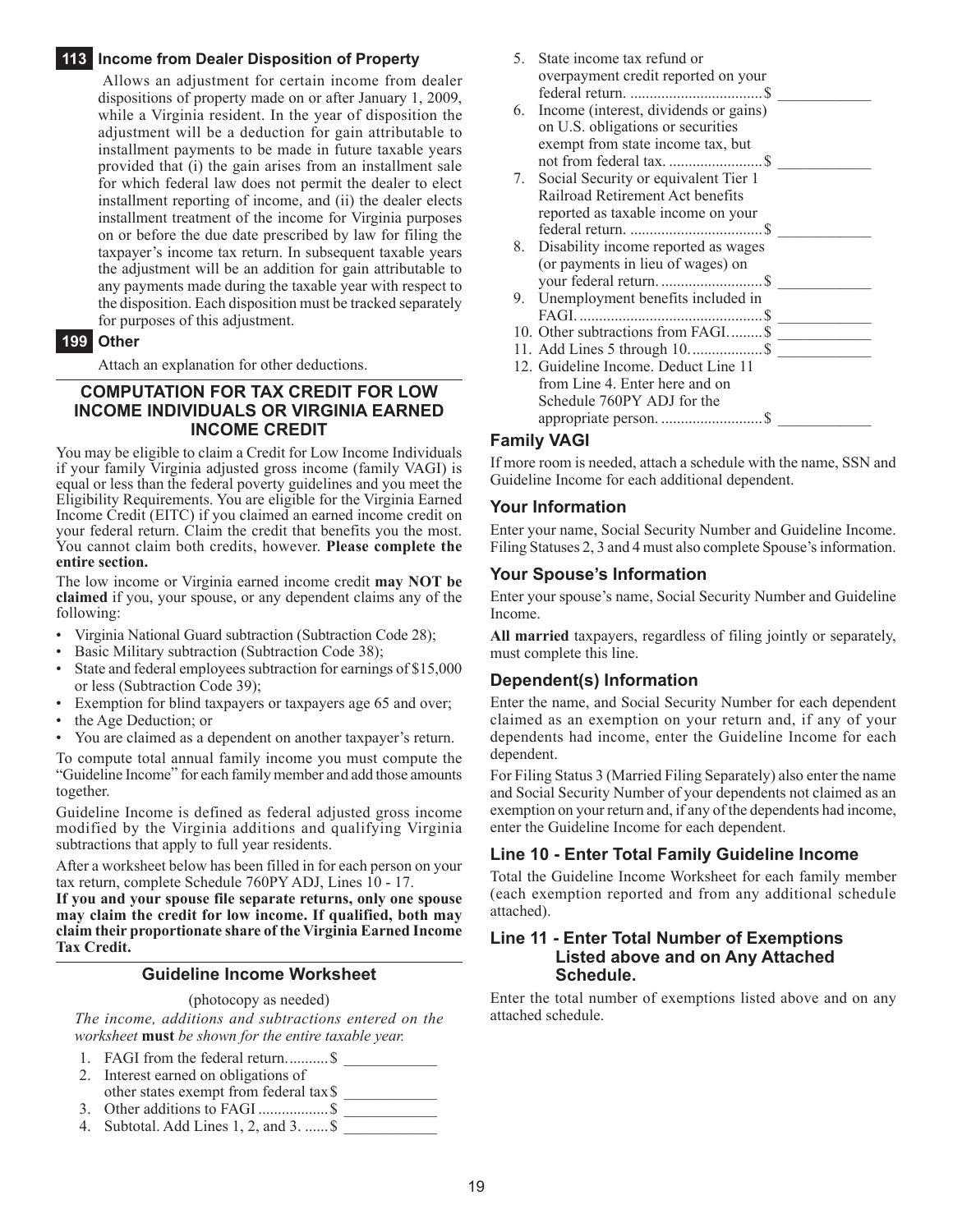#### **113 Income from Dealer Disposition of Property**

 Allows an adjustment for certain income from dealer dispositions of property made on or after January 1, 2009, while a Virginia resident. In the year of disposition the adjustment will be a deduction for gain attributable to installment payments to be made in future taxable years provided that (i) the gain arises from an installment sale for which federal law does not permit the dealer to elect installment reporting of income, and (ii) the dealer elects installment treatment of the income for Virginia purposes on or before the due date prescribed by law for filing the taxpayer's income tax return. In subsequent taxable years the adjustment will be an addition for gain attributable to any payments made during the taxable year with respect to the disposition. Each disposition must be tracked separately for purposes of this adjustment.

#### **199 Other**

Attach an explanation for other deductions.

#### **Computation for Tax Credit for Low Income Individuals OR Virginia Earned Income Credit**

You may be eligible to claim a Credit for Low Income Individuals if your family Virginia adjusted gross income (family VAGI) is equal or less than the federal poverty guidelines and you meet the Eligibility Requirements. You are eligible for the Virginia Earned Income Credit (EITC) if you claimed an earned income credit on your federal return. Claim the credit that benefits you the most. You cannot claim both credits, however. **Please complete the entire section.**

The low income or Virginia earned income credit may NOT be **claimed** if you, your spouse, or any dependent claims any of the following:

- Virginia National Guard subtraction (Subtraction Code 28);
- Basic Military subtraction (Subtraction Code 38);
- State and federal employees subtraction for earnings of \$15,000 or less (Subtraction Code 39);
- Exemption for blind taxpayers or taxpayers age 65 and over;
- the Age Deduction; or
- You are claimed as a dependent on another taxpayer's return.

To compute total annual family income you must compute the "Guideline Income" for each family member and add those amounts together.

Guideline Income is defined as federal adjusted gross income modified by the Virginia additions and qualifying Virginia subtractions that apply to full year residents.

After a worksheet below has been filled in for each person on your tax return, complete Schedule 760PY ADJ, Lines 10 - 17.

**If you and your spouse file separate returns, only one spouse may claim the credit for low income. If qualified, both may claim their proportionate share of the Virginia Earned Income Tax Credit.**

#### **Guideline Income Worksheet**

(photocopy as needed)

*The income, additions and subtractions entered on the worksheet* **must** *be shown for the entire taxable year.*

- 1. FAGI from the federal return............ \$
- 2. Interest earned on obligations of other states exempt from federal tax\$ \_\_\_\_\_\_\_\_\_\_\_\_
- 3. Other additions to FAGI ......................... \$
- 4. Subtotal. Add Lines 1, 2, and  $3$ . ...... \$
- 5. State income tax refund or overpayment credit reported on your federal return. ..................................\$ \_\_\_\_\_\_\_\_\_\_\_\_
- 6. Income (interest, dividends or gains) on U.S. obligations or securities exempt from state income tax, but not from federal tax. ........................\$ \_\_\_\_\_\_\_\_\_\_\_\_
- 7. Social Security or equivalent Tier 1 Railroad Retirement Act benefits reported as taxable income on your federal return. ..................................\$ \_\_\_\_\_\_\_\_\_\_\_\_
- 8. Disability income reported as wages (or payments in lieu of wages) on your federal return. ..........................\$ \_\_\_\_\_\_\_\_\_\_\_\_
- 9. Unemployment benefits included in
- FAGI. ...............................................\$ \_\_\_\_\_\_\_\_\_\_\_\_ 10. Other subtractions from FAGI......... \$
- 11. Add Lines 5 through 10...................\$ \_\_\_\_\_\_\_\_\_\_\_\_
- 12. Guideline Income. Deduct Line 11 from Line 4. Enter here and on Schedule 760PY ADJ for the appropriate person. ..........................\$ \_\_\_\_\_\_\_\_\_\_\_\_

#### **Family VAGI**

If more room is needed, attach a schedule with the name, SSN and Guideline Income for each additional dependent.

#### **Your Information**

Enter your name, Social Security Number and Guideline Income. Filing Statuses 2, 3 and 4 must also complete Spouse's information.

#### **Your Spouse's Information**

Enter your spouse's name, Social Security Number and Guideline Income.

**All married** taxpayers, regardless of filing jointly or separately, must complete this line.

#### **Dependent(s) Information**

Enter the name, and Social Security Number for each dependent claimed as an exemption on your return and, if any of your dependents had income, enter the Guideline Income for each dependent.

For Filing Status 3 (Married Filing Separately) also enter the name and Social Security Number of your dependents not claimed as an exemption on your return and, if any of the dependents had income, enter the Guideline Income for each dependent.

#### **Line 10 - Enter Total Family Guideline Income**

Total the Guideline Income Worksheet for each family member (each exemption reported and from any additional schedule attached).

#### **Line 11 - Enter Total Number of Exemptions Listed above and on Any Attached Schedule.**

Enter the total number of exemptions listed above and on any attached schedule.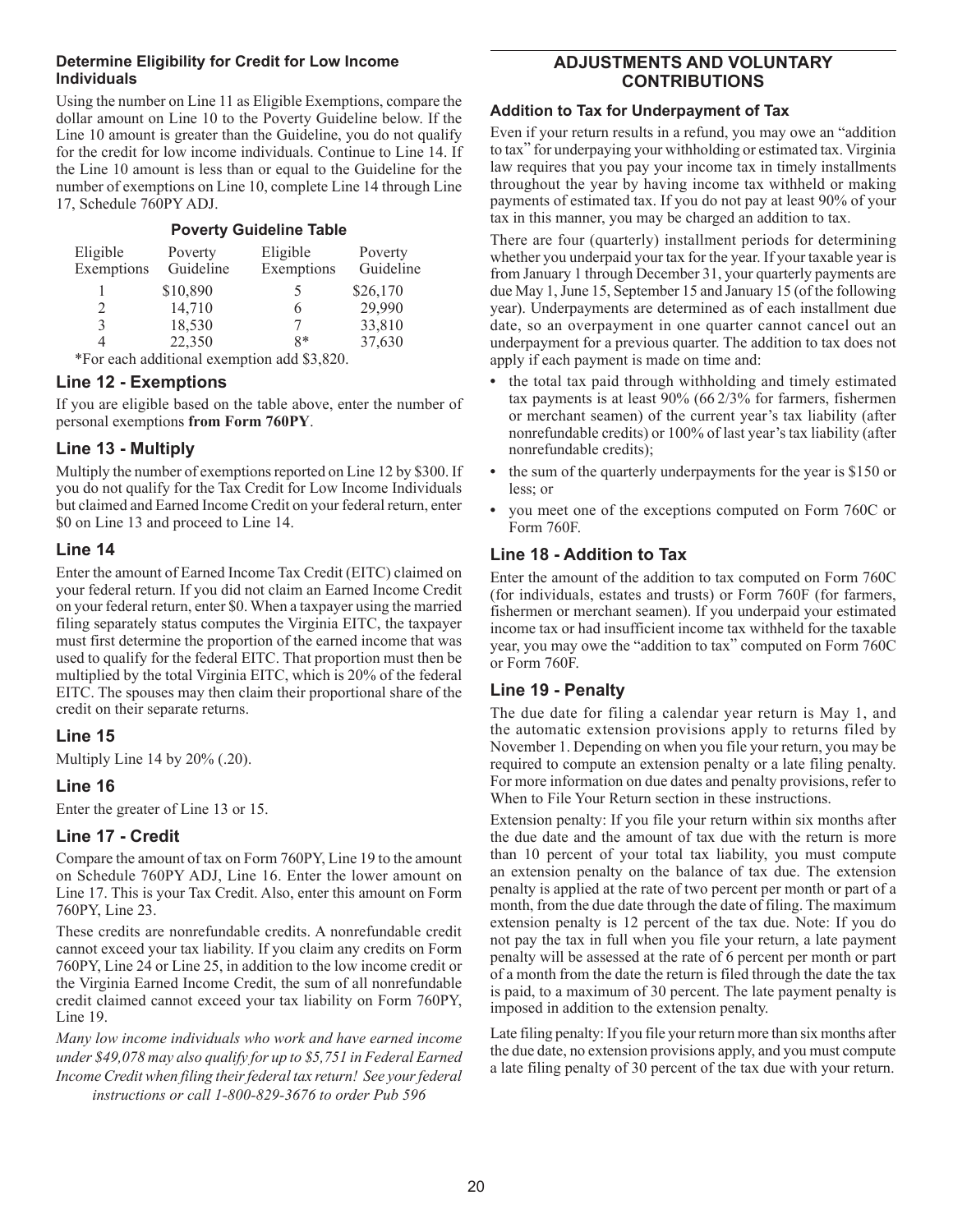#### **Determine Eligibility for Credit for Low Income Individuals**

Using the number on Line 11 as Eligible Exemptions, compare the dollar amount on Line 10 to the Poverty Guideline below. If the Line 10 amount is greater than the Guideline, you do not qualify for the credit for low income individuals. Continue to Line 14. If the Line 10 amount is less than or equal to the Guideline for the number of exemptions on Line 10, complete Line 14 through Line 17, Schedule 760PY ADJ.

| <b>Poverty Guideline Table</b>              |                      |                        |                      |  |  |  |  |
|---------------------------------------------|----------------------|------------------------|----------------------|--|--|--|--|
| Eligible<br>Exemptions                      | Poverty<br>Guideline | Eligible<br>Exemptions | Poverty<br>Guideline |  |  |  |  |
|                                             | \$10,890             | 5                      | \$26,170             |  |  |  |  |
| 2                                           | 14,710               | 6                      | 29,990               |  |  |  |  |
| 3                                           | 18,530               |                        | 33,810               |  |  |  |  |
| 4                                           | 22,350               | $8*$                   | 37,630               |  |  |  |  |
| *For each additional exemption add \$3,820. |                      |                        |                      |  |  |  |  |

**Line 12 - Exemptions** 

If you are eligible based on the table above, enter the number of personal exemptions **from Form 760PY**.

## **Line 13 - Multiply**

Multiply the number of exemptions reported on Line 12 by \$300. If you do not qualify for the Tax Credit for Low Income Individuals but claimed and Earned Income Credit on your federal return, enter \$0 on Line 13 and proceed to Line 14.

## **Line 14**

Enter the amount of Earned Income Tax Credit (EITC) claimed on your federal return. If you did not claim an Earned Income Credit on your federal return, enter \$0. When a taxpayer using the married filing separately status computes the Virginia EITC, the taxpayer must first determine the proportion of the earned income that was used to qualify for the federal EITC. That proportion must then be multiplied by the total Virginia EITC, which is 20% of the federal EITC. The spouses may then claim their proportional share of the credit on their separate returns.

## **Line 15**

Multiply Line 14 by 20% (.20).

## **Line 16**

Enter the greater of Line 13 or 15.

## **Line 17 - Credit**

Compare the amount of tax on Form 760PY, Line 19 to the amount on Schedule 760PY ADJ, Line 16. Enter the lower amount on Line 17. This is your Tax Credit. Also, enter this amount on Form 760PY, Line 23.

These credits are nonrefundable credits. A nonrefundable credit cannot exceed your tax liability. If you claim any credits on Form 760PY, Line 24 or Line 25, in addition to the low income credit or the Virginia Earned Income Credit, the sum of all nonrefundable credit claimed cannot exceed your tax liability on Form 760PY, Line 19.

*Many low income individuals who work and have earned income under \$49,078 may also qualify for up to \$5,751 in Federal Earned Income Credit when filing their federal tax return! See your federal instructions or call 1-800-829-3676 to order Pub 596*

## **Adjustments and Voluntary Contributions**

#### **Addition to Tax for Underpayment of Tax**

Even if your return results in a refund, you may owe an "addition to tax" for underpaying your withholding or estimated tax. Virginia law requires that you pay your income tax in timely installments throughout the year by having income tax withheld or making payments of estimated tax. If you do not pay at least 90% of your tax in this manner, you may be charged an addition to tax.

There are four (quarterly) installment periods for determining whether you underpaid your tax for the year. If your taxable year is from January 1 through December 31, your quarterly payments are due May 1, June 15, September 15 and January 15 (of the following year). Underpayments are determined as of each installment due date, so an overpayment in one quarter cannot cancel out an underpayment for a previous quarter. The addition to tax does not apply if each payment is made on time and:

- **•** the total tax paid through withholding and timely estimated tax payments is at least 90% (66 2/3% for farmers, fishermen or merchant seamen) of the current year's tax liability (after nonrefundable credits) or 100% of last year's tax liability (after nonrefundable credits);
- the sum of the quarterly underpayments for the year is \$150 or less; or
- **•** you meet one of the exceptions computed on Form 760C or Form 760F.

## **Line 18 - Addition to Tax**

Enter the amount of the addition to tax computed on Form 760C (for individuals, estates and trusts) or Form 760F (for farmers, fishermen or merchant seamen). If you underpaid your estimated income tax or had insufficient income tax withheld for the taxable year, you may owe the "addition to tax" computed on Form 760C or Form 760F.

## **Line 19 - Penalty**

The due date for filing a calendar year return is May 1, and the automatic extension provisions apply to returns filed by November 1. Depending on when you file your return, you may be required to compute an extension penalty or a late filing penalty. For more information on due dates and penalty provisions, refer to When to File Your Return section in these instructions.

Extension penalty: If you file your return within six months after the due date and the amount of tax due with the return is more than 10 percent of your total tax liability, you must compute an extension penalty on the balance of tax due. The extension penalty is applied at the rate of two percent per month or part of a month, from the due date through the date of filing. The maximum extension penalty is 12 percent of the tax due. Note: If you do not pay the tax in full when you file your return, a late payment penalty will be assessed at the rate of 6 percent per month or part of a month from the date the return is filed through the date the tax is paid, to a maximum of 30 percent. The late payment penalty is imposed in addition to the extension penalty.

Late filing penalty: If you file your return more than six months after the due date, no extension provisions apply, and you must compute a late filing penalty of 30 percent of the tax due with your return.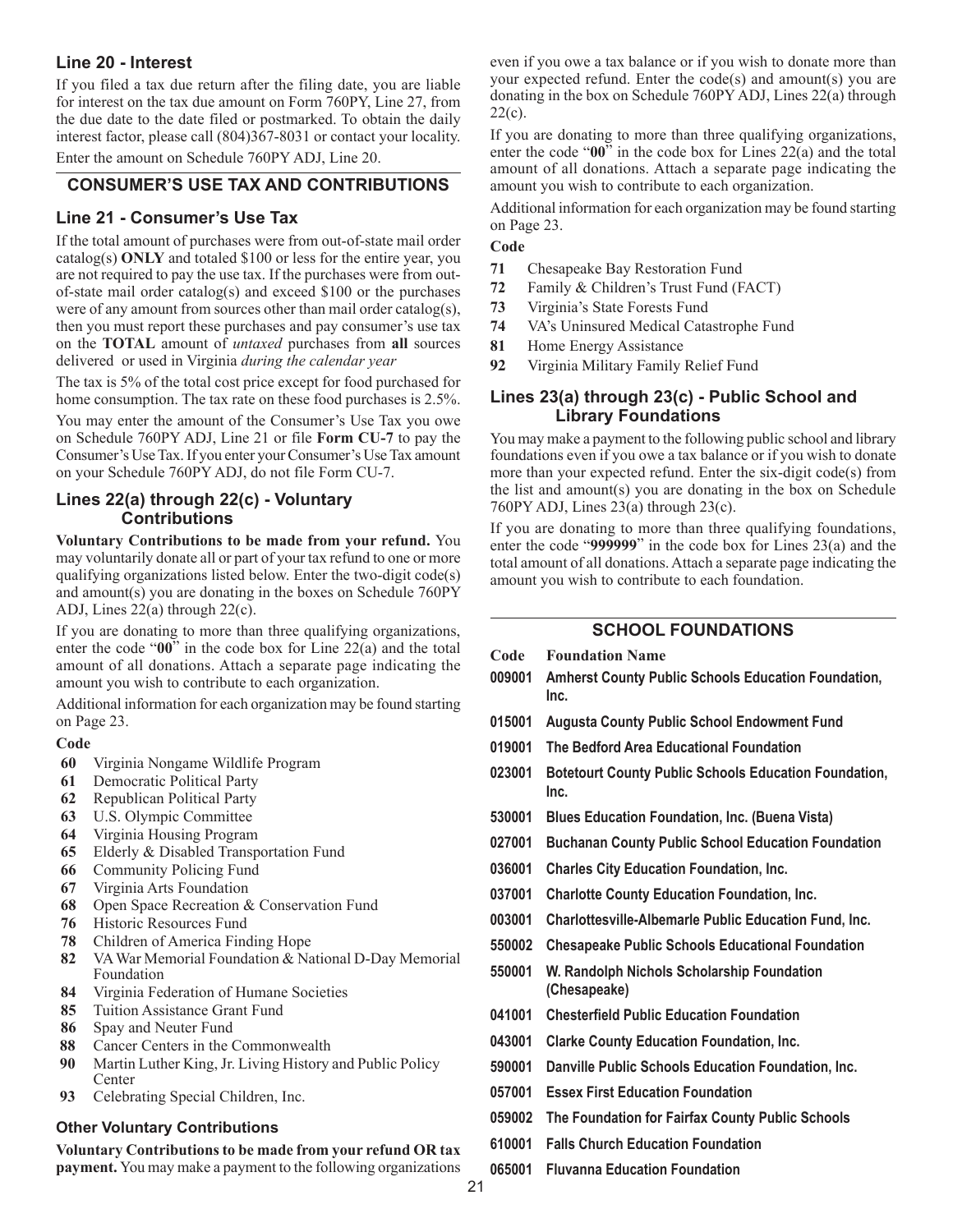## **Line 20 - Interest**

If you filed a tax due return after the filing date, you are liable for interest on the tax due amount on Form 760PY, Line 27, from the due date to the date filed or postmarked. To obtain the daily interest factor, please call (804)367-8031 or contact your locality.

Enter the amount on Schedule 760PY ADJ, Line 20.

#### **Consumer's Use Tax and Contributions**

#### **Line 21 - Consumer's Use Tax**

If the total amount of purchases were from out-of-state mail order catalog(s) **ONLY** and totaled \$100 or less for the entire year, you are not required to pay the use tax. If the purchases were from outof-state mail order catalog(s) and exceed \$100 or the purchases were of any amount from sources other than mail order catalog(s), then you must report these purchases and pay consumer's use tax on the **TOTAL** amount of *untaxed* purchases from **all** sources delivered or used in Virginia *during the calendar year*

The tax is 5% of the total cost price except for food purchased for home consumption. The tax rate on these food purchases is 2.5%.

You may enter the amount of the Consumer's Use Tax you owe on Schedule 760PY ADJ, Line 21 or file **Form CU-7** to pay the Consumer's Use Tax. If you enter your Consumer's Use Tax amount on your Schedule 760PY ADJ, do not file Form CU‑7.

#### **Lines 22(a) through 22(c) - Voluntary Contributions**

**Voluntary Contributions to be made from your refund.** You may voluntarily donate all or part of your tax refund to one or more qualifying organizations listed below. Enter the two-digit code(s) and amount(s) you are donating in the boxes on Schedule 760PY ADJ, Lines 22(a) through 22(c).

If you are donating to more than three qualifying organizations, enter the code "**00**" in the code box for Line 22(a) and the total amount of all donations. Attach a separate page indicating the amount you wish to contribute to each organization.

Additional information for each organization may be found starting on Page 23.

#### **Code**

- **60** Virginia Nongame Wildlife Program
- **61** Democratic Political Party
- **62** Republican Political Party
- **63** U.S. Olympic Committee
- **64** Virginia Housing Program
- **65** Elderly & Disabled Transportation Fund
- **66** Community Policing Fund
- **67** Virginia Arts Foundation
- **68** Open Space Recreation & Conservation Fund
- **76** Historic Resources Fund
- **78** Children of America Finding Hope
- **82** VA War Memorial Foundation & National D-Day Memorial Foundation
- **84** Virginia Federation of Humane Societies
- **85** Tuition Assistance Grant Fund
- **86** Spay and Neuter Fund
- **88** Cancer Centers in the Commonwealth
- **90** Martin Luther King, Jr. Living History and Public Policy Center
- **93** Celebrating Special Children, Inc.

#### **Other Voluntary Contributions**

**Voluntary Contributions to be made from your refund OR tax payment.** You may make a payment to the following organizations even if you owe a tax balance or if you wish to donate more than your expected refund. Enter the code(s) and amount(s) you are donating in the box on Schedule 760PY ADJ, Lines 22(a) through  $22(c)$ .

If you are donating to more than three qualifying organizations, enter the code "**00**" in the code box for Lines 22(a) and the total amount of all donations. Attach a separate page indicating the amount you wish to contribute to each organization.

Additional information for each organization may be found starting on Page 23.

#### **Code**

- **71** Chesapeake Bay Restoration Fund
- **72** Family & Children's Trust Fund (FACT)
- **73** Virginia's State Forests Fund
- **74** VA's Uninsured Medical Catastrophe Fund
- **81** Home Energy Assistance
- **92**  Virginia Military Family Relief Fund

#### **Lines 23(a) through 23(c) - Public School and Library Foundations**

You may make a payment to the following public school and library foundations even if you owe a tax balance or if you wish to donate more than your expected refund. Enter the six-digit code(s) from the list and amount(s) you are donating in the box on Schedule 760PY ADJ, Lines  $23(a)$  through  $23(c)$ .

If you are donating to more than three qualifying foundations, enter the code "**999999**" in the code box for Lines 23(a) and the total amount of all donations. Attach a separate page indicating the amount you wish to contribute to each foundation.

#### **School Foundations**

| Code   | <b>Foundation Name</b>                                               |
|--------|----------------------------------------------------------------------|
| 009001 | <b>Amherst County Public Schools Education Foundation,</b><br>Inc.   |
| 015001 | <b>Augusta County Public School Endowment Fund</b>                   |
| 019001 | The Bedford Area Educational Foundation                              |
| 023001 | <b>Botetourt County Public Schools Education Foundation,</b><br>Inc. |
| 530001 | <b>Blues Education Foundation, Inc. (Buena Vista)</b>                |
| 027001 | <b>Buchanan County Public School Education Foundation</b>            |
| 036001 | <b>Charles City Education Foundation, Inc.</b>                       |
| 037001 | <b>Charlotte County Education Foundation, Inc.</b>                   |
| 003001 | Charlottesville-Albemarle Public Education Fund, Inc.                |
| 550002 | <b>Chesapeake Public Schools Educational Foundation</b>              |
| 550001 | W. Randolph Nichols Scholarship Foundation<br>(Chesapeake)           |
| 041001 | <b>Chesterfield Public Education Foundation</b>                      |
| 043001 | <b>Clarke County Education Foundation, Inc.</b>                      |
| 590001 | Danville Public Schools Education Foundation, Inc.                   |
| 057001 | <b>Essex First Education Foundation</b>                              |
| 059002 | The Foundation for Fairfax County Public Schools                     |
| 610001 | <b>Falls Church Education Foundation</b>                             |
| 065001 | <b>Fluvanna Education Foundation</b>                                 |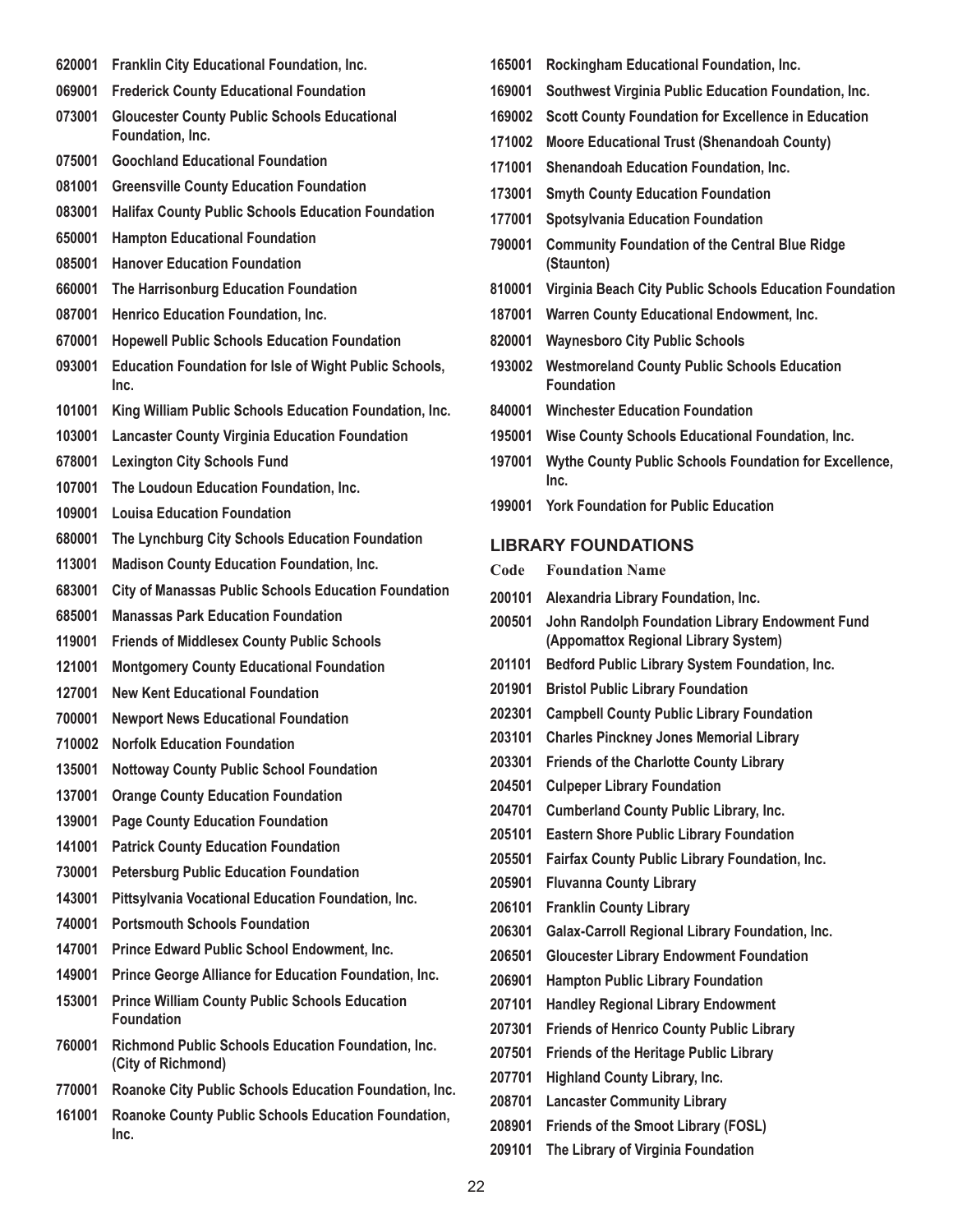- **620001 Franklin City Educational Foundation, Inc.**
- **069001 Frederick County Educational Foundation**
- **073001 Gloucester County Public Schools Educational Foundation, Inc.**
- **075001 Goochland Educational Foundation**
- **081001 Greensville County Education Foundation**
- **083001 Halifax County Public Schools Education Foundation**
- **650001 Hampton Educational Foundation**
- **085001 Hanover Education Foundation**
- **660001 The Harrisonburg Education Foundation**
- **087001 Henrico Education Foundation, Inc.**
- **670001 Hopewell Public Schools Education Foundation**
- **093001 Education Foundation for Isle of Wight Public Schools, Inc.**
- **101001 King William Public Schools Education Foundation, Inc.**
- **103001 Lancaster County Virginia Education Foundation**
- **678001 Lexington City Schools Fund**
- **107001 The Loudoun Education Foundation, Inc.**
- **109001 Louisa Education Foundation**
- **680001 The Lynchburg City Schools Education Foundation**
- **113001 Madison County Education Foundation, Inc.**
- **683001 City of Manassas Public Schools Education Foundation**
- **685001 Manassas Park Education Foundation**
- **119001 Friends of Middlesex County Public Schools**
- **121001 Montgomery County Educational Foundation**
- **127001 New Kent Educational Foundation**
- **700001 Newport News Educational Foundation**
- **710002 Norfolk Education Foundation**
- **135001 Nottoway County Public School Foundation**
- **137001 Orange County Education Foundation**
- **139001 Page County Education Foundation**
- **141001 Patrick County Education Foundation**
- **730001 Petersburg Public Education Foundation**
- **143001 Pittsylvania Vocational Education Foundation, Inc.**
- **740001 Portsmouth Schools Foundation**
- **147001 Prince Edward Public School Endowment, Inc.**
- **149001 Prince George Alliance for Education Foundation, Inc.**
- **153001 Prince William County Public Schools Education Foundation**
- **760001 Richmond Public Schools Education Foundation, Inc. (City of Richmond)**
- **770001 Roanoke City Public Schools Education Foundation, Inc.**
- **161001 Roanoke County Public Schools Education Foundation, Inc.**
- **165001 Rockingham Educational Foundation, Inc.**
- **169001 Southwest Virginia Public Education Foundation, Inc.**
- **169002 Scott County Foundation for Excellence in Education**
- **171002 Moore Educational Trust (Shenandoah County)**
- **171001 Shenandoah Education Foundation, Inc.**
- **173001 Smyth County Education Foundation**
- **177001 Spotsylvania Education Foundation**
- **790001 Community Foundation of the Central Blue Ridge (Staunton)**
- **810001 Virginia Beach City Public Schools Education Foundation**
- **187001 Warren County Educational Endowment, Inc.**
- **820001 Waynesboro City Public Schools**
- **193002 Westmoreland County Public Schools Education Foundation**
- **840001 Winchester Education Foundation**
- **195001 Wise County Schools Educational Foundation, Inc.**
- **197001 Wythe County Public Schools Foundation for Excellence, Inc.**
- **199001 York Foundation for Public Education**

#### **Library Foundations**

- **Code Foundation Name**
- **200101 Alexandria Library Foundation, Inc.**
- **200501 John Randolph Foundation Library Endowment Fund (Appomattox Regional Library System)**
- **201101 Bedford Public Library System Foundation, Inc.**
- **201901 Bristol Public Library Foundation**
- **202301 Campbell County Public Library Foundation**
- **203101 Charles Pinckney Jones Memorial Library**
- **203301 Friends of the Charlotte County Library**
- **204501 Culpeper Library Foundation**
- **204701 Cumberland County Public Library, Inc.**
- **205101 Eastern Shore Public Library Foundation**
- **205501 Fairfax County Public Library Foundation, Inc.**
- **205901 Fluvanna County Library**
- **206101 Franklin County Library**
- **206301 Galax-Carroll Regional Library Foundation, Inc.**
- **206501 Gloucester Library Endowment Foundation**
- **206901 Hampton Public Library Foundation**
- **207101 Handley Regional Library Endowment**
- **207301 Friends of Henrico County Public Library**
- **207501 Friends of the Heritage Public Library**
- **207701 Highland County Library, Inc.**
- **208701 Lancaster Community Library**
- **208901 Friends of the Smoot Library (FOSL)**
- **209101 The Library of Virginia Foundation**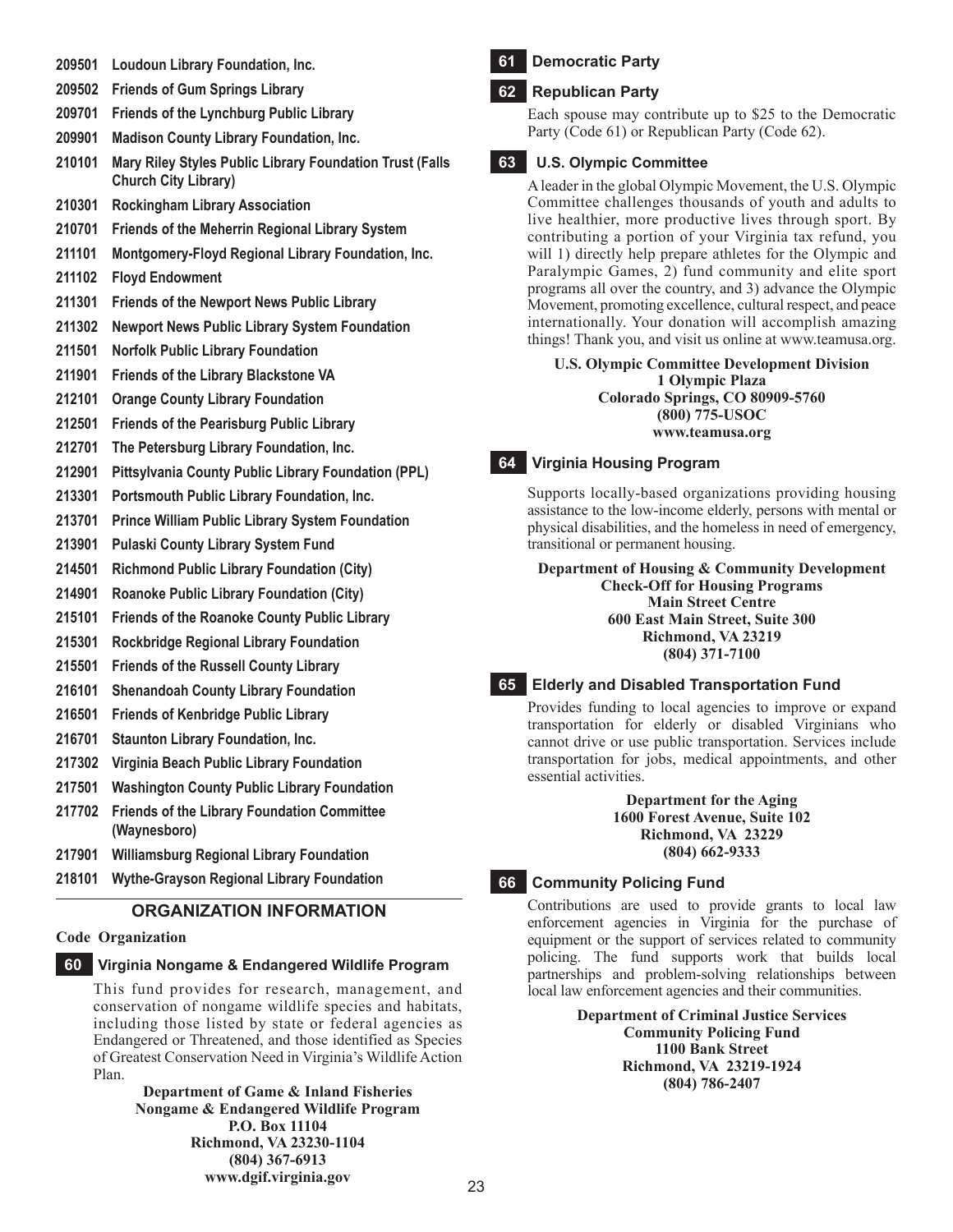- **209501 Loudoun Library Foundation, Inc.**
- **209502 Friends of Gum Springs Library**
- **209701 Friends of the Lynchburg Public Library**
- **209901 Madison County Library Foundation, Inc.**
- **210101 Mary Riley Styles Public Library Foundation Trust (Falls Church City Library)**
- **210301 Rockingham Library Association**
- **210701 Friends of the Meherrin Regional Library System**
- **211101 Montgomery-Floyd Regional Library Foundation, Inc.**
- **211102 Floyd Endowment**
- **211301 Friends of the Newport News Public Library**
- **211302 Newport News Public Library System Foundation**
- **211501 Norfolk Public Library Foundation**
- **211901 Friends of the Library Blackstone VA**
- **212101 Orange County Library Foundation**
- **212501 Friends of the Pearisburg Public Library**
- **212701 The Petersburg Library Foundation, Inc.**
- **212901 Pittsylvania County Public Library Foundation (PPL)**
- **213301 Portsmouth Public Library Foundation, Inc.**
- **213701 Prince William Public Library System Foundation**
- **213901 Pulaski County Library System Fund**
- **214501 Richmond Public Library Foundation (City)**
- **214901 Roanoke Public Library Foundation (City)**
- **215101 Friends of the Roanoke County Public Library**
- **215301 Rockbridge Regional Library Foundation**
- **215501 Friends of the Russell County Library**
- **216101 Shenandoah County Library Foundation**
- **216501 Friends of Kenbridge Public Library**
- **216701 Staunton Library Foundation, Inc.**
- **217302 Virginia Beach Public Library Foundation**
- **217501 Washington County Public Library Foundation**
- **217702 Friends of the Library Foundation Committee (Waynesboro)**
- **217901 Williamsburg Regional Library Foundation**
- **218101 Wythe-Grayson Regional Library Foundation**

## **Organization Information**

#### **Code Organization**

## **60 Virginia Nongame & Endangered Wildlife Program**

This fund provides for research, management, and conservation of nongame wildlife species and habitats, including those listed by state or federal agencies as Endangered or Threatened, and those identified as Species of Greatest Conservation Need in Virginia's Wildlife Action Plan.

**Department of Game & Inland Fisheries Nongame & Endangered Wildlife Program P.O. Box 11104 Richmond, VA 23230-1104 (804) 367-6913 www.dgif.virginia.gov**

## **61 Democratic Party**

## **62 Republican Party**

Each spouse may contribute up to \$25 to the Democratic Party (Code 61) or Republican Party (Code 62).

## **63 U.S. Olympic Committee**

A leader in the global Olympic Movement, the U.S. Olympic Committee challenges thousands of youth and adults to live healthier, more productive lives through sport. By contributing a portion of your Virginia tax refund, you will 1) directly help prepare athletes for the Olympic and Paralympic Games, 2) fund community and elite sport programs all over the country, and 3) advance the Olympic Movement, promoting excellence, cultural respect, and peace internationally. Your donation will accomplish amazing things! Thank you, and visit us online at www.teamusa.org.

**U.S. Olympic Committee Development Division 1 Olympic Plaza Colorado Springs, CO 80909-5760 (800) 775-USOC www.teamusa.org**

#### **64 Virginia Housing Program**

Supports locally-based organizations providing housing assistance to the low-income elderly, persons with mental or physical disabilities, and the homeless in need of emergency, transitional or permanent housing.

**Department of Housing & Community Development Check-Off for Housing Programs Main Street Centre 600 East Main Street, Suite 300 Richmond, VA 23219 (804) 371-7100**

#### **65 Elderly and Disabled Transportation Fund**

Provides funding to local agencies to improve or expand transportation for elderly or disabled Virginians who cannot drive or use public transportation. Services include transportation for jobs, medical appointments, and other essential activities.

> **Department for the Aging 1600 Forest Avenue, Suite 102 Richmond, VA 23229 (804) 662-9333**

#### **66 Community Policing Fund**

Contributions are used to provide grants to local law enforcement agencies in Virginia for the purchase of equipment or the support of services related to community policing. The fund supports work that builds local partnerships and problem-solving relationships between local law enforcement agencies and their communities.

> **Department of Criminal Justice Services Community Policing Fund 1100 Bank Street Richmond, VA 23219-1924 (804) 786-2407**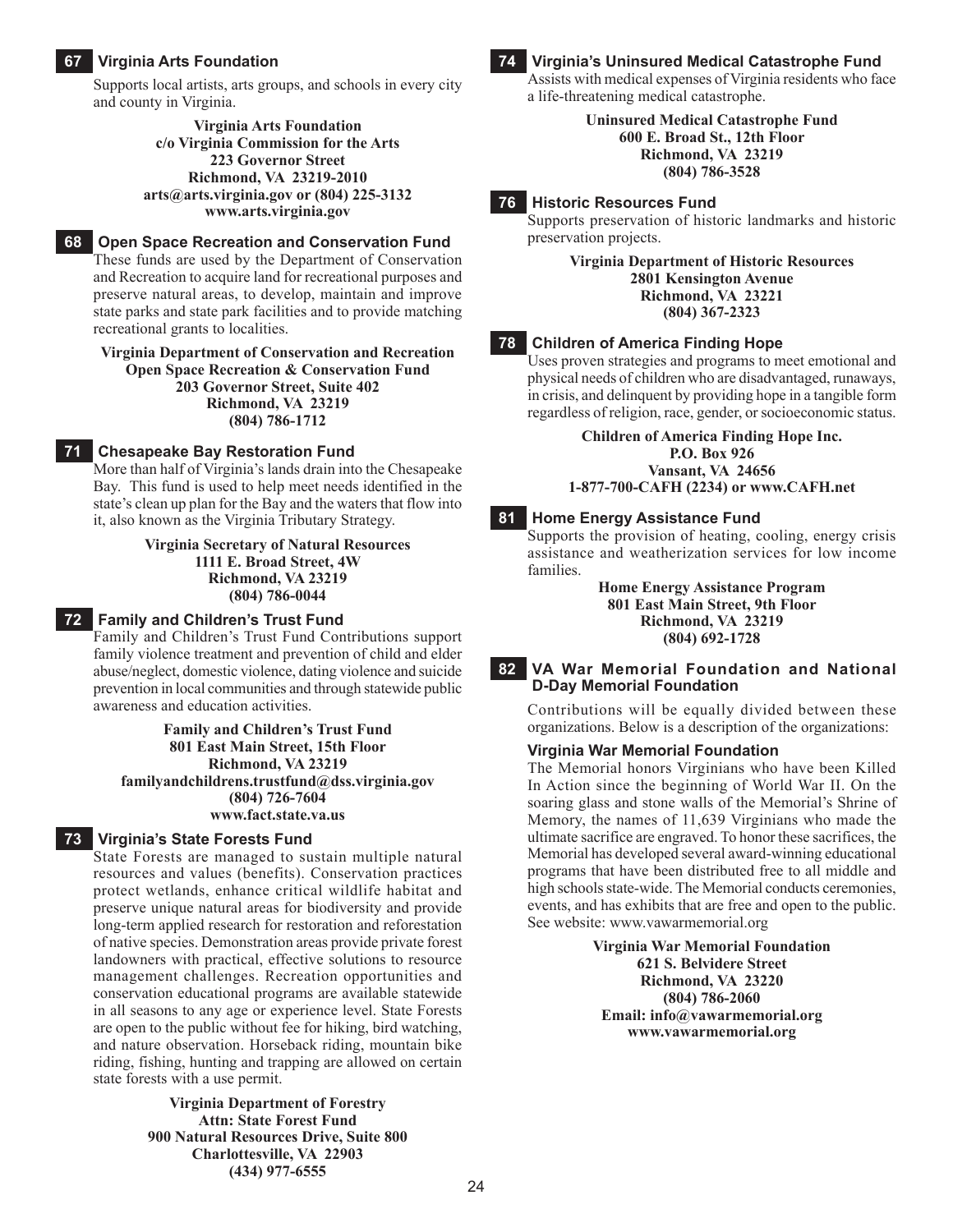#### **67 Virginia Arts Foundation**

Supports local artists, arts groups, and schools in every city and county in Virginia.

> **Virginia Arts Foundation c/o Virginia Commission for the Arts 223 Governor Street Richmond, VA 23219-2010 arts@arts.virginia.gov or (804) 225-3132 www.arts.virginia.gov**

## **68 Open Space Recreation and Conservation Fund**

These funds are used by the Department of Conservation and Recreation to acquire land for recreational purposes and preserve natural areas, to develop, maintain and improve state parks and state park facilities and to provide matching recreational grants to localities.

**Virginia Department of Conservation and Recreation Open Space Recreation & Conservation Fund 203 Governor Street, Suite 402 Richmond, VA 23219**

**(804) 786-1712**

#### **71 Chesapeake Bay Restoration Fund**

More than half of Virginia's lands drain into the Chesapeake Bay. This fund is used to help meet needs identified in the state's clean up plan for the Bay and the waters that flow into it, also known as the Virginia Tributary Strategy.

> **Virginia Secretary of Natural Resources 1111 E. Broad Street, 4W Richmond, VA 23219 (804) 786-0044**

#### **72 Family and Children's Trust Fund**

Family and Children's Trust Fund Contributions support family violence treatment and prevention of child and elder abuse/neglect, domestic violence, dating violence and suicide prevention in local communities and through statewide public awareness and education activities.

**Family and Children's Trust Fund 801 East Main Street, 15th Floor Richmond, VA 23219 familyandchildrens.trustfund@dss.virginia.gov (804) 726-7604 www.fact.state.va.us**

#### **73 Virginia's State Forests Fund**

State Forests are managed to sustain multiple natural resources and values (benefits). Conservation practices protect wetlands, enhance critical wildlife habitat and preserve unique natural areas for biodiversity and provide long-term applied research for restoration and reforestation of native species. Demonstration areas provide private forest landowners with practical, effective solutions to resource management challenges. Recreation opportunities and conservation educational programs are available statewide in all seasons to any age or experience level. State Forests are open to the public without fee for hiking, bird watching, and nature observation. Horseback riding, mountain bike riding, fishing, hunting and trapping are allowed on certain state forests with a use permit.

> **Virginia Department of Forestry Attn: State Forest Fund 900 Natural Resources Drive, Suite 800 Charlottesville, VA 22903 (434) 977-6555**

#### **74 Virginia's Uninsured Medical Catastrophe Fund**

Assists with medical expenses of Virginia residents who face a life-threatening medical catastrophe.

> **Uninsured Medical Catastrophe Fund 600 E. Broad St., 12th Floor Richmond, VA 23219 (804) 786-3528**

**76 Historic Resources Fund** Supports preservation of historic landmarks and historic preservation projects.

> **Virginia Department of Historic Resources 2801 Kensington Avenue Richmond, VA 23221 (804) 367-2323**

#### **78 Children of America Finding Hope**

Uses proven strategies and programs to meet emotional and physical needs of children who are disadvantaged, runaways, in crisis, and delinquent by providing hope in a tangible form regardless of religion, race, gender, or socioeconomic status.

> **Children of America Finding Hope Inc. P.O. Box 926 Vansant, VA 24656 1-877-700-CAFH (2234) or www.CAFH.net**

#### **81 Home Energy Assistance Fund**

Supports the provision of heating, cooling, energy crisis assistance and weatherization services for low income families.

> **Home Energy Assistance Program 801 East Main Street, 9th Floor Richmond, VA 23219 (804) 692-1728**

#### **82 VA War Memorial Foundation and National D-Day Memorial Foundation**

Contributions will be equally divided between these organizations. Below is a description of the organizations:

#### **Virginia War Memorial Foundation**

The Memorial honors Virginians who have been Killed In Action since the beginning of World War II. On the soaring glass and stone walls of the Memorial's Shrine of Memory, the names of 11,639 Virginians who made the ultimate sacrifice are engraved. To honor these sacrifices, the Memorial has developed several award-winning educational programs that have been distributed free to all middle and high schools state-wide. The Memorial conducts ceremonies, events, and has exhibits that are free and open to the public. See website: www.vawarmemorial.org

> **Virginia War Memorial Foundation 621 S. Belvidere Street Richmond, VA 23220 (804) 786-2060 Email: info@vawarmemorial.org www.vawarmemorial.org**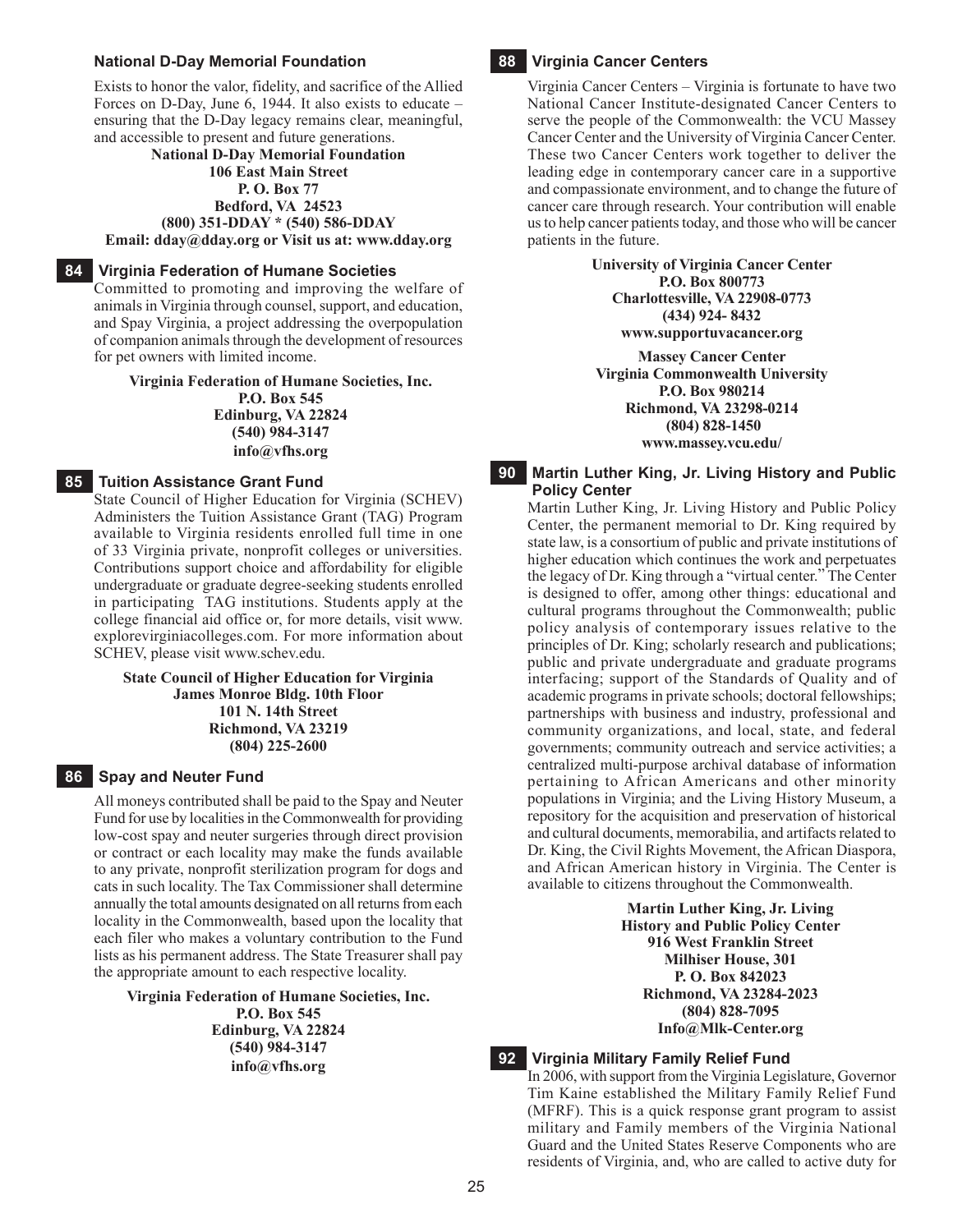#### **National D-Day Memorial Foundation**

Exists to honor the valor, fidelity, and sacrifice of the Allied Forces on D-Day, June 6, 1944. It also exists to educate – ensuring that the D-Day legacy remains clear, meaningful, and accessible to present and future generations.

#### **National D-Day Memorial Foundation 106 East Main Street P. O. Box 77 Bedford, VA 24523 (800) 351-DDAY \* (540) 586-DDAY**

**Email: dday@dday.org or Visit us at: www.dday.org**

#### **84 Virginia Federation of Humane Societies**

Committed to promoting and improving the welfare of animals in Virginia through counsel, support, and education, and Spay Virginia, a project addressing the overpopulation of companion animals through the development of resources for pet owners with limited income.

**Virginia Federation of Humane Societies, Inc. P.O. Box 545 Edinburg, VA 22824 (540) 984-3147 info@vfhs.org**

#### **85 Tuition Assistance Grant Fund**

State Council of Higher Education for Virginia (SCHEV) Administers the Tuition Assistance Grant (TAG) Program available to Virginia residents enrolled full time in one of 33 Virginia private, nonprofit colleges or universities. Contributions support choice and affordability for eligible undergraduate or graduate degree-seeking students enrolled in participating TAG institutions. Students apply at the college financial aid office or, for more details, visit www. explorevirginiacolleges.com. For more information about SCHEV, please visit www.schev.edu.

#### **State Council of Higher Education for Virginia James Monroe Bldg. 10th Floor 101 N. 14th Street Richmond, VA 23219 (804) 225-2600**

#### **86 Spay and Neuter Fund**

All moneys contributed shall be paid to the Spay and Neuter Fund for use by localities in the Commonwealth for providing low-cost spay and neuter surgeries through direct provision or contract or each locality may make the funds available to any private, nonprofit sterilization program for dogs and cats in such locality. The Tax Commissioner shall determine annually the total amounts designated on all returns from each locality in the Commonwealth, based upon the locality that each filer who makes a voluntary contribution to the Fund lists as his permanent address. The State Treasurer shall pay the appropriate amount to each respective locality.

**Virginia Federation of Humane Societies, Inc. P.O. Box 545 Edinburg, VA 22824 (540) 984-3147 info@vfhs.org**

## **88 Virginia Cancer Centers**

Virginia Cancer Centers – Virginia is fortunate to have two National Cancer Institute-designated Cancer Centers to serve the people of the Commonwealth: the VCU Massey Cancer Center and the University of Virginia Cancer Center. These two Cancer Centers work together to deliver the leading edge in contemporary cancer care in a supportive and compassionate environment, and to change the future of cancer care through research. Your contribution will enable us to help cancer patients today, and those who will be cancer patients in the future.

> **University of Virginia Cancer Center P.O. Box 800773 Charlottesville, VA 22908-0773 (434) 924- 8432 www.supportuvacancer.org**

**Massey Cancer Center Virginia Commonwealth University P.O. Box 980214 Richmond, VA 23298-0214 (804) 828-1450 www.massey.vcu.edu/**

#### **90 Martin Luther King, Jr. Living History and Public Policy Center**

Martin Luther King, Jr. Living History and Public Policy Center, the permanent memorial to Dr. King required by state law, is a consortium of public and private institutions of higher education which continues the work and perpetuates the legacy of Dr. King through a "virtual center." The Center is designed to offer, among other things: educational and cultural programs throughout the Commonwealth; public policy analysis of contemporary issues relative to the principles of Dr. King; scholarly research and publications; public and private undergraduate and graduate programs interfacing; support of the Standards of Quality and of academic programs in private schools; doctoral fellowships; partnerships with business and industry, professional and community organizations, and local, state, and federal governments; community outreach and service activities; a centralized multi-purpose archival database of information pertaining to African Americans and other minority populations in Virginia; and the Living History Museum, a repository for the acquisition and preservation of historical and cultural documents, memorabilia, and artifacts related to Dr. King, the Civil Rights Movement, the African Diaspora, and African American history in Virginia. The Center is available to citizens throughout the Commonwealth.

> **Martin Luther King, Jr. Living History and Public Policy Center 916 West Franklin Street Milhiser House, 301 P. O. Box 842023 Richmond, VA 23284-2023 (804) 828-7095 Info@Mlk-Center.org**

#### **92 Virginia Military Family Relief Fund**

In 2006, with support from the Virginia Legislature, Governor Tim Kaine established the Military Family Relief Fund (MFRF). This is a quick response grant program to assist military and Family members of the Virginia National Guard and the United States Reserve Components who are residents of Virginia, and, who are called to active duty for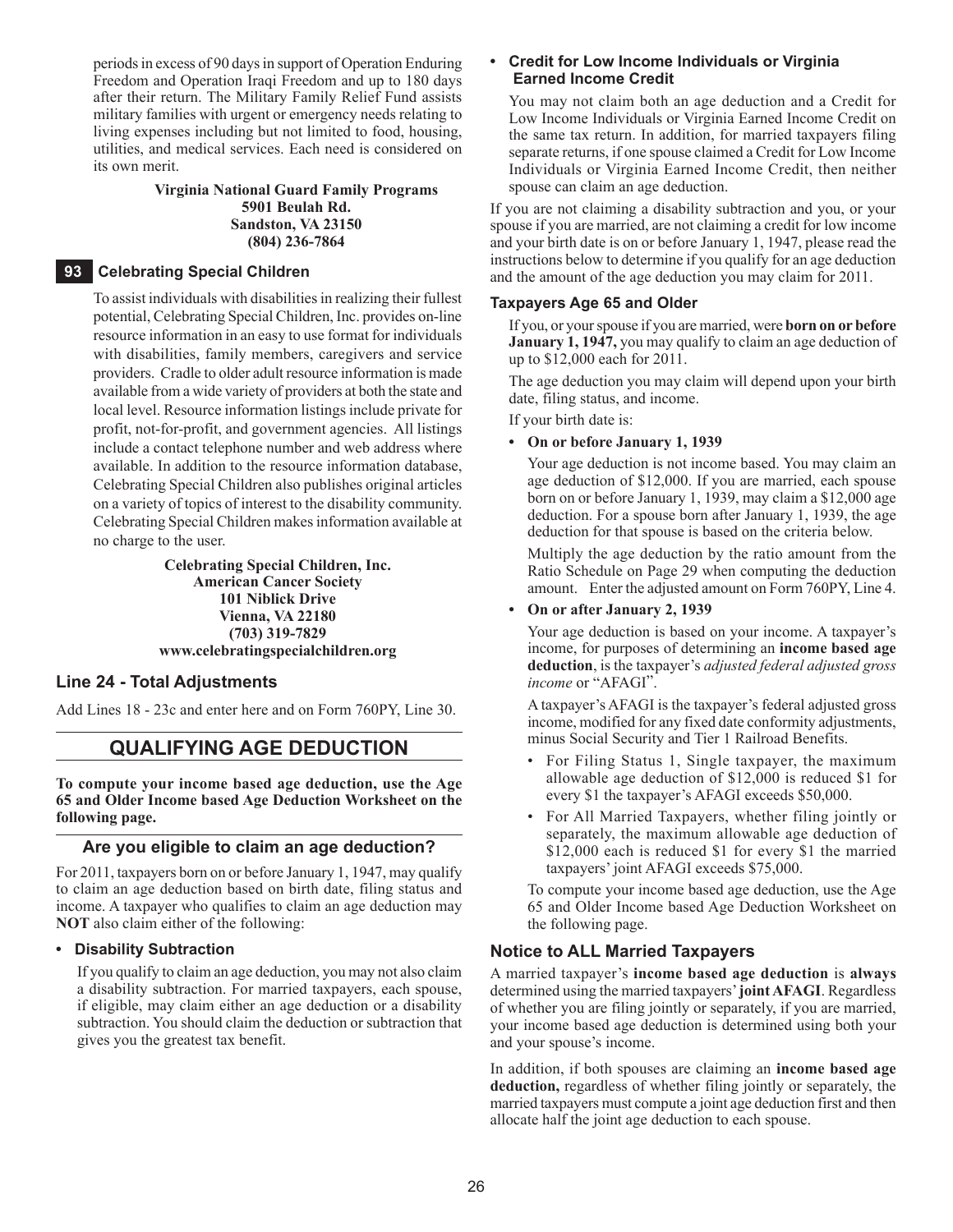periods in excess of 90 days in support of Operation Enduring Freedom and Operation Iraqi Freedom and up to 180 days after their return. The Military Family Relief Fund assists military families with urgent or emergency needs relating to living expenses including but not limited to food, housing, utilities, and medical services. Each need is considered on its own merit.

#### **Virginia National Guard Family Programs 5901 Beulah Rd. Sandston, VA 23150 (804) 236-7864**

#### **93 Celebrating Special Children**

To assist individuals with disabilities in realizing their fullest potential, Celebrating Special Children, Inc. provides on-line resource information in an easy to use format for individuals with disabilities, family members, caregivers and service providers. Cradle to older adult resource information is made available from a wide variety of providers at both the state and local level. Resource information listings include private for profit, not-for-profit, and government agencies. All listings include a contact telephone number and web address where available. In addition to the resource information database, Celebrating Special Children also publishes original articles on a variety of topics of interest to the disability community. Celebrating Special Children makes information available at no charge to the user.

#### **Celebrating Special Children, Inc. American Cancer Society 101 Niblick Drive Vienna, VA 22180 (703) 319-7829 www.celebratingspecialchildren.org**

#### **Line 24 - Total Adjustments**

Add Lines 18 - 23c and enter here and on Form 760PY, Line 30.

## **QUALIFYING AGE DEDUCTION**

**To compute your income based age deduction, use the Age 65 and Older Income based Age Deduction Worksheet on the following page.**

#### **Are you eligible to claim an age deduction?**

For 2011, taxpayers born on or before January 1, 1947, may qualify to claim an age deduction based on birth date, filing status and income. A taxpayer who qualifies to claim an age deduction may **NOT** also claim either of the following:

#### **• Disability Subtraction**

If you qualify to claim an age deduction, you may not also claim a disability subtraction. For married taxpayers, each spouse, if eligible, may claim either an age deduction or a disability subtraction. You should claim the deduction or subtraction that gives you the greatest tax benefit.

#### **• Credit for Low Income Individuals or Virginia Earned Income Credit**

You may not claim both an age deduction and a Credit for Low Income Individuals or Virginia Earned Income Credit on the same tax return. In addition, for married taxpayers filing separate returns, if one spouse claimed a Credit for Low Income Individuals or Virginia Earned Income Credit, then neither spouse can claim an age deduction.

If you are not claiming a disability subtraction and you, or your spouse if you are married, are not claiming a credit for low income and your birth date is on or before January 1, 1947, please read the instructions below to determine if you qualify for an age deduction and the amount of the age deduction you may claim for 2011.

#### **Taxpayers Age 65 and Older**

If you, or your spouse if you are married, were **born on or before January 1, 1947,** you may qualify to claim an age deduction of up to \$12,000 each for 2011.

The age deduction you may claim will depend upon your birth date, filing status, and income.

If your birth date is:

#### **• On or before January 1, 1939**

Your age deduction is not income based. You may claim an age deduction of \$12,000. If you are married, each spouse born on or before January 1, 1939, may claim a \$12,000 age deduction. For a spouse born after January 1, 1939, the age deduction for that spouse is based on the criteria below.

Multiply the age deduction by the ratio amount from the Ratio Schedule on Page 29 when computing the deduction amount. Enter the adjusted amount on Form 760PY, Line 4.

#### **• On or after January 2, 1939**

Your age deduction is based on your income. A taxpayer's income, for purposes of determining an **income based age deduction**, is the taxpayer's *adjusted federal adjusted gross income* or "AFAGI".

A taxpayer's AFAGI is the taxpayer's federal adjusted gross income, modified for any fixed date conformity adjustments, minus Social Security and Tier 1 Railroad Benefits.

- For Filing Status 1, Single taxpayer, the maximum allowable age deduction of \$12,000 is reduced \$1 for every \$1 the taxpayer's AFAGI exceeds \$50,000.
- For All Married Taxpayers, whether filing jointly or separately, the maximum allowable age deduction of \$12,000 each is reduced \$1 for every \$1 the married taxpayers' joint AFAGI exceeds \$75,000.

To compute your income based age deduction, use the Age 65 and Older Income based Age Deduction Worksheet on the following page.

#### **Notice to All Married Taxpayers**

A married taxpayer's **income based age deduction** is **always** determined using the married taxpayers' **joint AFAGI**. Regardless of whether you are filing jointly or separately, if you are married, your income based age deduction is determined using both your and your spouse's income.

In addition, if both spouses are claiming an **income based age deduction,** regardless of whether filing jointly or separately, the married taxpayers must compute a joint age deduction first and then allocate half the joint age deduction to each spouse.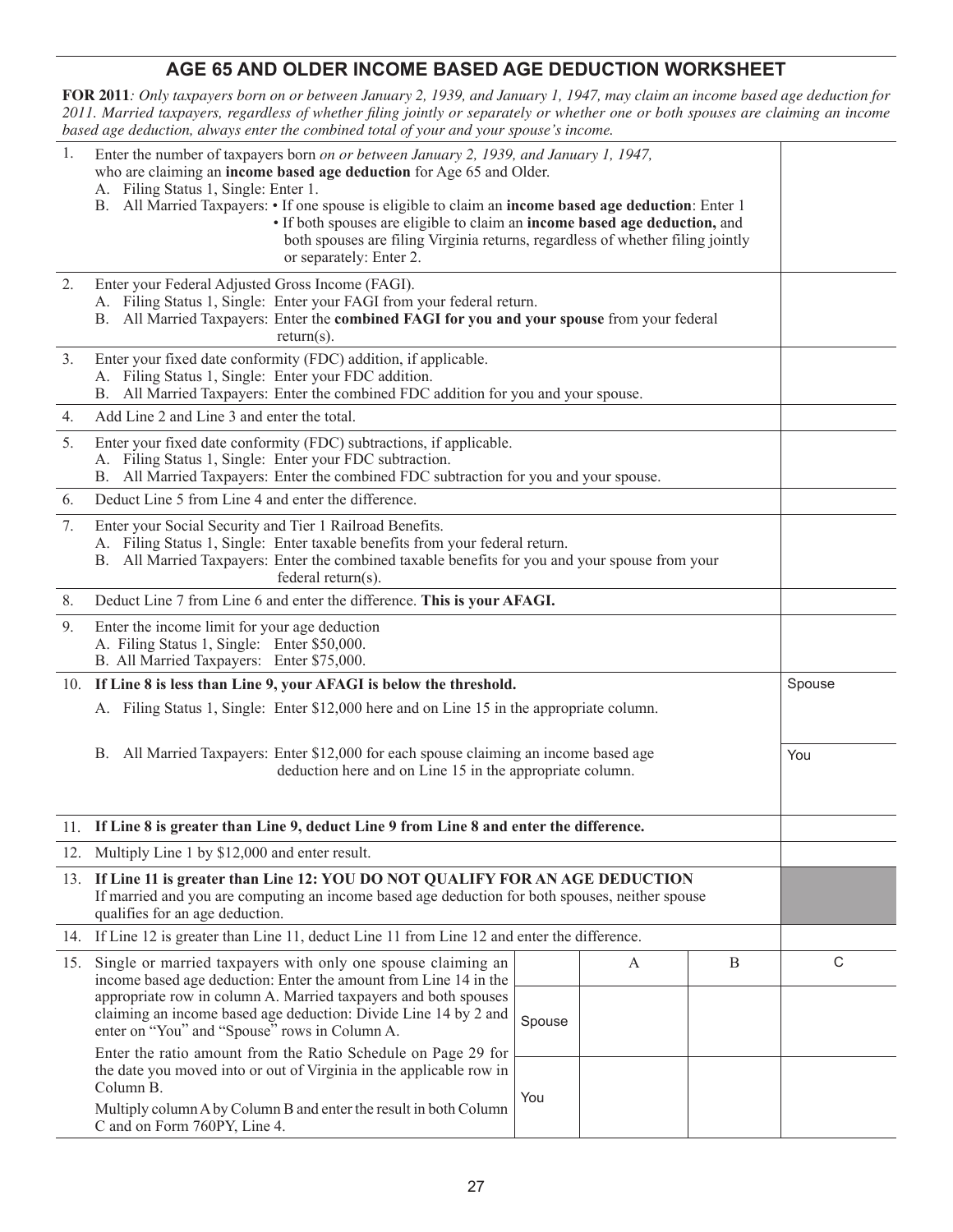## **AGE 65 AND OLDER INCOME BASED AGE Deduction Worksheet**

**FOR 2011***: Only taxpayers born on or between January 2, 1939, and January 1, 1947, may claim an income based age deduction for 2011. Married taxpayers, regardless of whether filing jointly or separately or whether one or both spouses are claiming an income based age deduction, always enter the combined total of your and your spouse's income.* 

| 1.                                                                                                                                                | Enter the number of taxpayers born on or between January 2, 1939, and January 1, 1947,<br>who are claiming an income based age deduction for Age 65 and Older.<br>A. Filing Status 1, Single: Enter 1.<br>B. All Married Taxpayers: • If one spouse is eligible to claim an income based age deduction: Enter 1<br>• If both spouses are eligible to claim an income based age deduction, and<br>both spouses are filing Virginia returns, regardless of whether filing jointly<br>or separately: Enter 2. |        |   |   |             |  |  |
|---------------------------------------------------------------------------------------------------------------------------------------------------|------------------------------------------------------------------------------------------------------------------------------------------------------------------------------------------------------------------------------------------------------------------------------------------------------------------------------------------------------------------------------------------------------------------------------------------------------------------------------------------------------------|--------|---|---|-------------|--|--|
| 2.                                                                                                                                                | Enter your Federal Adjusted Gross Income (FAGI).<br>A. Filing Status 1, Single: Enter your FAGI from your federal return.<br>B. All Married Taxpayers: Enter the combined FAGI for you and your spouse from your federal<br>$return(s)$ .                                                                                                                                                                                                                                                                  |        |   |   |             |  |  |
| 3.                                                                                                                                                | Enter your fixed date conformity (FDC) addition, if applicable.<br>A. Filing Status 1, Single: Enter your FDC addition.<br>B. All Married Taxpayers: Enter the combined FDC addition for you and your spouse.                                                                                                                                                                                                                                                                                              |        |   |   |             |  |  |
| 4.                                                                                                                                                | Add Line 2 and Line 3 and enter the total.                                                                                                                                                                                                                                                                                                                                                                                                                                                                 |        |   |   |             |  |  |
| 5.                                                                                                                                                | Enter your fixed date conformity (FDC) subtractions, if applicable.<br>A. Filing Status 1, Single: Enter your FDC subtraction.<br>B. All Married Taxpayers: Enter the combined FDC subtraction for you and your spouse.                                                                                                                                                                                                                                                                                    |        |   |   |             |  |  |
| 6.                                                                                                                                                | Deduct Line 5 from Line 4 and enter the difference.                                                                                                                                                                                                                                                                                                                                                                                                                                                        |        |   |   |             |  |  |
| 7.                                                                                                                                                | Enter your Social Security and Tier 1 Railroad Benefits.<br>A. Filing Status 1, Single: Enter taxable benefits from your federal return.<br>B. All Married Taxpayers: Enter the combined taxable benefits for you and your spouse from your<br>federal return(s).                                                                                                                                                                                                                                          |        |   |   |             |  |  |
| 8.                                                                                                                                                | Deduct Line 7 from Line 6 and enter the difference. This is your AFAGI.                                                                                                                                                                                                                                                                                                                                                                                                                                    |        |   |   |             |  |  |
| 9.                                                                                                                                                | Enter the income limit for your age deduction<br>A. Filing Status 1, Single: Enter \$50,000.<br>B. All Married Taxpayers: Enter \$75,000.                                                                                                                                                                                                                                                                                                                                                                  |        |   |   |             |  |  |
| 10. If Line 8 is less than Line 9, your AFAGI is below the threshold.                                                                             |                                                                                                                                                                                                                                                                                                                                                                                                                                                                                                            |        |   |   |             |  |  |
|                                                                                                                                                   | A. Filing Status 1, Single: Enter \$12,000 here and on Line 15 in the appropriate column.                                                                                                                                                                                                                                                                                                                                                                                                                  |        |   |   |             |  |  |
| B. All Married Taxpayers: Enter \$12,000 for each spouse claiming an income based age<br>deduction here and on Line 15 in the appropriate column. |                                                                                                                                                                                                                                                                                                                                                                                                                                                                                                            |        |   |   |             |  |  |
|                                                                                                                                                   | 11. If Line 8 is greater than Line 9, deduct Line 9 from Line 8 and enter the difference.                                                                                                                                                                                                                                                                                                                                                                                                                  |        |   |   |             |  |  |
|                                                                                                                                                   | 12. Multiply Line 1 by \$12,000 and enter result.                                                                                                                                                                                                                                                                                                                                                                                                                                                          |        |   |   |             |  |  |
|                                                                                                                                                   | 13. If Line 11 is greater than Line 12: YOU DO NOT QUALIFY FOR AN AGE DEDUCTION<br>If married and you are computing an income based age deduction for both spouses, neither spouse<br>qualifies for an age deduction.                                                                                                                                                                                                                                                                                      |        |   |   |             |  |  |
|                                                                                                                                                   | 14. If Line 12 is greater than Line 11, deduct Line 11 from Line 12 and enter the difference.                                                                                                                                                                                                                                                                                                                                                                                                              |        |   |   |             |  |  |
| 15.                                                                                                                                               | Single or married taxpayers with only one spouse claiming an<br>income based age deduction: Enter the amount from Line 14 in the<br>appropriate row in column A. Married taxpayers and both spouses<br>claiming an income based age deduction: Divide Line 14 by 2 and<br>enter on "You" and "Spouse" rows in Column A.                                                                                                                                                                                    | Spouse | A | B | $\mathsf C$ |  |  |
|                                                                                                                                                   | Enter the ratio amount from the Ratio Schedule on Page 29 for<br>the date you moved into or out of Virginia in the applicable row in<br>Column B.<br>Multiply column A by Column B and enter the result in both Column<br>C and on Form 760PY, Line 4.                                                                                                                                                                                                                                                     | You    |   |   |             |  |  |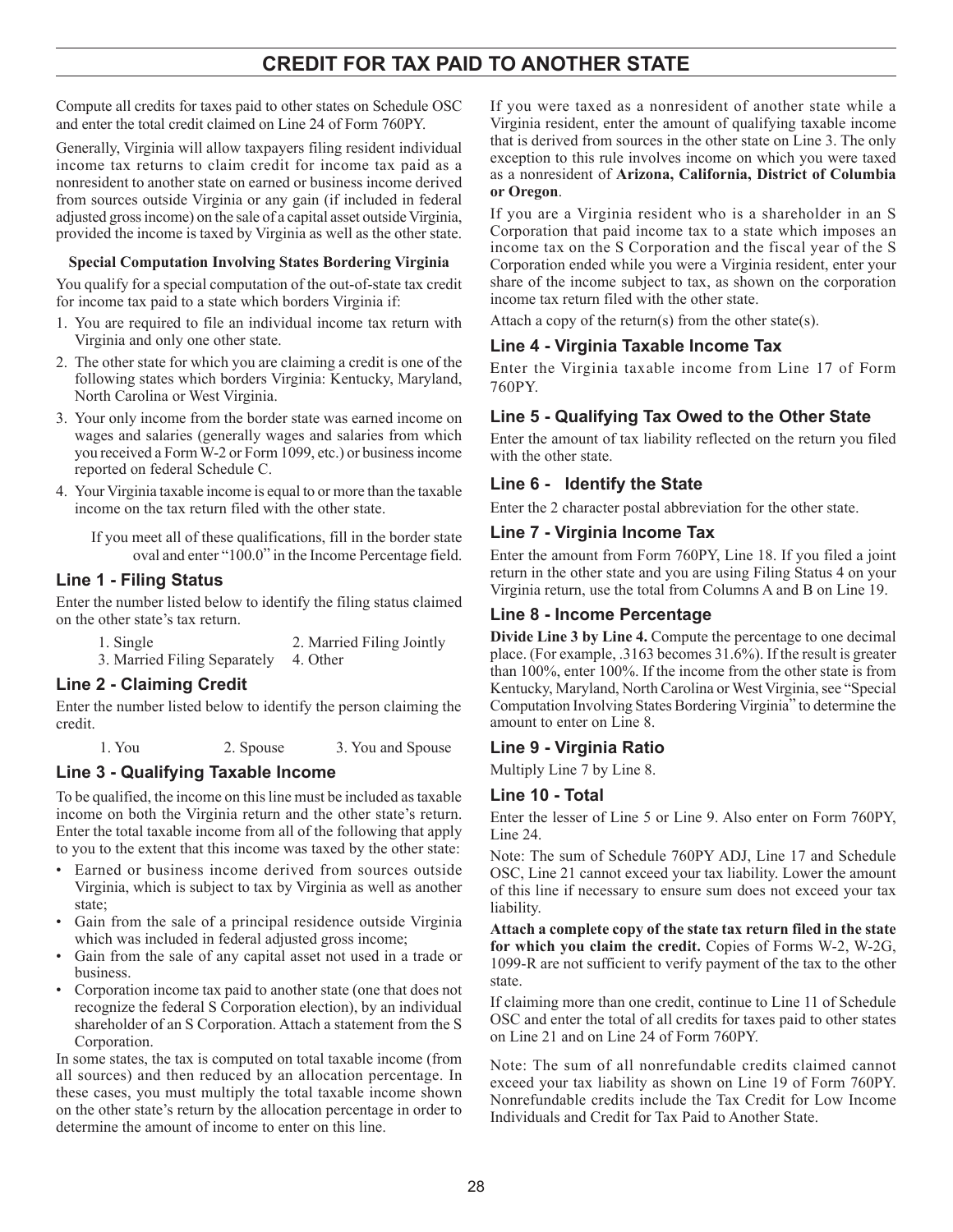## **Credit For Tax Paid To Another State**

Compute all credits for taxes paid to other states on Schedule OSC and enter the total credit claimed on Line 24 of Form 760PY.

Generally, Virginia will allow taxpayers filing resident individual income tax returns to claim credit for income tax paid as a nonresident to another state on earned or business income derived from sources outside Virginia or any gain (if included in federal adjusted gross income) on the sale of a capital asset outside Virginia, provided the income is taxed by Virginia as well as the other state.

#### **Special Computation Involving States Bordering Virginia**

You qualify for a special computation of the out-of-state tax credit for income tax paid to a state which borders Virginia if:

- 1. You are required to file an individual income tax return with Virginia and only one other state.
- 2. The other state for which you are claiming a credit is one of the following states which borders Virginia: Kentucky, Maryland, North Carolina or West Virginia.
- 3. Your only income from the border state was earned income on wages and salaries (generally wages and salaries from which you received a Form W-2 or Form 1099, etc.) or business income reported on federal Schedule C.
- 4. Your Virginia taxable income is equal to or more than the taxable income on the tax return filed with the other state.

If you meet all of these qualifications, fill in the border state oval and enter "100.0" in the Income Percentage field.

## **Line 1 - Filing Status**

Enter the number listed below to identify the filing status claimed on the other state's tax return.

1. Single 2. Married Filing Jointly

3. Married Filing Separately 4. Other

## **Line 2 - Claiming Credit**

Enter the number listed below to identify the person claiming the credit.

1. You 2. Spouse 3. You and Spouse

## **Line 3 - Qualifying Taxable Income**

To be qualified, the income on this line must be included as taxable income on both the Virginia return and the other state's return. Enter the total taxable income from all of the following that apply to you to the extent that this income was taxed by the other state:

- Earned or business income derived from sources outside Virginia, which is subject to tax by Virginia as well as another state;
- Gain from the sale of a principal residence outside Virginia which was included in federal adjusted gross income;
- Gain from the sale of any capital asset not used in a trade or business.
- Corporation income tax paid to another state (one that does not recognize the federal S Corporation election), by an individual shareholder of an S Corporation. Attach a statement from the S Corporation.

In some states, the tax is computed on total taxable income (from all sources) and then reduced by an allocation percentage. In these cases, you must multiply the total taxable income shown on the other state's return by the allocation percentage in order to determine the amount of income to enter on this line.

If you were taxed as a nonresident of another state while a Virginia resident, enter the amount of qualifying taxable income that is derived from sources in the other state on Line 3. The only exception to this rule involves income on which you were taxed as a nonresident of **Arizona, California, District of Columbia or Oregon**.

If you are a Virginia resident who is a shareholder in an S Corporation that paid income tax to a state which imposes an income tax on the S Corporation and the fiscal year of the S Corporation ended while you were a Virginia resident, enter your share of the income subject to tax, as shown on the corporation income tax return filed with the other state.

Attach a copy of the return(s) from the other state(s).

## **Line 4 - Virginia Taxable Income Tax**

Enter the Virginia taxable income from Line 17 of Form 760PY.

## **Line 5 - Qualifying Tax Owed to the Other State**

Enter the amount of tax liability reflected on the return you filed with the other state.

## **Line 6 - Identify the State**

Enter the 2 character postal abbreviation for the other state.

## **Line 7 - Virginia Income Tax**

Enter the amount from Form 760PY, Line 18. If you filed a joint return in the other state and you are using Filing Status 4 on your Virginia return, use the total from Columns A and B on Line 19.

## **Line 8 - Income Percentage**

**Divide Line 3 by Line 4.** Compute the percentage to one decimal place. (For example, .3163 becomes 31.6%). If the result is greater than 100%, enter 100%. If the income from the other state is from Kentucky, Maryland, North Carolina or West Virginia, see "Special Computation Involving States Bordering Virginia" to determine the amount to enter on Line 8.

## **Line 9 - Virginia Ratio**

Multiply Line 7 by Line 8.

## **Line 10 - Total**

Enter the lesser of Line 5 or Line 9. Also enter on Form 760PY, Line 24.

Note: The sum of Schedule 760PY ADJ, Line 17 and Schedule OSC, Line 21 cannot exceed your tax liability. Lower the amount of this line if necessary to ensure sum does not exceed your tax liability.

**Attach a complete copy of the state tax return filed in the state for which you claim the credit.** Copies of Forms W‑2, W‑2G, 1099‑R are not sufficient to verify payment of the tax to the other state.

If claiming more than one credit, continue to Line 11 of Schedule OSC and enter the total of all credits for taxes paid to other states on Line 21 and on Line 24 of Form 760PY.

Note: The sum of all nonrefundable credits claimed cannot exceed your tax liability as shown on Line 19 of Form 760PY. Nonrefundable credits include the Tax Credit for Low Income Individuals and Credit for Tax Paid to Another State.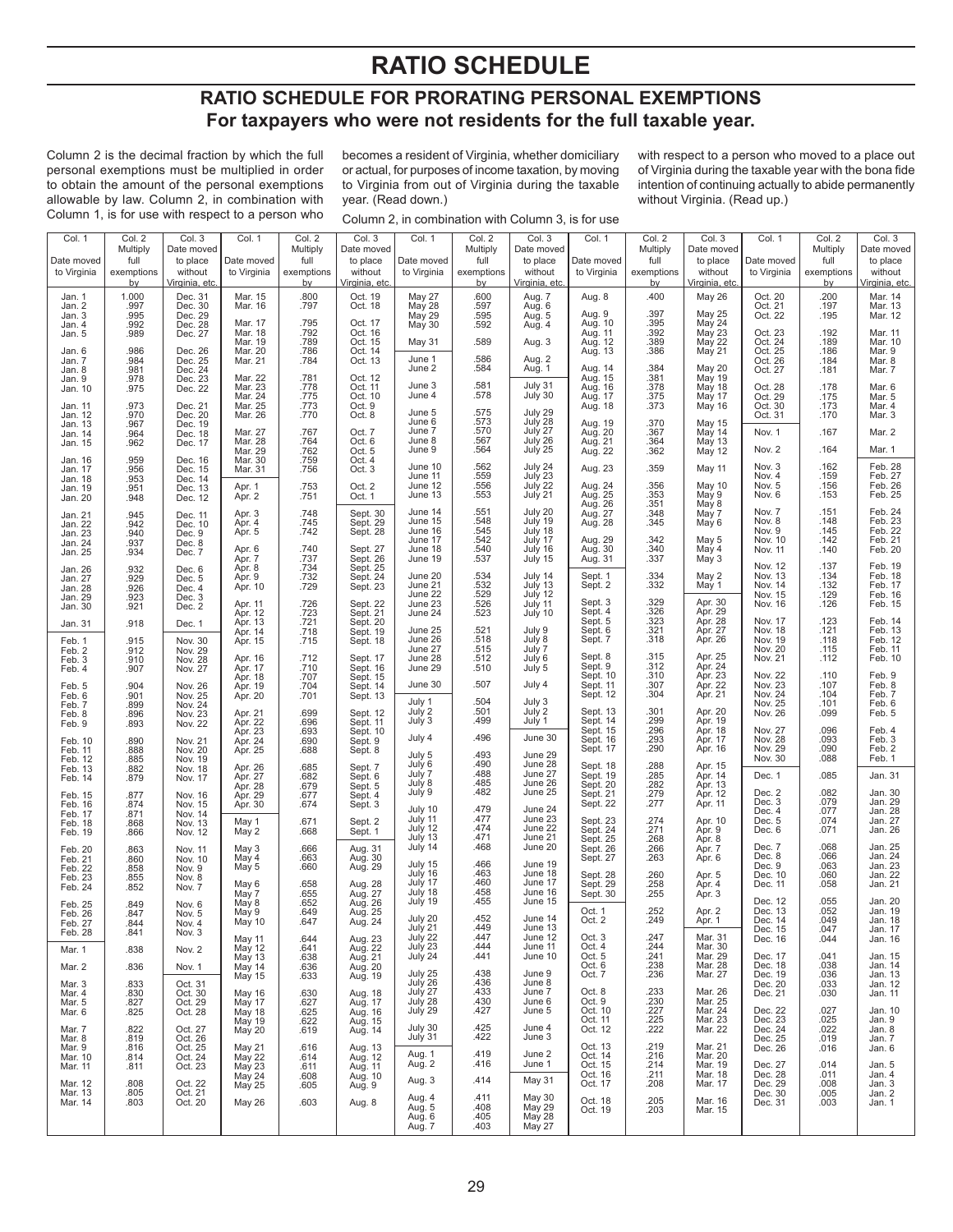## **RATIO SCHEDULE**

## **RATIO SCHEDULE FOR PRORATING PERSONAL EXEMPTIONS For taxpayers who were not residents for the full taxable year.**

Column 2 is the decimal fraction by which the full personal exemptions must be multiplied in order to obtain the amount of the personal exemptions allowable by law. Column 2, in combination with Column 1, is for use with respect to a person who

becomes a resident of Virginia, whether domiciliary or actual, for purposes of income taxation, by moving to Virginia from out of Virginia during the taxable year. (Read down.)

Column 2, in combination with Column 3, is for use

with respect to a person who moved to a place out of Virginia during the taxable year with the bona fide intention of continuing actually to abide permanently without Virginia. (Read up.)

| Col. 1             | Col. 2               | Col. 3<br>Date moved          | Col. 1                                         | Col. 2           | Col. 3                                              | Col. 1                        | Col. 2           | Col. 3                        | Col. 1                                              | Col. 2                                    | Col. 3                                   | Col. 1             | Col. 2                   | Col. 3                        |
|--------------------|----------------------|-------------------------------|------------------------------------------------|------------------|-----------------------------------------------------|-------------------------------|------------------|-------------------------------|-----------------------------------------------------|-------------------------------------------|------------------------------------------|--------------------|--------------------------|-------------------------------|
| Date moved         | Multiply<br>full     | to place                      | Date moved                                     | Multiply<br>full | Date moved<br>to place                              | Date moved                    | Multiply<br>full | Date moved<br>to place        | Date moved                                          | Multiply<br>full                          | Date moved<br>to place                   | Date moved         | Multiply<br>full         | Date moved<br>to place        |
| to Virginia        | exemptions           | without                       | to Virginia                                    | exemptions       | without                                             | to Virginia                   | exemptions       | without                       | to Virginia                                         | exemptions                                | without                                  | to Virginia        | exemptions               | without                       |
|                    | $b$ v                | Virginia, etc                 |                                                | <u>by</u>        | Virginia, etc.                                      |                               | <u>by</u>        | Virginia, etc.                |                                                     | <u>by</u>                                 | Virginia, etc.                           |                    | <u>by</u>                | Virginia, etc.                |
| Jan. 1             | 1.000                | Dec. 31                       | Mar. 15                                        | .800             | Oct. 19                                             | May 27                        | .600             | Aug. 7                        | Aug. 8                                              | .400                                      | <b>May 26</b>                            | Oct. 20            | .200                     | Mar. 14                       |
| Jan. 2<br>Jan. 3   | .997<br>.995         | Dec. 30<br>Dec. 29            | Mar. 16                                        | .797             | Oct. 18                                             | May 28<br>May 29              | .597<br>.595     | Aug. 6<br>Aug. 5              | Aug. 9                                              | .397                                      | May 25                                   | Oct. 21<br>Oct. 22 | .197<br>.195             | Mar. 13<br>Mar. 12            |
| Jan. 4             | .992<br>.989         | Dec. 28                       | Mar. 17<br>Mar. 18                             | .795<br>.792     | Oct. 17<br>Oct. 16                                  | May 30                        | .592             | Aug. 4                        | Aug. 10<br>Aug. 11                                  | .395<br>.392                              | May 24                                   |                    | .192                     | Mar. 11                       |
| Jan. 5             |                      | Dec. 27                       | Mar. 19                                        | .789             | Oct. 15                                             | May 31                        | .589             | Aug. 3                        | Aug. 12                                             | .389                                      | May 23<br>May 22<br>May 21               | Oct. 23<br>Oct. 24 | .189                     | Mar. 10                       |
| Jan. 6<br>Jan. 7   | .986<br>.984<br>.981 | Dec. 26<br>Dec. 25            | Mar. 20<br>Mar. 21                             | .786<br>.784     | Oct. 14<br>Oct. 13                                  | June 1                        | .586             | Aug. 2                        | Aug. 13                                             | .386                                      |                                          | Oct. 25            | .186<br>.184             | Mar. 9<br>Mar. 8              |
| Jan. 8             |                      | Dec. 24                       |                                                |                  |                                                     | June 2                        | .584             | Aug. 1                        | Aug. 14<br>Aug. 15<br>Aug. 16<br>Aug. 17<br>Aug. 18 | .384                                      | <b>May 20</b>                            | Oct. 26<br>Oct. 27 | .181                     | Mar. 7                        |
| Jan. 9<br>Jan. 10  | .978<br>.975         | Dec. 23<br>Dec. 22            | Mar. 22<br>Mar. 23                             | .781<br>.778     | Oct. 12<br>Oct. 11                                  | June 3                        | .581             | July 31                       |                                                     | .381<br>.378                              | May 19<br><b>May 18</b>                  | Oct. 28            | .178                     | Mar. 6                        |
|                    |                      |                               | Mar. 24                                        | .775             | Oct. 10                                             | June 4                        | .578             | July 30                       |                                                     | .375                                      | May 17                                   | Oct. 29            | .175                     | Mar. 5                        |
| Jan. 11<br>Jan. 12 | .973<br>.970         | Dec. 21<br>Dec. 20            | Mar. 25<br>Mar. 26                             | .773<br>.770     | Oct. 9<br>Oct. 8                                    | June 5                        | .575<br>.573     |                               |                                                     | .373                                      | <b>May 16</b>                            | Oct. 30<br>Oct. 31 | .173<br>.170             | Mar. 4<br>Mar. 3              |
| Jan. 13            | .967                 | Dec. 19                       | Mar. 27                                        | .767             | Oct. 7                                              | June 6<br>June 7              | .570             | July 29<br>July 28<br>July 27 | Aug. 19<br>Aug. 20                                  | .370<br>.367                              | <b>May 15</b><br>May 14                  | Nov. 1             | .167                     | Mar. 2                        |
| Jan. 14<br>Jan. 15 | .964<br>.962         | Dec. 18<br>Dec. 17            | Mar. 28                                        | .764             | Oct. 6                                              | June 8                        | .567             | July 26                       | Aug. 21<br>Aug. 22                                  | .364                                      | May 13                                   |                    |                          |                               |
| Jan. 16            | .959                 | Dec. 16                       | Mar. 29<br>Mar. 30                             | .762<br>.759     | Oct. 5<br>Oct. 4                                    | June 9                        | .564             | July 25                       |                                                     | .362                                      | <b>May 12</b>                            | Nov. 2             | .164                     | Mar. 1                        |
| Jan. 17            | .956                 | Dec. 15                       | Mar. 31                                        | .756             | Oct. 3                                              | June 10<br>June 11            | .562<br>.559     | July 24<br>July 23            | Aug. 23                                             | .359                                      | <b>May 11</b>                            | Nov. 3<br>Nov. 4   | .162<br>.159             | Feb. 28<br>Feb. 27            |
| Jan. 18<br>Jan. 19 | .953<br>.951         | Dec. 14<br>Dec. 13            | Apr. 1                                         | .753             | Oct. 2                                              | June 12                       | .556             | July 22                       |                                                     | .356                                      | May 10                                   | Nov. 5             | .156                     | Feb. 26                       |
| Jan. 20            | .948                 | Dec. 12                       | Apr. 2                                         | .751             | Oct. 1                                              | June 13                       | .553             | July 21                       | Aug. 24<br>Aug. 25<br>Aug. 26<br>Aug. 27            | .353<br>.351                              | May 9<br>May 8                           | Nov. 6             | .153                     | Feb. 25                       |
| Jan. 21            | .945<br>.942         | Dec. 11                       | Apr. 3                                         | .748             | Sept. 30                                            | June 14                       | 551<br>.548      | July 20                       |                                                     | .348                                      | May 7                                    | Nov. 7             | .151                     | Feb. 24<br>Feb. 23<br>Feb. 22 |
| Jan. 22<br>Jan. 23 |                      | Dec. 10<br>Dec. 9             | Apr. 4<br>Apr. 5                               | .745<br>.742     | Sept. 29<br>Sept. 28                                | June 15<br>June 16            | .545             | July 19<br>July 18            | Aug. 28                                             | .345                                      | May 6                                    | Nov. 8<br>Nov. 9   | .148                     |                               |
| Jan. 24            | $.940$<br>.937       | Dec. 8                        |                                                | .740             | Sept. 27                                            | June 17<br>June 18            | 542<br>.540      | July 17<br>July 16            | Aug. 29                                             | .342<br>.340                              | May 5                                    | Nov. 10            | $.145$<br>$.142$<br>.140 | Feb. 21<br>Feb. 20            |
| Jan. 25            | .934                 | Dec. 7                        | Apr. 6<br>Apr. 7                               | .737             | Sept. 26                                            | June 19                       | .537             | July 15                       | Aug. 30<br>Aug. 31                                  | .337                                      | May 4<br>May 3                           | Nov. 11            |                          |                               |
| Jan. 26            | .932                 | Dec. 6                        | Apr. 8<br>Apr. 9                               | .734<br>.732     | Sept. 25<br>Sept. 24                                | June 20                       | .534             | July 14                       | Sept. 1                                             | .334                                      | May 2                                    | Nov. 12<br>Nov. 13 | .137<br>.134             | Feb. 19<br>Feb. 18            |
| Jan. 27<br>Jan. 28 | .929<br>.926         | Dec. 5<br>Dec. 4              | Apr. 10                                        | .729             | Sept. 23                                            | June 21                       | .532             | July 13                       | Sept. 2                                             | .332                                      | May 1                                    | Nov. 14            | .132                     | Feb. 17                       |
| Jan. 29<br>Jan. 30 | .923<br>.921         | Dec. 3<br>Dec. 2              | Apr. 11                                        | .726             | Sept. 22                                            | June 22<br>June 23            | .529<br>526      | July 12<br>July 11            | Sept. 3                                             | .329                                      | Apr. 30                                  | Nov. 15<br>Nov. 16 | .129<br>.126             | Feb. 16<br>Feb. 15            |
|                    |                      |                               | Apr. 12                                        | .723             | Sept. 21                                            | June 24                       | .523             | July 10                       | Sept. 4<br>Sept. 5                                  | .326<br>.323                              | Apr. 29<br>Apr. 28                       | Nov. 17            | .123                     | Feb. 14                       |
| Jan. 31            | .918                 | Dec. 1                        | Apr. 13<br>Apr. 14                             | .721<br>.718     | Sept. 20<br>Sept. 19                                | June 25                       | .521             | July 9                        | Sept. 6                                             | .321                                      | Apr. 27                                  | Nov. 18            | .121                     | Feb. 13                       |
| Feb. 1             | .915<br>.912         | Nov. 30                       | Apr. 15                                        | .715             | Sept. 18                                            | June 26<br>June 27            | .518<br>.515     | July 8<br>July 7              | Sept. 7                                             | .318                                      | Apr. 26                                  | Nov. 19<br>Nov. 20 | .118<br>.115             | Feb. 12<br>Feb. 11            |
| Feb. 2<br>Feb. 3   | .910                 | Nov. 29<br>Nov. 28            | Apr. 16                                        | .712             | Sept. 17                                            | June 28                       | .512             | July 6                        | Sept. 8                                             | .315                                      | Apr. 25<br>Apr. 24<br>Apr. 23<br>Apr. 22 | Nov. 21            | .112                     | Feb. 10                       |
| Feb. 4             | .907                 | Nov. 27                       | Apr. 17<br>Apr. 18                             | .710<br>.707     | Sept. 16<br>Sept. 15                                | June 29                       | .510             | July 5                        | Sept. 9<br>Sept. 10                                 | .312<br>.310                              |                                          | Nov. 22            | .110                     |                               |
| Feb. 5             | .904                 | Nov. 26                       | Apr. 19                                        | .704             | Sept. 14                                            | June 30                       | .507             | July 4                        | Sept. 11                                            | .307                                      |                                          | Nov. 23            | .107                     | Feb. 9<br>Feb. 8              |
| Feb. 6<br>Feb. 7   | .901<br>.899         | Nov. 25<br>Nov. 24            | Apr. 20                                        | .701             | Sept. 13                                            | July 1                        | .504             | July 3                        | Sept. 12                                            | .304                                      | Apr. 21                                  | Nov. 24<br>Nov. 25 | .104<br>.101             | Feb. 7<br>Feb. 6              |
| Feb. 8             | .896                 | Nov. 23                       | Apr. 21                                        | .699<br>.696     | Sept. 12                                            | July 2<br>July 3              | .501<br>.499     | July 2<br>July 1              | Sept. 13<br>Sept. 14                                | .301<br>.299                              | Apr. 20<br>Apr. 19                       | Nov. 26            | .099                     | Feb. 5                        |
| Feb. 9             | .893                 | Nov. 22                       | Apr. 22<br>Apr. 23                             | .693             | Sept. 11<br>Sept. 10                                |                               |                  |                               | Sept. 15                                            | .296                                      | Apr. 18                                  | Nov. 27            | .096                     | Feb. 4                        |
| Feb. 10<br>Feb. 11 | .890<br>.888         | Nov. 21<br>Nov. 20            | Apr. 24<br>Apr. 25                             | .690<br>.688     | Sept. 9<br>Sept. 8                                  | July 4                        | .496             | June 30                       | Sept. 16<br>Sept. 17                                | .293<br>.290                              | Apr. 17<br>Apr. 16                       | Nov. 28<br>Nov. 29 | .093<br>.090             | Feb. 3<br>Feb. 2              |
| Feb. 12            | .885                 | Nov. 19                       |                                                |                  |                                                     | July 5<br>July 6              | .493<br>.490     | June 29<br>June 28            |                                                     | .288                                      |                                          | Nov. 30            | .088                     | Feb. 1                        |
| Feb. 13<br>Feb. 14 | .882<br>.879         | Nov. 18<br>Nov. 17            | Apr. 26<br>Apr. 27                             | .685<br>.682     | Sept. 7<br>Sept. 6                                  | July 7                        | .488             | June 27                       | Sept. 18<br>Sept. 19                                | 285                                       | Apr. 15<br>Apr. 14                       | Dec. 1             | .085                     | Jan. 31                       |
|                    | .877                 |                               | Apr. 28                                        | .679<br>.677     | Sept. 5                                             | July 8<br>July 9              | .485<br>.482     | June 26<br>June 25            | Sept. 20<br>Sept. 21                                | 282<br>.279                               | Apr. 13<br>Apr. 12                       | Dec. 2             | .082                     |                               |
| Feb. 15<br>Feb. 16 | .874                 | Nov. 16<br>Nov. 15            | Apr. 29<br>Apr. 30                             | .674             | Sept. 4<br>Sept. 3                                  |                               | .479             |                               | Sept. 22                                            | .277                                      | Apr. 11                                  | Dec. 3             | .079                     | Jan. 30<br>Jan. 29            |
| Feb. 17<br>Feb. 18 | .871<br>.868         | Nov. 14<br>Nov. 13            | May 1                                          | .671             | Sept. 2                                             | July 10<br>July 11            | .477             | June 24<br>June 23            | Sept. 23                                            |                                           | Apr. 10                                  | Dec. 4<br>Dec. 5   | .077<br>.074             | Jan. 28<br>Jan. 27            |
| Feb. 19            | .866                 | Nov. 12                       | May 2                                          | .668             | Sept. 1                                             | July 12<br>July 13            | .474<br>.471     | June 22<br>June 21            | Sept. 24<br>Sept. 25                                | $\begin{array}{c} 274 \\ 271 \end{array}$ | Apr. 9                                   | Dec. 6             | .071                     | Jan. 26                       |
| Feb. 20            | .863                 | Nov. 11                       | May 3                                          | .666             | Aug. 31                                             | July 14                       | .468             | June 20                       | Sept. 26                                            | .268<br>.266                              | Apr. 8<br>Apr. 7                         | Dec. 7             | .068                     | Jan. 25<br>Jan. 24            |
| Feb. 21<br>Feb. 22 | .860                 | Nov. 10                       | May 4<br>May 5                                 | .663<br>.660     | Aug. 30<br>Aug. 29                                  | July 15                       | .466             | June 19                       | Sept. 27                                            | .263                                      | Apr. 6                                   | Dec. 8<br>Dec. 9   | .066<br>.063             | Jan. 23                       |
| Feb. 23            | .858<br>.855         | Nov. 9<br>Nov. 8              |                                                |                  |                                                     | July 16<br>July 17            | .463<br>.460     | June 18<br>June 17            | Sept. 28                                            | .260                                      | Apr. 5                                   | Dec. 10            | .060                     | Jan. 22                       |
| Feb. 24            | .852                 | Nov. 7                        | May 6<br>May 7                                 | .658<br>.655     | Aug. 28<br>Aug. 27                                  | July 18                       | .458             | June 16                       | Sept. 29<br>Sept. 30                                | .258<br>.255                              | Apr. 4<br>Apr. 3                         | Dec. 11            | .058                     | Jan. 21                       |
| Feb. 25            | .849                 | Nov. 6                        | May 8                                          | .652             | Aug. 26<br>Aug. 25                                  | July 19                       | .455             | June 15                       |                                                     | 252                                       | Apr. 2                                   | Dec. 12<br>Dec. 13 | .055<br>.052             | Jan. 20<br>Jan. 19            |
| Feb. 26<br>Feb. 27 | .847<br>.844         | Nov. 5<br>Nov. 4              | May 9<br>May 10                                | .649<br>.647     | Aug. 24                                             | July 20                       | .452             | June 14                       | Oct. 1<br>Oct. 2                                    | 249                                       | Apr. 1                                   | Dec. 14            | .049                     | Jan. 18                       |
| Feb. 28            | 841                  | Nov. 3                        |                                                | .644             |                                                     | July 21                       | .449<br>.447     | June 13<br>June 12            | Oct. 3                                              | .247                                      | Mar. 31                                  | Dec. 15<br>Dec. 16 | .047<br>.044             | Jan. 17<br>Jan. 16            |
| Mar. 1             | .838                 | Nov. 2                        | May 11<br>May 12<br>May 13<br>May 14<br>May 15 | .641             | Aug. 23<br>Aug. 22<br>Aug. 21<br>Aug. 20<br>Aug. 19 | July 22<br>July 23<br>July 24 | .444             | June 11                       | Oct. 4                                              | .244                                      | Mar. 30                                  |                    |                          |                               |
| Mar. 2             | .836                 | Nov. 1                        |                                                | .638<br>.636     |                                                     |                               | .441             | June 10                       | Oct. 5<br>Oct. 6                                    | .241<br>.238                              | Mar. 29<br>Mar. 28                       | Dec. 17<br>Dec. 18 | .041<br>.038             | Jan. 15<br>Jan. 14            |
| Mar. 3             | .833                 | Oct. 31                       |                                                | .633             |                                                     | July 25<br>July 26            | .438<br>.436     | June 9<br>June 8              | Oct. 7                                              | .236                                      | Mar. 27                                  | Dec. 19<br>Dec. 20 | .036<br>.033             | Jan. 13<br>Jan. 12            |
| Mar. 4             | .830                 | Oct. 30                       | May 16                                         | .630             | Aug. 18                                             | July 27                       | .433             | June 7                        | Oct. 8                                              | .233                                      | Mar. 26                                  | Dec. 21            | .030                     | Jan. 11                       |
| Mar. 5<br>Mar. 6   | .827<br>.825         | Oct. 29<br>Oct. 28            | May 17<br>May 18                               | .627<br>.625     | Aug. 17<br>Aug. 16                                  | July 28<br>July 29            | .430<br>.427     | June 6<br>June 5              | Oct. 9<br>Oct. 10                                   | .230<br>.227                              | Mar. 25<br>Mar. 24                       | Dec. 22            | .027                     | Jan. 10                       |
|                    |                      |                               | May 19                                         | .622             | Aug. 15                                             | July 30                       |                  | June 4                        | Oct. 11                                             | .225                                      | Mar. 23                                  | Dec. 23            | .025                     | Jan. 9                        |
| Mar. 7<br>Mar. 8   | .822<br>.819         | Oct. 27<br>Oct. 26            | May 20                                         | .619             | Aug. 14                                             | July 31                       | $.425$<br>$.422$ | June 3                        | Oct. 12                                             | .222                                      | Mar. 22                                  | Dec. 24<br>Dec. 25 | .022<br>.019             | Jan. 8<br>Jan. 7              |
| Mar. 9<br>Mar. 10  | .816<br>.814         | Oct. 25<br>Oct. 24            | May 21<br>May 22                               | .616<br>.614     | Aug. 13<br>Aug. 12                                  | Aug. 1                        | .419             | June 2                        | Oct. 13<br>Oct. 14                                  | .219<br>.216                              | Mar. 21<br>Mar. 20                       | Dec. 26            | .016                     | Jan. 6                        |
| Mar. 11            | .811                 | Oct. 23                       | May 23                                         | .611             | Aug. 11                                             | Aug. 2                        | .416             | June 1                        | Oct. 15                                             | .214                                      | Mar. 19                                  | Dec. 27            | .014                     | Jan. 5                        |
| Mar. 12            |                      |                               | May 24<br>May 25                               | .608<br>.605     | Aug. 10<br>Aug. 9                                   | Aug. 3                        | .414             | May 31                        | Oct. 16<br>Oct. 17                                  | .211<br>.208                              | Mar. 18<br>Mar. 17                       | Dec. 28<br>Dec. 29 | .011<br>.008             | Jan. 4<br>Jan. 3              |
| Mar. 13            | 808.805              | Oct. 22<br>Oct. 21<br>Oct. 20 |                                                |                  |                                                     | Aug. 4                        | .411             | May 30                        | Oct. 18                                             | .205                                      | Mar. 16                                  | Dec. 30            | .005                     | Jan. 2                        |
| Mar. 14            | .803                 |                               | May 26                                         | .603             | Aug. 8                                              | Aug. 5                        | .408             | May 29<br>May 28<br>May 27    | Oct. 19                                             | .203                                      | Mar. 15                                  | Dec. 31            | .003                     | Jan. 1                        |
|                    |                      |                               |                                                |                  |                                                     | Aug. 6<br>Aug. 7              | .405<br>.403     |                               |                                                     |                                           |                                          |                    |                          |                               |
|                    |                      |                               |                                                |                  |                                                     |                               |                  |                               |                                                     |                                           |                                          |                    |                          |                               |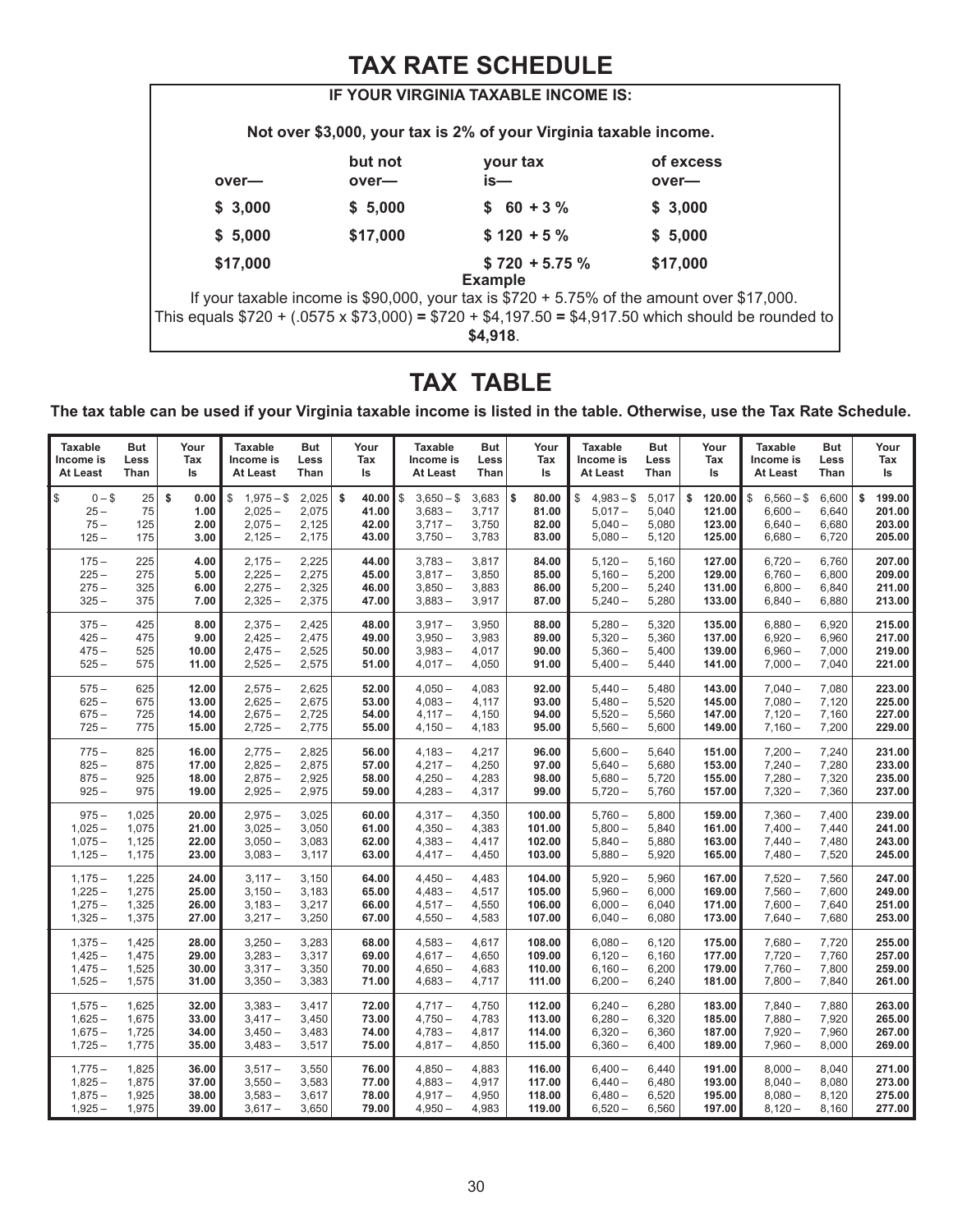## **TAX RATE SCHEDULE**

|                                                                                                     |          | IF YOUR VIRGINIA TAXABLE INCOME IS:                               |                                                                                              |  |  |  |
|-----------------------------------------------------------------------------------------------------|----------|-------------------------------------------------------------------|----------------------------------------------------------------------------------------------|--|--|--|
|                                                                                                     |          | Not over \$3,000, your tax is 2% of your Virginia taxable income. |                                                                                              |  |  |  |
|                                                                                                     | but not  | your tax                                                          | of excess                                                                                    |  |  |  |
| over-                                                                                               | over—    | is—                                                               | over-                                                                                        |  |  |  |
| \$3,000                                                                                             | \$5,000  | $$60 + 3\%$                                                       | \$3,000                                                                                      |  |  |  |
| \$5,000                                                                                             | \$17,000 | $$120 + 5%$                                                       | \$5,000                                                                                      |  |  |  |
| \$17,000                                                                                            |          | $$720 + 5.75\%$                                                   | \$17,000                                                                                     |  |  |  |
|                                                                                                     |          | <b>Example</b>                                                    |                                                                                              |  |  |  |
|                                                                                                     |          |                                                                   | If your taxable income is \$90,000, your tax is $$720 + 5.75\%$ of the amount over \$17,000. |  |  |  |
| This equals \$720 + (.0575 x \$73,000) = \$720 + \$4,197.50 = \$4,917.50 which should be rounded to |          |                                                                   |                                                                                              |  |  |  |
| \$4,918                                                                                             |          |                                                                   |                                                                                              |  |  |  |
|                                                                                                     |          |                                                                   |                                                                                              |  |  |  |

## **TAX TABLE**

**The tax table can be used if your Virginia taxable income is listed in the table. Otherwise, use the Tax Rate Schedule.**

| <b>Taxable</b>                               | <b>But</b>             | Your                               | <b>Taxable</b>                                          | <b>But</b>                       | Your                                   | <b>Taxable</b>                                        | <b>But</b>                       | Your                                   | <b>Taxable</b>                                         | But                              | Your                                       | <b>Taxable</b>                                         | <b>But</b>                       | Your                                       |
|----------------------------------------------|------------------------|------------------------------------|---------------------------------------------------------|----------------------------------|----------------------------------------|-------------------------------------------------------|----------------------------------|----------------------------------------|--------------------------------------------------------|----------------------------------|--------------------------------------------|--------------------------------------------------------|----------------------------------|--------------------------------------------|
| Income is                                    | Less                   | Tax                                | Income is                                               | Less                             | Tax                                    | Income is                                             | Less                             | Tax                                    | Income is                                              | Less                             | Tax                                        | Income is                                              | Less                             | Tax                                        |
| At Least                                     | Than                   | ls                                 | At Least                                                | Than                             | Is                                     | At Least                                              | Than                             | ls                                     | At Least                                               | Than                             | ls                                         | At Least                                               | Than                             | ls                                         |
| \$<br>$0 - $$<br>$25 -$<br>$75 -$<br>$125 -$ | 25<br>75<br>125<br>175 | \$<br>0.00<br>1.00<br>2.00<br>3.00 | \$<br>$1,975 - $$<br>$2,025 -$<br>$2,075-$<br>$2,125 -$ | 2,025<br>2,075<br>2,125<br>2,175 | \$<br>40.00<br>41.00<br>42.00<br>43.00 | \$<br>$3,650 - $$<br>$3,683-$<br>$3,717-$<br>$3,750-$ | 3,683<br>3,717<br>3,750<br>3,783 | \$<br>80.00<br>81.00<br>82.00<br>83.00 | $4,983 - $$<br>\$<br>$5,017-$<br>$5,040 -$<br>$5,080-$ | 5,017<br>5,040<br>5,080<br>5,120 | \$<br>120.00<br>121.00<br>123.00<br>125.00 | \$<br>$6,560 - $$<br>$6,600 -$<br>$6,640-$<br>$6,680-$ | 6,600<br>6,640<br>6,680<br>6,720 | \$<br>199.00<br>201.00<br>203.00<br>205.00 |
| $175 -$                                      | 225                    | 4.00                               | $2,175-$                                                | 2,225                            | 44.00                                  | $3,783-$                                              | 3,817                            | 84.00                                  | $5,120-$                                               | 5,160                            | 127.00                                     | $6,720-$                                               | 6,760                            | 207.00                                     |
| $225 -$                                      | 275                    | 5.00                               | $2,225 -$                                               | 2,275                            | 45.00                                  | $3,817-$                                              | 3,850                            | 85.00                                  | $5,160-$                                               | 5,200                            | 129.00                                     | $6,760-$                                               | 6,800                            | 209.00                                     |
| $275 -$                                      | 325                    | 6.00                               | $2,275-$                                                | 2,325                            | 46.00                                  | $3,850-$                                              | 3,883                            | 86.00                                  | $5,200 -$                                              | 5,240                            | 131.00                                     | $6,800 -$                                              | 6,840                            | 211.00                                     |
| $325 -$                                      | 375                    | 7.00                               | $2,325 -$                                               | 2,375                            | 47.00                                  | $3,883-$                                              | 3,917                            | 87.00                                  | $5,240-$                                               | 5,280                            | 133.00                                     | $6,840-$                                               | 6,880                            | 213.00                                     |
| $375 -$                                      | 425                    | 8.00                               | $2,375-$                                                | 2,425                            | 48.00                                  | $3,917-$                                              | 3,950                            | 88.00                                  | $5,280-$                                               | 5,320                            | 135.00                                     | $6,880-$                                               | 6,920                            | 215.00                                     |
| $425 -$                                      | 475                    | 9.00                               | $2,425 -$                                               | 2,475                            | 49.00                                  | $3,950-$                                              | 3,983                            | 89.00                                  | $5,320-$                                               | 5,360                            | 137.00                                     | $6,920 -$                                              | 6,960                            | 217.00                                     |
| $475 -$                                      | 525                    | 10.00                              | $2,475-$                                                | 2,525                            | 50.00                                  | $3,983 -$                                             | 4,017                            | 90.00                                  | $5,360-$                                               | 5,400                            | 139.00                                     | $6,960-$                                               | 7,000                            | 219.00                                     |
| $525 -$                                      | 575                    | 11.00                              | $2,525 -$                                               | 2,575                            | 51.00                                  | $4,017-$                                              | 4,050                            | 91.00                                  | $5,400-$                                               | 5,440                            | 141.00                                     | $7,000 -$                                              | 7,040                            | 221.00                                     |
| $575 -$                                      | 625                    | 12.00                              | $2,575 -$                                               | 2,625                            | 52.00                                  | $4,050-$                                              | 4,083                            | 92.00                                  | $5,440-$                                               | 5,480                            | 143.00                                     | $7.040 -$                                              | 7,080                            | 223.00                                     |
| $625 -$                                      | 675                    | 13.00                              | $2,625 -$                                               | 2,675                            | 53.00                                  | $4,083-$                                              | 4,117                            | 93.00                                  | $5,480-$                                               | 5,520                            | 145.00                                     | $7,080 -$                                              | 7,120                            | 225.00                                     |
| $675 -$                                      | 725                    | 14.00                              | $2,675-$                                                | 2,725                            | 54.00                                  | $4,117-$                                              | 4,150                            | 94.00                                  | $5,520 -$                                              | 5,560                            | 147.00                                     | $7,120 -$                                              | 7,160                            | 227.00                                     |
| $725 -$                                      | 775                    | 15.00                              | $2,725 -$                                               | 2,775                            | 55.00                                  | $4,150-$                                              | 4,183                            | 95.00                                  | $5,560-$                                               | 5,600                            | 149.00                                     | $7,160-$                                               | 7,200                            | 229.00                                     |
| $775 -$                                      | 825                    | 16.00                              | $2,775-$                                                | 2,825                            | 56.00                                  | $4,183-$                                              | 4,217                            | 96.00                                  | $5,600 -$                                              | 5,640                            | 151.00                                     | $7,200 -$                                              | 7,240                            | 231.00                                     |
| $825 -$                                      | 875                    | 17.00                              | $2,825 -$                                               | 2,875                            | 57.00                                  | $4,217-$                                              | 4,250                            | 97.00                                  | $5,640-$                                               | 5,680                            | 153.00                                     | $7,240-$                                               | 7,280                            | 233.00                                     |
| $875 -$                                      | 925                    | 18.00                              | $2,875-$                                                | 2,925                            | 58.00                                  | $4,250-$                                              | 4,283                            | 98.00                                  | $5,680-$                                               | 5,720                            | 155.00                                     | $7,280-$                                               | 7,320                            | 235.00                                     |
| $925 -$                                      | 975                    | 19.00                              | $2,925 -$                                               | 2,975                            | 59.00                                  | $4,283-$                                              | 4,317                            | 99.00                                  | $5,720-$                                               | 5,760                            | 157.00                                     | $7,320 -$                                              | 7,360                            | 237.00                                     |
| $975 -$                                      | 1,025                  | 20.00                              | $2,975-$                                                | 3,025                            | 60.00                                  | $4,317-$                                              | 4,350                            | 100.00                                 | $5,760-$                                               | 5,800                            | 159.00                                     | $7,360-$                                               | 7,400                            | 239.00                                     |
| $1,025 -$                                    | 1,075                  | 21.00                              | $3,025 -$                                               | 3,050                            | 61.00                                  | $4,350-$                                              | 4,383                            | 101.00                                 | $5,800-$                                               | 5,840                            | 161.00                                     | $7,400 -$                                              | 7,440                            | 241.00                                     |
| $1,075-$                                     | 1,125                  | 22.00                              | $3,050-$                                                | 3,083                            | 62.00                                  | $4,383-$                                              | 4,417                            | 102.00                                 | $5,840-$                                               | 5,880                            | 163.00                                     | $7,440-$                                               | 7,480                            | 243.00                                     |
| $1,125 -$                                    | 1,175                  | 23.00                              | $3,083 -$                                               | 3,117                            | 63.00                                  | $4,417-$                                              | 4,450                            | 103.00                                 | $5,880-$                                               | 5,920                            | 165.00                                     | $7,480-$                                               | 7,520                            | 245.00                                     |
| $1,175-$                                     | 1,225                  | 24.00                              | $3,117-$                                                | 3,150                            | 64.00                                  | $4,450-$                                              | 4,483                            | 104.00                                 | $5,920 -$                                              | 5,960                            | 167.00                                     | $7,520 -$                                              | 7,560                            | 247.00                                     |
| $1,225 -$                                    | 1,275                  | 25.00                              | $3,150-$                                                | 3,183                            | 65.00                                  | $4,483-$                                              | 4,517                            | 105.00                                 | $5,960 -$                                              | 6,000                            | 169.00                                     | $7,560-$                                               | 7,600                            | 249.00                                     |
| $1,275-$                                     | 1,325                  | 26.00                              | $3,183-$                                                | 3,217                            | 66.00                                  | $4,517-$                                              | 4,550                            | 106.00                                 | $6,000 -$                                              | 6,040                            | 171.00                                     | $7,600 -$                                              | 7,640                            | 251.00                                     |
| $1,325 -$                                    | 1,375                  | 27.00                              | $3,217-$                                                | 3,250                            | 67.00                                  | $4,550-$                                              | 4,583                            | 107.00                                 | $6,040-$                                               | 6,080                            | 173.00                                     | $7,640-$                                               | 7,680                            | 253.00                                     |
| $1,375-$                                     | 1,425                  | 28.00                              | $3,250 -$                                               | 3,283                            | 68.00                                  | $4,583-$                                              | 4,617                            | 108.00                                 | $6,080 -$                                              | 6,120                            | 175.00                                     | $7,680-$                                               | 7,720                            | 255.00                                     |
| $1,425 -$                                    | 1,475                  | 29.00                              | $3,283 -$                                               | 3,317                            | 69.00                                  | $4,617-$                                              | 4,650                            | 109.00                                 | $6,120 -$                                              | 6,160                            | 177.00                                     | $7,720 -$                                              | 7,760                            | 257.00                                     |
| $1,475-$                                     | 1,525                  | 30.00                              | $3,317-$                                                | 3,350                            | 70.00                                  | $4,650-$                                              | 4,683                            | 110.00                                 | $6,160-$                                               | 6,200                            | 179.00                                     | $7,760-$                                               | 7,800                            | 259.00                                     |
| $1,525 -$                                    | 1,575                  | 31.00                              | $3,350-$                                                | 3,383                            | 71.00                                  | $4,683-$                                              | 4,717                            | 111.00                                 | $6,200-$                                               | 6,240                            | 181.00                                     | $7,800-$                                               | 7,840                            | 261.00                                     |
| $1,575-$                                     | 1,625                  | 32.00                              | $3,383-$                                                | 3,417                            | 72.00                                  | $4,717-$                                              | 4,750                            | 112.00                                 | $6,240-$                                               | 6,280                            | 183.00                                     | $7,840-$                                               | 7,880                            | 263.00                                     |
| $1,625 -$                                    | 1,675                  | 33.00                              | $3,417-$                                                | 3,450                            | 73.00                                  | $4,750-$                                              | 4,783                            | 113.00                                 | $6,280 -$                                              | 6,320                            | 185.00                                     | $7,880-$                                               | 7,920                            | 265.00                                     |
| $1,675-$                                     | 1,725                  | 34.00                              | $3,450-$                                                | 3,483                            | 74.00                                  | $4,783-$                                              | 4,817                            | 114.00                                 | $6,320 -$                                              | 6,360                            | 187.00                                     | $7,920 -$                                              | 7,960                            | 267.00                                     |
| $1,725 -$                                    | 1,775                  | 35.00                              | $3,483-$                                                | 3,517                            | 75.00                                  | $4,817-$                                              | 4,850                            | 115.00                                 | $6,360-$                                               | 6,400                            | 189.00                                     | $7,960 -$                                              | 8,000                            | 269.00                                     |
| $1,775-$                                     | 1,825                  | 36.00                              | $3,517-$                                                | 3,550                            | 76.00                                  | $4,850-$                                              | 4,883                            | 116.00                                 | $6,400-$                                               | 6,440                            | 191.00                                     | $8,000 -$                                              | 8,040                            | 271.00                                     |
| $1,825 -$                                    | 1,875                  | 37.00                              | $3,550-$                                                | 3,583                            | 77.00                                  | $4,883-$                                              | 4,917                            | 117.00                                 | $6,440-$                                               | 6,480                            | 193.00                                     | $8,040-$                                               | 8,080                            | 273.00                                     |
| $1,875-$                                     | 1,925                  | 38.00                              | $3,583 -$                                               | 3,617                            | 78.00                                  | $4,917-$                                              | 4,950                            | 118.00                                 | $6,480-$                                               | 6,520                            | 195.00                                     | $8,080-$                                               | 8,120                            | 275.00                                     |
| $1,925 -$                                    | 1,975                  | 39.00                              | $3,617-$                                                | 3,650                            | 79.00                                  | $4,950-$                                              | 4,983                            | 119.00                                 | $6,520-$                                               | 6,560                            | 197.00                                     | $8,120 -$                                              | 8,160                            | 277.00                                     |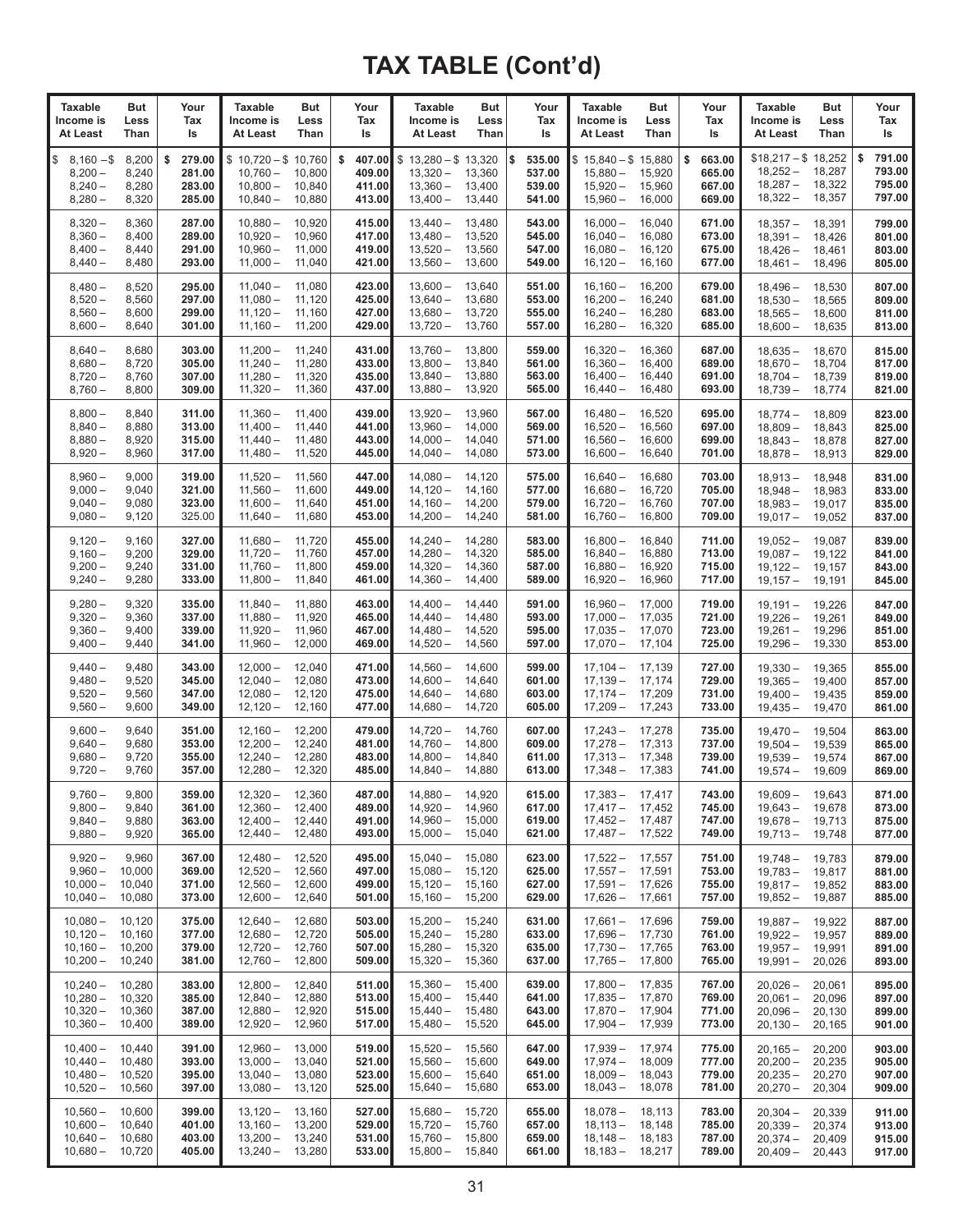| <b>Taxable</b><br>Income is<br>At Least                | But<br>Less<br>Than                  | Your<br>Tax<br>Is                          | Taxable<br>Income is<br>At Least                              | But<br>Less<br>Than                  | Your<br>Tax<br>ls                          | <b>Taxable</b><br>Income is<br>At Least                            | But<br>Less<br>Than                  | Your<br>Tax<br>ls                          | <b>Taxable</b><br>But<br>Income is<br>Less<br>At Least<br>Than                               | Your<br>Tax<br>ls                          | <b>Taxable</b><br>Income is<br>At Least                       | But<br>Less<br>Than                  | Your<br>Tax<br>ls                          |
|--------------------------------------------------------|--------------------------------------|--------------------------------------------|---------------------------------------------------------------|--------------------------------------|--------------------------------------------|--------------------------------------------------------------------|--------------------------------------|--------------------------------------------|----------------------------------------------------------------------------------------------|--------------------------------------------|---------------------------------------------------------------|--------------------------------------|--------------------------------------------|
| \$<br>$8,160 - $$<br>$8,200 -$<br>$8,240-$<br>$8,280-$ | 8,200<br>8,240<br>8,280<br>8,320     | 279.00<br>\$<br>281.00<br>283.00<br>285.00 | $$10,720 - $10,760$<br>$10,760 -$<br>$10,800 -$<br>$10,840 -$ | 10,800<br>10,840<br>10,880           | \$<br>407.00<br>409.00<br>411.00<br>413.00 | $$13,280 - $13,320$<br>$13,320 -$<br>$13,360 -$<br>$13,400 -$      | 13,360<br>13,400<br>13,440           | \$<br>535.00<br>537.00<br>539.00<br>541.00 | $$15,840 - $15,880$<br>$15,880 -$<br>15,920<br>$15,920 -$<br>15,960<br>$15,960 -$<br>16,000  | \$<br>663.00<br>665.00<br>667.00<br>669.00 | $$18,217 - $18,252$<br>$18,252 -$<br>$18,287 -$<br>$18,322 -$ | 18,287<br>18,322<br>18,357           | \$<br>791.00<br>793.00<br>795.00<br>797.00 |
| $8,320 -$<br>$8,360-$<br>$8,400 -$<br>$8,440-$         | 8,360<br>8,400<br>8,440<br>8,480     | 287.00<br>289.00<br>291.00<br>293.00       | $10,880 -$<br>$10,920 -$<br>$10,960 -$<br>$11,000 -$          | 10,920<br>10,960<br>11,000<br>11,040 | 415.00<br>417.00<br>419.00<br>421.00       | $13,440 -$<br>$13,480 -$<br>$13,520 -$<br>$13,560 -$               | 13,480<br>13,520<br>13,560<br>13,600 | 543.00<br>545.00<br>547.00<br>549.00       | $16,000 -$<br>16,040<br>$16,040 -$<br>16,080<br>$16,080 -$<br>16,120<br>$16,120 -$<br>16,160 | 671.00<br>673.00<br>675.00<br>677.00       | $18,357-$<br>$18,391 -$<br>$18,426-$<br>$18,461 -$            | 18,391<br>18,426<br>18,461<br>18,496 | 799.00<br>801.00<br>803.00<br>805.00       |
| $8,480-$<br>$8,520 -$<br>$8,560-$<br>$8,600-$          | 8,520<br>8,560<br>8,600<br>8,640     | 295.00<br>297.00<br>299.00<br>301.00       | $11,040 -$<br>$11,080 -$<br>$11,120 -$<br>$11,160-$           | 11,080<br>11,120<br>11,160<br>11,200 | 423.00<br>425.00<br>427.00<br>429.00       | $13,600 -$<br>$13,640 -$<br>$13,680 -$<br>$13,720 -$               | 13,640<br>13,680<br>13,720<br>13,760 | 551.00<br>553.00<br>555.00<br>557.00       | $16,160 -$<br>16,200<br>$16,200 -$<br>16,240<br>$16,240 -$<br>16,280<br>$16,280 -$<br>16,320 | 679.00<br>681.00<br>683.00<br>685.00       | $18,496-$<br>$18,530 -$<br>$18,565-$<br>$18,600 -$            | 18,530<br>18,565<br>18,600<br>18,635 | 807.00<br>809.00<br>811.00<br>813.00       |
| $8,640-$<br>$8,680-$<br>$8,720 -$<br>$8,760-$          | 8,680<br>8,720<br>8,760<br>8,800     | 303.00<br>305.00<br>307.00<br>309.00       | $11,200 -$<br>$11,240 -$<br>$11,280 -$<br>$11,320 -$          | 11,240<br>11,280<br>11,320<br>11,360 | 431.00<br>433.00<br>435.00<br>437.00       | $13,760 -$<br>$13,800 -$<br>$13,840 -$<br>$13,880 -$               | 13,800<br>13,840<br>13,880<br>13,920 | 559.00<br>561.00<br>563.00<br>565.00       | $16,320 -$<br>16,360<br>$16,360 -$<br>16,400<br>$16,400 -$<br>16,440<br>16,480<br>$16,440-$  | 687.00<br>689.00<br>691.00<br>693.00       | $18,635-$<br>$18,670-$<br>$18,704-$<br>$18,739-$              | 18,670<br>18,704<br>18,739<br>18,774 | 815.00<br>817.00<br>819.00<br>821.00       |
| $8,800 -$<br>$8,840 -$<br>$8,880-$<br>$8,920 -$        | 8,840<br>8,880<br>8,920<br>8,960     | 311.00<br>313.00<br>315.00<br>317.00       | $11,360 -$<br>$11,400 -$<br>$11,440 -$<br>$11,480 -$          | 11,400<br>11,440<br>11,480<br>11,520 | 439.00<br>441.00<br>443.00<br>445.00       | $13,920 -$<br>$13,960 -$<br>$14,000 -$<br>$14,040 -$               | 13,960<br>14,000<br>14,040<br>14,080 | 567.00<br>569.00<br>571.00<br>573.00       | $16,480-$<br>16,520<br>16,560<br>$16,520 -$<br>$16,560 -$<br>16,600<br>$16,600 -$<br>16,640  | 695.00<br>697.00<br>699.00<br>701.00       | $18,774-$<br>$18,809-$<br>$18,843-$<br>$18,878-$              | 18,809<br>18,843<br>18,878<br>18,913 | 823.00<br>825.00<br>827.00<br>829.00       |
| $8,960-$<br>$9,000 -$<br>$9,040-$<br>$9,080 -$         | 9,000<br>9,040<br>9,080<br>9,120     | 319.00<br>321.00<br>323.00<br>325.00       | $11,520 -$<br>$11,560 -$<br>$11,600 -$<br>$11,640 -$          | 11,560<br>11,600<br>11,640<br>11,680 | 447.00<br>449.00<br>451.00<br>453.00       | $14,080 -$<br>$14,120 -$<br>$14,160 -$<br>$14,200 -$               | 14,120<br>14,160<br>14,200<br>14,240 | 575.00<br>577.00<br>579.00<br>581.00       | $16,640 -$<br>16,680<br>$16,680 -$<br>16,720<br>$16,720 -$<br>16,760<br>$16,760 -$<br>16,800 | 703.00<br>705.00<br>707.00<br>709.00       | $18,913-$<br>$18,948-$<br>$18.983 -$<br>$19,017-$             | 18,948<br>18,983<br>19,017<br>19,052 | 831.00<br>833.00<br>835.00<br>837.00       |
| $9,120 -$<br>$9,160 -$<br>$9,200 -$<br>$9,240 -$       | 9,160<br>9,200<br>9,240<br>9,280     | 327.00<br>329.00<br>331.00<br>333.00       | $11,680 -$<br>$11,720 -$<br>$11,760 -$<br>$11,800 -$          | 11,720<br>11,760<br>11,800<br>11,840 | 455.00<br>457.00<br>459.00<br>461.00       | $14,240 -$<br>$14,280 -$<br>$14,320 -$<br>$14,360 -$               | 14,280<br>14,320<br>14,360<br>14,400 | 583.00<br>585.00<br>587.00<br>589.00       | $16,800 -$<br>16,840<br>$16,840 -$<br>16,880<br>$16,880 -$<br>16,920<br>$16,920 -$<br>16,960 | 711.00<br>713.00<br>715.00<br>717.00       | $19,052 -$<br>$19,087 -$<br>$19,122 -$<br>$19,157-$           | 19,087<br>19,122<br>19,157<br>19,191 | 839.00<br>841.00<br>843.00<br>845.00       |
| $9,280 -$<br>$9,320 -$<br>$9,360 -$<br>$9,400-$        | 9,320<br>9,360<br>9,400<br>9,440     | 335.00<br>337.00<br>339.00<br>341.00       | $11,840 -$<br>$11,880 -$<br>$11,920 -$<br>$11,960 -$          | 11,880<br>11,920<br>11,960<br>12,000 | 463.00<br>465.00<br>467.00<br>469.00       | $14,400 -$<br>$14,440-$<br>$14,480 -$<br>$14,520 -$                | 14,440<br>14,480<br>14,520<br>14,560 | 591.00<br>593.00<br>595.00<br>597.00       | $16,960 -$<br>17,000<br>$17,000 -$<br>17,035<br>$17,035-$<br>17,070<br>$17,070-$<br>17,104   | 719.00<br>721.00<br>723.00<br>725.00       | $19,191 -$<br>$19,226 -$<br>$19,261 -$<br>$19,296-$           | 19,226<br>19,261<br>19,296<br>19,330 | 847.00<br>849.00<br>851.00<br>853.00       |
| $9,440 -$<br>$9,480 -$<br>$9,520 -$<br>$9,560 -$       | 9,480<br>9,520<br>9,560<br>9,600     | 343.00<br>345.00<br>347.00<br>349.00       | $12,000 -$<br>$12,040 -$<br>$12,080 -$<br>$12,120 -$          | 12,040<br>12,080<br>12,120<br>12,160 | 471.00<br>473.00<br>475.00<br>477.00       | $14,560 -$<br>$14,600 -$<br>$14,640-$<br>$14,680 -$                | 14,600<br>14,640<br>14,680<br>14,720 | 599.00<br>601.00<br>603.00<br>605.00       | $17,104-$<br>17,139<br>$17,139-$<br>17,174<br>$17,174-$<br>17,209<br>$17,209-$<br>17,243     | 727.00<br>729.00<br>731.00<br>733.00       | $19,330 -$<br>$19,365 -$<br>$19,400 -$<br>$19,435 -$          | 19,365<br>19,400<br>19,435<br>19,470 | 855.00<br>857.00<br>859.00<br>861.00       |
| $9,600 -$<br>$9,640 -$<br>$9,680 -$<br>$9,720 -$       | 9,640<br>9,680<br>9,720<br>9,760     | 351.00<br>353.00<br>355.00<br>357.00       | $12,160-$<br>$12,200 -$<br>$12,240 -$<br>$12,280 -$           | 12,200<br>12,240<br>12,280<br>12,320 | 479.00<br>481.00<br>483.00<br>485.00       | $14,720 -$<br>$14,760 -$<br>$14,800 -$<br>$14,840-$                | 14,760<br>14,800<br>14,840<br>14,880 | 607.00<br>609.00<br>611.00<br>613.00       | 17,278<br>$17,243-$<br>$17,278-$<br>17,313<br>$17,313 -$<br>17,348<br>$17,348-$<br>17,383    | 735.00<br>737.00<br>739.00<br>741.00       | $19,470 -$<br>$19,504-$<br>$19,539-$<br>$19,574-$             | 19,504<br>19,539<br>19,574<br>19,609 | 863.00<br>865.00<br>867.00<br>869.00       |
| 9,760 –<br>$9,800 -$<br>$9,840 -$<br>$9,880 -$         | 9,800<br>9,840<br>9,880<br>9,920     | 359.00<br>361.00<br>363.00<br>365.00       | $12,320 -$<br>$12,360 -$<br>$12,400 -$<br>$12,440 -$          | 12,360<br>12,400<br>12,440<br>12,480 | 487.00 <br>489.00<br>491.00<br>493.00      | $14,880-$<br>$14,920 -$<br>$14,960 -$<br>$15,000 -$                | 14,920<br>14,960<br>15,000<br>15,040 | 615.00<br>617.00<br>619.00<br>621.00       | $17,383 -$<br>17,417<br>$17,417-$<br>17,452<br>17,487<br>$17,452 -$<br>$17,487-$<br>17,522   | 743.00<br>745.00<br>747.00<br>749.00       | $19,609 -$<br>$19,643 -$<br>$19,678-$<br>$19,713 -$           | 19,643<br>19,678<br>19,713<br>19,748 | 871.00<br>873.00<br>875.00<br>877.00       |
| $9,920 -$<br>$9,960 -$<br>$10,000 -$<br>$10,040 -$     | 9,960<br>10,000<br>10,040<br>10,080  | 367.00<br>369.00<br>371.00<br>373.00       | $12,480 -$<br>$12,520 -$<br>$12,560 -$<br>$12,600 -$          | 12,520<br>12,560<br>12,600<br>12,640 | 495.00<br>497.00<br>499.00<br>501.00       | $15.040 -$<br>$15,080 -$<br>$15,120 -$<br>$15,160 -$               | 15,080<br>15,120<br>15,160<br>15,200 | 623.00<br>625.00<br>627.00<br>629.00       | $17,522 -$<br>17,557<br>$17,557-$<br>17,591<br>$17,591 -$<br>17,626<br>$17,626-$<br>17,661   | 751.00<br>753.00<br>755.00<br>757.00       | $19,748 -$<br>$19,783 -$<br>$19,817 -$<br>$19,852 -$          | 19,783<br>19,817<br>19,852<br>19,887 | 879.00<br>881.00<br>883.00<br>885.00       |
| $10.080 -$<br>$10,120 -$<br>$10,160 -$<br>$10,200 -$   | 10,120<br>10,160<br>10,200<br>10,240 | 375.00<br>377.00<br>379.00<br>381.00       | $12,640 -$<br>$12,680 -$<br>$12,720 -$<br>$12,760 -$          | 12,680<br>12,720<br>12,760<br>12,800 | 503.00<br>505.00<br>507.00<br>509.00       | $15,200 -$<br>$15,240 -$<br>$15,280 -$<br>$15,320 -$               | 15,240<br>15,280<br>15,320<br>15,360 | 631.00<br>633.00<br>635.00<br>637.00       | $17,661-$<br>17,696<br>$17,696-$<br>17,730<br>$17,730 -$<br>17,765<br>$17,765-$<br>17,800    | 759.00<br>761.00<br>763.00<br>765.00       | $19,887 -$<br>$19,922 -$<br>$19,957 -$<br>$19,991 -$          | 19,922<br>19,957<br>19,991<br>20,026 | 887.00<br>889.00<br>891.00<br>893.00       |
| $10,240 -$<br>$10,280 -$<br>$10,320 -$<br>$10,360 -$   | 10,280<br>10,320<br>10,360<br>10,400 | 383.00<br>385.00<br>387.00<br>389.00       | $12,800 -$<br>$12,840 -$<br>$12,880 -$<br>$12,920 -$          | 12,840<br>12,880<br>12,920<br>12,960 | 511.00<br>513.00<br>515.00<br>517.00       | $15,360 -$<br>$15,400 -$<br>$15,440 -$<br>$15,480 -$               | 15,400<br>15,440<br>15,480<br>15,520 | 639.00<br>641.00<br>643.00<br>645.00       | $17,800 -$<br>17,835<br>$17,835-$<br>17,870<br>$17,870 -$<br>17,904<br>$17,904-$<br>17,939   | 767.00<br>769.00<br>771.00<br>773.00       | $20,026 -$<br>$20,061 -$<br>$20,096-$<br>$20,130 -$           | 20.061<br>20,096<br>20,130<br>20,165 | 895.00<br>897.00<br>899.00<br>901.00       |
| $10,400 -$<br>$10,440 -$<br>$10,480 -$<br>$10,520 -$   | 10,440<br>10,480<br>10,520<br>10,560 | 391.00<br>393.00<br>395.00<br>397.00       | $12,960 -$<br>$13,000 -$<br>$13,040 -$<br>$13,080 -$          | 13,000<br>13,040<br>13,080<br>13,120 | 519.00<br>521.00<br>523.00<br>525.00       | $15,520 -$<br>$15,560 -$<br>$15,600 -$<br>$15,640 -$               | 15,560<br>15,600<br>15,640<br>15,680 | 647.00<br>649.00<br>651.00<br>653.00       | $17,939-$<br>17,974<br>$17,974-$<br>18,009<br>$18,009-$<br>18,043<br>$18,043-$<br>18,078     | 775.00<br>777.00<br>779.00<br>781.00       | $20,165 -$<br>$20,200 -$<br>$20,235 -$<br>$20,270-$           | 20,200<br>20,235<br>20,270<br>20,304 | 903.00<br>905.00<br>907.00<br>909.00       |
| $10,560 -$<br>$10,600 -$<br>$10,640 -$<br>$10,680 -$   | 10,600<br>10,640<br>10,680<br>10,720 | 399.00<br>401.00<br>403.00<br>405.00       | $13,120 -$<br>$13,160-$<br>$13,200 -$<br>$13,240 -$           | 13,160<br>13,200<br>13,240<br>13,280 | 527.00<br>529.00<br>531.00<br>533.00       | $15,680 -$<br>$15,720 -$<br>$15,760 - 15,800$<br>$15,800 - 15,840$ | 15,720<br>15,760                     | 655.00<br>657.00<br>659.00<br>661.00       | $18,078-$<br>18,113<br>$18,113-$<br>18,148<br>$18,148-$<br>18,183<br>$18,183-$<br>18,217     | 783.00<br>785.00<br>787.00<br>789.00       | $20,304-$<br>$20,339-$<br>$20,374-$<br>$20,409-$              | 20,339<br>20,374<br>20,409<br>20,443 | 911.00<br>913.00<br>915.00<br>917.00       |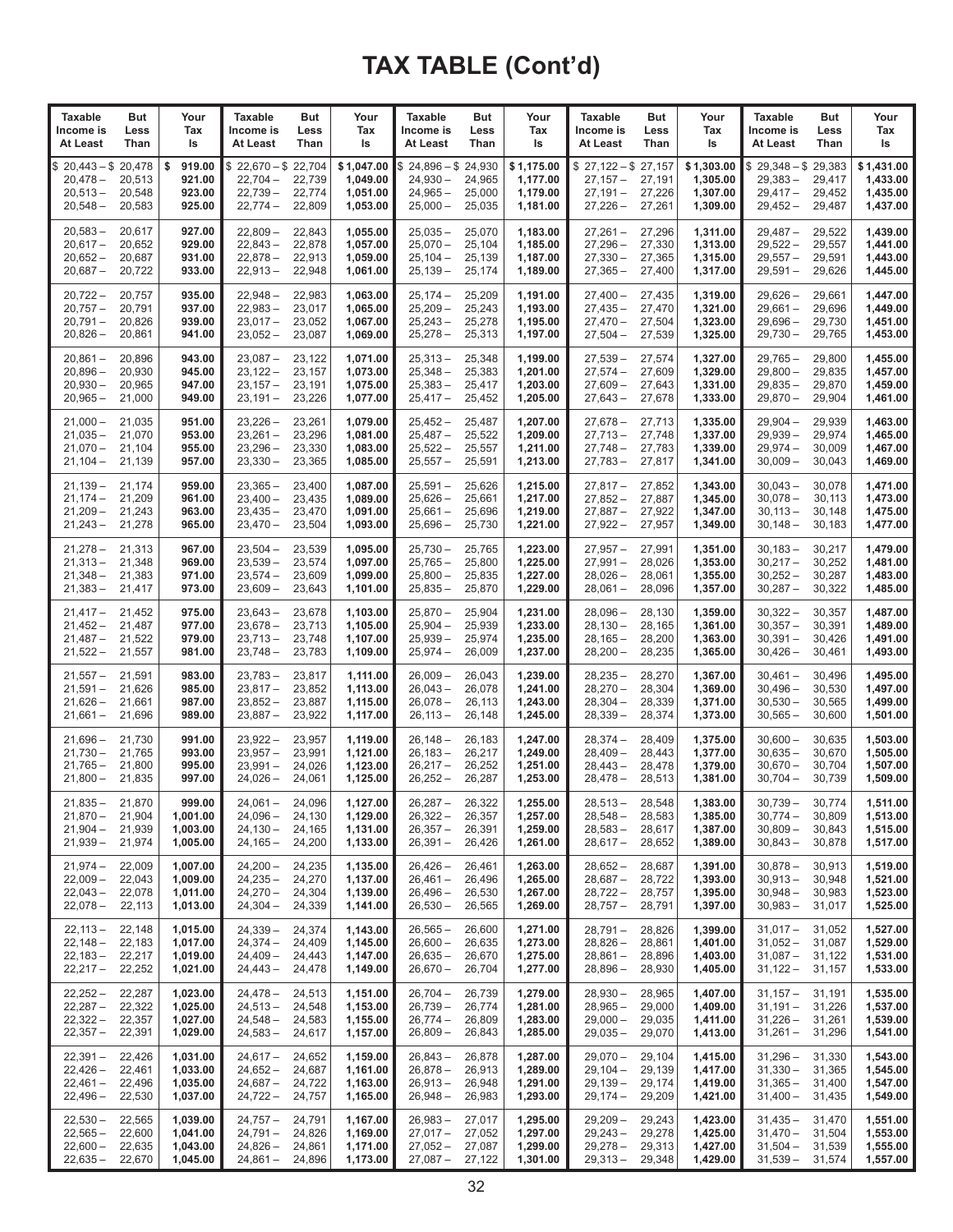| <b>Taxable</b>                                                                   | <b>But</b>                 | Your                                         | <b>Taxable</b>                                             | But                                  | Your                                           | <b>Taxable</b>                                                            | But                                  | Your                                           | <b>Taxable</b>                                             | But                                  | Your                                           | <b>Taxable</b>                                                                   | But                                  | Your                                           |
|----------------------------------------------------------------------------------|----------------------------|----------------------------------------------|------------------------------------------------------------|--------------------------------------|------------------------------------------------|---------------------------------------------------------------------------|--------------------------------------|------------------------------------------------|------------------------------------------------------------|--------------------------------------|------------------------------------------------|----------------------------------------------------------------------------------|--------------------------------------|------------------------------------------------|
| Income is                                                                        | Less                       | Tax                                          | Income is                                                  | Less                                 | Tax                                            | Income is                                                                 | Less                                 | Tax                                            | Income is                                                  | Less                                 | Tax                                            | Income is                                                                        | Less                                 | Tax                                            |
| At Least                                                                         | Than                       | ls                                           | At Least                                                   | Than                                 | ls                                             | At Least                                                                  | Than                                 | ls                                             | At Least                                                   | Than                                 | ls                                             | At Least                                                                         | Than                                 | ls                                             |
| $20,443 - $20,478$<br>\$<br>20,478 –<br>$20,513-$<br>$20,548-$                   | 20,513<br>20,548<br>20,583 | 919.00<br>\$<br>921.00<br>923.00<br>925.00   | $$22,670 - $22,704$<br>$22,704-$<br>$22,739-$<br>$22,774-$ | 22,739<br>22,774<br>22,809           | \$1,047.00<br>1,049.00<br>1,051.00<br>1,053.00 | $$24,896 - $24,930$<br>$24,930 -$<br>$24.965 -$<br>$25,000 -$             | 24,965<br>25,000<br>25,035           | \$1,175.00<br>1,177.00<br>1,179.00<br>1,181.00 | $$27,122-\$27,157$<br>$27,157-$<br>$27,191-$<br>$27,226 -$ | 27,191<br>27,226<br>27,261           | \$1,303.00<br>1,305.00<br>1,307.00<br>1,309.00 | $$29,348 - $29,383$<br>$29,383 -$<br>29,417 –<br>$29,452 -$                      | 29,417<br>29,452<br>29,487           | \$1,431.00<br>1,433.00<br>1,435.00<br>1,437.00 |
| $20,583 -$                                                                       | 20,617                     | 927.00                                       | $22,809-$                                                  | 22,843                               | 1,055.00                                       | $25,035-$                                                                 | 25,070                               | 1,183.00                                       | $27,261 -$                                                 | 27,296                               | 1,311.00                                       | $29,487-$                                                                        | 29,522                               | 1,439.00                                       |
| $20,617-$                                                                        | 20,652                     | 929.00                                       | $22,843-$                                                  | 22,878                               | 1,057.00                                       | $25,070-$                                                                 | 25,104                               | 1,185.00                                       | $27,296-$                                                  | 27,330                               | 1,313.00                                       | $29,522 -$                                                                       | 29,557                               | 1,441.00                                       |
| $20,652 -$                                                                       | 20,687                     | 931.00                                       | $22,878-$                                                  | 22,913                               | 1,059.00                                       | $25,104-$                                                                 | 25,139                               | 1,187.00                                       | $27,330 -$                                                 | 27,365                               | 1,315.00                                       | $29,557 -$                                                                       | 29,591                               | 1,443.00                                       |
| $20,687-$                                                                        | 20,722                     | 933.00                                       | $22,913 -$                                                 | 22,948                               | 1,061.00                                       | $25,139-$                                                                 | 25,174                               | 1,189.00                                       | $27,365 -$                                                 | 27,400                               | 1,317.00                                       | $29,591 -$                                                                       | 29,626                               | 1,445.00                                       |
| $20,722 -$                                                                       | 20,757                     | 935.00                                       | $22,948 -$                                                 | 22,983                               | 1,063.00                                       | $25,174-$                                                                 | 25,209                               | 1,191.00                                       | $27,400 -$                                                 | 27,435                               | 1.319.00                                       | 29,626 –                                                                         | 29,661                               | 1,447.00                                       |
| $20,757-$                                                                        | 20,791                     | 937.00                                       | $22,983 -$                                                 | 23,017                               | 1,065.00                                       | $25,209-$                                                                 | 25,243                               | 1,193.00                                       | $27,435-$                                                  | 27,470                               | 1,321.00                                       | $29,661 -$                                                                       | 29,696                               | 1,449.00                                       |
| $20,791 -$                                                                       | 20,826                     | 939.00                                       | $23,017-$                                                  | 23,052                               | 1,067.00                                       | $25,243-$                                                                 | 25,278                               | 1,195.00                                       | $27,470-$                                                  | 27,504                               | 1,323.00                                       | $29,696-$                                                                        | 29,730                               | 1,451.00                                       |
| $20,826 -$                                                                       | 20,861                     | 941.00                                       | $23,052-$                                                  | 23,087                               | 1,069.00                                       | $25,278-$                                                                 | 25,313                               | 1,197.00                                       | $27,504-$                                                  | 27,539                               | 1,325.00                                       | $29,730-$                                                                        | 29,765                               | 1,453.00                                       |
| $20,861 -$                                                                       | 20,896                     | 943.00                                       | $23,087-$                                                  | 23,122                               | 1,071.00                                       | $25,313 -$                                                                | 25,348                               | 1,199.00                                       | $27,539-$                                                  | 27,574                               | 1,327.00                                       | $29,765 -$                                                                       | 29,800                               | 1,455.00                                       |
| $20,896 -$                                                                       | 20,930                     | 945.00                                       | $23,122-$                                                  | 23,157                               | 1,073.00                                       | $25,348-$                                                                 | 25,383                               | 1,201.00                                       | $27,574-$                                                  | 27,609                               | 1,329.00                                       | $29,800 -$                                                                       | 29,835                               | 1,457.00                                       |
| $20,930 -$                                                                       | 20,965                     | 947.00                                       | $23,157-$                                                  | 23,191                               | 1,075.00                                       | $25,383 -$                                                                | 25,417                               | 1,203.00                                       | $27,609-$                                                  | 27,643                               | 1,331.00                                       | $29,835 -$                                                                       | 29,870                               | 1,459.00                                       |
| $20,965 -$                                                                       | 21,000                     | 949.00                                       | $23,191 -$                                                 | 23,226                               | 1,077.00                                       | $25,417-$                                                                 | 25,452                               | 1,205.00                                       | $27,643-$                                                  | 27,678                               | 1,333.00                                       | $29,870-$                                                                        | 29,904                               | 1,461.00                                       |
| $21,000 -$                                                                       | 21.035                     | 951.00                                       | $23,226 -$                                                 | 23,261                               | 1,079.00                                       | $25,452-$                                                                 | 25,487                               | 1,207.00                                       | $27,678-$                                                  | 27,713                               | 1.335.00                                       | $29,904 -$                                                                       | 29,939                               | 1,463.00                                       |
| $21,035 -$                                                                       | 21,070                     | 953.00                                       | $23,261 -$                                                 | 23,296                               | 1,081.00                                       | $25,487-$                                                                 | 25,522                               | 1,209.00                                       | $27,713-$                                                  | 27,748                               | 1,337.00                                       | $29,939-$                                                                        | 29,974                               | 1,465.00                                       |
| $21,070 -$                                                                       | 21,104                     | 955.00                                       | $23,296-$                                                  | 23,330                               | 1,083.00                                       | $25,522 -$                                                                | 25,557                               | 1,211.00                                       | $27,748-$                                                  | 27,783                               | 1,339.00                                       | $29,974-$                                                                        | 30,009                               | 1,467.00                                       |
| 21,104 –                                                                         | 21,139                     | 957.00                                       | $23,330 -$                                                 | 23,365                               | 1,085.00                                       | $25,557-$                                                                 | 25,591                               | 1,213.00                                       | $27,783-$                                                  | 27,817                               | 1,341.00                                       | $30,009 -$                                                                       | 30,043                               | 1,469.00                                       |
| $21,139-$                                                                        | 21,174                     | 959.00                                       | $23,365 -$                                                 | 23,400                               | 1,087.00                                       | $25.591 -$                                                                | 25,626                               | 1,215.00                                       | $27,817-$                                                  | 27,852                               | 1,343.00                                       | $30,043 -$                                                                       | 30,078                               | 1,471.00                                       |
| $21,174-$                                                                        | 21,209                     | 961.00                                       | $23,400-$                                                  | 23,435                               | 1,089.00                                       | $25,626-$                                                                 | 25,661                               | 1,217.00                                       | $27,852-$                                                  | 27,887                               | 1,345.00                                       | $30,078-$                                                                        | 30,113                               | 1,473.00                                       |
| $21,209-$                                                                        | 21,243                     | 963.00                                       | $23,435-$                                                  | 23,470                               | 1,091.00                                       | $25,661-$                                                                 | 25,696                               | 1,219.00                                       | $27,887-$                                                  | 27,922                               | 1,347.00                                       | $30,113 -$                                                                       | 30,148                               | 1,475.00                                       |
| $21,243-$                                                                        | 21,278                     | 965.00                                       | $23,470-$                                                  | 23,504                               | 1,093.00                                       | $25,696-$                                                                 | 25,730                               | 1,221.00                                       | $27,922 -$                                                 | 27,957                               | 1,349.00                                       | $30,148 -$                                                                       | 30,183                               | 1,477.00                                       |
| $21,278-$                                                                        | 21,313                     | 967.00                                       | $23,504-$                                                  | 23,539                               | 1,095.00                                       | $25,730 -$                                                                | 25,765                               | 1,223.00                                       | $27.957 -$                                                 | 27,991                               | 1.351.00                                       | $30,183 -$                                                                       | 30,217                               | 1.479.00                                       |
| $21,313-$                                                                        | 21,348                     | 969.00                                       | $23,539-$                                                  | 23,574                               | 1,097.00                                       | $25,765-$                                                                 | 25,800                               | 1,225.00                                       | $27,991 -$                                                 | 28,026                               | 1,353.00                                       | $30,217 -$                                                                       | 30,252                               | 1,481.00                                       |
| $21,348 -$                                                                       | 21,383                     | 971.00                                       | $23,574-$                                                  | 23,609                               | 1,099.00                                       | $25,800 -$                                                                | 25,835                               | 1,227.00                                       | $28,026-$                                                  | 28,061                               | 1,355.00                                       | $30,252 -$                                                                       | 30,287                               | 1,483.00                                       |
| 21,383 –                                                                         | 21,417                     | 973.00                                       | $23,609-$                                                  | 23,643                               | 1,101.00                                       | $25,835 -$                                                                | 25,870                               | 1,229.00                                       | $28,061 -$                                                 | 28,096                               | 1,357.00                                       | $30,287 -$                                                                       | 30,322                               | 1,485.00                                       |
| $21,417-$                                                                        | 21,452                     | 975.00                                       | $23,643-$                                                  | 23,678                               | 1,103.00                                       | $25,870-$                                                                 | 25,904                               | 1,231.00                                       | $28,096-$                                                  | 28,130                               | 1,359.00                                       | $30,322 -$                                                                       | 30,357                               | 1,487.00                                       |
| $21,452-$                                                                        | 21,487                     | 977.00                                       | $23,678-$                                                  | 23,713                               | 1,105.00                                       | $25,904-$                                                                 | 25,939                               | 1,233.00                                       | $28,130-$                                                  | 28,165                               | 1,361.00                                       | $30,357 -$                                                                       | 30,391                               | 1,489.00                                       |
| $21,487-$                                                                        | 21,522                     | 979.00                                       | $23,713-$                                                  | 23,748                               | 1,107.00                                       | $25,939-$                                                                 | 25,974                               | 1,235.00                                       | $28,165-$                                                  | 28,200                               | 1,363.00                                       | $30,391 -$                                                                       | 30,426                               | 1,491.00                                       |
| $21,522 -$                                                                       | 21,557                     | 981.00                                       | $23,748-$                                                  | 23,783                               | 1,109.00                                       | $25,974-$                                                                 | 26,009                               | 1,237.00                                       | $28,200 -$                                                 | 28,235                               | 1,365.00                                       | $30,426 -$                                                                       | 30,461                               | 1,493.00                                       |
| $21,557-$                                                                        | 21,591                     | 983.00                                       | $23,783-$                                                  | 23,817                               | 1,111.00                                       | $26,009-$                                                                 | 26,043                               | 1,239.00                                       | $28,235 -$                                                 | 28,270                               | 1,367.00                                       | $30,461 -$                                                                       | 30,496                               | 1,495.00                                       |
| $21,591 -$                                                                       | 21,626                     | 985.00                                       | $23,817-$                                                  | 23,852                               | 1,113.00                                       | $26,043 -$                                                                | 26,078                               | 1,241.00                                       | $28,270-$                                                  | 28,304                               | 1,369.00                                       | $30,496-$                                                                        | 30,530                               | 1,497.00                                       |
| 21,626 –                                                                         | 21,661                     | 987.00                                       | $23,852-$                                                  | 23,887                               | 1,115.00                                       | $26,078-$                                                                 | 26,113                               | 1,243.00                                       | $28,304-$                                                  | 28,339                               | 1,371.00                                       | $30,530 -$                                                                       | 30,565                               | 1,499.00                                       |
| $21,661 -$                                                                       | 21,696                     | 989.00                                       | $23,887-$                                                  | 23,922                               | 1,117.00                                       | $26,113-$                                                                 | 26,148                               | 1,245.00                                       | $28,339-$                                                  | 28,374                               | 1,373.00                                       | $30,565 -$                                                                       | 30,600                               | 1,501.00                                       |
| $21,696-$                                                                        | 21,730                     | 991.00                                       | $23,922 -$                                                 | 23,957                               | 1,119.00                                       | $26,148-$                                                                 | 26,183                               | 1,247.00                                       | $28.374 -$                                                 | 28,409                               | 1.375.00                                       | $30,600 -$                                                                       | 30,635                               | 1,503.00                                       |
| $21,730 -$                                                                       | 21,765                     | 993.00                                       | $23,957-$                                                  | 23,991                               | 1,121.00                                       | $26,183-$                                                                 | 26,217                               | 1,249.00                                       | $28,409-$                                                  | 28,443                               | 1,377.00                                       | $30,635 -$                                                                       | 30,670                               | 1,505.00                                       |
| $21,765 -$                                                                       | 21,800                     | 995.00                                       | $23,991 -$                                                 | 24,026                               | 1,123.00                                       | $26,217-$                                                                 | 26,252                               | 1,251.00                                       | $28,443-$                                                  | 28,478                               | 1,379.00                                       | $30,670 -$                                                                       | 30,704                               | 1,507.00                                       |
| $21,800 -$                                                                       | 21,835                     | 997.00                                       | $24,026 -$                                                 | 24,061                               | 1,125.00                                       | $26,252-$                                                                 | 26,287                               | 1,253.00                                       | $28,478-$                                                  | 28,513                               | 1,381.00                                       | $30,704 -$                                                                       | 30,739                               | 1,509.00                                       |
| $21,835 -$<br>21,870 - 21,904<br>$21,904 - 21,939$<br>21,939 - 21,974            | 21,870                     | 999.00<br>1,001.00<br>1,003.00<br>1,005.00   | $24,061 -$<br>$24,096 - 24,130$<br>$24,130-$<br>$24,165-$  | 24,096<br>24,165<br>24,200           | 1,127.00<br>1,129.00<br>1,131.00<br>1,133.00   | $26,287-$<br>$26,322 -$<br>$26,357 -$<br>$26,391 -$                       | 26,322<br>26,357<br>26,391<br>26,426 | 1,255.00<br>1,257.00<br>1,259.00<br>1,261.00   | $28,513-$<br>$28,548-$<br>$28,583-$<br>$28,617-$           | 28,548<br>28,583<br>28,617<br>28,652 | 1,383.00<br>1,385.00<br>1,387.00<br>1,389.00   | $30,739-$<br>$30,774 -$<br>$30,809-$<br>$30,843 -$                               | 30,774<br>30,809<br>30,843<br>30,878 | 1,511.00<br>1,513.00<br>1,515.00<br>1,517.00   |
| $21,974 - 22,009$<br>$22,009 - 22,043$<br>$22,043 - 22,078$<br>$22,078-$         | 22,113                     | 1,007.00<br>1,009.00<br>1,011.00<br>1,013.00 | $24,200 -$<br>$24,235-$<br>$24,270-$<br>$24,304-$          | 24,235<br>24,270<br>24,304<br>24,339 | 1,135.00<br>1,137.00<br>1,139.00<br>1,141.00   | $26,426-$<br>$26,461 -$<br>$26,496-$<br>$26,530 -$                        | 26,461<br>26,496<br>26,530<br>26,565 | 1,263.00<br>1,265.00<br>1,267.00<br>1,269.00   | $28,652-$<br>$28,687-$<br>$28,722 -$<br>$28,757-$          | 28,687<br>28.722<br>28,757<br>28,791 | 1,391.00<br>1,393.00<br>1,395.00<br>1,397.00   | $30,878-$<br>$30,913 - 30,948$<br>$30,948 -$<br>$30,983 - 31,017$                | 30,913<br>30,983                     | 1,519.00<br>1,521.00<br>1,523.00<br>1,525.00   |
| $22,113 - 22,148$<br>$22,148 - 22,183$<br>$22,183 - 22,217$<br>$22,217 - 22,252$ |                            | 1,015.00<br>1,017.00<br>1,019.00<br>1,021.00 | $24.339 -$<br>$24,374-$<br>$24,409-$<br>$24,443-$          | 24,374<br>24,409<br>24,443<br>24,478 | 1,143.00<br>1,145.00<br>1,147.00<br>1,149.00   | $26,565 -$<br>$26,600 -$<br>$26,635 -$<br>$26,670-$                       | 26,600<br>26,635<br>26,670<br>26,704 | 1,271.00<br>1,273.00<br>1,275.00<br>1,277.00   | $28,791 -$<br>$28,826-$<br>$28,861 -$<br>$28,896-$         | 28,826<br>28,861<br>28,896<br>28,930 | 1,399.00<br>1,401.00<br>1,403.00<br>1,405.00   | $31,017 - 31,052$<br>$31,052 - 31,087$<br>$31,087 - 31,122$<br>$31,122 - 31,157$ |                                      | 1,527.00<br>1,529.00<br>1,531.00<br>1,533.00   |
| $22,252 - 22,287$<br>$22,287 - 22,322$<br>$22,322 - 22,357$<br>$22,357-$         | 22,391                     | 1,023.00<br>1,025.00<br>1,027.00<br>1,029.00 | $24,478-$<br>$24,513-$<br>$24,548-$<br>$24,583 -$          | 24,513<br>24,548<br>24,583<br>24,617 | 1,151.00<br>1,153.00<br>1,155.00<br>1,157.00   | $26,704-$<br>$26,739-$<br>$26,774-$<br>$26,809-$                          | 26,739<br>26,774<br>26,809<br>26,843 | 1,279.00<br>1,281.00<br>1,283.00<br>1,285.00   | $28,930 -$<br>$28,965 -$<br>$29,000 -$<br>$29,035 -$       | 28,965<br>29,000<br>29,035<br>29,070 | 1,407.00<br>1,409.00<br>1,411.00<br>1,413.00   | $31,157 - 31,191$<br>$31,191 - 31,226$<br>$31,226 - 31,261$<br>$31,261 - 31,296$ |                                      | 1,535.00<br>1,537.00<br>1,539.00<br>1,541.00   |
| 22,391 –<br>$22,426-$<br>$22,461-$<br>$22,496 - 22,530$                          | 22,426<br>22,461<br>22,496 | 1,031.00<br>1,033.00<br>1,035.00<br>1,037.00 | $24,617-$<br>$24,652-$<br>$24,687-$<br>$24,722 -$          | 24,652<br>24,687<br>24,722<br>24,757 | 1,159.00<br>1,161.00<br>1,163.00<br>1,165.00   | $26,843-$<br>$26,878-$<br>$26,913-$<br>$26,948-$                          | 26,878<br>26,913<br>26,948<br>26,983 | 1,287.00<br>1,289.00<br>1,291.00<br>1,293.00   | $29,070-$<br>$29,104-$<br>$29,139-$<br>$29,174-$           | 29,104<br>29,139<br>29,174<br>29,209 | 1,415.00<br>1,417.00<br>1,419.00<br>1,421.00   | $31,296 - 31,330$<br>$31,330 - 31,365$<br>$31,365 - 31,400$<br>$31,400 - 31,435$ |                                      | 1,543.00<br>1,545.00<br>1,547.00<br>1,549.00   |
| 22,530 –<br>$22,565 - 22,600$<br>$22,600 - 22,635$<br>$22,635 - 22,670$          | 22,565                     | 1,039.00<br>1,041.00<br>1,043.00<br>1,045.00 | $24,757-$<br>$24,791 -$<br>$24,826 -$<br>$24,861-$         | 24,791<br>24,826<br>24,861<br>24,896 | 1,167.00<br>1,169.00<br>1,171.00<br>1,173.00   | $26,983 -$<br>$27,017 - 27,052$<br>$27,052 - 27,087$<br>$27,087 - 27,122$ | 27,017                               | 1,295.00<br>1,297.00<br>1,299.00<br>1,301.00   | $29,209-$<br>$29,243-$<br>$29,278-$<br>$29,313-$           | 29,243<br>29,278<br>29,313<br>29,348 | 1,423.00<br>1,425.00<br>1,427.00<br>1,429.00   | $31,435 - 31,470$<br>$31,470 - 31,504$<br>$31,504 - 31,539$<br>$31,539 - 31,574$ |                                      | 1,551.00<br>1,553.00<br>1,555.00<br>1,557.00   |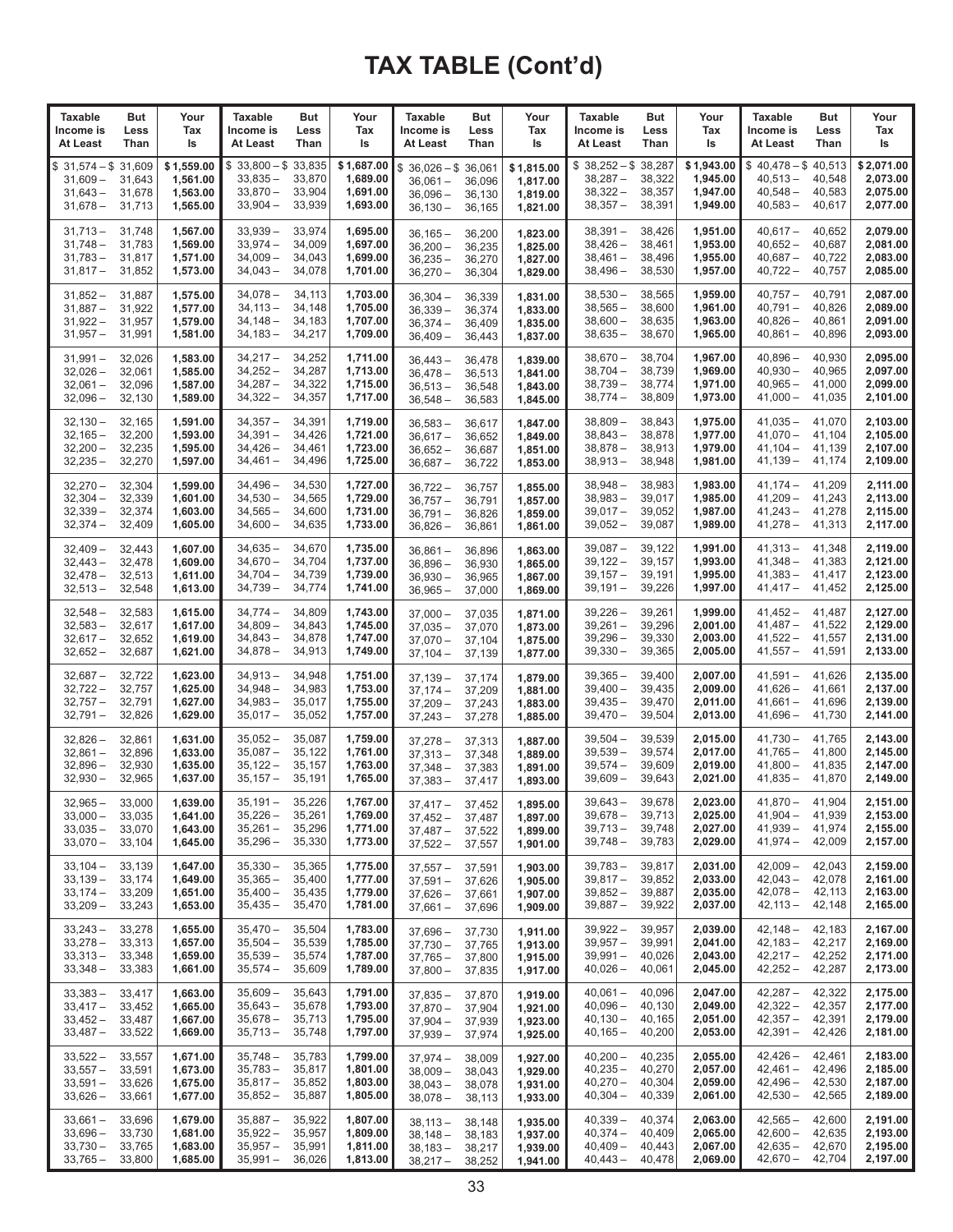| <b>Taxable</b>                                                   | But                                  | Your                                           | Taxable                                                      | But                                  | Your                                           | <b>Taxable</b>                                                                   | But                        | Your                                           | <b>Taxable</b>                                                | But                                  | Your                                           | Taxable                                                                  | But                        | Your                                           |
|------------------------------------------------------------------|--------------------------------------|------------------------------------------------|--------------------------------------------------------------|--------------------------------------|------------------------------------------------|----------------------------------------------------------------------------------|----------------------------|------------------------------------------------|---------------------------------------------------------------|--------------------------------------|------------------------------------------------|--------------------------------------------------------------------------|----------------------------|------------------------------------------------|
| Income is                                                        | Less                                 | Tax                                            | Income is                                                    | Less                                 | Tax                                            | Income is                                                                        | Less                       | Tax                                            | Income is                                                     | Less                                 | Tax                                            | Income is                                                                | Less                       | Tax                                            |
| At Least                                                         | Than                                 | ls                                             | At Least                                                     | Than                                 | ls                                             | At Least                                                                         | Than                       | ls                                             | At Least                                                      | Than                                 | ls                                             | At Least                                                                 | Than                       | ls                                             |
| $31,574 - $31,609$<br>\$<br>$31,609-$<br>$31,643 -$<br>$31,678-$ | 31,643<br>31,678<br>31,713           | \$1,559.00<br>1,561.00<br>1,563.00<br>1,565.00 | $$33,800 - $33,835$<br>$33,835 -$<br>$33,870-$<br>$33,904 -$ | 33,870<br>33,904<br>33,939           | \$1,687.00<br>1,689.00<br>1,691.00<br>1,693.00 | $$36,026 - $36,061$<br>$36,061 -$<br>$36,096 -$<br>$36,130 -$                    | 36,096<br>36,130<br>36,165 | \$1,815.00<br>1,817.00<br>1,819.00<br>1,821.00 | $$38,252 - $38,287$<br>$38,287 -$<br>$38,322 -$<br>$38,357 -$ | 38,322<br>38,357<br>38,391           | \$1,943.00<br>1,945.00<br>1,947.00<br>1,949.00 | $$40,478 - $40,513$<br>$40,513-$<br>$40,548-$<br>$40,583-$               | 40,548<br>40,583<br>40,617 | \$2,071.00<br>2,073.00<br>2,075.00<br>2,077.00 |
| $31,713 -$                                                       | 31,748                               | 1,567.00                                       | $33,939 -$                                                   | 33,974                               | 1,695.00                                       | $36,165 -$                                                                       | 36,200                     | 1,823.00                                       | $38,391 -$                                                    | 38,426                               | 1,951.00                                       | $40,617-$                                                                | 40,652                     | 2,079.00                                       |
| $31,748 -$                                                       | 31,783                               | 1,569.00                                       | $33,974-$                                                    | 34,009                               | 1,697.00                                       | $36,200 -$                                                                       | 36,235                     | 1,825.00                                       | $38,426 -$                                                    | 38,461                               | 1,953.00                                       | $40,652 -$                                                               | 40,687                     | 2,081.00                                       |
| $31,783 -$                                                       | 31,817                               | 1,571.00                                       | $34,009-$                                                    | 34,043                               | 1,699.00                                       | $36,235 -$                                                                       | 36,270                     | 1,827.00                                       | $38,461 -$                                                    | 38,496                               | 1,955.00                                       | $40,687-$                                                                | 40,722                     | 2,083.00                                       |
| $31,817 -$                                                       | 31,852                               | 1,573.00                                       | $34,043-$                                                    | 34,078                               | 1,701.00                                       | $36,270 -$                                                                       | 36,304                     | 1,829.00                                       | $38,496 -$                                                    | 38,530                               | 1,957.00                                       | $40,722 -$                                                               | 40,757                     | 2,085.00                                       |
| $31,852 -$                                                       | 31,887                               | 1,575.00                                       | $34,078-$                                                    | 34,113                               | 1.703.00                                       | $36,304 -$                                                                       | 36,339                     | 1,831.00                                       | $38,530 -$                                                    | 38,565                               | 1,959.00                                       | $40,757-$                                                                | 40,791                     | 2,087.00                                       |
| $31,887 -$                                                       | 31,922                               | 1,577.00                                       | $34,113 -$                                                   | 34,148                               | 1,705.00                                       | $36,339 -$                                                                       | 36,374                     | 1,833.00                                       | $38,565 -$                                                    | 38.600                               | 1.961.00                                       | $40,791 -$                                                               | 40,826                     | 2,089.00                                       |
| $31,922 -$                                                       | 31,957                               | 1,579.00                                       | $34,148-$                                                    | 34,183                               | 1,707.00                                       | $36.374 -$                                                                       | 36,409                     | 1,835.00                                       | $38,600 -$                                                    | 38,635                               | 1,963.00                                       | $40,826 -$                                                               | 40,861                     | 2,091.00                                       |
| $31,957 -$                                                       | 31,991                               | 1,581.00                                       | $34,183 -$                                                   | 34,217                               | 1,709.00                                       | $36,409-$                                                                        | 36,443                     | 1,837.00                                       | $38,635 -$                                                    | 38,670                               | 1,965.00                                       | $40,861 -$                                                               | 40,896                     | 2,093.00                                       |
| $31,991 -$                                                       | 32,026                               | 1,583.00                                       | $34,217-$                                                    | 34,252                               | 1,711.00                                       | $36,443 -$                                                                       | 36,478                     | 1,839.00                                       | $38,670 -$                                                    | 38,704                               | 1,967.00                                       | $40,896-$                                                                | 40,930                     | 2,095.00                                       |
| $32,026 -$                                                       | 32,061                               | 1,585.00                                       | $34,252 -$                                                   | 34,287                               | 1,713.00                                       | $36,478-$                                                                        | 36,513                     | 1,841.00                                       | $38,704 -$                                                    | 38,739                               | 1,969.00                                       | $40,930 -$                                                               | 40,965                     | 2,097.00                                       |
| $32,061 -$                                                       | 32,096                               | 1,587.00                                       | $34,287 -$                                                   | 34,322                               | 1,715.00                                       | $36,513 -$                                                                       | 36,548                     | 1,843.00                                       | $38,739-$                                                     | 38,774                               | 1,971.00                                       | $40,965 -$                                                               | 41,000                     | 2,099.00                                       |
| $32,096-$                                                        | 32,130                               | 1,589.00                                       | $34,322 -$                                                   | 34,357                               | 1,717.00                                       | $36,548-$                                                                        | 36,583                     | 1,845.00                                       | $38,774-$                                                     | 38,809                               | 1,973.00                                       | $41,000 -$                                                               | 41,035                     | 2,101.00                                       |
| $32,130 -$                                                       | 32,165                               | 1,591.00                                       | $34,357 -$                                                   | 34,391                               | 1,719.00                                       | $36,583 -$                                                                       | 36,617                     | 1,847.00                                       | $38,809 -$                                                    | 38,843                               | 1,975.00                                       | $41,035-$                                                                | 41,070                     | 2,103.00                                       |
| $32,165 -$                                                       | 32,200                               | 1,593.00                                       | $34,391 -$                                                   | 34,426                               | 1,721.00                                       | $36,617-$                                                                        | 36,652                     | 1,849.00                                       | $38,843 -$                                                    | 38,878                               | 1,977.00                                       | $41,070-$                                                                | 41,104                     | 2,105.00                                       |
| $32,200 -$                                                       | 32,235                               | 1,595.00                                       | $34,426 -$                                                   | 34,461                               | 1,723.00                                       | $36,652 -$                                                                       | 36,687                     | 1,851.00                                       | $38,878-$                                                     | 38,913                               | 1,979.00                                       | $41,104-$                                                                | 41,139                     | 2,107.00                                       |
| $32,235 -$                                                       | 32,270                               | 1,597.00                                       | $34,461 -$                                                   | 34,496                               | 1,725.00                                       | $36.687 -$                                                                       | 36,722                     | 1,853.00                                       | $38,913 -$                                                    | 38,948                               | 1,981.00                                       | $41,139-$                                                                | 41,174                     | 2,109.00                                       |
| $32,270 -$                                                       | 32,304                               | 1,599.00                                       | $34,496-$                                                    | 34,530                               | 1,727.00                                       | $36,722 -$                                                                       | 36,757                     | 1,855.00                                       | $38,948 -$                                                    | 38,983                               | 1,983.00                                       | $41,174-$                                                                | 41,209                     | 2,111.00                                       |
| $32,304 -$                                                       | 32,339                               | 1,601.00                                       | $34,530 -$                                                   | 34,565                               | 1,729.00                                       | $36,757 -$                                                                       | 36,791                     | 1.857.00                                       | $38,983 -$                                                    | 39,017                               | 1,985.00                                       | $41,209-$                                                                | 41,243                     | 2,113.00                                       |
| $32.339 -$                                                       | 32,374                               | 1,603.00                                       | $34,565 -$                                                   | 34,600                               | 1,731.00                                       | $36,791 -$                                                                       | 36,826                     | 1,859.00                                       | $39,017 -$                                                    | 39,052                               | 1,987.00                                       | $41,243-$                                                                | 41.278                     | 2,115.00                                       |
| $32,374-$                                                        | 32,409                               | 1,605.00                                       | $34,600 -$                                                   | 34,635                               | 1,733.00                                       | $36,826 -$                                                                       | 36,861                     | 1,861.00                                       | $39,052 -$                                                    | 39,087                               | 1,989.00                                       | $41,278-$                                                                | 41,313                     | 2,117.00                                       |
| $32,409-$                                                        | 32,443                               | 1,607.00                                       | $34,635 -$                                                   | 34,670                               | 1,735.00                                       | $36,861 -$                                                                       | 36,896                     | 1,863.00                                       | $39,087 -$                                                    | 39.122                               | 1,991.00                                       | $41.313 -$                                                               | 41,348                     | 2,119.00                                       |
| $32,443 -$                                                       | 32,478                               | 1,609.00                                       | $34,670-$                                                    | 34,704                               | 1,737.00                                       | $36,896-$                                                                        | 36,930                     | 1,865.00                                       | $39,122 -$                                                    | 39,157                               | 1,993.00                                       | $41,348 -$                                                               | 41,383                     | 2,121.00                                       |
| $32,478-$                                                        | 32,513                               | 1,611.00                                       | $34,704-$                                                    | 34,739                               | 1,739.00                                       | $36,930 -$                                                                       | 36,965                     | 1,867.00                                       | $39,157 -$                                                    | 39,191                               | 1,995.00                                       | $41,383 -$                                                               | 41,417                     | 2,123.00                                       |
| $32,513-$                                                        | 32,548                               | 1,613.00                                       | $34,739-$                                                    | 34,774                               | 1,741.00                                       | $36,965 -$                                                                       | 37,000                     | 1,869.00                                       | 39,191 –                                                      | 39,226                               | 1,997.00                                       | $41,417-$                                                                | 41,452                     | 2,125.00                                       |
| $32,548 -$                                                       | 32,583                               | 1,615.00                                       | $34,774-$                                                    | 34,809                               | 1,743.00                                       | $37,000 -$                                                                       | 37,035                     | 1,871.00                                       | $39,226 -$                                                    | 39,261                               | 1,999.00                                       | $41,452 -$                                                               | 41,487                     | 2,127.00                                       |
| $32,583-$                                                        | 32,617                               | 1,617.00                                       | $34,809-$                                                    | 34,843                               | 1,745.00                                       | $37,035 -$                                                                       | 37,070                     | 1,873.00                                       | $39,261 -$                                                    | 39,296                               | 2,001.00                                       | $41,487 -$                                                               | 41,522                     | 2,129.00                                       |
| $32,617-$                                                        | 32,652                               | 1,619.00                                       | $34,843 -$                                                   | 34,878                               | 1,747.00                                       | $37,070 -$                                                                       | 37,104                     | 1,875.00                                       | $39,296 -$                                                    | 39,330                               | 2,003.00                                       | $41,522 -$                                                               | 41,557                     | 2,131.00                                       |
| $32,652-$                                                        | 32,687                               | 1,621.00                                       | $34,878-$                                                    | 34,913                               | 1,749.00                                       | $37,104-$                                                                        | 37,139                     | 1,877.00                                       | $39,330 -$                                                    | 39,365                               | 2,005.00                                       | $41,557-$                                                                | 41,591                     | 2,133.00                                       |
| $32,687-$                                                        | 32,722                               | 1,623.00                                       | $34,913 -$                                                   | 34,948                               | 1,751.00                                       | $37,139-$                                                                        | 37,174                     | 1,879.00                                       | $39,365 -$                                                    | 39,400                               | 2,007.00                                       | $41,591 -$                                                               | 41,626                     | 2,135.00                                       |
| $32,722 -$                                                       | 32,757                               | 1,625.00                                       | $34,948 -$                                                   | 34,983                               | 1,753.00                                       | $37,174-$                                                                        | 37,209                     | 1,881.00                                       | $39,400 -$                                                    | 39,435                               | 2,009.00                                       | $41,626-$                                                                | 41,661                     | 2,137.00                                       |
| $32,757 -$                                                       | 32,791                               | 1,627.00                                       | $34,983 -$                                                   | 35,017                               | 1,755.00                                       | $37,209-$                                                                        | 37,243                     | 1,883.00                                       | $39,435 -$                                                    | 39,470                               | 2,011.00                                       | $41,661 -$                                                               | 41,696                     | 2,139.00                                       |
| $32,791 -$                                                       | 32,826                               | 1,629.00                                       | $35,017-$                                                    | 35,052                               | 1,757.00                                       | $37,243 -$                                                                       | 37,278                     | 1,885.00                                       | $39,470-$                                                     | 39,504                               | 2,013.00                                       | $41,696-$                                                                | 41,730                     | 2,141.00                                       |
| $32,826 -$                                                       | 32,861                               | 1.631.00                                       | $35,052 -$                                                   | 35,087                               | 1,759.00                                       | $37,278-$                                                                        | 37,313                     | 1,887.00                                       | $39,504 -$                                                    | 39,539                               | 2,015.00                                       | $41,730 -$                                                               | 41,765                     | 2,143.00                                       |
| $32,861 -$                                                       | 32,896                               | 1,633.00                                       | $35,087 -$                                                   | 35,122                               | 1,761.00                                       | $37,313 -$                                                                       | 37,348                     | 1,889.00                                       | $39,539-$                                                     | 39,574                               | 2,017.00                                       | $41,765 -$                                                               | 41,800                     | 2,145.00                                       |
| $32,896-$                                                        | 32,930                               | 1,635.00                                       | $35,122 -$                                                   | 35,157                               | 1,763.00                                       | $37,348 -$                                                                       | 37,383                     | 1,891.00                                       | $39,574 -$                                                    | 39,609                               | 2,019.00                                       | $41,800 -$                                                               | 41,835                     | 2,147.00                                       |
| $32,930 -$                                                       | 32,965                               | 1,637.00                                       | $35,157-$                                                    | 35,191                               | 1,765.00                                       | $37,383 -$                                                                       | 37,417                     | 1,893.00                                       | $39,609 -$                                                    | 39,643                               | 2,021.00                                       | $41,835 -$                                                               | 41,870                     | 2,149.00                                       |
| $32,965 -$                                                       | 33,000                               | 1,639.00                                       | $35,191 -$                                                   | 35,226                               | 1,767.00                                       | $37,417 - 37,452$                                                                |                            | 1,895.00                                       | $39,643-$                                                     | 39,678                               | 2,023.00                                       | $41,870-$                                                                | 41,904                     | 2,151.00                                       |
| $33,000 -$                                                       | 33,035                               | 1,641.00                                       | $35,226 -$                                                   | 35,261                               | 1,769.00                                       | $37,452 - 37,487$                                                                |                            | 1,897.00                                       | $39,678-$                                                     | 39,713                               | 2,025.00                                       | $41,904-$                                                                | 41,939                     | 2,153.00                                       |
| $33,035 -$                                                       | 33,070                               | 1,643.00                                       | $35,261 -$                                                   | 35,296                               | 1,771.00                                       | $37,487 - 37,522$                                                                |                            | 1,899.00                                       | $39,713 -$                                                    | 39,748                               | 2,027.00                                       | $41,939-$                                                                | 41,974                     | 2,155.00                                       |
| $33,070-$                                                        | 33,104                               | 1,645.00                                       | $35,296-$                                                    | 35,330                               | 1,773.00                                       | $37,522 - 37,557$                                                                |                            | 1,901.00                                       | $39,748 -$                                                    | 39,783                               | 2,029.00                                       | $41,974-$                                                                | 42,009                     | 2,157.00                                       |
| $33,104-$<br>$33,139-$<br>$33,174-$<br>$33,209-$                 | 33,139<br>33,174<br>33,209<br>33,243 | 1,647.00<br>1,649.00<br>1,651.00<br>1,653.00   | $35,330 -$<br>$35,365 -$<br>$35,400 -$<br>$35,435 -$         | 35,365<br>35,400<br>35,435<br>35,470 | 1,775.00<br>1,777.00<br>1,779.00<br>1,781.00   | $37,557 - 37,591$<br>$37,591 - 37,626$<br>$37,626 - 37,661$<br>$37,661 - 37,696$ |                            | 1.903.00<br>1,905.00<br>1.907.00<br>1,909.00   | $39,783 -$<br>$39,817 -$<br>$39,852 -$<br>$39,887 -$          | 39,817<br>39,852<br>39,887<br>39,922 | 2,031.00<br>2,033.00<br>2,035.00<br>2,037.00   | $42,009-$<br>$42,043 - 42,078$<br>$42,078 - 42,113$<br>42,113 —          | 42,043<br>42,148           | 2,159.00<br>2,161.00<br>2,163.00<br>2,165.00   |
| $33,243-$<br>$33,278-$<br>$33,313 -$<br>$33,348 -$               | 33,278<br>33,313<br>33,348<br>33,383 | 1,655.00<br>1,657.00<br>1,659.00<br>1,661.00   | $35,470 -$<br>$35,504-$<br>$35,539-$<br>$35,574-$            | 35,504<br>35,539<br>35,574<br>35,609 | 1,783.00<br>1,785.00<br>1,787.00<br>1,789.00   | $37,696 -$<br>$37,730 - 37,765$<br>$37,765 - 37,800$<br>$37,800 -$               | 37,730<br>37,835           | 1,911.00<br>1,913.00<br>1,915.00<br>1,917.00   | $39,922 -$<br>$39,957 -$<br>$39,991 -$<br>$40,026 -$          | 39,957<br>39,991<br>40,026<br>40,061 | 2,039.00<br>2,041.00<br>2,043.00<br>2,045.00   | $42,148 - 42,183$<br>$42,183 - 42,217$<br>$42,217-$<br>$42,252 -$        | 42,252<br>42,287           | 2,167.00<br>2,169.00<br>2,171.00<br>2,173.00   |
| $33,383 -$<br>$33,417-$<br>$33,452 -$<br>$33,487-$               | 33,417<br>33,452<br>33,487<br>33,522 | 1,663.00<br>1,665.00<br>1,667.00<br>1,669.00   | $35,609-$<br>$35,643 -$<br>$35,678-$<br>$35,713-$            | 35,643<br>35,678<br>35,713<br>35,748 | 1,791.00<br>1,793.00<br>1,795.00<br>1,797.00   | $37,835 - 37,870$<br>$37,870 - 37,904$<br>$37,904 - 37,939$<br>$37,939-$         | 37,974                     | 1,919.00<br>1,921.00<br>1,923.00<br>1,925.00   | $40,061 -$<br>$40,096-$<br>$40,130-$<br>$40,165 -$            | 40,096<br>40,130<br>40,165<br>40,200 | 2,047.00<br>2,049.00<br>2,051.00<br>2,053.00   | $42,287-$<br>$42,322 -$<br>$42,357 - 42,391$<br>$42,391 -$               | 42,322<br>42,357<br>42,426 | 2,175.00<br>2,177.00<br>2,179.00<br>2,181.00   |
| $33,522 -$<br>$33,557 -$<br>$33,591 -$<br>$33,626 -$             | 33,557<br>33,591<br>33,626<br>33,661 | 1,671.00<br>1,673.00<br>1,675.00<br>1,677.00   | $35,748 -$<br>$35,783-$<br>$35,817 -$<br>$35,852 -$          | 35,783<br>35,817<br>35,852<br>35,887 | 1,799.00<br>1,801.00<br>1,803.00<br>1,805.00   | $37,974-$<br>$38,009-$<br>$38,043 - 38,078$<br>$38,078-$                         | 38,009<br>38,043<br>38,113 | 1,927.00<br>1,929.00<br>1,931.00<br>1,933.00   | $40,200 -$<br>$40,235-$<br>$40,270 -$<br>$40,304-$            | 40,235<br>40,270<br>40,304<br>40,339 | 2,055.00<br>2,057.00<br>2,059.00<br>2,061.00   | 42,426 –<br>$42,461-$<br>$42,496 - 42,530$<br>$42,530 - 42,565$          | 42,461<br>42,496           | 2,183.00<br>2,185.00<br>2,187.00<br>2,189.00   |
| $33,661-$<br>$33,696-$<br>$33,730 -$<br>$33,765 -$               | 33,696<br>33,730<br>33,765<br>33,800 | 1,679.00<br>1,681.00<br>1,683.00<br>1,685.00   | $35,887 -$<br>$35,922 -$<br>$35,957 -$<br>$35,991 -$         | 35,922<br>35,957<br>35,991<br>36,026 | 1,807.00<br>1,809.00<br>1,811.00<br>1,813.00   | $38,113 - 38,148$<br>$38,148 - 38,183$<br>$38,183 - 38,217$<br>$38,217 -$        | 38,252                     | 1,935.00<br>1,937.00<br>1,939.00<br>1,941.00   | $40,339-$<br>$40,374-$<br>$40,409-$<br>$40,443-$              | 40,374<br>40,409<br>40,443<br>40,478 | 2,063.00<br>2,065.00<br>2,067.00<br>2,069.00   | $42,565 - 42,600$<br>$42,600 - 42,635$<br>$42,635 - 42,670$<br>$42,670-$ | 42,704                     | 2,191.00<br>2,193.00<br>2,195.00<br>2,197.00   |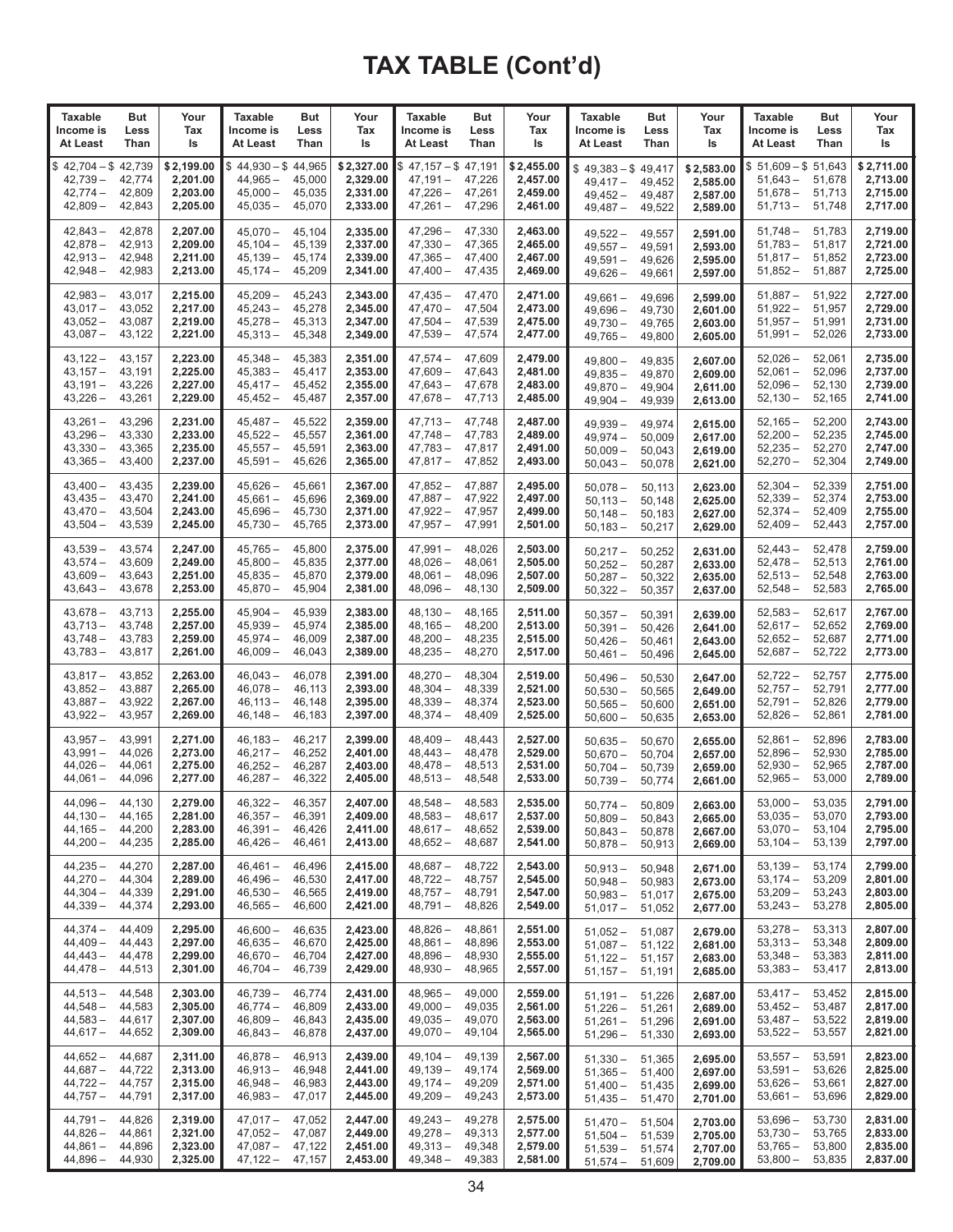| Taxable                                                         | But                                  | Your                                           | Taxable                                                                 | But                                  | Your                                           | Taxable                                                                        | But                        | Your                                           | <b>Taxable</b>                                                    | But                                  | Your                                           | <b>Taxable</b>                                             | <b>But</b>                           | Your                                           |
|-----------------------------------------------------------------|--------------------------------------|------------------------------------------------|-------------------------------------------------------------------------|--------------------------------------|------------------------------------------------|--------------------------------------------------------------------------------|----------------------------|------------------------------------------------|-------------------------------------------------------------------|--------------------------------------|------------------------------------------------|------------------------------------------------------------|--------------------------------------|------------------------------------------------|
| Income is                                                       | Less                                 | Tax                                            | Income is                                                               | Less                                 | Tax                                            | Income is                                                                      | Less                       | Tax                                            | Income is                                                         | Less                                 | Tax                                            | Income is                                                  | Less                                 | Tax                                            |
| At Least                                                        | Than                                 | ls                                             | At Least                                                                | Than                                 | ls                                             | At Least                                                                       | Than                       | ls                                             | At Least                                                          | Than                                 | ls                                             | At Least                                                   | Than                                 | ls                                             |
| $42,704 - $42,739$<br>\$<br>$42,739-$<br>$42,774-$<br>$42,809-$ | 42,774<br>42,809<br>42,843           | \$2,199.00<br>2,201.00<br>2,203.00<br>2,205.00 | $$44,930 - $44,965$<br>$44,965 -$<br>$45,000 -$<br>$45,035-$            | 45,000<br>45,035<br>45,070           | \$2,327.00<br>2,329.00<br>2,331.00<br>2,333.00 | $$47,157 - $47,191$<br>47,191 —<br>$47,226 - 47,261$<br>$47,261 - 47,296$      | 47,226                     | \$2,455.00<br>2,457.00<br>2,459.00<br>2,461.00 | $$49,383 - $49,417$<br>$49,417-$<br>$49,452 -$<br>$49,487-$       | 49,452<br>49,487<br>49,522           | \$2,583.00<br>2,585.00<br>2,587.00<br>2,589.00 | $$51,609 - $51,643$<br>$51,643-$<br>$51,678-$<br>$51,713-$ | 51,678<br>51,713<br>51,748           | \$2,711.00<br>2,713.00<br>2,715.00<br>2,717.00 |
| $42,843-$                                                       | 42,878                               | 2,207.00                                       | $45,070-$                                                               | 45,104                               | 2,335.00                                       | 47,296 –                                                                       | 47,330                     | 2,463.00                                       | 49,522 –                                                          | 49,557                               | 2,591.00                                       | $51,748-$                                                  | 51,783                               | 2,719.00                                       |
| $42,878-$                                                       | 42,913                               | 2,209.00                                       | $45,104-$                                                               | 45,139                               | 2,337.00                                       | $47,330 -$                                                                     | 47,365                     | 2,465.00                                       | $49,557-$                                                         | 49,591                               | 2,593.00                                       | $51,783-$                                                  | 51,817                               | 2,721.00                                       |
| $42,913-$                                                       | 42,948                               | 2,211.00                                       | $45,139-$                                                               | 45,174                               | 2,339.00                                       | $47,365 -$                                                                     | 47,400                     | 2,467.00                                       | $49,591 -$                                                        | 49.626                               | 2,595.00                                       | $51,817 -$                                                 | 51,852                               | 2,723.00                                       |
| $42,948 -$                                                      | 42,983                               | 2,213.00                                       | $45,174-$                                                               | 45,209                               | 2,341.00                                       | 47,400 -                                                                       | 47,435                     | 2,469.00                                       | 49,626 -                                                          | 49,661                               | 2,597.00                                       | $51,852 -$                                                 | 51,887                               | 2,725.00                                       |
| $42.983 -$                                                      | 43,017                               | 2,215.00                                       | $45,209-$                                                               | 45,243                               | 2,343.00                                       | $47,435-$                                                                      | 47,470                     | 2.471.00                                       | $49,661 -$                                                        | 49,696                               | 2.599.00                                       | $51,887-$                                                  | 51,922                               | 2,727.00                                       |
| $43,017-$                                                       | 43,052                               | 2,217.00                                       | $45,243-$                                                               | 45,278                               | 2,345.00                                       | 47,470 —                                                                       | 47,504                     | 2,473.00                                       | $49,696-$                                                         | 49,730                               | 2,601.00                                       | $51,922 -$                                                 | 51,957                               | 2,729.00                                       |
| $43,052-$                                                       | 43,087                               | 2,219.00                                       | $45,278-$                                                               | 45,313                               | 2,347.00                                       | $47,504-$                                                                      | 47,539                     | 2.475.00                                       | $49,730 -$                                                        | 49,765                               | 2,603.00                                       | $51,957 -$                                                 | 51,991                               | 2.731.00                                       |
| $43,087-$                                                       | 43,122                               | 2,221.00                                       | $45,313-$                                                               | 45,348                               | 2,349.00                                       | 47,539 —                                                                       | 47,574                     | 2,477.00                                       | $49,765-$                                                         | 49,800                               | 2,605.00                                       | $51,991 -$                                                 | 52,026                               | 2,733.00                                       |
| $43,122-$                                                       | 43,157                               | 2,223.00                                       | $45,348 -$                                                              | 45,383                               | 2,351.00                                       | 47,574 –                                                                       | 47,609                     | 2,479.00                                       | $49,800 -$                                                        | 49,835                               | 2,607.00                                       | $52,026-$                                                  | 52,061                               | 2,735.00                                       |
| $43,157-$                                                       | 43,191                               | 2,225.00                                       | $45,383 -$                                                              | 45,417                               | 2,353.00                                       | 47,609 —                                                                       | 47,643                     | 2,481.00                                       | $49,835 -$                                                        | 49,870                               | 2,609.00                                       | $52,061 -$                                                 | 52,096                               | 2,737.00                                       |
| $43,191 -$                                                      | 43,226                               | 2,227.00                                       | $45,417-$                                                               | 45,452                               | 2,355.00                                       | 47,643 –                                                                       | 47,678                     | 2,483.00                                       | $49,870 -$                                                        | 49,904                               | 2,611.00                                       | $52,096-$                                                  | 52,130                               | 2,739.00                                       |
| $43,226 -$                                                      | 43,261                               | 2,229.00                                       | $45,452 -$                                                              | 45,487                               | 2,357.00                                       | 47,678 –                                                                       | 47,713                     | 2,485.00                                       | $49,904 -$                                                        | 49,939                               | 2,613.00                                       | $52,130 -$                                                 | 52,165                               | 2,741.00                                       |
| $43,261 -$                                                      | 43,296                               | 2,231.00                                       | $45,487-$                                                               | 45,522                               | 2,359.00                                       | 47,713 –                                                                       | 47,748                     | 2,487.00                                       | 49,939 -                                                          | 49,974                               | 2,615.00                                       | $52,165-$                                                  | 52,200                               | 2,743.00                                       |
| $43,296-$                                                       | 43,330                               | 2.233.00                                       | $45,522 -$                                                              | 45.557                               | 2,361.00                                       | $47,748-$                                                                      | 47,783                     | 2,489.00                                       | $49,974-$                                                         | 50,009                               | 2,617.00                                       | $52,200 -$                                                 | 52,235                               | 2,745.00                                       |
| $43,330 -$                                                      | 43,365                               | 2,235.00                                       | $45,557-$                                                               | 45,591                               | 2,363.00                                       | 47,783 –                                                                       | 47,817                     | 2,491.00                                       | $50,009-$                                                         | 50,043                               | 2,619.00                                       | $52,235 -$                                                 | 52,270                               | 2,747.00                                       |
| $43,365 -$                                                      | 43,400                               | 2,237.00                                       | $45,591 -$                                                              | 45,626                               | 2,365.00                                       | 47,817 –                                                                       | 47,852                     | 2,493.00                                       | $50,043 -$                                                        | 50,078                               | 2,621.00                                       | $52,270-$                                                  | 52,304                               | 2,749.00                                       |
| $43,400 -$                                                      | 43,435                               | 2,239.00                                       | $45,626-$                                                               | 45,661                               | 2,367.00                                       | $47,852-$                                                                      | 47,887                     | 2,495.00                                       | $50,078-$                                                         | 50,113                               | 2,623.00                                       | $52,304-$                                                  | 52,339                               | 2,751.00                                       |
| $43,435-$                                                       | 43,470                               | 2,241.00                                       | $45,661 -$                                                              | 45,696                               | 2,369.00                                       | $47,887 -$                                                                     | 47,922                     | 2.497.00                                       | $50,113-$                                                         | 50,148                               | 2,625.00                                       | $52,339-$                                                  | 52,374                               | 2,753.00                                       |
| $43.470 -$                                                      | 43,504                               | 2,243.00                                       | $45,696-$                                                               | 45,730                               | 2,371.00                                       | 47,922 –                                                                       | 47,957                     | 2,499.00                                       | $50,148-$                                                         | 50,183                               | 2,627.00                                       | $52,374-$                                                  | 52,409                               | 2,755.00                                       |
| $43,504-$                                                       | 43,539                               | 2,245.00                                       | $45,730 -$                                                              | 45,765                               | 2,373.00                                       | 47,957 –                                                                       | 47,991                     | 2,501.00                                       | $50,183 -$                                                        | 50,217                               | 2,629.00                                       | $52,409-$                                                  | 52,443                               | 2,757.00                                       |
| $43,539-$                                                       | 43,574                               | 2,247.00                                       | $45,765-$                                                               | 45,800                               | 2,375.00                                       | 47,991 -                                                                       | 48,026                     | 2,503.00                                       | $50,217-$                                                         | 50,252                               | 2,631.00                                       | $52,443-$                                                  | 52,478                               | 2,759.00                                       |
| $43,574-$                                                       | 43,609                               | 2,249.00                                       | $45,800 -$                                                              | 45,835                               | 2,377.00                                       | $48,026-$                                                                      | 48,061                     | 2,505.00                                       | $50,252 -$                                                        | 50,287                               | 2,633.00                                       | $52,478-$                                                  | 52,513                               | 2,761.00                                       |
| $43,609-$                                                       | 43,643                               | 2,251.00                                       | $45,835-$                                                               | 45,870                               | 2,379.00                                       | $48,061 -$                                                                     | 48,096                     | 2,507.00                                       | $50,287-$                                                         | 50,322                               | 2,635.00                                       | $52,513 -$                                                 | 52,548                               | 2,763.00                                       |
| $43,643-$                                                       | 43,678                               | 2,253.00                                       | $45,870-$                                                               | 45,904                               | 2,381.00                                       | 48,096 –                                                                       | 48,130                     | 2,509.00                                       | 50,322 –                                                          | 50,357                               | 2,637.00                                       | $52,548 -$                                                 | 52,583                               | 2,765.00                                       |
| $43,678-$                                                       | 43,713                               | 2,255.00                                       | $45,904 -$                                                              | 45,939                               | 2,383.00                                       | $48,130-$                                                                      | 48,165                     | 2,511.00                                       | $50,357-$                                                         | 50,391                               | 2,639.00                                       | $52,583 -$                                                 | 52,617                               | 2,767.00                                       |
| $43,713-$                                                       | 43,748                               | 2,257.00                                       | $45,939-$                                                               | 45,974                               | 2,385.00                                       | $48,165 -$                                                                     | 48,200                     | 2,513.00                                       | $50,391 -$                                                        | 50,426                               | 2,641.00                                       | $52,617-$                                                  | 52,652                               | 2,769.00                                       |
| $43,748-$                                                       | 43,783                               | 2,259.00                                       | $45,974-$                                                               | 46,009                               | 2,387.00                                       | $48,200 -$                                                                     | 48,235                     | 2,515.00                                       | $50,426-$                                                         | 50,461                               | 2,643.00                                       | $52,652-$                                                  | 52,687                               | 2,771.00                                       |
| $43,783-$                                                       | 43,817                               | 2,261.00                                       | $46,009-$                                                               | 46,043                               | 2,389.00                                       | $48,235 -$                                                                     | 48,270                     | 2,517.00                                       | $50,461 -$                                                        | 50,496                               | 2,645.00                                       | $52,687-$                                                  | 52,722                               | 2,773.00                                       |
| $43,817-$                                                       | 43,852                               | 2,263.00                                       | $46,043 -$                                                              | 46,078                               | 2,391.00                                       | $48,270 -$                                                                     | 48,304                     | 2,519.00                                       | $50,496-$                                                         | 50,530                               | 2,647.00                                       | $52,722 -$                                                 | 52,757                               | 2,775.00                                       |
| $43,852-$                                                       | 43,887                               | 2,265.00                                       | $46,078-$                                                               | 46,113                               | 2,393.00                                       | $48,304-$                                                                      | 48,339                     | 2,521.00                                       | $50,530 -$                                                        | 50,565                               | 2,649.00                                       | $52,757-$                                                  | 52,791                               | 2,777.00                                       |
| $43,887-$                                                       | 43,922                               | 2,267.00                                       | 46,113 -                                                                | 46,148                               | 2,395.00                                       | 48,339 -                                                                       | 48,374                     | 2,523.00                                       | $50,565 -$                                                        | 50,600                               | 2,651.00                                       | $52,791-$                                                  | 52,826                               | 2,779.00                                       |
| $43,922 -$                                                      | 43,957                               | 2,269.00                                       | $46,148-$                                                               | 46,183                               | 2,397.00                                       | $48,374-$                                                                      | 48,409                     | 2,525.00                                       | $50,600 -$                                                        | 50,635                               | 2,653.00                                       | $52,826 -$                                                 | 52,861                               | 2,781.00                                       |
| $43,957 -$                                                      | 43,991                               | 2,271.00                                       | $46,183-$                                                               | 46,217                               | 2,399.00                                       | $48,409-$                                                                      | 48,443                     | 2,527.00                                       | $50,635 -$                                                        | 50.670                               | 2,655.00                                       | $52,861 -$                                                 | 52,896                               | 2,783.00                                       |
| $43,991 -$                                                      | 44,026                               | 2,273.00                                       | $46,217-$                                                               | 46,252                               | 2,401.00                                       | $48,443-$                                                                      | 48,478                     | 2,529.00                                       | $50,670-$                                                         | 50,704                               | 2,657.00                                       | $52,896-$                                                  | 52,930                               | 2,785.00                                       |
| $44,026 -$                                                      | 44,061                               | 2,275.00                                       | $46,252 -$                                                              | 46,287                               | 2,403.00                                       | 48,478 –                                                                       | 48,513                     | 2,531.00                                       | $50,704-$                                                         | 50,739                               | 2,659.00                                       | $52,930 -$                                                 | 52,965                               | 2,787.00                                       |
| $44,061 -$                                                      | 44,096                               | 2,277.00                                       | $46,287-$                                                               | 46,322                               | 2,405.00                                       | $48,513-$                                                                      | 48,548                     | 2,533.00                                       | $50,739-$                                                         | 50,774                               | 2,661.00                                       | $52,965 -$                                                 | 53,000                               | 2,789.00                                       |
| 44,096 —<br>$44,130-$<br>$44,165-$<br>$44,200 -$                | 44,130<br>44,165<br>44,200<br>44,235 | 2,279.00<br>2,281.00<br>2,283.00<br>2,285.00   | $46,322 - 46,357$<br>$46,357 -$<br>$46,391 -$<br>$46,426-$              | 46,391<br>46,426<br>46,461           | 2,407.00<br>2,409.00<br>2,411.00<br>2,413.00   | $48,548 - 48,583$<br>48,583 –<br>48,617 –<br>48,652 –                          | 48,617<br>48,652<br>48,687 | 2,535.00<br>2,537.00<br>2,539.00<br>2,541.00   | 50,774 —<br>$50,809-$<br>$50,843-$<br>$50,878-$                   | 50,809<br>50,843<br>50,878<br>50,913 | 2,663.00<br>2,665.00<br>2,667.00<br>2,669.00   | $53,000-$<br>$53,035 -$<br>$53,070-$<br>$53,104-$          | 53,035<br>53,070<br>53,104<br>53,139 | 2,791.00<br>2,793.00<br>2,795.00<br>2,797.00   |
| 44,235 –                                                        | 44,270                               | 2,287.00                                       | 46,461 –                                                                | 46,496                               | 2,415.00                                       | 48,687 - 48,722                                                                |                            | 2,543.00                                       | $50,913 -$                                                        | 50,948                               | 2,671.00                                       | $53,139-$                                                  | 53,174                               | 2,799.00                                       |
| $44,270-$                                                       | 44,304                               | 2,289.00                                       | $46.496 -$                                                              | 46,530                               | 2,417.00                                       | $48,722 - 48,757$                                                              |                            | 2,545.00                                       | $50,948-$                                                         | 50,983                               | 2,673.00                                       | $53,174-$                                                  | 53,209                               | 2,801.00                                       |
| $44,304-$                                                       | 44,339                               | 2,291.00                                       | $46.530 -$                                                              | 46,565                               | 2,419.00                                       | $48.757 - 48.791$                                                              |                            | 2,547.00                                       | $50,983 -$                                                        | 51,017                               | 2,675.00                                       | $53,209-$                                                  | 53,243                               | 2,803.00                                       |
| $44,339-$                                                       | 44,374                               | 2,293.00                                       | $46,565 -$                                                              | 46,600                               | 2,421.00                                       | 48,791 - 48,826                                                                |                            | 2,549.00                                       | $51,017 -$                                                        | 51,052                               | 2,677.00                                       | $53,243-$                                                  | 53,278                               | 2,805.00                                       |
| $44.374 -$<br>$44,409-$<br>$44.443 -$<br>44,478 –               | 44,409<br>44,443<br>44,478<br>44,513 | 2,295.00<br>2,297.00<br>2,299.00<br>2,301.00   | $46,600 -$<br>$46,635 -$<br>$46,670-$<br>$46,704-$                      | 46,635<br>46,670<br>46.704<br>46,739 | 2,423.00<br>2,425.00<br>2,427.00<br>2,429.00   | $48,826 -$<br>$48,861 - 48,896$<br>$48,896 - 48,930$<br>48,930 - 48,965        | 48,861                     | 2,551.00<br>2,553.00<br>2,555.00<br>2,557.00   | $51,052 -$<br>$51,087 -$<br>$51,122 -$<br>$51,157 - 51,191$       | 51,087<br>51,122<br>51,157           | 2,679.00<br>2,681.00<br>2,683.00<br>2,685.00   | 53,278 –<br>$53,313-$<br>$53,348-$<br>$53,383-$            | 53,313<br>53,348<br>53,383<br>53,417 | 2,807.00<br>2,809.00<br>2,811.00<br>2,813.00   |
| $44,513-$<br>$44,548-$<br>$44,583-$<br>$44,617-$                | 44,548<br>44,583<br>44,617<br>44,652 | 2,303.00<br>2,305.00<br>2,307.00<br>2,309.00   | $46,739-$<br>$46,774-$<br>$46,809-$<br>$46,843-$                        | 46.774<br>46,809<br>46,843<br>46,878 | 2,431.00<br>2,433.00<br>2,435.00<br>2,437.00   | $48.965 -$<br>$49,000 - 49,035$<br>$49,035 - 49,070$<br>49,070 - 49,104        | 49,000                     | 2,559.00<br>2,561.00<br>2,563.00<br>2,565.00   | $51,191 - 51,226$<br>$51,226 - 51,261$<br>$51,261 -$<br>$51,296-$ | 51,296<br>51,330                     | 2,687.00<br>2,689.00<br>2,691.00<br>2,693.00   | $53,417-$<br>$53,452-$<br>$53,487-$<br>$53,522 -$          | 53,452<br>53,487<br>53,522<br>53,557 | 2,815.00<br>2,817.00<br>2,819.00<br>2,821.00   |
| $44,652-$                                                       | 44,687                               | 2,311.00                                       | $46,878-$                                                               | 46,913                               | 2,439.00                                       | $49,104 - 49,139$                                                              |                            | 2,567.00                                       | $51,330 -$                                                        | 51,365                               | 2,695.00                                       | $53,557 -$                                                 | 53,591                               | 2,823.00                                       |
| $44,687-$                                                       | 44,722                               | 2,313.00                                       | $46,913-$                                                               | 46,948                               | 2,441.00                                       | $49,139 - 49,174$                                                              |                            | 2,569.00                                       | $51,365 -$                                                        | 51,400                               | 2,697.00                                       | $53,591 -$                                                 | 53,626                               | 2,825.00                                       |
| 44,722 –                                                        | 44,757                               | 2,315.00                                       | $46,948-$                                                               | 46,983                               | 2,443.00                                       | $49,174 - 49,209$                                                              |                            | 2,571.00                                       | $51,400 -$                                                        | 51,435                               | 2,699.00                                       | $53,626-$                                                  | 53,661                               | 2,827.00                                       |
| $44,757-$                                                       | 44,791                               | 2,317.00                                       | $46,983-$                                                               | 47,017                               | 2,445.00                                       | $49,209 - 49,243$                                                              |                            | 2,573.00                                       | $51,435-$                                                         | 51,470                               | 2,701.00                                       | $53,661-$                                                  | 53,696                               | 2,829.00                                       |
| $44,791 -$<br>$44,826-$<br>44,861 –<br>44,896 –                 | 44,826<br>44,861<br>44,896<br>44,930 | 2,319.00<br>2,321.00<br>2,323.00<br>2,325.00   | 47,017 –<br>$47,052 - 47,087$<br>$47,087 - 47,122$<br>$47,122 - 47,157$ | 47,052                               | 2,447.00<br>2,449.00<br>2,451.00<br>2,453.00   | $49,243 - 49,278$<br>$49,278 - 49,313$<br>49,313 - 49,348<br>$49,348 - 49,383$ |                            | 2,575.00<br>2,577.00<br>2,579.00<br>2,581.00   | $51,470 -$<br>$51,504-$<br>$51,539-$<br>$51,574-$                 | 51,504<br>51,539<br>51,574<br>51,609 | 2,703.00<br>2,705.00<br>2,707.00<br>2,709.00   | $53,696-$<br>$53,730 -$<br>$53,765-$<br>$53,800 -$         | 53,730<br>53,765<br>53,800<br>53,835 | 2,831.00<br>2,833.00<br>2,835.00<br>2,837.00   |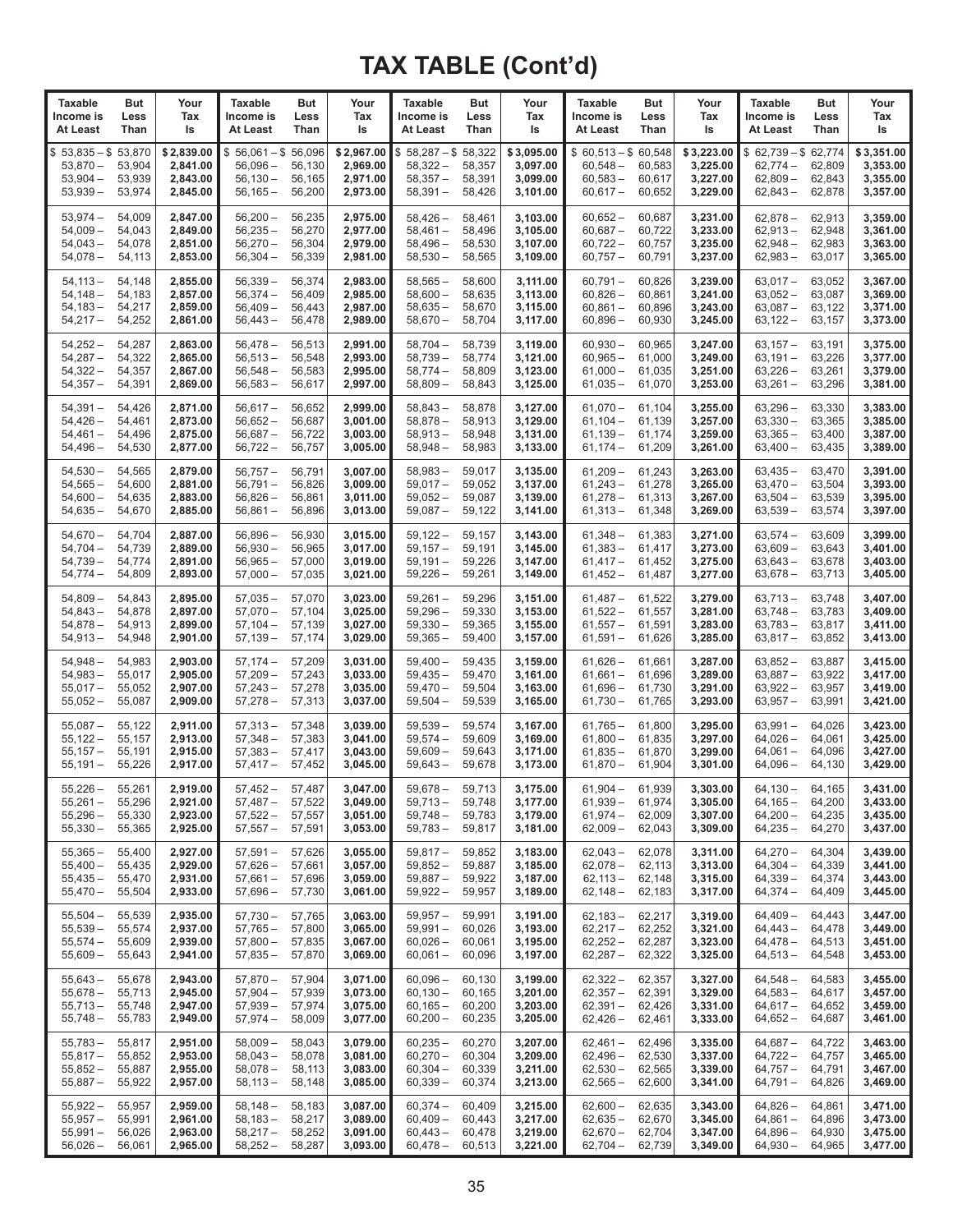| <b>Taxable</b>                                             | But                                  | Your                                           | <b>Taxable</b>                                            | <b>But</b>                           | Your                                           | <b>Taxable</b>                                               | <b>But</b>                           | Your                                           | <b>Taxable</b>                                                   | <b>But</b>                           | Your                                           | <b>Taxable</b>                                                  | <b>But</b>                           | Your                                           |
|------------------------------------------------------------|--------------------------------------|------------------------------------------------|-----------------------------------------------------------|--------------------------------------|------------------------------------------------|--------------------------------------------------------------|--------------------------------------|------------------------------------------------|------------------------------------------------------------------|--------------------------------------|------------------------------------------------|-----------------------------------------------------------------|--------------------------------------|------------------------------------------------|
| Income is                                                  | Less                                 | Tax                                            | Income is                                                 | Less                                 | Tax                                            | Income is                                                    | Less                                 | Tax                                            | Income is                                                        | Less                                 | Tax                                            | Income is                                                       | Less                                 | Tax                                            |
| At Least                                                   | Than                                 | ls                                             | At Least                                                  | Than                                 | ls                                             | At Least                                                     | Than                                 | ls                                             | At Least                                                         | Than                                 | ls                                             | At Least                                                        | Than                                 | ls                                             |
| $$53,835 - $53,870$<br>$53,870-$<br>$53,904-$<br>$53,939-$ | 53,904<br>53,939<br>53,974           | \$2,839.00<br>2,841.00<br>2,843.00<br>2,845.00 | $$56,061 - $56,096$<br>$56,096-$<br>$56,130-$<br>56,165 – | 56,130<br>56,165<br>56,200           | \$2,967.00<br>2,969.00<br>2,971.00<br>2,973.00 | $$58,287 - $58,322$<br>$58,322 -$<br>$58,357-$<br>$58,391 -$ | 58,357<br>58,391<br>58,426           | \$3,095.00<br>3,097.00<br>3,099.00<br>3,101.00 | $$60,513 - $60,548$<br>$60,548 -$<br>$60,583 -$<br>$60,617-$     | 60,583<br>60,617<br>60,652           | \$3,223.00<br>3,225.00<br>3,227.00<br>3,229.00 | $$62,739 - $62,774$<br>$62,774-$<br>$62,809-$<br>$62,843-$      | 62,809<br>62,843<br>62,878           | \$3,351.00<br>3,353.00<br>3,355.00<br>3,357.00 |
| $53,974-$                                                  | 54,009                               | 2,847.00                                       | $56,200 -$                                                | 56,235                               | 2,975.00                                       | $58,426-$                                                    | 58,461                               | 3,103.00                                       | $60,652 -$                                                       | 60,687                               | 3,231.00                                       | $62,878-$                                                       | 62,913                               | 3,359.00                                       |
| $54,009-$                                                  | 54,043                               | 2,849.00                                       | $56,235-$                                                 | 56,270                               | 2,977.00                                       | $58,461-$                                                    | 58,496                               | 3,105.00                                       | $60,687 -$                                                       | 60,722                               | 3,233.00                                       | $62,913-$                                                       | 62,948                               | 3,361.00                                       |
| $54,043-$                                                  | 54,078                               | 2,851.00                                       | $56,270-$                                                 | 56,304                               | 2,979.00                                       | $58,496-$                                                    | 58,530                               | 3,107.00                                       | $60,722 -$                                                       | 60,757                               | 3,235.00                                       | $62,948-$                                                       | 62,983                               | 3,363.00                                       |
| $54,078-$                                                  | 54,113                               | 2,853.00                                       | $56,304 -$                                                | 56,339                               | 2,981.00                                       | $58,530 -$                                                   | 58,565                               | 3,109.00                                       | $60,757-$                                                        | 60,791                               | 3,237.00                                       | $62,983 -$                                                      | 63,017                               | 3,365.00                                       |
| $54,113-$                                                  | 54,148                               | 2,855.00                                       | 56,339 –                                                  | 56,374                               | 2,983.00                                       | $58,565-$                                                    | 58,600                               | 3,111.00                                       | $60,791 -$                                                       | 60,826                               | 3.239.00                                       | $63,017-$                                                       | 63,052                               | 3,367.00                                       |
| $54,148-$                                                  | 54,183                               | 2,857.00                                       | $56,374-$                                                 | 56,409                               | 2,985.00                                       | $58,600 -$                                                   | 58,635                               | 3,113.00                                       | $60,826 -$                                                       | 60,861                               | 3,241.00                                       | $63,052-$                                                       | 63,087                               | 3,369.00                                       |
| $54,183-$                                                  | 54,217                               | 2,859.00                                       | $56,409-$                                                 | 56,443                               | 2,987.00                                       | $58,635-$                                                    | 58,670                               | 3,115.00                                       | $60,861 -$                                                       | 60,896                               | 3,243.00                                       | $63,087-$                                                       | 63,122                               | 3,371.00                                       |
| $54,217-$                                                  | 54,252                               | 2,861.00                                       | 56,443 –                                                  | 56,478                               | 2,989.00                                       | $58,670-$                                                    | 58,704                               | 3,117.00                                       | $60,896 -$                                                       | 60,930                               | 3,245.00                                       | $63,122-$                                                       | 63,157                               | 3,373.00                                       |
| $54,252-$                                                  | 54,287                               | 2,863.00                                       | $56,478-$                                                 | 56,513                               | 2,991.00                                       | $58,704-$                                                    | 58,739                               | 3,119.00                                       | $60,930 -$                                                       | 60,965                               | 3,247.00                                       | $63,157-$                                                       | 63,191                               | 3,375.00                                       |
| $54,287-$                                                  | 54,322                               | 2,865.00                                       | $56,513 -$                                                | 56,548                               | 2,993.00                                       | $58,739-$                                                    | 58,774                               | 3,121.00                                       | $60,965 -$                                                       | 61,000                               | 3,249.00                                       | $63,191-$                                                       | 63,226                               | 3,377.00                                       |
| $54,322 -$                                                 | 54,357                               | 2,867.00                                       | $56,548-$                                                 | 56,583                               | 2,995.00                                       | $58,774-$                                                    | 58,809                               | 3,123.00                                       | $61,000 -$                                                       | 61,035                               | 3,251.00                                       | 63,226 –                                                        | 63,261                               | 3,379.00                                       |
| $54,357-$                                                  | 54,391                               | 2,869.00                                       | $56,583 -$                                                | 56,617                               | 2,997.00                                       | $58,809-$                                                    | 58,843                               | 3,125.00                                       | $61,035 -$                                                       | 61,070                               | 3,253.00                                       | $63,261 -$                                                      | 63,296                               | 3,381.00                                       |
| $54,391 -$                                                 | 54,426                               | 2,871.00                                       | $56,617-$                                                 | 56,652                               | 2,999.00                                       | $58,843-$                                                    | 58.878                               | 3,127.00                                       | $61,070 -$                                                       | 61,104                               | 3.255.00                                       | $63,296-$                                                       | 63,330                               | 3,383.00                                       |
| $54,426-$                                                  | 54,461                               | 2,873.00                                       | $56,652 -$                                                | 56,687                               | 3,001.00                                       | $58,878-$                                                    | 58,913                               | 3,129.00                                       | $61,104 -$                                                       | 61,139                               | 3,257.00                                       | $63,330 -$                                                      | 63,365                               | 3,385.00                                       |
| $54,461 -$                                                 | 54,496                               | 2,875.00                                       | 56,687 –                                                  | 56,722                               | 3,003.00                                       | $58,913 -$                                                   | 58,948                               | 3,131.00                                       | $61,139-$                                                        | 61,174                               | 3,259.00                                       | $63,365 -$                                                      | 63,400                               | 3,387.00                                       |
| $54,496-$                                                  | 54,530                               | 2,877.00                                       | $56,722 -$                                                | 56,757                               | 3,005.00                                       | $58,948 -$                                                   | 58,983                               | 3,133.00                                       | $61,174-$                                                        | 61,209                               | 3,261.00                                       | $63.400 -$                                                      | 63,435                               | 3,389.00                                       |
| $54,530 -$                                                 | 54,565                               | 2,879.00                                       | 56,757 –                                                  | 56,791                               | 3,007.00                                       | $58,983 -$                                                   | 59.017                               | 3,135.00                                       | $61,209-$                                                        | 61,243                               | 3,263.00                                       | $63,435-$                                                       | 63,470                               | 3,391.00                                       |
| $54,565-$                                                  | 54,600                               | 2,881.00                                       | $56,791 -$                                                | 56,826                               | 3.009.00                                       | $59,017-$                                                    | 59,052                               | 3,137.00                                       | $61,243-$                                                        | 61,278                               | 3,265.00                                       | $63,470-$                                                       | 63,504                               | 3,393.00                                       |
| $54,600 -$                                                 | 54,635                               | 2,883.00                                       | $56,826 -$                                                | 56,861                               | 3,011.00                                       | $59.052 -$                                                   | 59,087                               | 3,139.00                                       | $61,278-$                                                        | 61,313                               | 3,267.00                                       | $63,504-$                                                       | 63,539                               | 3,395.00                                       |
| $54,635-$                                                  | 54,670                               | 2,885.00                                       | $56,861 -$                                                | 56,896                               | 3,013.00                                       | $59,087 -$                                                   | 59,122                               | 3,141.00                                       | $61,313 -$                                                       | 61,348                               | 3,269.00                                       | $63,539-$                                                       | 63,574                               | 3,397.00                                       |
| $54,670-$                                                  | 54,704                               | 2,887.00                                       | $56,896 -$                                                | 56,930                               | 3,015.00                                       | $59.122 -$                                                   | 59,157                               | 3,143.00                                       | $61,348 -$                                                       | 61,383                               | 3,271.00                                       | $63,574-$                                                       | 63,609                               | 3,399.00                                       |
| $54,704-$                                                  | 54,739                               | 2,889.00                                       | $56,930 -$                                                | 56,965                               | 3,017.00                                       | $59,157-$                                                    | 59,191                               | 3,145.00                                       | $61,383 -$                                                       | 61,417                               | 3,273.00                                       | $63,609-$                                                       | 63,643                               | 3,401.00                                       |
| $54,739-$                                                  | 54,774                               | 2,891.00                                       | 56,965 –                                                  | 57,000                               | 3,019.00                                       | $59,191 -$                                                   | 59,226                               | 3,147.00                                       | $61,417-$                                                        | 61,452                               | 3,275.00                                       | $63,643-$                                                       | 63,678                               | 3,403.00                                       |
| $54,774-$                                                  | 54,809                               | 2,893.00                                       | $57,000 -$                                                | 57,035                               | 3,021.00                                       | $59,226 -$                                                   | 59,261                               | 3,149.00                                       | $61,452-$                                                        | 61,487                               | 3,277.00                                       | 63,678 -                                                        | 63,713                               | 3,405.00                                       |
| $54,809-$                                                  | 54,843                               | 2,895.00                                       | $57,035 -$                                                | 57,070                               | 3,023.00                                       | $59,261 -$                                                   | 59,296                               | 3,151.00                                       | $61,487-$                                                        | 61,522                               | 3,279.00                                       | $63,713-$                                                       | 63,748                               | 3,407.00                                       |
| $54,843-$                                                  | 54,878                               | 2,897.00                                       | $57,070-$                                                 | 57,104                               | 3,025.00                                       | $59,296-$                                                    | 59,330                               | 3,153.00                                       | $61,522 -$                                                       | 61,557                               | 3,281.00                                       | $63,748-$                                                       | 63,783                               | 3,409.00                                       |
| $54,878-$                                                  | 54,913                               | 2,899.00                                       | $57,104-$                                                 | 57,139                               | 3,027.00                                       | $59,330 -$                                                   | 59,365                               | 3,155.00                                       | $61,557-$                                                        | 61,591                               | 3,283.00                                       | 63,783-                                                         | 63,817                               | 3,411.00                                       |
| $54,913-$                                                  | 54,948                               | 2,901.00                                       | $57,139-$                                                 | 57,174                               | 3,029.00                                       | $59,365 -$                                                   | 59,400                               | 3,157.00                                       | $61,591 -$                                                       | 61,626                               | 3,285.00                                       | $63,817-$                                                       | 63,852                               | 3,413.00                                       |
| $54,948-$                                                  | 54,983                               | 2,903.00                                       | $57,174-$                                                 | 57,209                               | 3,031.00                                       | $59,400 -$                                                   | 59,435                               | 3,159.00                                       | $61,626 -$                                                       | 61,661                               | 3,287.00                                       | $63,852-$                                                       | 63,887                               | 3,415.00                                       |
| $54,983-$                                                  | 55,017                               | 2,905.00                                       | $57,209-$                                                 | 57,243                               | 3,033.00                                       | $59,435 -$                                                   | 59,470                               | 3,161.00                                       | $61,661 -$                                                       | 61,696                               | 3,289.00                                       | $63,887-$                                                       | 63,922                               | 3,417.00                                       |
| $55,017-$                                                  | 55,052                               | 2,907.00                                       | $57,243-$                                                 | 57,278                               | 3,035.00                                       | $59,470-$                                                    | 59,504                               | 3,163.00                                       | $61,696 -$                                                       | 61,730                               | 3,291.00                                       | $63,922 -$                                                      | 63,957                               | 3,419.00                                       |
| $55,052-$                                                  | 55,087                               | 2,909.00                                       | $57,278-$                                                 | 57,313                               | 3,037.00                                       | $59,504 -$                                                   | 59,539                               | 3,165.00                                       | $61,730-$                                                        | 61,765                               | 3,293.00                                       | $63,957 -$                                                      | 63,991                               | 3,421.00                                       |
| $55,087-$                                                  | 55,122                               | 2,911.00                                       | $57,313 -$                                                | 57,348                               | 3,039.00                                       | $59,539-$                                                    | 59,574                               | 3,167.00                                       | $61,765 -$                                                       | 61,800                               | 3,295.00                                       | $63,991 -$                                                      | 64,026                               | 3,423.00                                       |
| $55,122 -$                                                 | 55,157                               | 2,913.00                                       | $57,348 -$                                                | 57,383                               | 3,041.00                                       | $59,574-$                                                    | 59,609                               | 3,169.00                                       | $61,800 -$                                                       | 61,835                               | 3,297.00                                       | $64,026-$                                                       | 64,061                               | 3,425.00                                       |
| $55,157-$                                                  | 55,191                               | 2,915.00                                       | $57,383 -$                                                | 57,417                               | 3,043.00                                       | $59.609 -$                                                   | 59,643                               | 3,171.00                                       | $61,835 -$                                                       | 61,870                               | 3,299.00                                       | $64,061 -$                                                      | 64,096                               | 3,427.00                                       |
| $55,191 -$                                                 | 55,226                               | 2,917.00                                       | $57,417-$                                                 | 57,452                               | 3,045.00                                       | $59,643 -$                                                   | 59,678                               | 3,173.00                                       | $61,870 -$                                                       | 61.904                               | 3,301.00                                       | $64.096 -$                                                      | 64,130                               | 3,429.00                                       |
| $55,226-$<br>$55,261 -$<br>$55,296-$<br>$55,330 -$         | 55,261<br>55,296<br>55,330<br>55,365 | 2,919.00<br>2,921.00<br>2,923.00<br>2,925.00   | $57,452-$<br>57,487 –<br>$57,522 -$<br>$57,557-$          | 57,487<br>57,522<br>57,557<br>57,591 | 3,047.00<br>3.049.00<br>3,051.00<br>3,053.00   | $59,678-$<br>$59,713 - 59,748$<br>$59,748-$<br>$59,783-$     | 59,713<br>59,783<br>59,817           | 3,175.00<br>3,177.00<br>3,179.00<br>3,181.00   | $61,904 - 61,939$<br>$61,939 - 61,974$<br>$61,974-$<br>$62,009-$ | 62,009<br>62,043                     | 3,303.00<br>3,305.00<br>3,307.00<br>3,309.00   | $64,130-$<br>64,165 —<br>$64,200 -$<br>$64,235 - 64,270$        | 64,165<br>64,200<br>64,235           | 3,431.00<br>3,433.00<br>3,435.00<br>3,437.00   |
| $55,365 -$                                                 | 55,400                               | 2,927.00                                       | $57,591 -$                                                | 57,626                               | 3,055.00                                       | $59,817-$                                                    | 59,852                               | 3,183.00                                       | $62,043-$                                                        | 62,078                               | 3,311.00                                       | 64,270 –                                                        | 64,304                               | 3,439.00                                       |
| $55,400 -$                                                 | 55,435                               | 2,929.00                                       | $57,626-$                                                 | 57,661                               | 3,057.00                                       | $59,852 -$                                                   | 59,887                               | 3,185.00                                       | $62,078-$                                                        | 62,113                               | 3,313.00                                       | 64,304 —                                                        | 64,339                               | 3,441.00                                       |
| $55,435-$                                                  | 55,470                               | 2,931.00                                       | $57,661-$                                                 | 57,696                               | 3,059.00                                       | $59,887-$                                                    | 59,922                               | 3,187.00                                       | $62,113-$                                                        | 62,148                               | 3,315.00                                       | $64,339-$                                                       | 64,374                               | 3,443.00                                       |
| $55,470-$                                                  | 55,504                               | 2,933.00                                       | 57,696 –                                                  | 57,730                               | 3,061.00                                       | $59,922 -$                                                   | 59,957                               | 3,189.00                                       | $62,148-$                                                        | 62,183                               | 3,317.00                                       | $64,374-$                                                       | 64,409                               | 3,445.00                                       |
| $55,504-$<br>$55,539-$<br>$55,574 - 55,609$<br>$55,609-$   | 55,539<br>55,574<br>55,643           | 2,935.00<br>2,937.00<br>2,939.00<br>2,941.00   | 57,730 -<br>$57,765-$<br>$57,800 -$<br>$57,835-$          | 57,765<br>57,800<br>57,835<br>57,870 | 3,063.00<br>3,065.00<br>3,067.00<br>3,069.00   | $59,957 -$<br>$59,991 -$<br>$60,026 -$<br>$60,061 -$         | 59,991<br>60,026<br>60,061<br>60,096 | 3,191.00<br>3,193.00<br>3,195.00<br>3,197.00   | $62,183-$<br>$62,217-$<br>$62,252-$<br>$62,287-$                 | 62,217<br>62,252<br>62,287<br>62,322 | 3,319.00<br>3,321.00<br>3,323.00<br>3,325.00   | 64.409 —<br>$64,443-$<br>64,478 –<br>$64,513-$                  | 64,443<br>64,478<br>64,513<br>64,548 | 3,447.00<br>3,449.00<br>3,451.00<br>3,453.00   |
| $55,643-$<br>$55,678-$<br>$55,713 -$<br>$55,748-$          | 55,678<br>55,713<br>55,748<br>55,783 | 2,943.00<br>2,945.00<br>2,947.00<br>2,949.00   | $57,870-$<br>$57,904-$<br>$57,939-$<br>$57,974-$          | 57,904<br>57,939<br>57,974<br>58,009 | 3,071.00<br>3,073.00<br>3,075.00<br>3,077.00   | $60,096-$<br>$60,130 -$<br>$60,165 -$<br>$60,200 -$          | 60,130<br>60,165<br>60,200<br>60,235 | 3,199.00<br>3,201.00<br>3,203.00<br>3,205.00   | $62,322 -$<br>$62,357-$<br>$62,391 -$<br>$62,426-$               | 62,357<br>62,391<br>62,426<br>62,461 | 3,327.00<br>3,329.00<br>3,331.00<br>3,333.00   | 64,548 –<br>$64,583 - 64,617$<br>$64,617 - 64,652$<br>$64,652-$ | 64,583<br>64,687                     | 3,455.00<br>3,457.00<br>3,459.00<br>3,461.00   |
| $55,783-$<br>$55,817-$<br>$55,852 -$<br>$55,887-$          | 55,817<br>55,852<br>55,887<br>55,922 | 2,951.00<br>2,953.00<br>2,955.00<br>2,957.00   | $58,009-$<br>$58,043-$<br>$58,078-$<br>$58,113-$          | 58,043<br>58,078<br>58,113<br>58,148 | 3,079.00<br>3,081.00<br>3,083.00<br>3,085.00   | $60,235 -$<br>$60,270 -$<br>$60,304-$<br>$60,339-$           | 60,270<br>60,304<br>60,339<br>60,374 | 3,207.00<br>3,209.00<br>3,211.00<br>3,213.00   | $62,461-$<br>$62,496-$<br>$62,530 -$<br>$62,565 -$               | 62,496<br>62,530<br>62,565<br>62,600 | 3,335.00<br>3,337.00<br>3,339.00<br>3,341.00   | 64,687 –<br>$64,722 -$<br>64,757 —<br>64,791 - 64,826           | 64,722<br>64,757<br>64,791           | 3,463.00<br>3,465.00<br>3,467.00<br>3,469.00   |
| $55,922 -$                                                 | 55,957                               | 2,959.00                                       | $58,148-$                                                 | 58,183                               | 3,087.00                                       | $60,374-$                                                    | 60,409                               | 3,215.00                                       | $62,600 -$                                                       | 62,635                               | 3,343.00                                       | $64,826 - 64,861$                                               |                                      | 3,471.00                                       |
| $55,957 -$                                                 | 55,991                               | 2,961.00                                       | $58,183-$                                                 | 58,217                               | 3,089.00                                       | $60,409-$                                                    | 60,443                               | 3,217.00                                       | $62,635 -$                                                       | 62,670                               | 3,345.00                                       | $64,861 - 64,896$                                               |                                      | 3,473.00                                       |
| $55,991 -$                                                 | 56,026                               | 2,963.00                                       | $58,217-$                                                 | 58,252                               | 3,091.00                                       | $60,443-$                                                    | 60,478                               | 3,219.00                                       | $62,670-$                                                        | 62,704                               | 3,347.00                                       | $64.896 - 64.930$                                               |                                      | 3,475.00                                       |
| $56,026-$                                                  | 56,061                               | 2,965.00                                       | $58,252 -$                                                | 58,287                               | 3,093.00                                       | $60,478-$                                                    | 60,513                               | 3,221.00                                       | $62,704-$                                                        | 62,739                               | 3,349.00                                       | $64,930 - 64,965$                                               |                                      | 3,477.00                                       |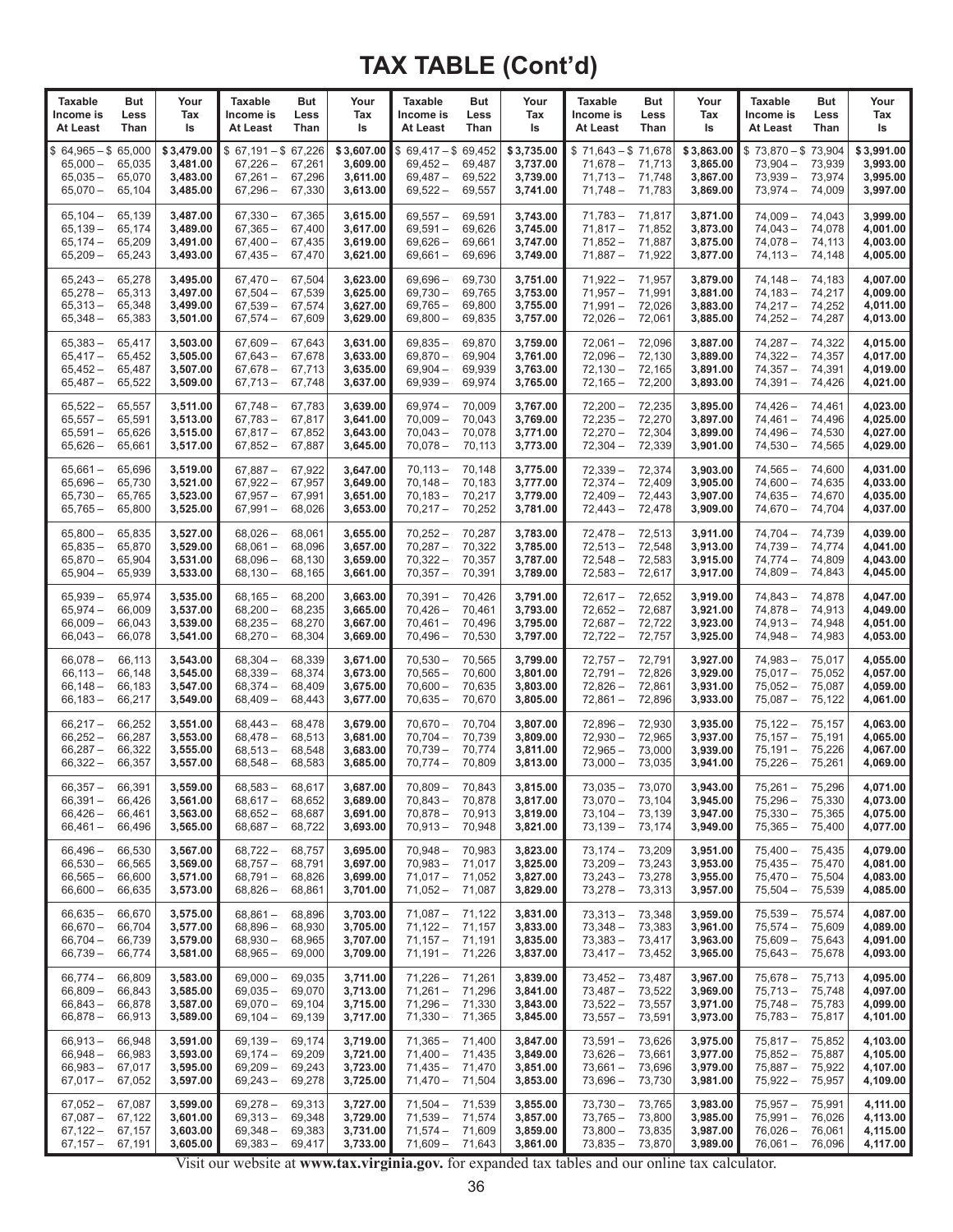| <b>Taxable</b>                                                           | But                                  | Your                                           | <b>Taxable</b>                                              | But                                  | Your                                           | <b>Taxable</b>                                                                                                                                                                   | <b>But</b>                 | Your                                           | <b>Taxable</b>                                               | But                                  | Your                                           | <b>Taxable</b>                                                               | But                                  | Your                                           |
|--------------------------------------------------------------------------|--------------------------------------|------------------------------------------------|-------------------------------------------------------------|--------------------------------------|------------------------------------------------|----------------------------------------------------------------------------------------------------------------------------------------------------------------------------------|----------------------------|------------------------------------------------|--------------------------------------------------------------|--------------------------------------|------------------------------------------------|------------------------------------------------------------------------------|--------------------------------------|------------------------------------------------|
| Income is                                                                | Less                                 | Tax                                            | Income is                                                   | Less                                 | Tax                                            | Income is                                                                                                                                                                        | Less                       | Tax                                            | Income is                                                    | Less                                 | Tax                                            | Income is                                                                    | Less                                 | Tax                                            |
| At Least                                                                 | Than                                 | ls                                             | At Least                                                    | Than                                 | ls                                             | At Least                                                                                                                                                                         | Than                       | ls                                             | At Least                                                     | Than                                 | ls                                             | At Least                                                                     | Than                                 | ls                                             |
| $$64,965 - $65,000$<br>$65,000 -$<br>$65,035 -$<br>$65,070-$             | 65,035<br>65,070<br>65,104           | \$3,479.00<br>3,481.00<br>3,483.00<br>3,485.00 | $$67,191 - $67,226$<br>$67,226 -$<br>$67,261 -$<br>67,296 - | 67,261<br>67,296<br>67,330           | \$3,607.00<br>3,609.00<br>3,611.00<br>3,613.00 | $$69,417 - $69,452$<br>$69,452 -$<br>$69,487-$<br>$69,522 -$                                                                                                                     | 69,487<br>69,522<br>69,557 | \$3,735.00<br>3,737.00<br>3,739.00<br>3,741.00 | $$71,643 - $71,678$<br>$71,678-$<br>$71.713 -$<br>$71,748-$  | 71,713<br>71,748<br>71,783           | \$3,863.00<br>3,865.00<br>3,867.00<br>3,869.00 | $$73,870 - $73,904$<br>$73,904 -$<br>$73,939-$<br>$73,974-$                  | 73,939<br>73,974<br>74,009           | \$3,991.00<br>3,993.00<br>3,995.00<br>3,997.00 |
| $65,104 -$                                                               | 65,139                               | 3,487.00                                       | $67,330 -$                                                  | 67,365                               | 3,615.00                                       | $69,557-$                                                                                                                                                                        | 69,591                     | 3,743.00                                       | $71,783-$                                                    | 71,817                               | 3,871.00                                       | $74,009-$                                                                    | 74,043                               | 3,999.00                                       |
| $65,139-$                                                                | 65,174                               | 3,489.00                                       | $67,365 -$                                                  | 67,400                               | 3,617.00                                       | $69,591 -$                                                                                                                                                                       | 69,626                     | 3,745.00                                       | $71,817 -$                                                   | 71,852                               | 3,873.00                                       | $74,043 -$                                                                   | 74,078                               | 4,001.00                                       |
| $65,174-$                                                                | 65,209                               | 3,491.00                                       | $67,400 -$                                                  | 67,435                               | 3,619.00                                       | $69,626 -$                                                                                                                                                                       | 69,661                     | 3,747.00                                       | $71,852 -$                                                   | 71,887                               | 3,875.00                                       | $74,078-$                                                                    | 74,113                               | 4,003.00                                       |
| $65,209-$                                                                | 65,243                               | 3,493.00                                       | $67,435-$                                                   | 67,470                               | 3,621.00                                       | $69,661 -$                                                                                                                                                                       | 69,696                     | 3,749.00                                       | $71,887-$                                                    | 71,922                               | 3,877.00                                       | $74, 113 -$                                                                  | 74,148                               | 4,005.00                                       |
| $65,243-$                                                                | 65,278                               | 3,495.00                                       | $67,470-$                                                   | 67,504                               | 3,623.00                                       | $69,696 -$                                                                                                                                                                       | 69,730                     | 3,751.00                                       | $71,922 -$                                                   | 71,957                               | 3,879.00                                       | $74,148-$                                                                    | 74.183                               | 4,007.00                                       |
| $65,278-$                                                                | 65,313                               | 3,497.00                                       | $67,504-$                                                   | 67,539                               | 3,625.00                                       | $69,730 -$                                                                                                                                                                       | 69,765                     | 3,753.00                                       | $71,957 -$                                                   | 71,991                               | 3,881.00                                       | $74,183-$                                                                    | 74,217                               | 4,009.00                                       |
| $65,313 -$                                                               | 65,348                               | 3,499.00                                       | $67,539-$                                                   | 67,574                               | 3,627.00                                       | $69,765-$                                                                                                                                                                        | 69,800                     | 3,755.00                                       | $71,991 -$                                                   | 72,026                               | 3,883.00                                       | $74,217-$                                                                    | 74,252                               | 4,011.00                                       |
| $65,348-$                                                                | 65,383                               | 3,501.00                                       | $67,574-$                                                   | 67,609                               | 3,629.00                                       | $69,800 -$                                                                                                                                                                       | 69,835                     | 3,757.00                                       | $72,026 -$                                                   | 72,061                               | 3,885.00                                       | $74,252 -$                                                                   | 74,287                               | 4,013.00                                       |
| $65,383 -$                                                               | 65,417                               | 3,503.00                                       | $67,609-$                                                   | 67,643                               | 3,631.00                                       | $69,835 -$                                                                                                                                                                       | 69,870                     | 3,759.00                                       | $72,061 -$                                                   | 72,096                               | 3,887.00                                       | 74,287 -                                                                     | 74,322                               | 4,015.00                                       |
| $65,417-$                                                                | 65,452                               | 3,505.00                                       | $67,643-$                                                   | 67,678                               | 3,633.00                                       | $69,870-$                                                                                                                                                                        | 69,904                     | 3,761.00                                       | $72,096-$                                                    | 72,130                               | 3,889.00                                       | $74,322 -$                                                                   | 74,357                               | 4,017.00                                       |
| $65,452-$                                                                | 65,487                               | 3,507.00                                       | $67,678-$                                                   | 67,713                               | 3,635.00                                       | $69,904 -$                                                                                                                                                                       | 69,939                     | 3,763.00                                       | $72,130 -$                                                   | 72,165                               | 3,891.00                                       | $74,357 -$                                                                   | 74,391                               | 4,019.00                                       |
| $65,487-$                                                                | 65,522                               | 3,509.00                                       | $67,713-$                                                   | 67,748                               | 3,637.00                                       | $69,939-$                                                                                                                                                                        | 69,974                     | 3,765.00                                       | $72,165 -$                                                   | 72,200                               | 3,893.00                                       | $74,391 -$                                                                   | 74,426                               | 4,021.00                                       |
| $65,522 -$                                                               | 65,557                               | 3,511.00                                       | $67,748-$                                                   | 67,783                               | 3,639.00                                       | $69,974-$                                                                                                                                                                        | 70,009                     | 3,767.00                                       | $72,200 -$                                                   | 72,235                               | 3,895.00                                       | 74,426 –                                                                     | 74,461                               | 4,023.00                                       |
| $65,557-$                                                                | 65,591                               | 3,513.00                                       | $67,783-$                                                   | 67,817                               | 3.641.00                                       | $70,009 -$                                                                                                                                                                       | 70,043                     | 3,769.00                                       | $72,235 -$                                                   | 72,270                               | 3,897.00                                       | $74,461 -$                                                                   | 74,496                               | 4,025.00                                       |
| $65,591 -$                                                               | 65,626                               | 3,515.00                                       | $67,817-$                                                   | 67,852                               | 3,643.00                                       | $70,043 -$                                                                                                                                                                       | 70,078                     | 3,771.00                                       | $72,270-$                                                    | 72,304                               | 3,899.00                                       | 74,496 -                                                                     | 74,530                               | 4,027.00                                       |
| $65,626 -$                                                               | 65,661                               | 3,517.00                                       | $67,852-$                                                   | 67,887                               | 3,645.00                                       | $70,078-$                                                                                                                                                                        | 70,113                     | 3,773.00                                       | $72,304 -$                                                   | 72,339                               | 3,901.00                                       | $74,530 -$                                                                   | 74,565                               | 4,029.00                                       |
| $65,661 -$                                                               | 65,696                               | 3,519.00                                       | $67,887-$                                                   | 67.922                               | 3,647.00                                       | $70,113 -$                                                                                                                                                                       | 70,148                     | 3,775.00                                       | $72,339-$                                                    | 72,374                               | 3,903.00                                       | $74,565 -$                                                                   | 74,600                               | 4,031.00                                       |
| $65,696-$                                                                | 65,730                               | 3,521.00                                       | $67,922 -$                                                  | 67,957                               | 3,649.00                                       | $70,148-$                                                                                                                                                                        | 70,183                     | 3,777.00                                       | $72,374-$                                                    | 72,409                               | 3,905.00                                       | $74,600 -$                                                                   | 74,635                               | 4,033.00                                       |
| $65,730-$                                                                | 65,765                               | 3,523.00                                       | $67,957 -$                                                  | 67,991                               | 3,651.00                                       | $70,183-$                                                                                                                                                                        | 70,217                     | 3,779.00                                       | $72,409-$                                                    | 72,443                               | 3,907.00                                       | $74,635-$                                                                    | 74,670                               | 4,035.00                                       |
| $65,765-$                                                                | 65,800                               | 3,525.00                                       | $67,991 -$                                                  | 68,026                               | 3,653.00                                       | $70,217-$                                                                                                                                                                        | 70,252                     | 3,781.00                                       | $72,443-$                                                    | 72,478                               | 3,909.00                                       | $74,670-$                                                                    | 74,704                               | 4,037.00                                       |
| $65,800 -$                                                               | 65.835                               | 3,527.00                                       | $68,026 -$                                                  | 68,061                               | 3,655.00                                       | $70,252 -$                                                                                                                                                                       | 70,287                     | 3,783.00                                       | $72,478-$                                                    | 72,513                               | 3,911.00                                       | 74,704 –                                                                     | 74,739                               | 4,039.00                                       |
| $65,835-$                                                                | 65,870                               | 3,529.00                                       | $68,061 -$                                                  | 68,096                               | 3,657.00                                       | $70,287-$                                                                                                                                                                        | 70,322                     | 3,785.00                                       | $72,513 -$                                                   | 72,548                               | 3,913.00                                       | $74,739-$                                                                    | 74,774                               | 4,041.00                                       |
| $65,870-$                                                                | 65,904                               | 3,531.00                                       | $68,096-$                                                   | 68,130                               | 3,659.00                                       | $70,322 -$                                                                                                                                                                       | 70,357                     | 3,787.00                                       | $72,548 -$                                                   | 72,583                               | 3,915.00                                       | $74,774-$                                                                    | 74,809                               | 4,043.00                                       |
| $65,904 -$                                                               | 65,939                               | 3,533.00                                       | $68,130-$                                                   | 68,165                               | 3,661.00                                       | $70,357 -$                                                                                                                                                                       | 70,391                     | 3,789.00                                       | $72,583 -$                                                   | 72,617                               | 3,917.00                                       | 74,809-                                                                      | 74,843                               | 4,045.00                                       |
| $65,939-$                                                                | 65,974                               | 3,535.00                                       | $68,165 -$                                                  | 68,200                               | 3,663.00                                       | $70,391 -$                                                                                                                                                                       | 70,426                     | 3,791.00                                       | $72,617-$                                                    | 72,652                               | 3,919.00                                       | $74,843 -$                                                                   | 74,878                               | 4,047.00                                       |
| $65,974-$                                                                | 66,009                               | 3,537.00                                       | $68,200 -$                                                  | 68,235                               | 3,665.00                                       | $70,426-$                                                                                                                                                                        | 70,461                     | 3,793.00                                       | $72,652-$                                                    | 72,687                               | 3,921.00                                       | 74,878-                                                                      | 74,913                               | 4,049.00                                       |
| $66,009 -$                                                               | 66,043                               | 3,539.00                                       | $68,235 -$                                                  | 68,270                               | 3,667.00                                       | $70,461 -$                                                                                                                                                                       | 70,496                     | 3,795.00                                       | $72,687-$                                                    | 72,722                               | 3,923.00                                       | $74,913 -$                                                                   | 74,948                               | 4,051.00                                       |
| $66,043 -$                                                               | 66,078                               | 3,541.00                                       | $68,270-$                                                   | 68,304                               | 3,669.00                                       | $70,496-$                                                                                                                                                                        | 70,530                     | 3,797.00                                       | $72,722 -$                                                   | 72,757                               | 3,925.00                                       | $74,948 -$                                                                   | 74,983                               | 4,053.00                                       |
| $66,078-$                                                                | 66,113                               | 3,543.00                                       | $68,304 -$                                                  | 68,339                               | 3,671.00                                       | $70,530 -$                                                                                                                                                                       | 70,565                     | 3,799.00                                       | $72,757-$                                                    | 72,791                               | 3,927.00                                       | 74,983-                                                                      | 75,017                               | 4,055.00                                       |
| $66, 113 -$                                                              | 66,148                               | 3,545.00                                       | $68,339-$                                                   | 68,374                               | 3,673.00                                       | $70,565 -$                                                                                                                                                                       | 70,600                     | 3,801.00                                       | $72,791-$                                                    | 72,826                               | 3,929.00                                       | $75,017 -$                                                                   | 75,052                               | 4,057.00                                       |
| $66,148-$                                                                | 66,183                               | 3,547.00                                       | $68,374-$                                                   | 68,409                               | 3,675.00                                       | $70,600 -$                                                                                                                                                                       | 70,635                     | 3,803.00                                       | $72,826 -$                                                   | 72,861                               | 3,931.00                                       | $75,052 -$                                                                   | 75,087                               | 4,059.00                                       |
| $66,183 -$                                                               | 66,217                               | 3,549.00                                       | $68,409-$                                                   | 68,443                               | 3,677.00                                       | $70,635 -$                                                                                                                                                                       | 70,670                     | 3,805.00                                       | $72,861 -$                                                   | 72,896                               | 3,933.00                                       | $75,087 -$                                                                   | 75,122                               | 4,061.00                                       |
| $66,217-$                                                                | 66,252                               | 3,551.00                                       | $68,443-$                                                   | 68,478                               | 3,679.00                                       | $70.670 -$                                                                                                                                                                       | 70,704                     | 3,807.00                                       | $72,896 -$                                                   | 72,930                               | 3,935.00                                       | $75,122 -$                                                                   | 75,157                               | 4,063.00                                       |
| $66,252-$                                                                | 66,287                               | 3,553.00                                       | $68,478-$                                                   | 68,513                               | 3,681.00                                       | $70,704 -$                                                                                                                                                                       | 70,739                     | 3,809.00                                       | $72,930 -$                                                   | 72,965                               | 3,937.00                                       | $75,157-$                                                                    | 75,191                               | 4,065.00                                       |
| $66,287-$                                                                | 66,322                               | 3,555.00                                       | $68,513 -$                                                  | 68,548                               | 3,683.00                                       | $70,739-$                                                                                                                                                                        | 70,774                     | 3,811.00                                       | $72,965 -$                                                   | 73,000                               | 3,939.00                                       | 75,191 –                                                                     | 75,226                               | 4,067.00                                       |
| $66,322 -$                                                               | 66,357                               | 3,557.00                                       | $68,548-$                                                   | 68,583                               | 3,685.00                                       | $70,774-$                                                                                                                                                                        | 70,809                     | 3,813.00                                       | $73,000 -$                                                   | 73,035                               | 3,941.00                                       | 75,226 –                                                                     | 75,261                               | 4,069.00                                       |
| 66,357<br>$66,391 -$<br>$66,426 -$<br>$66,461 -$                         | 66,391<br>66,426<br>66,461<br>66,496 | 3,559.00<br>3,561.00<br>3,563.00<br>3,565.00   | $68,583-$<br>$68,617-$<br>$68,652-$<br>$68,687-$            | 68,617<br>68,652<br>68,687<br>68,722 | 3,687.00<br>3,689.00<br>3,691.00<br>3,693.00   | 70,809<br>$70,843 - 70,878$<br>$70,878-$<br>$70,913 -$                                                                                                                           | 70,843<br>70,913<br>70,948 | 3,815.00<br>3,817.00<br>3,819.00<br>3,821.00   | 73,035 - 73,070<br>73,070 - 73,104<br>$73,104-$<br>$73,139-$ | 73,139<br>73,174                     | 3,943.00<br>3,945.00<br>3,947.00<br>3,949.00   | 75,261<br>75,296 –<br>$75,330 -$<br>$75,365 -$                               | 75,296<br>75,330<br>75,365<br>75,400 | 4,071.00<br>4,073.00<br>4,075.00<br>4,077.00   |
| $66,496-$<br>$66,530 -$<br>$66,565 -$<br>$66,600 -$                      | 66,530<br>66,565<br>66,600<br>66,635 | 3,567.00<br>3,569.00<br>3,571.00<br>3,573.00   | $68,722-$<br>$68,757-$<br>$68,791-$<br>$68,826 -$           | 68,757<br>68,791<br>68,826<br>68,861 | 3,695.00<br>3,697.00<br>3,699.00<br>3,701.00   | $70,948 -$<br>$70.983 - 71.017$<br>$71,017 - 71,052$<br>$71,052 - 71,087$                                                                                                        | 70,983                     | 3,823.00<br>3,825.00<br>3,827.00<br>3,829.00   | $73,174-$<br>$73,209-$<br>$73,243-$<br>$73,278-$             | 73,209<br>73,243<br>73,278<br>73,313 | 3,951.00<br>3,953.00<br>3,955.00<br>3,957.00   | 75,400 -<br>$75,435 - 75,470$<br>$75,470 - 75,504$<br>$75,504-$              | 75,435<br>75,539                     | 4,079.00<br>4,081.00<br>4,083.00<br>4,085.00   |
| $66,635 -$                                                               | 66,670                               | 3,575.00                                       | $68,861 -$                                                  | 68,896                               | 3,703.00                                       | $71,087 - 71,122$                                                                                                                                                                |                            | 3,831.00                                       | $73,313 -$                                                   | 73,348                               | 3,959.00                                       | 75,539 —                                                                     | 75,574                               | 4,087.00                                       |
| $66,670 -$                                                               | 66,704                               | 3,577.00                                       | $68,896-$                                                   | 68,930                               | 3,705.00                                       | $71,122 - 71,157$                                                                                                                                                                |                            | 3,833.00                                       | $73,348-$                                                    | 73,383                               | 3,961.00                                       | $75,574-$                                                                    | 75,609                               | 4,089.00                                       |
| $66,704-$                                                                | 66,739                               | 3,579.00                                       | $68,930 -$                                                  | 68,965                               | 3,707.00                                       | $71,157 - 71,191$                                                                                                                                                                |                            | 3,835.00                                       | $73,383 -$                                                   | 73,417                               | 3,963.00                                       | $75,609-$                                                                    | 75,643                               | 4,091.00                                       |
| $66,739-$                                                                | 66,774                               | 3,581.00                                       | $68,965 -$                                                  | 69,000                               | 3,709.00                                       | $71,191 - 71,226$                                                                                                                                                                |                            | 3,837.00                                       | $73,417-$                                                    | 73,452                               | 3,965.00                                       | $75,643 -$                                                                   | 75,678                               | 4,093.00                                       |
| $66,774-$<br>$66,809-$<br>$66,843 -$<br>$66,878-$                        | 66,809<br>66,843<br>66,878<br>66,913 | 3,583.00<br>3,585.00<br>3,587.00<br>3,589.00   | $69,000 -$<br>$69,035-$<br>$69,070-$<br>$69,104-$           | 69,035<br>69,070<br>69,104<br>69,139 | 3,711.00<br>3,713.00<br>3,715.00<br>3,717.00   | $71,226 - 71,261$<br>$71,261 - 71,296$<br>$71,296 - 71,330$<br>$71,330 - 71,365$                                                                                                 |                            | 3,839.00<br>3,841.00<br>3,843.00<br>3,845.00   | $73,452 -$<br>$73,487-$<br>$73,522 -$<br>$73,557-$           | 73,487<br>73,522<br>73,557<br>73,591 | 3,967.00<br>3,969.00<br>3,971.00<br>3,973.00   | 75,678 - 75,713<br>$75,713 - 75,748$<br>$75,748 - 75,783$<br>75,783 - 75,817 |                                      | 4,095.00<br>4,097.00<br>4,099.00<br>4,101.00   |
| 66,913 -<br>$66,948-$<br>66,983 –<br>$67,017 - 67,052$                   | 66,948<br>66,983<br>67,017           | 3,591.00<br>3,593.00<br>3,595.00<br>3,597.00   | 69,139 -<br>$69,174-$<br>$69,209-$<br>69,243 –              | 69,174<br>69,209<br>69,243<br>69,278 | 3,719.00<br>3,721.00<br>3,723.00<br>3,725.00   | $71,365 - 71,400$<br>$71,400 - 71,435$<br>$71,435 - 71,470$<br>$71,470 - 71,504$                                                                                                 |                            | 3,847.00<br>3,849.00<br>3,851.00<br>3,853.00   | $73,591 -$<br>$73,626-$<br>$73,661 -$<br>$73,696-$           | 73,626<br>73,661<br>73,696<br>73,730 | 3,975.00<br>3,977.00<br>3,979.00<br>3,981.00   | 75,817 - 75,852<br>$75,852 -$<br>75,887 –<br>75,922 - 75,957                 | 75,887<br>75,922                     | 4,103.00<br>4,105.00<br>4,107.00<br>4,109.00   |
| $67,052-$<br>$67,087 - 67,122$<br>$67,122 - 67,157$<br>$67,157 - 67,191$ | 67,087                               | 3,599.00<br>3,601.00<br>3,603.00<br>3,605.00   | $69,278-$<br>$69,313-$<br>$69,348 - 69,383$<br>69,383 –     | 69,313<br>69,348<br>69,417           | 3,727.00<br>3,729.00<br>3,731.00<br>3,733.00   | $71,504-$<br>$71,539 - 71,574$<br>$71,574 - 71,609$<br>71,609 - 71,643<br>Visit que unhaite et una tourisainte acu for experiente de text tobles en a que en line text estadista | 71,539                     | 3,855.00<br>3,857.00<br>3,859.00<br>3,861.00   | $73,730 -$<br>$73,765 -$<br>$73,800-$<br>$73,835 -$          | 73,765<br>73,800<br>73,835<br>73,870 | 3,983.00<br>3,985.00<br>3,987.00<br>3,989.00   | 75,957 –<br>75,991 —<br>76,026 - 76,061<br>76,061 - 76,096                   | 75,991<br>76,026                     | 4,111.00<br>4,113.00<br>4,115.00<br>4,117.00   |

Visit our website at **www.tax.virginia.gov.** for expanded tax tables and our online tax calculator.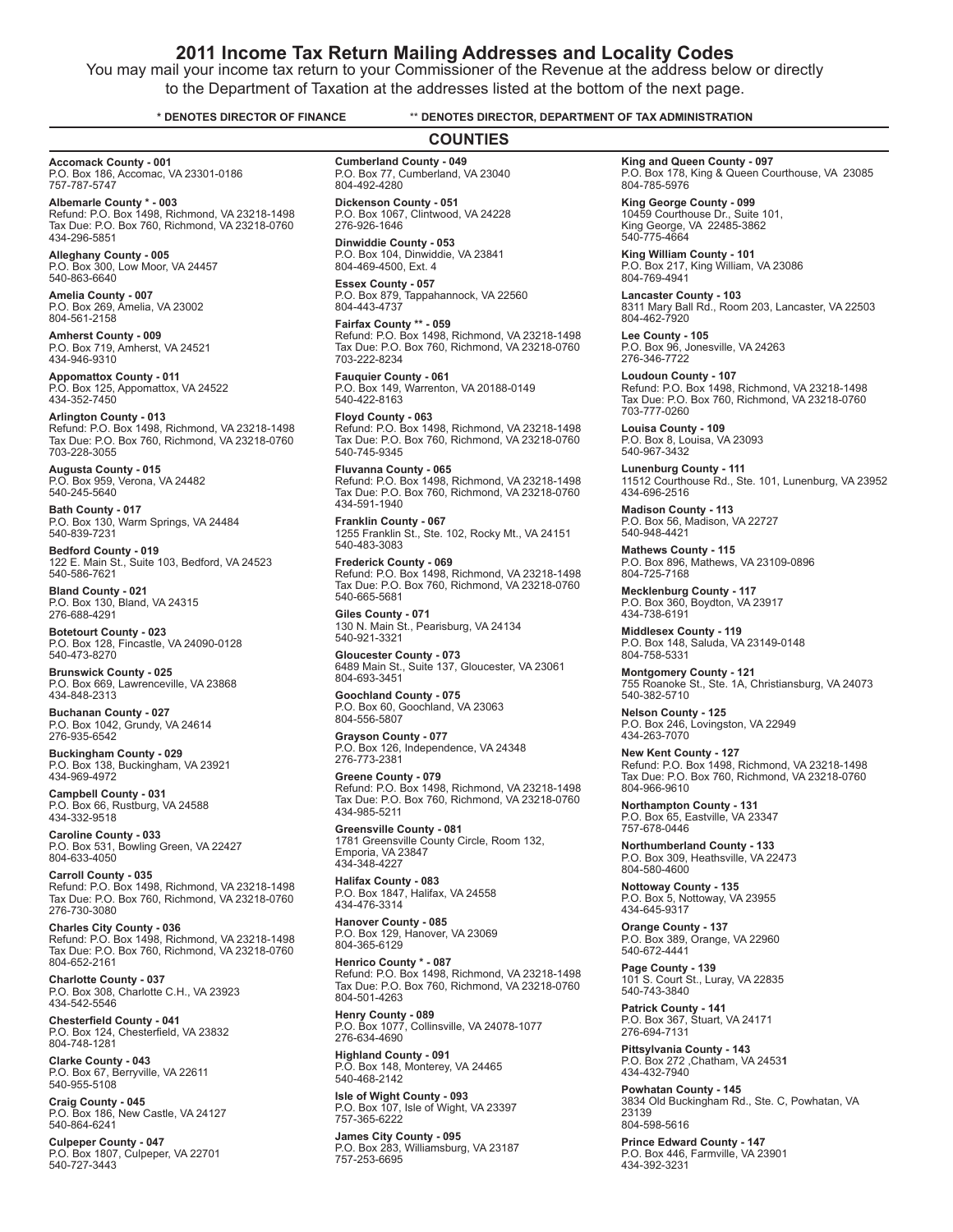#### **2011 Income Tax Return Mailing Addresses and Locality Codes**

You may mail your income tax return to your Commissioner of the Revenue at the address below or directly to the Department of Taxation at the addresses listed at the bottom of the next page.

#### **\* DENOTES DIRECTOR OF FINANCE** \*\* **DENOTES DIRECTOR, DEPARTMENT OF TAX ADMINISTRATION**

**Accomack County - 001** P.O. Box 186, Accomac, VA 23301-0186 757-787-5747

**Albemarle County \* - 003** Refund: P.O. Box 1498, Richmond, VA 23218-1498 Tax Due: P.O. Box 760, Richmond, VA 23218-0760 434-296-5851

**Alleghany County - 005** P.O. Box 300, Low Moor, VA 24457 540-863-6640

**Amelia County - 007** P.O. Box 269, Amelia, VA 23002 804-561-2158

**Amherst County - 009** P.O. Box 719, Amherst, VA 24521 434-946-9310

**Appomattox County - 011**<br>P.O. Box 125, Appomattox, VA 24522<br>434-352-7450

**Arlington County - 013**<br>Refund: P.O. Box 1498, Richmond, VA 23218-1498<br>Tax Due: P.O. Box 760, Richmond, VA 23218-0760 703-228-3055

**Augusta County - 015** P.O. Box 959, Verona, VA 24482 540-245-5640

**Bath County - 017** P.O. Box 130, Warm Springs, VA 24484 540-839-7231

**Bedford County - 019** 122 E. Main St., Suite 103, Bedford, VA 24523 540-586-7621

**Bland County - 021** P.O. Box 130, Bland, VA 24315 276-688-4291

**Botetourt County - 023** P.O. Box 128, Fincastle, VA 24090-0128 540-473-8270

**Brunswick County - 025** P.O. Box 669, Lawrenceville, VA 23868 434-848-2313

**Buchanan County - 027** P.O. Box 1042, Grundy, VA 24614 276-935-6542

**Buckingham County - 029** P.O. Box 138, Buckingham, VA 23921 434-969-4972

**Campbell County - 031** P.O. Box 66, Rustburg, VA 24588 434-332-9518

**Caroline County - 033** P.O. Box 531, Bowling Green, VA 22427 804-633-4050

**Carroll County - 035** Refund: P.O. Box 1498, Richmond, VA 23218-1498 Tax Due: P.O. Box 760, Richmond, VA 23218-0760 276-730-3080

**Charles City County - 036** Refund: P.O. Box 1498, Richmond, VA 23218-1498 Tax Due: P.O. Box 760, Richmond, VA 23218-0760 804-652-2161

**Charlotte County - 037** P.O. Box 308, Charlotte C.H., VA 23923 434-542-5546

**Chesterfield County - 041** P.O. Box 124, Chesterfield, VA 23832 804-748-1281

**Clarke County - 043** P.O. Box 67, Berryville, VA 22611 540-955-5108

**Craig County - 045** P.O. Box 186, New Castle, VA 24127 540-864-6241

**Culpeper County - 047** P.O. Box 1807, Culpeper, VA 22701 540-727-3443

**Cumberland County - 049** P.O. Box 77, Cumberland, VA 23040 **COUNTIES**

804-492-4280 **Dickenson County - 051** P.O. Box 1067, Clintwood, VA 24228 276-926-1646

**Dinwiddie County - 053** P.O. Box 104, Dinwiddie, VA 23841 804-469-4500, Ext. 4

**Essex County - 057** P.O. Box 879, Tappahannock, VA 22560 804-443-4737

**Fairfax County \*\* - 059** Refund: P.O. Box 1498, Richmond, VA 23218-1498 Tax Due: P.O. Box 760, Richmond, VA 23218-0760 703-222-8234

**Fauquier County - 061** P.O. Box 149, Warrenton, VA 20188-0149 540-422-8163

**Floyd County - 063**<br>Refund: P.O. Box 1498, Richmond, VA 23218-1498<br>Tax Due: P.O. Box 760, Richmond, VA 23218-0760 540-745-9345

**Fluvanna County - 065** Refund: P.O. Box 1498, Richmond, VA 23218-1498 Tax Due: P.O. Box 760, Richmond, VA 23218-0760 434-591-1940

**Franklin County - 067** 1255 Franklin St., Ste. 102, Rocky Mt., VA 24151 540-483-3083

**Frederick County - 069**<br>Refund: P.O. Box 1498, Richmond, VA 23218-1498<br>Tax Due: P.O. Box 760, Richmond, VA 23218-0760 540-665-5681

**Giles County - 071** 130 N. Main St., Pearisburg, VA 24134 540-921-3321

**Gloucester County - 073**<br>6489 Main St., Suite 137, Gloucester, VA 23061<br>804-693-3451

**Goochland County - 075** P.O. Box 60, Goochland, VA 23063 804-556-5807

**Grayson County - 077** P.O. Box 126, Independence, VA 24348 276-773-2381

**Greene County - 079** Refund: P.O. Box 1498, Richmond, VA 23218-1498 Tax Due: P.O. Box 760, Richmond, VA 23218-0760 434-985-5211

**Greensville County - 081** 1781 Greensville County Circle, Room 132, Emporia, VA 23847 434-348-4227

**Halifax County - 083** P.O. Box 1847, Halifax, VA 24558 434-476-3314

**Hanover County - 085** P.O. Box 129, Hanover, VA 23069 804-365-6129

**Henrico County \* - 087** Refund: P.O. Box 1498, Richmond, VA 23218-1498 Tax Due: P.O. Box 760, Richmond, VA 23218-0760 804-501-4263

**Henry County - 089** P.O. Box 1077, Collinsville, VA 24078-1077 276-634-4690

**Highland County - 091** P.O. Box 148, Monterey, VA 24465 540-468-2142

**Isle of Wight County - 093** P.O. Box 107, Isle of Wight, VA 23397 757-365-6222

**James City County - 095** P.O. Box 283, Williamsburg, VA 23187 757-253-6695

**King and Queen County - 097** P.O. Box 178, King & Queen Courthouse, VA 23085 804-785-5976

**King George County - 099**<br>10459 Courthouse Dr., Suite 101,<br>King George, VA 22485-3862 540-775-4664

**King William County - 101** P.O. Box 217, King William, VA 23086 804-769-4941

**Lancaster County - 103** 8311 Mary Ball Rd., Room 203, Lancaster, VA 22503 804-462-7920

**Lee County - 105**<br>P.O. Box 96, Jonesville, VA 24263<br>276-346-7722

**Loudoun County - 107**<br>Refund: P.O. Box 1498, Richmond, VA 23218-1498<br>Tax Due: P.O. Box 760, Richmond, VA 23218-0760 703-777-0260

**Louisa County - 109** P.O. Box 8, Louisa, VA 23093 540-967-3432

**Lunenburg County - 111** 11512 Courthouse Rd., Ste. 101, Lunenburg, VA 23952 434-696-2516

**Madison County - 113** P.O. Box 56, Madison, VA 22727 540-948-4421

**Mathews County - 115** P.O. Box 896, Mathews, VA 23109-0896 804-725-7168

**Mecklenburg County - 117** P.O. Box 360, Boydton, VA 23917 434-738-6191

**Middlesex County - 119** P.O. Box 148, Saluda, VA 23149-0148 804-758-5331

**Montgomery County - 121** 755 Roanoke St., Ste. 1A, Christiansburg, VA 24073 540-382-5710

**Nelson County - 125**<br>P.O. Box 246, Lovingston, VA 22949<br>434-263-7070

**New Kent County - 127** Refund: P.O. Box 1498, Richmond, VA 23218-1498 Tax Due: P.O. Box 760, Richmond, VA 23218-0760 804-966-9610

**Northampton County - 131** P.O. Box 65, Eastville, VA 23347 757-678-0446

**Northumberland County - 133** P.O. Box 309, Heathsville, VA 22473 804-580-4600

**Nottoway County - 135** P.O. Box 5, Nottoway, VA 23955 434-645-9317

**Orange County - 137** P.O. Box 389, Orange, VA 22960 540-672-4441

**Page County - 139**<br>101 S. Court St., Luray, VA 22835<br>540-743-3840

**Patrick County - 141**<br>P.O. Box 367, Stuart, VA 24171<br>276-694-7131

**Pittsylvania County - 143** P.O. Box 272 ,Chatham, VA 2453**1** 434-432-7940

**Powhatan County - 145** 3834 Old Buckingham Rd., Ste. C, Powhatan, VA 23139 804-598-5616

**Prince Edward County - 147** P.O. Box 446, Farmville, VA 23901 434-392-3231